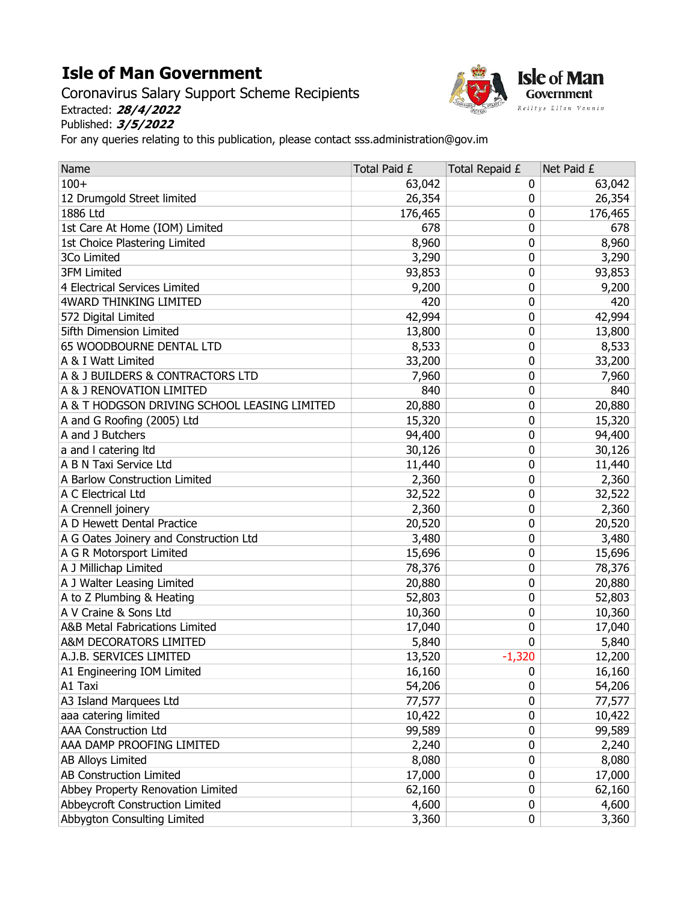## Isle of Man Government

Coronavirus Salary Support Scheme Recipients Extracted: 28/4/2022 Published: 3/5/2022



For any queries relating to this publication, please contact sss.administration@gov.im

| Name                                         | Total Paid £ | Total Repaid £   | Net Paid £ |
|----------------------------------------------|--------------|------------------|------------|
| $100+$                                       | 63,042       | 0                | 63,042     |
| 12 Drumgold Street limited                   | 26,354       | 0                | 26,354     |
| 1886 Ltd                                     | 176,465      | $\mathbf{0}$     | 176,465    |
| 1st Care At Home (IOM) Limited               | 678          | 0                | 678        |
| 1st Choice Plastering Limited                | 8,960        | $\mathbf 0$      | 8,960      |
| 3Co Limited                                  | 3,290        | $\mathbf 0$      | 3,290      |
| <b>3FM Limited</b>                           | 93,853       | 0                | 93,853     |
| 4 Electrical Services Limited                | 9,200        | 0                | 9,200      |
| <b>4WARD THINKING LIMITED</b>                | 420          | $\mathbf 0$      | 420        |
| 572 Digital Limited                          | 42,994       | 0                | 42,994     |
| <b>5ifth Dimension Limited</b>               | 13,800       | $\mathbf 0$      | 13,800     |
| 65 WOODBOURNE DENTAL LTD                     | 8,533        | $\mathbf 0$      | 8,533      |
| A & I Watt Limited                           | 33,200       | 0                | 33,200     |
| A & J BUILDERS & CONTRACTORS LTD             | 7,960        | $\mathbf 0$      | 7,960      |
| A & J RENOVATION LIMITED                     | 840          | $\mathbf 0$      | 840        |
| A & T HODGSON DRIVING SCHOOL LEASING LIMITED | 20,880       | 0                | 20,880     |
| A and G Roofing (2005) Ltd                   | 15,320       | $\mathbf 0$      | 15,320     |
| A and J Butchers                             | 94,400       | $\mathbf 0$      | 94,400     |
| a and I catering Itd                         | 30,126       | 0                | 30,126     |
| A B N Taxi Service Ltd                       | 11,440       | 0                | 11,440     |
| A Barlow Construction Limited                | 2,360        | 0                | 2,360      |
| A C Electrical Ltd                           | 32,522       | 0                | 32,522     |
| A Crennell joinery                           | 2,360        | $\mathbf 0$      | 2,360      |
| A D Hewett Dental Practice                   | 20,520       | $\mathbf 0$      | 20,520     |
| A G Oates Joinery and Construction Ltd       | 3,480        | $\mathbf 0$      | 3,480      |
| A G R Motorsport Limited                     | 15,696       | 0                | 15,696     |
| A J Millichap Limited                        | 78,376       | 0                | 78,376     |
| A J Walter Leasing Limited                   | 20,880       | 0                | 20,880     |
| A to Z Plumbing & Heating                    | 52,803       | 0                | 52,803     |
| A V Craine & Sons Ltd                        | 10,360       | 0                | 10,360     |
| A&B Metal Fabrications Limited               | 17,040       | $\mathbf 0$      | 17,040     |
| A&M DECORATORS LIMITED                       | 5,840        | 0                | 5,840      |
| A.J.B. SERVICES LIMITED                      | 13,520       | $-1,320$         | 12,200     |
| A1 Engineering IOM Limited                   | 16,160       | 0                | 16,160     |
| A1 Taxi                                      | 54,206       | $\mathbf{0}$     | 54,206     |
| A3 Island Marquees Ltd                       | 77,577       | $\mathbf 0$      | 77,577     |
| aaa catering limited                         | 10,422       | $\pmb{0}$        | 10,422     |
| <b>AAA Construction Ltd</b>                  | 99,589       | 0                | 99,589     |
| AAA DAMP PROOFING LIMITED                    | 2,240        | $\mathbf 0$      | 2,240      |
| <b>AB Alloys Limited</b>                     | 8,080        | $\mathbf 0$      | 8,080      |
| AB Construction Limited                      | 17,000       | 0                | 17,000     |
| Abbey Property Renovation Limited            | 62,160       | $\mathbf 0$      | 62,160     |
| Abbeycroft Construction Limited              | 4,600        | $\boldsymbol{0}$ | 4,600      |
| Abbygton Consulting Limited                  | 3,360        | 0                | 3,360      |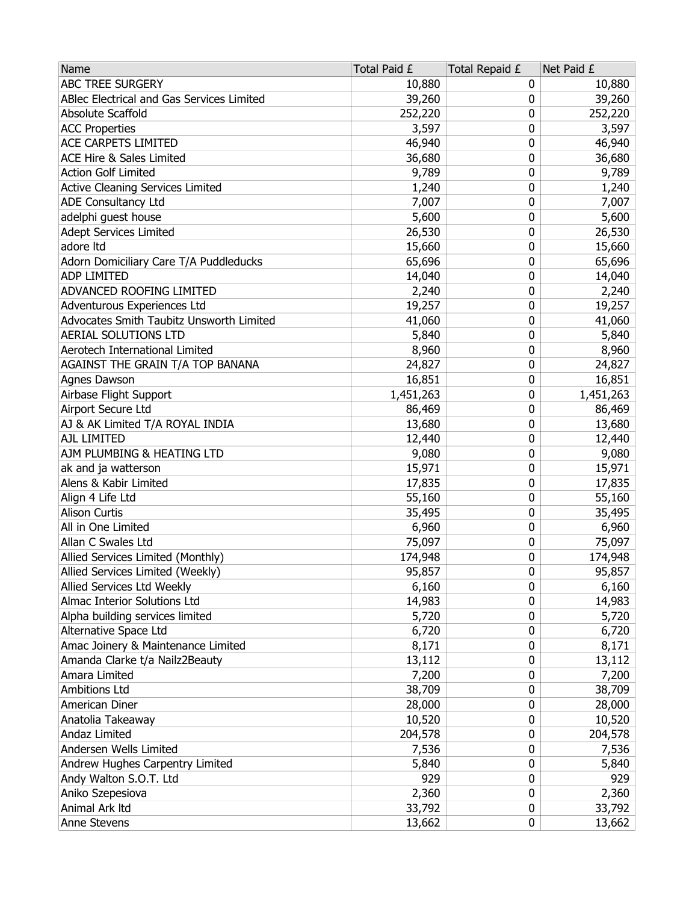| Name                                            | Total Paid £ | Total Repaid £ | Net Paid £ |
|-------------------------------------------------|--------------|----------------|------------|
| ABC TREE SURGERY                                | 10,880       | 0              | 10,880     |
| ABlec Electrical and Gas Services Limited       | 39,260       | 0              | 39,260     |
| Absolute Scaffold                               | 252,220      | 0              | 252,220    |
| <b>ACC Properties</b>                           | 3,597        | 0              | 3,597      |
| ACE CARPETS LIMITED                             | 46,940       | 0              | 46,940     |
| ACE Hire & Sales Limited                        | 36,680       | 0              | 36,680     |
| <b>Action Golf Limited</b>                      | 9,789        | 0              | 9,789      |
| Active Cleaning Services Limited                | 1,240        | 0              | 1,240      |
| <b>ADE Consultancy Ltd</b>                      | 7,007        | 0              | 7,007      |
| adelphi guest house                             | 5,600        | 0              | 5,600      |
| <b>Adept Services Limited</b>                   | 26,530       | 0              | 26,530     |
| adore Itd                                       | 15,660       | 0              | 15,660     |
| Adorn Domiciliary Care T/A Puddleducks          | 65,696       | 0              | 65,696     |
| <b>ADP LIMITED</b>                              | 14,040       | 0              | 14,040     |
| ADVANCED ROOFING LIMITED                        | 2,240        | 0              | 2,240      |
| Adventurous Experiences Ltd                     | 19,257       | 0              | 19,257     |
| Advocates Smith Taubitz Unsworth Limited        | 41,060       | 0              | 41,060     |
| AERIAL SOLUTIONS LTD                            | 5,840        | 0              | 5,840      |
| Aerotech International Limited                  | 8,960        | 0              | 8,960      |
| AGAINST THE GRAIN T/A TOP BANANA                | 24,827       | 0              | 24,827     |
| Agnes Dawson                                    | 16,851       | 0              | 16,851     |
| Airbase Flight Support                          | 1,451,263    | 0              | 1,451,263  |
| Airport Secure Ltd                              | 86,469       | 0              | 86,469     |
| AJ & AK Limited T/A ROYAL INDIA                 | 13,680       | 0              | 13,680     |
| <b>AJL LIMITED</b>                              | 12,440       | 0              | 12,440     |
| AJM PLUMBING & HEATING LTD                      | 9,080        | 0              | 9,080      |
| ak and ja watterson                             | 15,971       | 0              | 15,971     |
| Alens & Kabir Limited                           | 17,835       | 0              | 17,835     |
| Align 4 Life Ltd                                | 55,160       | 0              | 55,160     |
| <b>Alison Curtis</b>                            | 35,495       | 0              | 35,495     |
| All in One Limited                              | 6,960        | 0              | 6,960      |
| Allan C Swales Ltd                              | 75,097       | 0              | 75,097     |
| Allied Services Limited (Monthly)               | 174,948      | 0              | 174,948    |
| Allied Services Limited (Weekly)                | 95,857       | 0              | 95,857     |
| Allied Services Ltd Weekly                      | 6,160        | 0              | 6,160      |
| Almac Interior Solutions Ltd                    | 14,983       | 0              | 14,983     |
| Alpha building services limited                 |              | 0              |            |
| Alternative Space Ltd                           | 5,720        | 0              | 5,720      |
| Amac Joinery & Maintenance Limited              | 6,720        |                | 6,720      |
|                                                 | 8,171        | 0              | 8,171      |
| Amanda Clarke t/a Nailz2Beauty<br>Amara Limited | 13,112       | 0              | 13,112     |
|                                                 | 7,200        | 0              | 7,200      |
| <b>Ambitions Ltd</b>                            | 38,709       | 0              | 38,709     |
| American Diner                                  | 28,000       | 0              | 28,000     |
| Anatolia Takeaway                               | 10,520       | 0              | 10,520     |
| Andaz Limited                                   | 204,578      | 0              | 204,578    |
| Andersen Wells Limited                          | 7,536        | 0              | 7,536      |
| Andrew Hughes Carpentry Limited                 | 5,840        | 0              | 5,840      |
| Andy Walton S.O.T. Ltd                          | 929          | 0              | 929        |
| Aniko Szepesiova                                | 2,360        | 0              | 2,360      |
| Animal Ark Itd                                  | 33,792       | 0              | 33,792     |
| Anne Stevens                                    | 13,662       | 0              | 13,662     |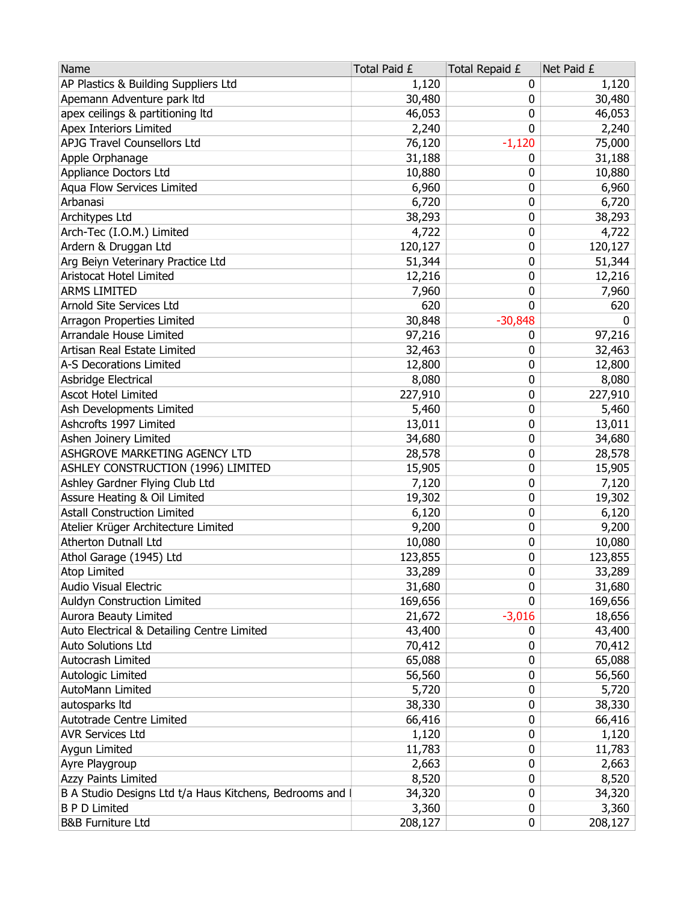| Name                                                   | Total Paid £ | Total Repaid £ | Net Paid £ |
|--------------------------------------------------------|--------------|----------------|------------|
| AP Plastics & Building Suppliers Ltd                   | 1,120        | 0              | 1,120      |
| Apemann Adventure park Itd                             | 30,480       | 0              | 30,480     |
| apex ceilings & partitioning ltd                       | 46,053       | 0              | 46,053     |
| Apex Interiors Limited                                 | 2,240        | 0              | 2,240      |
| <b>APJG Travel Counsellors Ltd</b>                     | 76,120       | $-1,120$       | 75,000     |
| Apple Orphanage                                        | 31,188       | 0              | 31,188     |
| Appliance Doctors Ltd                                  | 10,880       | 0              | 10,880     |
| Aqua Flow Services Limited                             | 6,960        | 0              | 6,960      |
| Arbanasi                                               | 6,720        | 0              | 6,720      |
| Architypes Ltd                                         | 38,293       | 0              | 38,293     |
| Arch-Tec (I.O.M.) Limited                              | 4,722        | 0              | 4,722      |
| Ardern & Druggan Ltd                                   | 120,127      | 0              | 120,127    |
| Arg Beiyn Veterinary Practice Ltd                      | 51,344       | 0              | 51,344     |
| Aristocat Hotel Limited                                | 12,216       | 0              | 12,216     |
| <b>ARMS LIMITED</b>                                    | 7,960        | 0              | 7,960      |
| Arnold Site Services Ltd                               | 620          | 0              | 620        |
| Arragon Properties Limited                             | 30,848       | $-30,848$      | 0          |
| Arrandale House Limited                                | 97,216       | 0              | 97,216     |
| Artisan Real Estate Limited                            | 32,463       | 0              | 32,463     |
| A-S Decorations Limited                                | 12,800       | 0              | 12,800     |
| Asbridge Electrical                                    | 8,080        | 0              | 8,080      |
| <b>Ascot Hotel Limited</b>                             | 227,910      | 0              | 227,910    |
| Ash Developments Limited                               | 5,460        | 0              | 5,460      |
| Ashcrofts 1997 Limited                                 | 13,011       | 0              | 13,011     |
| Ashen Joinery Limited                                  | 34,680       | 0              | 34,680     |
| ASHGROVE MARKETING AGENCY LTD                          | 28,578       | 0              | 28,578     |
| ASHLEY CONSTRUCTION (1996) LIMITED                     | 15,905       | 0              | 15,905     |
| Ashley Gardner Flying Club Ltd                         | 7,120        | 0              | 7,120      |
| Assure Heating & Oil Limited                           | 19,302       | 0              | 19,302     |
| <b>Astall Construction Limited</b>                     | 6,120        | 0              | 6,120      |
| Atelier Krüger Architecture Limited                    | 9,200        | 0              | 9,200      |
| Atherton Dutnall Ltd                                   | 10,080       | 0              | 10,080     |
| Athol Garage (1945) Ltd                                | 123,855      | 0              | 123,855    |
| Atop Limited                                           | 33,289       | 0              | 33,289     |
| Audio Visual Electric                                  | 31,680       | 0              | 31,680     |
| Auldyn Construction Limited                            | 169,656      | 0              | 169,656    |
| Aurora Beauty Limited                                  | 21,672       | $-3,016$       | 18,656     |
| Auto Electrical & Detailing Centre Limited             | 43,400       | 0              | 43,400     |
| Auto Solutions Ltd                                     | 70,412       | 0              | 70,412     |
| Autocrash Limited                                      | 65,088       | 0              | 65,088     |
| Autologic Limited                                      | 56,560       | 0              | 56,560     |
| AutoMann Limited                                       | 5,720        | 0              | 5,720      |
| autosparks Itd                                         | 38,330       | 0              | 38,330     |
| Autotrade Centre Limited                               | 66,416       | 0              | 66,416     |
| <b>AVR Services Ltd</b>                                | 1,120        | 0              | 1,120      |
| Aygun Limited                                          | 11,783       | 0              | 11,783     |
| Ayre Playgroup                                         | 2,663        | 0              | 2,663      |
| Azzy Paints Limited                                    | 8,520        | 0              | 8,520      |
| B A Studio Designs Ltd t/a Haus Kitchens, Bedrooms and | 34,320       | 0              | 34,320     |
| <b>B P D Limited</b>                                   | 3,360        | 0              | 3,360      |
| <b>B&amp;B Furniture Ltd</b>                           | 208,127      | 0              | 208,127    |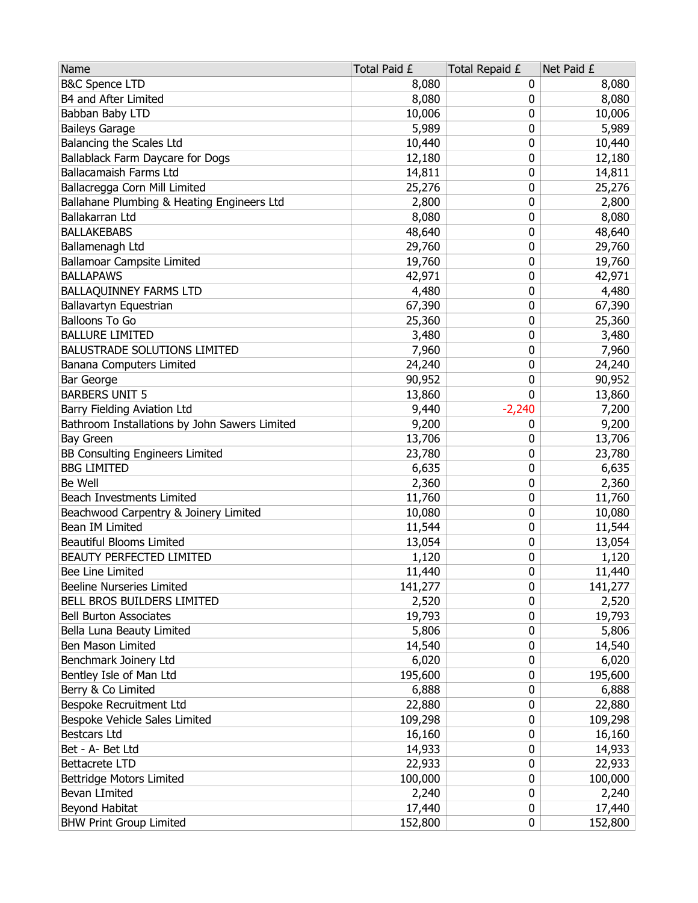| Name                                          | Total Paid £ | Total Repaid £ | Net Paid £ |
|-----------------------------------------------|--------------|----------------|------------|
| <b>B&amp;C Spence LTD</b>                     | 8,080        | 0              | 8,080      |
| B4 and After Limited                          | 8,080        | 0              | 8,080      |
| Babban Baby LTD                               | 10,006       | 0              | 10,006     |
| <b>Baileys Garage</b>                         | 5,989        | 0              | 5,989      |
| Balancing the Scales Ltd                      | 10,440       | 0              | 10,440     |
| Ballablack Farm Daycare for Dogs              | 12,180       | 0              | 12,180     |
| <b>Ballacamaish Farms Ltd</b>                 | 14,811       | 0              | 14,811     |
| Ballacregga Corn Mill Limited                 | 25,276       | 0              | 25,276     |
| Ballahane Plumbing & Heating Engineers Ltd    | 2,800        | 0              | 2,800      |
| Ballakarran Ltd                               | 8,080        | 0              | 8,080      |
| <b>BALLAKEBABS</b>                            | 48,640       | 0              | 48,640     |
| Ballamenagh Ltd                               | 29,760       | 0              | 29,760     |
| Ballamoar Campsite Limited                    | 19,760       | 0              | 19,760     |
| <b>BALLAPAWS</b>                              | 42,971       | 0              | 42,971     |
| BALLAQUINNEY FARMS LTD                        | 4,480        | 0              | 4,480      |
| Ballavartyn Equestrian                        | 67,390       | 0              | 67,390     |
| <b>Balloons To Go</b>                         | 25,360       | 0              | 25,360     |
| <b>BALLURE LIMITED</b>                        | 3,480        | 0              | 3,480      |
| <b>BALUSTRADE SOLUTIONS LIMITED</b>           | 7,960        | 0              | 7,960      |
| Banana Computers Limited                      | 24,240       | 0              | 24,240     |
| <b>Bar George</b>                             | 90,952       | 0              | 90,952     |
| <b>BARBERS UNIT 5</b>                         | 13,860       | 0              | 13,860     |
| Barry Fielding Aviation Ltd                   | 9,440        | $-2,240$       | 7,200      |
| Bathroom Installations by John Sawers Limited | 9,200        | 0              | 9,200      |
| Bay Green                                     | 13,706       | 0              | 13,706     |
| <b>BB Consulting Engineers Limited</b>        | 23,780       | 0              | 23,780     |
| <b>BBG LIMITED</b>                            | 6,635        | 0              | 6,635      |
| Be Well                                       | 2,360        | 0              | 2,360      |
| Beach Investments Limited                     | 11,760       | 0              | 11,760     |
| Beachwood Carpentry & Joinery Limited         | 10,080       | 0              | 10,080     |
| Bean IM Limited                               | 11,544       | 0              | 11,544     |
| <b>Beautiful Blooms Limited</b>               | 13,054       | 0              | 13,054     |
| <b>BEAUTY PERFECTED LIMITED</b>               | 1,120        | 0              | 1,120      |
| Bee Line Limited                              | 11,440       | 0              | 11,440     |
| Beeline Nurseries Limited                     | 141,277      | 0              | 141,277    |
| BELL BROS BUILDERS LIMITED                    | 2,520        | 0              | 2,520      |
| <b>Bell Burton Associates</b>                 | 19,793       | 0              | 19,793     |
| Bella Luna Beauty Limited                     | 5,806        | 0              | 5,806      |
| Ben Mason Limited                             | 14,540       | 0              | 14,540     |
| Benchmark Joinery Ltd                         | 6,020        | 0              | 6,020      |
| Bentley Isle of Man Ltd                       | 195,600      | 0              | 195,600    |
| Berry & Co Limited                            | 6,888        | 0              | 6,888      |
| Bespoke Recruitment Ltd                       | 22,880       | 0              | 22,880     |
| Bespoke Vehicle Sales Limited                 | 109,298      | 0              | 109,298    |
| <b>Bestcars Ltd</b>                           | 16,160       | 0              | 16,160     |
| Bet - A- Bet Ltd                              | 14,933       | 0              | 14,933     |
| <b>Bettacrete LTD</b>                         | 22,933       | 0              | 22,933     |
| Bettridge Motors Limited                      | 100,000      | 0              | 100,000    |
| Bevan LImited                                 | 2,240        | 0              | 2,240      |
| Beyond Habitat                                | 17,440       | 0              | 17,440     |
| <b>BHW Print Group Limited</b>                | 152,800      | 0              | 152,800    |
|                                               |              |                |            |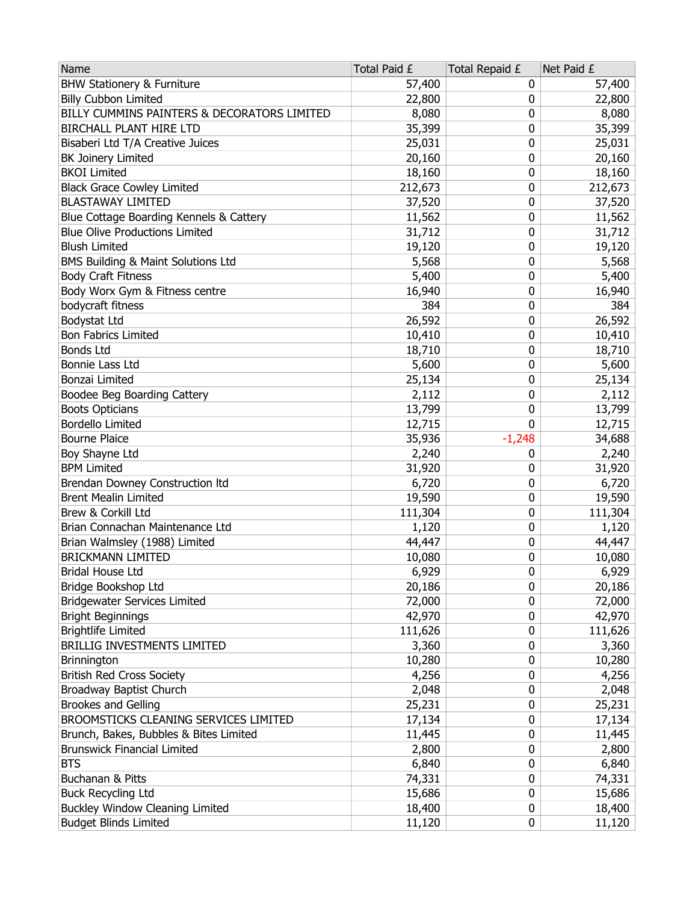| Name                                        | Total Paid £ | Total Repaid £ | Net Paid £ |
|---------------------------------------------|--------------|----------------|------------|
| <b>BHW Stationery &amp; Furniture</b>       | 57,400       | 0              | 57,400     |
| <b>Billy Cubbon Limited</b>                 | 22,800       | 0              | 22,800     |
| BILLY CUMMINS PAINTERS & DECORATORS LIMITED | 8,080        | 0              | 8,080      |
| <b>BIRCHALL PLANT HIRE LTD</b>              | 35,399       | 0              | 35,399     |
| Bisaberi Ltd T/A Creative Juices            | 25,031       | 0              | 25,031     |
| <b>BK Joinery Limited</b>                   | 20,160       | 0              | 20,160     |
| <b>BKOI Limited</b>                         | 18,160       | 0              | 18,160     |
| <b>Black Grace Cowley Limited</b>           | 212,673      | 0              | 212,673    |
| <b>BLASTAWAY LIMITED</b>                    | 37,520       | 0              | 37,520     |
| Blue Cottage Boarding Kennels & Cattery     | 11,562       | 0              | 11,562     |
| <b>Blue Olive Productions Limited</b>       | 31,712       | 0              | 31,712     |
| <b>Blush Limited</b>                        | 19,120       | 0              | 19,120     |
| BMS Building & Maint Solutions Ltd          | 5,568        | 0              | 5,568      |
| <b>Body Craft Fitness</b>                   | 5,400        | 0              | 5,400      |
| Body Worx Gym & Fitness centre              | 16,940       | 0              | 16,940     |
| bodycraft fitness                           | 384          | 0              | 384        |
| Bodystat Ltd                                | 26,592       | 0              | 26,592     |
| <b>Bon Fabrics Limited</b>                  | 10,410       | 0              | 10,410     |
| <b>Bonds Ltd</b>                            | 18,710       | 0              | 18,710     |
| Bonnie Lass Ltd                             | 5,600        | 0              | 5,600      |
| Bonzai Limited                              | 25,134       | 0              | 25,134     |
| Boodee Beg Boarding Cattery                 | 2,112        | 0              | 2,112      |
| <b>Boots Opticians</b>                      | 13,799       | 0              | 13,799     |
| <b>Bordello Limited</b>                     | 12,715       | 0              | 12,715     |
| <b>Bourne Plaice</b>                        | 35,936       | $-1,248$       | 34,688     |
| Boy Shayne Ltd                              | 2,240        | 0              | 2,240      |
| <b>BPM Limited</b>                          | 31,920       | 0              | 31,920     |
| Brendan Downey Construction Itd             | 6,720        | 0              | 6,720      |
| <b>Brent Mealin Limited</b>                 | 19,590       | 0              | 19,590     |
| Brew & Corkill Ltd                          | 111,304      | 0              | 111,304    |
| Brian Connachan Maintenance Ltd             | 1,120        | 0              | 1,120      |
| Brian Walmsley (1988) Limited               | 44,447       | 0              | 44,447     |
| <b>BRICKMANN LIMITED</b>                    | 10,080       | 0              | 10,080     |
| <b>Bridal House Ltd</b>                     | 6,929        | 0              | 6,929      |
| Bridge Bookshop Ltd                         | 20,186       | 0              | 20,186     |
| <b>Bridgewater Services Limited</b>         | 72,000       | 0              | 72,000     |
| <b>Bright Beginnings</b>                    | 42,970       | 0              | 42,970     |
| <b>Brightlife Limited</b>                   | 111,626      | 0              | 111,626    |
| BRILLIG INVESTMENTS LIMITED                 | 3,360        | 0              | 3,360      |
| Brinnington                                 | 10,280       | 0              | 10,280     |
| <b>British Red Cross Society</b>            | 4,256        | 0              | 4,256      |
| Broadway Baptist Church                     | 2,048        | 0              | 2,048      |
| <b>Brookes and Gelling</b>                  | 25,231       | 0              | 25,231     |
| BROOMSTICKS CLEANING SERVICES LIMITED       | 17,134       | 0              | 17,134     |
| Brunch, Bakes, Bubbles & Bites Limited      | 11,445       | 0              | 11,445     |
| <b>Brunswick Financial Limited</b>          | 2,800        | 0              | 2,800      |
| <b>BTS</b>                                  | 6,840        | 0              | 6,840      |
| Buchanan & Pitts                            | 74,331       | 0              | 74,331     |
| <b>Buck Recycling Ltd</b>                   | 15,686       | 0              | 15,686     |
| <b>Buckley Window Cleaning Limited</b>      | 18,400       | 0              | 18,400     |
| <b>Budget Blinds Limited</b>                | 11,120       | 0              | 11,120     |
|                                             |              |                |            |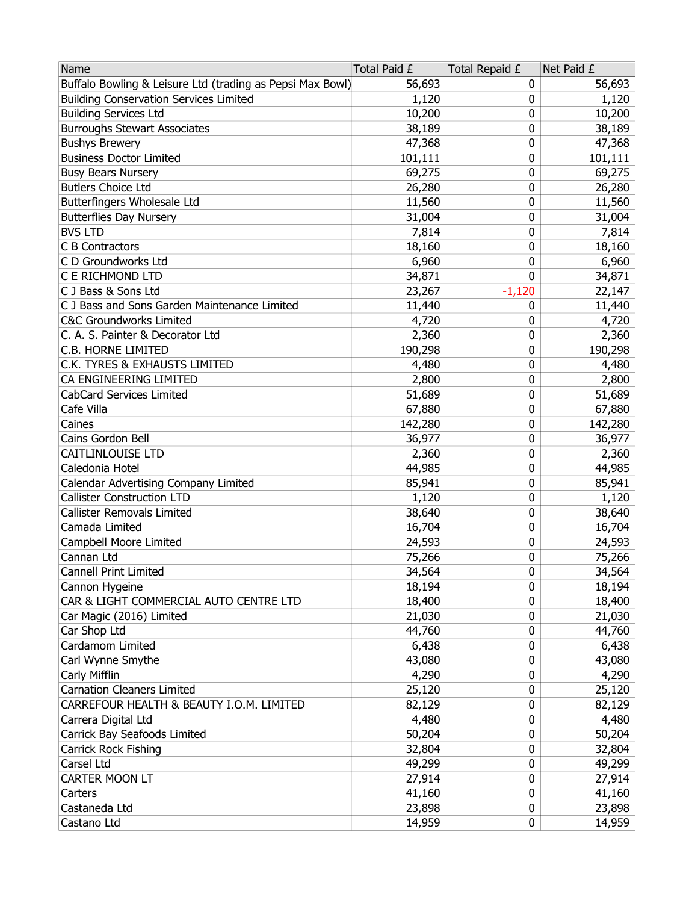| Buffalo Bowling & Leisure Ltd (trading as Pepsi Max Bowl)<br>56,693<br>56,693<br>0<br><b>Building Conservation Services Limited</b><br>1,120<br>1,120<br>0<br><b>Building Services Ltd</b><br>10,200<br>10,200<br>0<br>38,189<br>38,189<br><b>Burroughs Stewart Associates</b><br>0<br>47,368<br>0<br><b>Bushys Brewery</b><br>47,368<br><b>Business Doctor Limited</b><br>101,111<br>0<br>101,111<br>69,275<br>0<br><b>Busy Bears Nursery</b><br>69,275<br><b>Butlers Choice Ltd</b><br>26,280<br>26,280<br>0<br>Butterfingers Wholesale Ltd<br>11,560<br>11,560<br>0<br>0<br><b>Butterflies Day Nursery</b><br>31,004<br>31,004<br><b>BVS LTD</b><br>7,814<br>0<br>7,814<br>C B Contractors<br>18,160<br>0<br>18,160<br>C D Groundworks Ltd<br>6,960<br>0<br>6,960<br>C E RICHMOND LTD<br>0<br>34,871<br>34,871<br>C J Bass & Sons Ltd<br>$-1,120$<br>23,267<br>22,147<br>C J Bass and Sons Garden Maintenance Limited<br>11,440<br>11,440<br>0<br>0<br><b>C&amp;C Groundworks Limited</b><br>4,720<br>4,720<br>0<br>C. A. S. Painter & Decorator Ltd<br>2,360<br>2,360<br>C.B. HORNE LIMITED<br>190,298<br>0<br>190,298<br>C.K. TYRES & EXHAUSTS LIMITED<br>4,480<br>4,480<br>0<br>CA ENGINEERING LIMITED<br>2,800<br>2,800<br>0<br>CabCard Services Limited<br>51,689<br>0<br>51,689<br>Cafe Villa<br>67,880<br>67,880<br>0<br>0<br>Caines<br>142,280<br>142,280<br>Cains Gordon Bell<br>36,977<br>0<br>36,977<br>CAITLINLOUISE LTD<br>0<br>2,360<br>2,360<br>Caledonia Hotel<br>44,985<br>44,985<br>0<br>Calendar Advertising Company Limited<br>85,941<br>85,941<br>0<br><b>Callister Construction LTD</b><br>1,120<br>0<br>1,120<br><b>Callister Removals Limited</b><br>38,640<br>0<br>38,640<br>Camada Limited<br>0<br>16,704<br>16,704<br>0<br>Campbell Moore Limited<br>24,593<br>24,593<br>Cannan Ltd<br>75,266<br>75,266<br>0<br>0<br>Cannell Print Limited<br>34,564<br>34,564<br>18,194<br>0<br>18,194<br>Cannon Hygeine<br>18,400<br>CAR & LIGHT COMMERCIAL AUTO CENTRE LTD<br>18,400<br>0<br>Car Magic (2016) Limited<br>21,030<br>0<br>21,030<br>Car Shop Ltd<br>44,760<br>0<br>44,760<br>Cardamom Limited<br>6,438<br>6,438<br>0<br>Carl Wynne Smythe<br>43,080<br>43,080<br>0<br>Carly Mifflin<br>4,290<br>4,290<br>0<br><b>Carnation Cleaners Limited</b><br>25,120<br>0<br>25,120<br>CARREFOUR HEALTH & BEAUTY I.O.M. LIMITED<br>82,129<br>0<br>82,129<br>Carrera Digital Ltd<br>4,480<br>0<br>4,480<br>Carrick Bay Seafoods Limited<br>50,204<br>50,204<br>0<br>Carrick Rock Fishing<br>32,804<br>32,804<br>0<br>Carsel Ltd<br>49,299<br>0<br>49,299<br>27,914<br>27,914<br><b>CARTER MOON LT</b><br>0<br>41,160<br>0<br>41,160<br>Carters<br>Castaneda Ltd<br>23,898<br>0<br>23,898<br>Castano Ltd<br>14,959<br>0<br>14,959 | Name | Total Paid £ | Total Repaid £ | Net Paid £ |
|-----------------------------------------------------------------------------------------------------------------------------------------------------------------------------------------------------------------------------------------------------------------------------------------------------------------------------------------------------------------------------------------------------------------------------------------------------------------------------------------------------------------------------------------------------------------------------------------------------------------------------------------------------------------------------------------------------------------------------------------------------------------------------------------------------------------------------------------------------------------------------------------------------------------------------------------------------------------------------------------------------------------------------------------------------------------------------------------------------------------------------------------------------------------------------------------------------------------------------------------------------------------------------------------------------------------------------------------------------------------------------------------------------------------------------------------------------------------------------------------------------------------------------------------------------------------------------------------------------------------------------------------------------------------------------------------------------------------------------------------------------------------------------------------------------------------------------------------------------------------------------------------------------------------------------------------------------------------------------------------------------------------------------------------------------------------------------------------------------------------------------------------------------------------------------------------------------------------------------------------------------------------------------------------------------------------------------------------------------------------------------------------------------------------------------------------------------------------------------------------------------------------------------------------------------------------------------------------------------------------------------------------------------------------------------------------------------------------------------------------------------|------|--------------|----------------|------------|
|                                                                                                                                                                                                                                                                                                                                                                                                                                                                                                                                                                                                                                                                                                                                                                                                                                                                                                                                                                                                                                                                                                                                                                                                                                                                                                                                                                                                                                                                                                                                                                                                                                                                                                                                                                                                                                                                                                                                                                                                                                                                                                                                                                                                                                                                                                                                                                                                                                                                                                                                                                                                                                                                                                                                                     |      |              |                |            |
|                                                                                                                                                                                                                                                                                                                                                                                                                                                                                                                                                                                                                                                                                                                                                                                                                                                                                                                                                                                                                                                                                                                                                                                                                                                                                                                                                                                                                                                                                                                                                                                                                                                                                                                                                                                                                                                                                                                                                                                                                                                                                                                                                                                                                                                                                                                                                                                                                                                                                                                                                                                                                                                                                                                                                     |      |              |                |            |
|                                                                                                                                                                                                                                                                                                                                                                                                                                                                                                                                                                                                                                                                                                                                                                                                                                                                                                                                                                                                                                                                                                                                                                                                                                                                                                                                                                                                                                                                                                                                                                                                                                                                                                                                                                                                                                                                                                                                                                                                                                                                                                                                                                                                                                                                                                                                                                                                                                                                                                                                                                                                                                                                                                                                                     |      |              |                |            |
|                                                                                                                                                                                                                                                                                                                                                                                                                                                                                                                                                                                                                                                                                                                                                                                                                                                                                                                                                                                                                                                                                                                                                                                                                                                                                                                                                                                                                                                                                                                                                                                                                                                                                                                                                                                                                                                                                                                                                                                                                                                                                                                                                                                                                                                                                                                                                                                                                                                                                                                                                                                                                                                                                                                                                     |      |              |                |            |
|                                                                                                                                                                                                                                                                                                                                                                                                                                                                                                                                                                                                                                                                                                                                                                                                                                                                                                                                                                                                                                                                                                                                                                                                                                                                                                                                                                                                                                                                                                                                                                                                                                                                                                                                                                                                                                                                                                                                                                                                                                                                                                                                                                                                                                                                                                                                                                                                                                                                                                                                                                                                                                                                                                                                                     |      |              |                |            |
|                                                                                                                                                                                                                                                                                                                                                                                                                                                                                                                                                                                                                                                                                                                                                                                                                                                                                                                                                                                                                                                                                                                                                                                                                                                                                                                                                                                                                                                                                                                                                                                                                                                                                                                                                                                                                                                                                                                                                                                                                                                                                                                                                                                                                                                                                                                                                                                                                                                                                                                                                                                                                                                                                                                                                     |      |              |                |            |
|                                                                                                                                                                                                                                                                                                                                                                                                                                                                                                                                                                                                                                                                                                                                                                                                                                                                                                                                                                                                                                                                                                                                                                                                                                                                                                                                                                                                                                                                                                                                                                                                                                                                                                                                                                                                                                                                                                                                                                                                                                                                                                                                                                                                                                                                                                                                                                                                                                                                                                                                                                                                                                                                                                                                                     |      |              |                |            |
|                                                                                                                                                                                                                                                                                                                                                                                                                                                                                                                                                                                                                                                                                                                                                                                                                                                                                                                                                                                                                                                                                                                                                                                                                                                                                                                                                                                                                                                                                                                                                                                                                                                                                                                                                                                                                                                                                                                                                                                                                                                                                                                                                                                                                                                                                                                                                                                                                                                                                                                                                                                                                                                                                                                                                     |      |              |                |            |
|                                                                                                                                                                                                                                                                                                                                                                                                                                                                                                                                                                                                                                                                                                                                                                                                                                                                                                                                                                                                                                                                                                                                                                                                                                                                                                                                                                                                                                                                                                                                                                                                                                                                                                                                                                                                                                                                                                                                                                                                                                                                                                                                                                                                                                                                                                                                                                                                                                                                                                                                                                                                                                                                                                                                                     |      |              |                |            |
|                                                                                                                                                                                                                                                                                                                                                                                                                                                                                                                                                                                                                                                                                                                                                                                                                                                                                                                                                                                                                                                                                                                                                                                                                                                                                                                                                                                                                                                                                                                                                                                                                                                                                                                                                                                                                                                                                                                                                                                                                                                                                                                                                                                                                                                                                                                                                                                                                                                                                                                                                                                                                                                                                                                                                     |      |              |                |            |
|                                                                                                                                                                                                                                                                                                                                                                                                                                                                                                                                                                                                                                                                                                                                                                                                                                                                                                                                                                                                                                                                                                                                                                                                                                                                                                                                                                                                                                                                                                                                                                                                                                                                                                                                                                                                                                                                                                                                                                                                                                                                                                                                                                                                                                                                                                                                                                                                                                                                                                                                                                                                                                                                                                                                                     |      |              |                |            |
|                                                                                                                                                                                                                                                                                                                                                                                                                                                                                                                                                                                                                                                                                                                                                                                                                                                                                                                                                                                                                                                                                                                                                                                                                                                                                                                                                                                                                                                                                                                                                                                                                                                                                                                                                                                                                                                                                                                                                                                                                                                                                                                                                                                                                                                                                                                                                                                                                                                                                                                                                                                                                                                                                                                                                     |      |              |                |            |
|                                                                                                                                                                                                                                                                                                                                                                                                                                                                                                                                                                                                                                                                                                                                                                                                                                                                                                                                                                                                                                                                                                                                                                                                                                                                                                                                                                                                                                                                                                                                                                                                                                                                                                                                                                                                                                                                                                                                                                                                                                                                                                                                                                                                                                                                                                                                                                                                                                                                                                                                                                                                                                                                                                                                                     |      |              |                |            |
|                                                                                                                                                                                                                                                                                                                                                                                                                                                                                                                                                                                                                                                                                                                                                                                                                                                                                                                                                                                                                                                                                                                                                                                                                                                                                                                                                                                                                                                                                                                                                                                                                                                                                                                                                                                                                                                                                                                                                                                                                                                                                                                                                                                                                                                                                                                                                                                                                                                                                                                                                                                                                                                                                                                                                     |      |              |                |            |
|                                                                                                                                                                                                                                                                                                                                                                                                                                                                                                                                                                                                                                                                                                                                                                                                                                                                                                                                                                                                                                                                                                                                                                                                                                                                                                                                                                                                                                                                                                                                                                                                                                                                                                                                                                                                                                                                                                                                                                                                                                                                                                                                                                                                                                                                                                                                                                                                                                                                                                                                                                                                                                                                                                                                                     |      |              |                |            |
|                                                                                                                                                                                                                                                                                                                                                                                                                                                                                                                                                                                                                                                                                                                                                                                                                                                                                                                                                                                                                                                                                                                                                                                                                                                                                                                                                                                                                                                                                                                                                                                                                                                                                                                                                                                                                                                                                                                                                                                                                                                                                                                                                                                                                                                                                                                                                                                                                                                                                                                                                                                                                                                                                                                                                     |      |              |                |            |
|                                                                                                                                                                                                                                                                                                                                                                                                                                                                                                                                                                                                                                                                                                                                                                                                                                                                                                                                                                                                                                                                                                                                                                                                                                                                                                                                                                                                                                                                                                                                                                                                                                                                                                                                                                                                                                                                                                                                                                                                                                                                                                                                                                                                                                                                                                                                                                                                                                                                                                                                                                                                                                                                                                                                                     |      |              |                |            |
|                                                                                                                                                                                                                                                                                                                                                                                                                                                                                                                                                                                                                                                                                                                                                                                                                                                                                                                                                                                                                                                                                                                                                                                                                                                                                                                                                                                                                                                                                                                                                                                                                                                                                                                                                                                                                                                                                                                                                                                                                                                                                                                                                                                                                                                                                                                                                                                                                                                                                                                                                                                                                                                                                                                                                     |      |              |                |            |
|                                                                                                                                                                                                                                                                                                                                                                                                                                                                                                                                                                                                                                                                                                                                                                                                                                                                                                                                                                                                                                                                                                                                                                                                                                                                                                                                                                                                                                                                                                                                                                                                                                                                                                                                                                                                                                                                                                                                                                                                                                                                                                                                                                                                                                                                                                                                                                                                                                                                                                                                                                                                                                                                                                                                                     |      |              |                |            |
|                                                                                                                                                                                                                                                                                                                                                                                                                                                                                                                                                                                                                                                                                                                                                                                                                                                                                                                                                                                                                                                                                                                                                                                                                                                                                                                                                                                                                                                                                                                                                                                                                                                                                                                                                                                                                                                                                                                                                                                                                                                                                                                                                                                                                                                                                                                                                                                                                                                                                                                                                                                                                                                                                                                                                     |      |              |                |            |
|                                                                                                                                                                                                                                                                                                                                                                                                                                                                                                                                                                                                                                                                                                                                                                                                                                                                                                                                                                                                                                                                                                                                                                                                                                                                                                                                                                                                                                                                                                                                                                                                                                                                                                                                                                                                                                                                                                                                                                                                                                                                                                                                                                                                                                                                                                                                                                                                                                                                                                                                                                                                                                                                                                                                                     |      |              |                |            |
|                                                                                                                                                                                                                                                                                                                                                                                                                                                                                                                                                                                                                                                                                                                                                                                                                                                                                                                                                                                                                                                                                                                                                                                                                                                                                                                                                                                                                                                                                                                                                                                                                                                                                                                                                                                                                                                                                                                                                                                                                                                                                                                                                                                                                                                                                                                                                                                                                                                                                                                                                                                                                                                                                                                                                     |      |              |                |            |
|                                                                                                                                                                                                                                                                                                                                                                                                                                                                                                                                                                                                                                                                                                                                                                                                                                                                                                                                                                                                                                                                                                                                                                                                                                                                                                                                                                                                                                                                                                                                                                                                                                                                                                                                                                                                                                                                                                                                                                                                                                                                                                                                                                                                                                                                                                                                                                                                                                                                                                                                                                                                                                                                                                                                                     |      |              |                |            |
|                                                                                                                                                                                                                                                                                                                                                                                                                                                                                                                                                                                                                                                                                                                                                                                                                                                                                                                                                                                                                                                                                                                                                                                                                                                                                                                                                                                                                                                                                                                                                                                                                                                                                                                                                                                                                                                                                                                                                                                                                                                                                                                                                                                                                                                                                                                                                                                                                                                                                                                                                                                                                                                                                                                                                     |      |              |                |            |
|                                                                                                                                                                                                                                                                                                                                                                                                                                                                                                                                                                                                                                                                                                                                                                                                                                                                                                                                                                                                                                                                                                                                                                                                                                                                                                                                                                                                                                                                                                                                                                                                                                                                                                                                                                                                                                                                                                                                                                                                                                                                                                                                                                                                                                                                                                                                                                                                                                                                                                                                                                                                                                                                                                                                                     |      |              |                |            |
|                                                                                                                                                                                                                                                                                                                                                                                                                                                                                                                                                                                                                                                                                                                                                                                                                                                                                                                                                                                                                                                                                                                                                                                                                                                                                                                                                                                                                                                                                                                                                                                                                                                                                                                                                                                                                                                                                                                                                                                                                                                                                                                                                                                                                                                                                                                                                                                                                                                                                                                                                                                                                                                                                                                                                     |      |              |                |            |
|                                                                                                                                                                                                                                                                                                                                                                                                                                                                                                                                                                                                                                                                                                                                                                                                                                                                                                                                                                                                                                                                                                                                                                                                                                                                                                                                                                                                                                                                                                                                                                                                                                                                                                                                                                                                                                                                                                                                                                                                                                                                                                                                                                                                                                                                                                                                                                                                                                                                                                                                                                                                                                                                                                                                                     |      |              |                |            |
|                                                                                                                                                                                                                                                                                                                                                                                                                                                                                                                                                                                                                                                                                                                                                                                                                                                                                                                                                                                                                                                                                                                                                                                                                                                                                                                                                                                                                                                                                                                                                                                                                                                                                                                                                                                                                                                                                                                                                                                                                                                                                                                                                                                                                                                                                                                                                                                                                                                                                                                                                                                                                                                                                                                                                     |      |              |                |            |
|                                                                                                                                                                                                                                                                                                                                                                                                                                                                                                                                                                                                                                                                                                                                                                                                                                                                                                                                                                                                                                                                                                                                                                                                                                                                                                                                                                                                                                                                                                                                                                                                                                                                                                                                                                                                                                                                                                                                                                                                                                                                                                                                                                                                                                                                                                                                                                                                                                                                                                                                                                                                                                                                                                                                                     |      |              |                |            |
|                                                                                                                                                                                                                                                                                                                                                                                                                                                                                                                                                                                                                                                                                                                                                                                                                                                                                                                                                                                                                                                                                                                                                                                                                                                                                                                                                                                                                                                                                                                                                                                                                                                                                                                                                                                                                                                                                                                                                                                                                                                                                                                                                                                                                                                                                                                                                                                                                                                                                                                                                                                                                                                                                                                                                     |      |              |                |            |
|                                                                                                                                                                                                                                                                                                                                                                                                                                                                                                                                                                                                                                                                                                                                                                                                                                                                                                                                                                                                                                                                                                                                                                                                                                                                                                                                                                                                                                                                                                                                                                                                                                                                                                                                                                                                                                                                                                                                                                                                                                                                                                                                                                                                                                                                                                                                                                                                                                                                                                                                                                                                                                                                                                                                                     |      |              |                |            |
|                                                                                                                                                                                                                                                                                                                                                                                                                                                                                                                                                                                                                                                                                                                                                                                                                                                                                                                                                                                                                                                                                                                                                                                                                                                                                                                                                                                                                                                                                                                                                                                                                                                                                                                                                                                                                                                                                                                                                                                                                                                                                                                                                                                                                                                                                                                                                                                                                                                                                                                                                                                                                                                                                                                                                     |      |              |                |            |
|                                                                                                                                                                                                                                                                                                                                                                                                                                                                                                                                                                                                                                                                                                                                                                                                                                                                                                                                                                                                                                                                                                                                                                                                                                                                                                                                                                                                                                                                                                                                                                                                                                                                                                                                                                                                                                                                                                                                                                                                                                                                                                                                                                                                                                                                                                                                                                                                                                                                                                                                                                                                                                                                                                                                                     |      |              |                |            |
|                                                                                                                                                                                                                                                                                                                                                                                                                                                                                                                                                                                                                                                                                                                                                                                                                                                                                                                                                                                                                                                                                                                                                                                                                                                                                                                                                                                                                                                                                                                                                                                                                                                                                                                                                                                                                                                                                                                                                                                                                                                                                                                                                                                                                                                                                                                                                                                                                                                                                                                                                                                                                                                                                                                                                     |      |              |                |            |
|                                                                                                                                                                                                                                                                                                                                                                                                                                                                                                                                                                                                                                                                                                                                                                                                                                                                                                                                                                                                                                                                                                                                                                                                                                                                                                                                                                                                                                                                                                                                                                                                                                                                                                                                                                                                                                                                                                                                                                                                                                                                                                                                                                                                                                                                                                                                                                                                                                                                                                                                                                                                                                                                                                                                                     |      |              |                |            |
|                                                                                                                                                                                                                                                                                                                                                                                                                                                                                                                                                                                                                                                                                                                                                                                                                                                                                                                                                                                                                                                                                                                                                                                                                                                                                                                                                                                                                                                                                                                                                                                                                                                                                                                                                                                                                                                                                                                                                                                                                                                                                                                                                                                                                                                                                                                                                                                                                                                                                                                                                                                                                                                                                                                                                     |      |              |                |            |
|                                                                                                                                                                                                                                                                                                                                                                                                                                                                                                                                                                                                                                                                                                                                                                                                                                                                                                                                                                                                                                                                                                                                                                                                                                                                                                                                                                                                                                                                                                                                                                                                                                                                                                                                                                                                                                                                                                                                                                                                                                                                                                                                                                                                                                                                                                                                                                                                                                                                                                                                                                                                                                                                                                                                                     |      |              |                |            |
|                                                                                                                                                                                                                                                                                                                                                                                                                                                                                                                                                                                                                                                                                                                                                                                                                                                                                                                                                                                                                                                                                                                                                                                                                                                                                                                                                                                                                                                                                                                                                                                                                                                                                                                                                                                                                                                                                                                                                                                                                                                                                                                                                                                                                                                                                                                                                                                                                                                                                                                                                                                                                                                                                                                                                     |      |              |                |            |
|                                                                                                                                                                                                                                                                                                                                                                                                                                                                                                                                                                                                                                                                                                                                                                                                                                                                                                                                                                                                                                                                                                                                                                                                                                                                                                                                                                                                                                                                                                                                                                                                                                                                                                                                                                                                                                                                                                                                                                                                                                                                                                                                                                                                                                                                                                                                                                                                                                                                                                                                                                                                                                                                                                                                                     |      |              |                |            |
|                                                                                                                                                                                                                                                                                                                                                                                                                                                                                                                                                                                                                                                                                                                                                                                                                                                                                                                                                                                                                                                                                                                                                                                                                                                                                                                                                                                                                                                                                                                                                                                                                                                                                                                                                                                                                                                                                                                                                                                                                                                                                                                                                                                                                                                                                                                                                                                                                                                                                                                                                                                                                                                                                                                                                     |      |              |                |            |
|                                                                                                                                                                                                                                                                                                                                                                                                                                                                                                                                                                                                                                                                                                                                                                                                                                                                                                                                                                                                                                                                                                                                                                                                                                                                                                                                                                                                                                                                                                                                                                                                                                                                                                                                                                                                                                                                                                                                                                                                                                                                                                                                                                                                                                                                                                                                                                                                                                                                                                                                                                                                                                                                                                                                                     |      |              |                |            |
|                                                                                                                                                                                                                                                                                                                                                                                                                                                                                                                                                                                                                                                                                                                                                                                                                                                                                                                                                                                                                                                                                                                                                                                                                                                                                                                                                                                                                                                                                                                                                                                                                                                                                                                                                                                                                                                                                                                                                                                                                                                                                                                                                                                                                                                                                                                                                                                                                                                                                                                                                                                                                                                                                                                                                     |      |              |                |            |
|                                                                                                                                                                                                                                                                                                                                                                                                                                                                                                                                                                                                                                                                                                                                                                                                                                                                                                                                                                                                                                                                                                                                                                                                                                                                                                                                                                                                                                                                                                                                                                                                                                                                                                                                                                                                                                                                                                                                                                                                                                                                                                                                                                                                                                                                                                                                                                                                                                                                                                                                                                                                                                                                                                                                                     |      |              |                |            |
|                                                                                                                                                                                                                                                                                                                                                                                                                                                                                                                                                                                                                                                                                                                                                                                                                                                                                                                                                                                                                                                                                                                                                                                                                                                                                                                                                                                                                                                                                                                                                                                                                                                                                                                                                                                                                                                                                                                                                                                                                                                                                                                                                                                                                                                                                                                                                                                                                                                                                                                                                                                                                                                                                                                                                     |      |              |                |            |
|                                                                                                                                                                                                                                                                                                                                                                                                                                                                                                                                                                                                                                                                                                                                                                                                                                                                                                                                                                                                                                                                                                                                                                                                                                                                                                                                                                                                                                                                                                                                                                                                                                                                                                                                                                                                                                                                                                                                                                                                                                                                                                                                                                                                                                                                                                                                                                                                                                                                                                                                                                                                                                                                                                                                                     |      |              |                |            |
|                                                                                                                                                                                                                                                                                                                                                                                                                                                                                                                                                                                                                                                                                                                                                                                                                                                                                                                                                                                                                                                                                                                                                                                                                                                                                                                                                                                                                                                                                                                                                                                                                                                                                                                                                                                                                                                                                                                                                                                                                                                                                                                                                                                                                                                                                                                                                                                                                                                                                                                                                                                                                                                                                                                                                     |      |              |                |            |
|                                                                                                                                                                                                                                                                                                                                                                                                                                                                                                                                                                                                                                                                                                                                                                                                                                                                                                                                                                                                                                                                                                                                                                                                                                                                                                                                                                                                                                                                                                                                                                                                                                                                                                                                                                                                                                                                                                                                                                                                                                                                                                                                                                                                                                                                                                                                                                                                                                                                                                                                                                                                                                                                                                                                                     |      |              |                |            |
|                                                                                                                                                                                                                                                                                                                                                                                                                                                                                                                                                                                                                                                                                                                                                                                                                                                                                                                                                                                                                                                                                                                                                                                                                                                                                                                                                                                                                                                                                                                                                                                                                                                                                                                                                                                                                                                                                                                                                                                                                                                                                                                                                                                                                                                                                                                                                                                                                                                                                                                                                                                                                                                                                                                                                     |      |              |                |            |
|                                                                                                                                                                                                                                                                                                                                                                                                                                                                                                                                                                                                                                                                                                                                                                                                                                                                                                                                                                                                                                                                                                                                                                                                                                                                                                                                                                                                                                                                                                                                                                                                                                                                                                                                                                                                                                                                                                                                                                                                                                                                                                                                                                                                                                                                                                                                                                                                                                                                                                                                                                                                                                                                                                                                                     |      |              |                |            |
|                                                                                                                                                                                                                                                                                                                                                                                                                                                                                                                                                                                                                                                                                                                                                                                                                                                                                                                                                                                                                                                                                                                                                                                                                                                                                                                                                                                                                                                                                                                                                                                                                                                                                                                                                                                                                                                                                                                                                                                                                                                                                                                                                                                                                                                                                                                                                                                                                                                                                                                                                                                                                                                                                                                                                     |      |              |                |            |
|                                                                                                                                                                                                                                                                                                                                                                                                                                                                                                                                                                                                                                                                                                                                                                                                                                                                                                                                                                                                                                                                                                                                                                                                                                                                                                                                                                                                                                                                                                                                                                                                                                                                                                                                                                                                                                                                                                                                                                                                                                                                                                                                                                                                                                                                                                                                                                                                                                                                                                                                                                                                                                                                                                                                                     |      |              |                |            |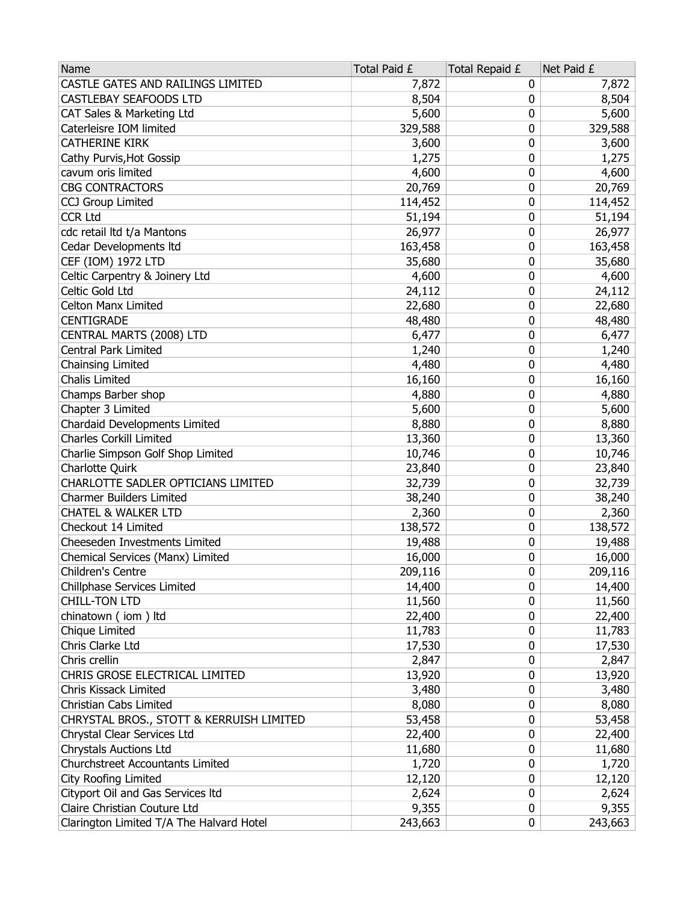| Name                                     | Total Paid £ | Total Repaid £ | Net Paid £ |
|------------------------------------------|--------------|----------------|------------|
| CASTLE GATES AND RAILINGS LIMITED        | 7,872        | 0              | 7,872      |
| <b>CASTLEBAY SEAFOODS LTD</b>            | 8,504        | 0              | 8,504      |
| CAT Sales & Marketing Ltd                | 5,600        | 0              | 5,600      |
| Caterleisre IOM limited                  | 329,588      | 0              | 329,588    |
| <b>CATHERINE KIRK</b>                    | 3,600        | 0              | 3,600      |
| Cathy Purvis, Hot Gossip                 | 1,275        | 0              | 1,275      |
| cavum oris limited                       | 4,600        | 0              | 4,600      |
| <b>CBG CONTRACTORS</b>                   | 20,769       | 0              | 20,769     |
| CCJ Group Limited                        | 114,452      | 0              | 114,452    |
| <b>CCR Ltd</b>                           | 51,194       | 0              | 51,194     |
| cdc retail ltd t/a Mantons               | 26,977       | 0              | 26,977     |
| Cedar Developments Itd                   | 163,458      | 0              | 163,458    |
| CEF (IOM) 1972 LTD                       | 35,680       | 0              | 35,680     |
| Celtic Carpentry & Joinery Ltd           | 4,600        | 0              | 4,600      |
| Celtic Gold Ltd                          | 24,112       | 0              | 24,112     |
| <b>Celton Manx Limited</b>               | 22,680       | 0              | 22,680     |
| <b>CENTIGRADE</b>                        | 48,480       | 0              | 48,480     |
| CENTRAL MARTS (2008) LTD                 | 6,477        | 0              | 6,477      |
| <b>Central Park Limited</b>              | 1,240        | 0              | 1,240      |
| Chainsing Limited                        | 4,480        | 0              | 4,480      |
| <b>Chalis Limited</b>                    | 16,160       | 0              | 16,160     |
| Champs Barber shop                       | 4,880        | 0              | 4,880      |
| Chapter 3 Limited                        | 5,600        | 0              | 5,600      |
| Chardaid Developments Limited            | 8,880        | 0              | 8,880      |
| <b>Charles Corkill Limited</b>           | 13,360       | 0              | 13,360     |
| Charlie Simpson Golf Shop Limited        | 10,746       | 0              | 10,746     |
| Charlotte Quirk                          | 23,840       | 0              | 23,840     |
| CHARLOTTE SADLER OPTICIANS LIMITED       | 32,739       | 0              | 32,739     |
| <b>Charmer Builders Limited</b>          | 38,240       | 0              | 38,240     |
| <b>CHATEL &amp; WALKER LTD</b>           | 2,360        | 0              | 2,360      |
| Checkout 14 Limited                      | 138,572      | 0              | 138,572    |
| Cheeseden Investments Limited            | 19,488       | 0              | 19,488     |
| Chemical Services (Manx) Limited         | 16,000       | 0              | 16,000     |
| Children's Centre                        | 209,116      | 0              | 209,116    |
| Chillphase Services Limited              | 14,400       | 0              | 14,400     |
| <b>CHILL-TON LTD</b>                     | 11,560       | 0              | 11,560     |
| chinatown (iom) ltd                      | 22,400       | 0              | 22,400     |
| Chique Limited                           | 11,783       | 0              | 11,783     |
| Chris Clarke Ltd                         | 17,530       | 0              | 17,530     |
| Chris crellin                            | 2,847        | 0              | 2,847      |
| CHRIS GROSE ELECTRICAL LIMITED           | 13,920       | 0              | 13,920     |
| Chris Kissack Limited                    | 3,480        | 0              | 3,480      |
| Christian Cabs Limited                   | 8,080        | 0              | 8,080      |
| CHRYSTAL BROS., STOTT & KERRUISH LIMITED | 53,458       | 0              | 53,458     |
| Chrystal Clear Services Ltd              | 22,400       | 0              | 22,400     |
| <b>Chrystals Auctions Ltd</b>            | 11,680       | 0              | 11,680     |
| Churchstreet Accountants Limited         | 1,720        | 0              | 1,720      |
| City Roofing Limited                     | 12,120       | 0              | 12,120     |
| Cityport Oil and Gas Services Itd        | 2,624        | 0              | 2,624      |
| Claire Christian Couture Ltd             | 9,355        | 0              | 9,355      |
| Clarington Limited T/A The Halvard Hotel | 243,663      | 0              | 243,663    |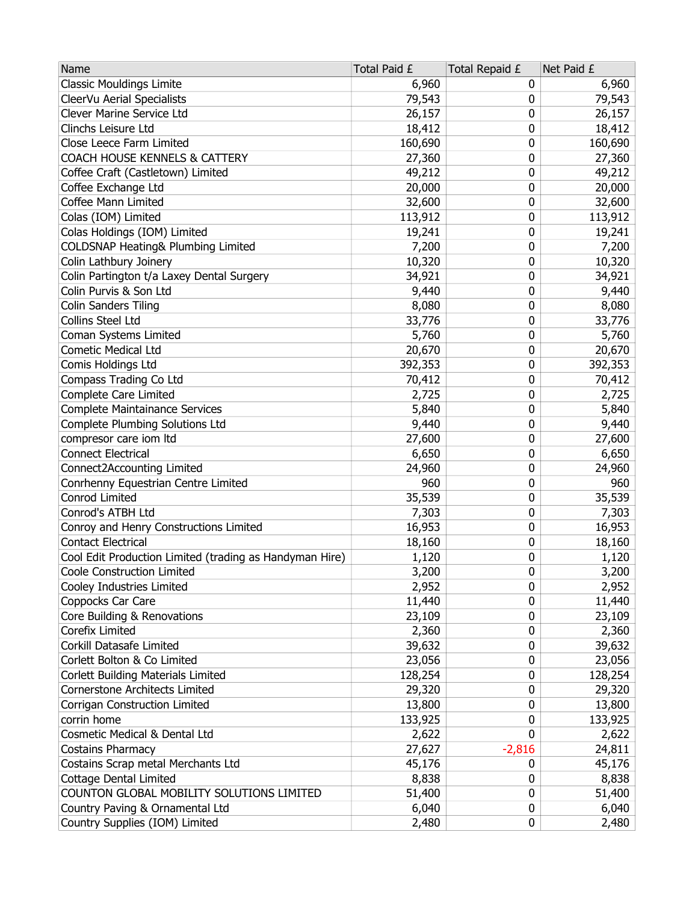| Name                                                    | Total Paid £ | Total Repaid £ | Net Paid £ |
|---------------------------------------------------------|--------------|----------------|------------|
| <b>Classic Mouldings Limite</b>                         | 6,960        | 0              | 6,960      |
| CleerVu Aerial Specialists                              | 79,543       | 0              | 79,543     |
| Clever Marine Service Ltd                               | 26,157       | 0              | 26,157     |
| Clinchs Leisure Ltd                                     | 18,412       | 0              | 18,412     |
| Close Leece Farm Limited                                | 160,690      | 0              | 160,690    |
| COACH HOUSE KENNELS & CATTERY                           | 27,360       | 0              | 27,360     |
| Coffee Craft (Castletown) Limited                       | 49,212       | 0              | 49,212     |
| Coffee Exchange Ltd                                     | 20,000       | 0              | 20,000     |
| Coffee Mann Limited                                     | 32,600       | 0              | 32,600     |
| Colas (IOM) Limited                                     | 113,912      | 0              | 113,912    |
| Colas Holdings (IOM) Limited                            | 19,241       | 0              | 19,241     |
| COLDSNAP Heating& Plumbing Limited                      | 7,200        | 0              | 7,200      |
| Colin Lathbury Joinery                                  | 10,320       | 0              | 10,320     |
| Colin Partington t/a Laxey Dental Surgery               | 34,921       | 0              | 34,921     |
| Colin Purvis & Son Ltd                                  | 9,440        | 0              | 9,440      |
| <b>Colin Sanders Tiling</b>                             | 8,080        | 0              | 8,080      |
| Collins Steel Ltd                                       | 33,776       | 0              | 33,776     |
| Coman Systems Limited                                   | 5,760        | 0              | 5,760      |
| <b>Cometic Medical Ltd</b>                              | 20,670       | 0              | 20,670     |
| Comis Holdings Ltd                                      | 392,353      | 0              | 392,353    |
| Compass Trading Co Ltd                                  | 70,412       | 0              | 70,412     |
| Complete Care Limited                                   | 2,725        | 0              | 2,725      |
| Complete Maintainance Services                          | 5,840        | 0              | 5,840      |
| Complete Plumbing Solutions Ltd                         | 9,440        | 0              | 9,440      |
| compresor care iom ltd                                  | 27,600       | 0              | 27,600     |
| <b>Connect Electrical</b>                               | 6,650        | 0              | 6,650      |
| Connect2Accounting Limited                              | 24,960       | 0              | 24,960     |
| Conrhenny Equestrian Centre Limited                     | 960          | 0              | 960        |
| Conrod Limited                                          | 35,539       | 0              | 35,539     |
| Conrod's ATBH Ltd                                       | 7,303        | 0              | 7,303      |
| Conroy and Henry Constructions Limited                  | 16,953       | 0              | 16,953     |
| <b>Contact Electrical</b>                               | 18,160       | 0              | 18,160     |
| Cool Edit Production Limited (trading as Handyman Hire) | 1,120        | 0              | 1,120      |
| Coole Construction Limited                              | 3,200        | 0              | 3,200      |
| Cooley Industries Limited                               | 2,952        | 0              | 2,952      |
| Coppocks Car Care                                       | 11,440       | 0              | 11,440     |
| Core Building & Renovations                             | 23,109       | 0              | 23,109     |
| Corefix Limited                                         | 2,360        | 0              | 2,360      |
| Corkill Datasafe Limited                                | 39,632       | 0              | 39,632     |
| Corlett Bolton & Co Limited                             | 23,056       | 0              | 23,056     |
| Corlett Building Materials Limited                      | 128,254      | 0              | 128,254    |
| Cornerstone Architects Limited                          | 29,320       | 0              | 29,320     |
| Corrigan Construction Limited                           | 13,800       | 0              | 13,800     |
| corrin home                                             | 133,925      | 0              | 133,925    |
| Cosmetic Medical & Dental Ltd                           | 2,622        | 0              | 2,622      |
| <b>Costains Pharmacy</b>                                | 27,627       | $-2,816$       | 24,811     |
| Costains Scrap metal Merchants Ltd                      | 45,176       | 0              | 45,176     |
| Cottage Dental Limited                                  | 8,838        | 0              | 8,838      |
| COUNTON GLOBAL MOBILITY SOLUTIONS LIMITED               | 51,400       | 0              | 51,400     |
| Country Paving & Ornamental Ltd                         | 6,040        | 0              | 6,040      |
| Country Supplies (IOM) Limited                          | 2,480        | 0              | 2,480      |
|                                                         |              |                |            |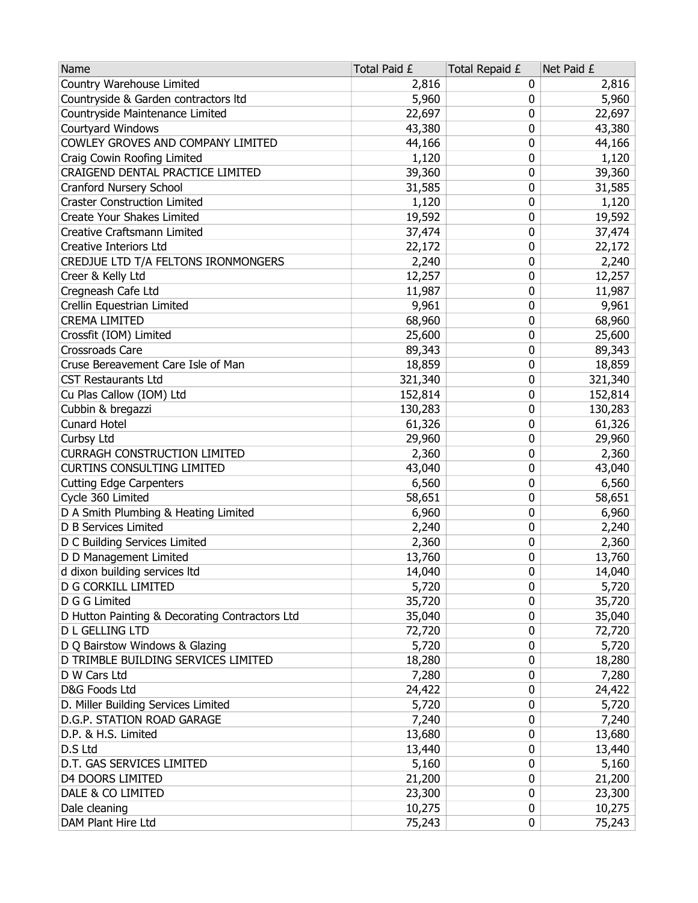| Country Warehouse Limited<br>2,816<br>0<br>2,816<br>Countryside & Garden contractors Itd<br>5,960<br>5,960<br>0<br>Countryside Maintenance Limited<br>22,697<br>0<br>22,697<br>Courtyard Windows<br>43,380<br>0<br>43,380<br>COWLEY GROVES AND COMPANY LIMITED<br>44,166<br>0<br>44,166<br>Craig Cowin Roofing Limited<br>0<br>1,120<br>1,120<br>CRAIGEND DENTAL PRACTICE LIMITED<br>0<br>39,360<br>39,360<br>Cranford Nursery School<br>0<br>31,585<br>31,585<br><b>Craster Construction Limited</b><br>1,120<br>0<br>1,120<br>Create Your Shakes Limited<br>19,592<br>19,592<br>0<br>0<br>Creative Craftsmann Limited<br>37,474<br>37,474<br><b>Creative Interiors Ltd</b><br>0<br>22,172<br>22,172<br>CREDJUE LTD T/A FELTONS IRONMONGERS<br>0<br>2,240<br>2,240<br>Creer & Kelly Ltd<br>12,257<br>12,257<br>0<br>Cregneash Cafe Ltd<br>11,987<br>11,987<br>0<br>0<br>9,961<br>Crellin Equestrian Limited<br>9,961<br>68,960<br><b>CREMA LIMITED</b><br>68,960<br>0<br>Crossfit (IOM) Limited<br>25,600<br>0<br>25,600<br>Crossroads Care<br>0<br>89,343<br>89,343<br>Cruse Bereavement Care Isle of Man<br>0<br>18,859<br>18,859<br>321,340<br><b>CST Restaurants Ltd</b><br>321,340<br>0<br>152,814<br>152,814<br>Cu Plas Callow (IOM) Ltd<br>0<br>Cubbin & bregazzi<br>130,283<br>0<br>130,283<br><b>Cunard Hotel</b><br>61,326<br>0<br>61,326<br>Curbsy Ltd<br>0<br>29,960<br>29,960<br><b>CURRAGH CONSTRUCTION LIMITED</b><br>0<br>2,360<br>2,360<br><b>CURTINS CONSULTING LIMITED</b><br>43,040<br>43,040<br>0<br><b>Cutting Edge Carpenters</b><br>6,560<br>0<br>6,560<br>Cycle 360 Limited<br>58,651<br>0<br>58,651<br>D A Smith Plumbing & Heating Limited<br>0<br>6,960<br>6,960<br>D B Services Limited<br>0<br>2,240<br>2,240<br>D C Building Services Limited<br>0<br>2,360<br>2,360<br>D D Management Limited<br>0<br>13,760<br>13,760<br>0<br>14,040<br>d dixon building services ltd<br>14,040<br>5,720<br>D G CORKILL LIMITED<br>0<br>5,720<br>35,720<br>D G G Limited<br>0<br>35,720<br>D Hutton Painting & Decorating Contractors Ltd<br>35,040<br>0<br>35,040<br><b>D L GELLING LTD</b><br>0<br>72,720<br>72,720<br>D Q Bairstow Windows & Glazing<br>5,720<br>5,720<br>0<br>D TRIMBLE BUILDING SERVICES LIMITED<br>18,280<br>18,280<br>0<br>D W Cars Ltd<br>7,280<br>0<br>7,280<br>D&G Foods Ltd<br>24,422<br>0<br>24,422<br>D. Miller Building Services Limited<br>5,720<br>0<br>5,720<br>D.G.P. STATION ROAD GARAGE<br>7,240<br>0<br>7,240<br>D.P. & H.S. Limited<br>13,680<br>13,680<br>0<br>D.S Ltd<br>13,440<br>13,440<br>0<br>D.T. GAS SERVICES LIMITED<br>5,160<br>0<br>5,160<br><b>D4 DOORS LIMITED</b><br>21,200<br>0<br>21,200<br>DALE & CO LIMITED<br>23,300<br>0<br>23,300<br>Dale cleaning<br>10,275<br>0<br>10,275<br>DAM Plant Hire Ltd<br>75,243<br>0<br>75,243 | Name | Total Paid £ | Total Repaid £ | Net Paid £ |
|---------------------------------------------------------------------------------------------------------------------------------------------------------------------------------------------------------------------------------------------------------------------------------------------------------------------------------------------------------------------------------------------------------------------------------------------------------------------------------------------------------------------------------------------------------------------------------------------------------------------------------------------------------------------------------------------------------------------------------------------------------------------------------------------------------------------------------------------------------------------------------------------------------------------------------------------------------------------------------------------------------------------------------------------------------------------------------------------------------------------------------------------------------------------------------------------------------------------------------------------------------------------------------------------------------------------------------------------------------------------------------------------------------------------------------------------------------------------------------------------------------------------------------------------------------------------------------------------------------------------------------------------------------------------------------------------------------------------------------------------------------------------------------------------------------------------------------------------------------------------------------------------------------------------------------------------------------------------------------------------------------------------------------------------------------------------------------------------------------------------------------------------------------------------------------------------------------------------------------------------------------------------------------------------------------------------------------------------------------------------------------------------------------------------------------------------------------------------------------------------------------------------------------------------------------------------------------------------------------------------------------------------------------------------------------------------------------------------------------------------------------------------------------------------------------|------|--------------|----------------|------------|
|                                                                                                                                                                                                                                                                                                                                                                                                                                                                                                                                                                                                                                                                                                                                                                                                                                                                                                                                                                                                                                                                                                                                                                                                                                                                                                                                                                                                                                                                                                                                                                                                                                                                                                                                                                                                                                                                                                                                                                                                                                                                                                                                                                                                                                                                                                                                                                                                                                                                                                                                                                                                                                                                                                                                                                                                         |      |              |                |            |
|                                                                                                                                                                                                                                                                                                                                                                                                                                                                                                                                                                                                                                                                                                                                                                                                                                                                                                                                                                                                                                                                                                                                                                                                                                                                                                                                                                                                                                                                                                                                                                                                                                                                                                                                                                                                                                                                                                                                                                                                                                                                                                                                                                                                                                                                                                                                                                                                                                                                                                                                                                                                                                                                                                                                                                                                         |      |              |                |            |
|                                                                                                                                                                                                                                                                                                                                                                                                                                                                                                                                                                                                                                                                                                                                                                                                                                                                                                                                                                                                                                                                                                                                                                                                                                                                                                                                                                                                                                                                                                                                                                                                                                                                                                                                                                                                                                                                                                                                                                                                                                                                                                                                                                                                                                                                                                                                                                                                                                                                                                                                                                                                                                                                                                                                                                                                         |      |              |                |            |
|                                                                                                                                                                                                                                                                                                                                                                                                                                                                                                                                                                                                                                                                                                                                                                                                                                                                                                                                                                                                                                                                                                                                                                                                                                                                                                                                                                                                                                                                                                                                                                                                                                                                                                                                                                                                                                                                                                                                                                                                                                                                                                                                                                                                                                                                                                                                                                                                                                                                                                                                                                                                                                                                                                                                                                                                         |      |              |                |            |
|                                                                                                                                                                                                                                                                                                                                                                                                                                                                                                                                                                                                                                                                                                                                                                                                                                                                                                                                                                                                                                                                                                                                                                                                                                                                                                                                                                                                                                                                                                                                                                                                                                                                                                                                                                                                                                                                                                                                                                                                                                                                                                                                                                                                                                                                                                                                                                                                                                                                                                                                                                                                                                                                                                                                                                                                         |      |              |                |            |
|                                                                                                                                                                                                                                                                                                                                                                                                                                                                                                                                                                                                                                                                                                                                                                                                                                                                                                                                                                                                                                                                                                                                                                                                                                                                                                                                                                                                                                                                                                                                                                                                                                                                                                                                                                                                                                                                                                                                                                                                                                                                                                                                                                                                                                                                                                                                                                                                                                                                                                                                                                                                                                                                                                                                                                                                         |      |              |                |            |
|                                                                                                                                                                                                                                                                                                                                                                                                                                                                                                                                                                                                                                                                                                                                                                                                                                                                                                                                                                                                                                                                                                                                                                                                                                                                                                                                                                                                                                                                                                                                                                                                                                                                                                                                                                                                                                                                                                                                                                                                                                                                                                                                                                                                                                                                                                                                                                                                                                                                                                                                                                                                                                                                                                                                                                                                         |      |              |                |            |
|                                                                                                                                                                                                                                                                                                                                                                                                                                                                                                                                                                                                                                                                                                                                                                                                                                                                                                                                                                                                                                                                                                                                                                                                                                                                                                                                                                                                                                                                                                                                                                                                                                                                                                                                                                                                                                                                                                                                                                                                                                                                                                                                                                                                                                                                                                                                                                                                                                                                                                                                                                                                                                                                                                                                                                                                         |      |              |                |            |
|                                                                                                                                                                                                                                                                                                                                                                                                                                                                                                                                                                                                                                                                                                                                                                                                                                                                                                                                                                                                                                                                                                                                                                                                                                                                                                                                                                                                                                                                                                                                                                                                                                                                                                                                                                                                                                                                                                                                                                                                                                                                                                                                                                                                                                                                                                                                                                                                                                                                                                                                                                                                                                                                                                                                                                                                         |      |              |                |            |
|                                                                                                                                                                                                                                                                                                                                                                                                                                                                                                                                                                                                                                                                                                                                                                                                                                                                                                                                                                                                                                                                                                                                                                                                                                                                                                                                                                                                                                                                                                                                                                                                                                                                                                                                                                                                                                                                                                                                                                                                                                                                                                                                                                                                                                                                                                                                                                                                                                                                                                                                                                                                                                                                                                                                                                                                         |      |              |                |            |
|                                                                                                                                                                                                                                                                                                                                                                                                                                                                                                                                                                                                                                                                                                                                                                                                                                                                                                                                                                                                                                                                                                                                                                                                                                                                                                                                                                                                                                                                                                                                                                                                                                                                                                                                                                                                                                                                                                                                                                                                                                                                                                                                                                                                                                                                                                                                                                                                                                                                                                                                                                                                                                                                                                                                                                                                         |      |              |                |            |
|                                                                                                                                                                                                                                                                                                                                                                                                                                                                                                                                                                                                                                                                                                                                                                                                                                                                                                                                                                                                                                                                                                                                                                                                                                                                                                                                                                                                                                                                                                                                                                                                                                                                                                                                                                                                                                                                                                                                                                                                                                                                                                                                                                                                                                                                                                                                                                                                                                                                                                                                                                                                                                                                                                                                                                                                         |      |              |                |            |
|                                                                                                                                                                                                                                                                                                                                                                                                                                                                                                                                                                                                                                                                                                                                                                                                                                                                                                                                                                                                                                                                                                                                                                                                                                                                                                                                                                                                                                                                                                                                                                                                                                                                                                                                                                                                                                                                                                                                                                                                                                                                                                                                                                                                                                                                                                                                                                                                                                                                                                                                                                                                                                                                                                                                                                                                         |      |              |                |            |
|                                                                                                                                                                                                                                                                                                                                                                                                                                                                                                                                                                                                                                                                                                                                                                                                                                                                                                                                                                                                                                                                                                                                                                                                                                                                                                                                                                                                                                                                                                                                                                                                                                                                                                                                                                                                                                                                                                                                                                                                                                                                                                                                                                                                                                                                                                                                                                                                                                                                                                                                                                                                                                                                                                                                                                                                         |      |              |                |            |
|                                                                                                                                                                                                                                                                                                                                                                                                                                                                                                                                                                                                                                                                                                                                                                                                                                                                                                                                                                                                                                                                                                                                                                                                                                                                                                                                                                                                                                                                                                                                                                                                                                                                                                                                                                                                                                                                                                                                                                                                                                                                                                                                                                                                                                                                                                                                                                                                                                                                                                                                                                                                                                                                                                                                                                                                         |      |              |                |            |
|                                                                                                                                                                                                                                                                                                                                                                                                                                                                                                                                                                                                                                                                                                                                                                                                                                                                                                                                                                                                                                                                                                                                                                                                                                                                                                                                                                                                                                                                                                                                                                                                                                                                                                                                                                                                                                                                                                                                                                                                                                                                                                                                                                                                                                                                                                                                                                                                                                                                                                                                                                                                                                                                                                                                                                                                         |      |              |                |            |
|                                                                                                                                                                                                                                                                                                                                                                                                                                                                                                                                                                                                                                                                                                                                                                                                                                                                                                                                                                                                                                                                                                                                                                                                                                                                                                                                                                                                                                                                                                                                                                                                                                                                                                                                                                                                                                                                                                                                                                                                                                                                                                                                                                                                                                                                                                                                                                                                                                                                                                                                                                                                                                                                                                                                                                                                         |      |              |                |            |
|                                                                                                                                                                                                                                                                                                                                                                                                                                                                                                                                                                                                                                                                                                                                                                                                                                                                                                                                                                                                                                                                                                                                                                                                                                                                                                                                                                                                                                                                                                                                                                                                                                                                                                                                                                                                                                                                                                                                                                                                                                                                                                                                                                                                                                                                                                                                                                                                                                                                                                                                                                                                                                                                                                                                                                                                         |      |              |                |            |
|                                                                                                                                                                                                                                                                                                                                                                                                                                                                                                                                                                                                                                                                                                                                                                                                                                                                                                                                                                                                                                                                                                                                                                                                                                                                                                                                                                                                                                                                                                                                                                                                                                                                                                                                                                                                                                                                                                                                                                                                                                                                                                                                                                                                                                                                                                                                                                                                                                                                                                                                                                                                                                                                                                                                                                                                         |      |              |                |            |
|                                                                                                                                                                                                                                                                                                                                                                                                                                                                                                                                                                                                                                                                                                                                                                                                                                                                                                                                                                                                                                                                                                                                                                                                                                                                                                                                                                                                                                                                                                                                                                                                                                                                                                                                                                                                                                                                                                                                                                                                                                                                                                                                                                                                                                                                                                                                                                                                                                                                                                                                                                                                                                                                                                                                                                                                         |      |              |                |            |
|                                                                                                                                                                                                                                                                                                                                                                                                                                                                                                                                                                                                                                                                                                                                                                                                                                                                                                                                                                                                                                                                                                                                                                                                                                                                                                                                                                                                                                                                                                                                                                                                                                                                                                                                                                                                                                                                                                                                                                                                                                                                                                                                                                                                                                                                                                                                                                                                                                                                                                                                                                                                                                                                                                                                                                                                         |      |              |                |            |
|                                                                                                                                                                                                                                                                                                                                                                                                                                                                                                                                                                                                                                                                                                                                                                                                                                                                                                                                                                                                                                                                                                                                                                                                                                                                                                                                                                                                                                                                                                                                                                                                                                                                                                                                                                                                                                                                                                                                                                                                                                                                                                                                                                                                                                                                                                                                                                                                                                                                                                                                                                                                                                                                                                                                                                                                         |      |              |                |            |
|                                                                                                                                                                                                                                                                                                                                                                                                                                                                                                                                                                                                                                                                                                                                                                                                                                                                                                                                                                                                                                                                                                                                                                                                                                                                                                                                                                                                                                                                                                                                                                                                                                                                                                                                                                                                                                                                                                                                                                                                                                                                                                                                                                                                                                                                                                                                                                                                                                                                                                                                                                                                                                                                                                                                                                                                         |      |              |                |            |
|                                                                                                                                                                                                                                                                                                                                                                                                                                                                                                                                                                                                                                                                                                                                                                                                                                                                                                                                                                                                                                                                                                                                                                                                                                                                                                                                                                                                                                                                                                                                                                                                                                                                                                                                                                                                                                                                                                                                                                                                                                                                                                                                                                                                                                                                                                                                                                                                                                                                                                                                                                                                                                                                                                                                                                                                         |      |              |                |            |
|                                                                                                                                                                                                                                                                                                                                                                                                                                                                                                                                                                                                                                                                                                                                                                                                                                                                                                                                                                                                                                                                                                                                                                                                                                                                                                                                                                                                                                                                                                                                                                                                                                                                                                                                                                                                                                                                                                                                                                                                                                                                                                                                                                                                                                                                                                                                                                                                                                                                                                                                                                                                                                                                                                                                                                                                         |      |              |                |            |
|                                                                                                                                                                                                                                                                                                                                                                                                                                                                                                                                                                                                                                                                                                                                                                                                                                                                                                                                                                                                                                                                                                                                                                                                                                                                                                                                                                                                                                                                                                                                                                                                                                                                                                                                                                                                                                                                                                                                                                                                                                                                                                                                                                                                                                                                                                                                                                                                                                                                                                                                                                                                                                                                                                                                                                                                         |      |              |                |            |
|                                                                                                                                                                                                                                                                                                                                                                                                                                                                                                                                                                                                                                                                                                                                                                                                                                                                                                                                                                                                                                                                                                                                                                                                                                                                                                                                                                                                                                                                                                                                                                                                                                                                                                                                                                                                                                                                                                                                                                                                                                                                                                                                                                                                                                                                                                                                                                                                                                                                                                                                                                                                                                                                                                                                                                                                         |      |              |                |            |
|                                                                                                                                                                                                                                                                                                                                                                                                                                                                                                                                                                                                                                                                                                                                                                                                                                                                                                                                                                                                                                                                                                                                                                                                                                                                                                                                                                                                                                                                                                                                                                                                                                                                                                                                                                                                                                                                                                                                                                                                                                                                                                                                                                                                                                                                                                                                                                                                                                                                                                                                                                                                                                                                                                                                                                                                         |      |              |                |            |
|                                                                                                                                                                                                                                                                                                                                                                                                                                                                                                                                                                                                                                                                                                                                                                                                                                                                                                                                                                                                                                                                                                                                                                                                                                                                                                                                                                                                                                                                                                                                                                                                                                                                                                                                                                                                                                                                                                                                                                                                                                                                                                                                                                                                                                                                                                                                                                                                                                                                                                                                                                                                                                                                                                                                                                                                         |      |              |                |            |
|                                                                                                                                                                                                                                                                                                                                                                                                                                                                                                                                                                                                                                                                                                                                                                                                                                                                                                                                                                                                                                                                                                                                                                                                                                                                                                                                                                                                                                                                                                                                                                                                                                                                                                                                                                                                                                                                                                                                                                                                                                                                                                                                                                                                                                                                                                                                                                                                                                                                                                                                                                                                                                                                                                                                                                                                         |      |              |                |            |
|                                                                                                                                                                                                                                                                                                                                                                                                                                                                                                                                                                                                                                                                                                                                                                                                                                                                                                                                                                                                                                                                                                                                                                                                                                                                                                                                                                                                                                                                                                                                                                                                                                                                                                                                                                                                                                                                                                                                                                                                                                                                                                                                                                                                                                                                                                                                                                                                                                                                                                                                                                                                                                                                                                                                                                                                         |      |              |                |            |
|                                                                                                                                                                                                                                                                                                                                                                                                                                                                                                                                                                                                                                                                                                                                                                                                                                                                                                                                                                                                                                                                                                                                                                                                                                                                                                                                                                                                                                                                                                                                                                                                                                                                                                                                                                                                                                                                                                                                                                                                                                                                                                                                                                                                                                                                                                                                                                                                                                                                                                                                                                                                                                                                                                                                                                                                         |      |              |                |            |
|                                                                                                                                                                                                                                                                                                                                                                                                                                                                                                                                                                                                                                                                                                                                                                                                                                                                                                                                                                                                                                                                                                                                                                                                                                                                                                                                                                                                                                                                                                                                                                                                                                                                                                                                                                                                                                                                                                                                                                                                                                                                                                                                                                                                                                                                                                                                                                                                                                                                                                                                                                                                                                                                                                                                                                                                         |      |              |                |            |
|                                                                                                                                                                                                                                                                                                                                                                                                                                                                                                                                                                                                                                                                                                                                                                                                                                                                                                                                                                                                                                                                                                                                                                                                                                                                                                                                                                                                                                                                                                                                                                                                                                                                                                                                                                                                                                                                                                                                                                                                                                                                                                                                                                                                                                                                                                                                                                                                                                                                                                                                                                                                                                                                                                                                                                                                         |      |              |                |            |
|                                                                                                                                                                                                                                                                                                                                                                                                                                                                                                                                                                                                                                                                                                                                                                                                                                                                                                                                                                                                                                                                                                                                                                                                                                                                                                                                                                                                                                                                                                                                                                                                                                                                                                                                                                                                                                                                                                                                                                                                                                                                                                                                                                                                                                                                                                                                                                                                                                                                                                                                                                                                                                                                                                                                                                                                         |      |              |                |            |
|                                                                                                                                                                                                                                                                                                                                                                                                                                                                                                                                                                                                                                                                                                                                                                                                                                                                                                                                                                                                                                                                                                                                                                                                                                                                                                                                                                                                                                                                                                                                                                                                                                                                                                                                                                                                                                                                                                                                                                                                                                                                                                                                                                                                                                                                                                                                                                                                                                                                                                                                                                                                                                                                                                                                                                                                         |      |              |                |            |
|                                                                                                                                                                                                                                                                                                                                                                                                                                                                                                                                                                                                                                                                                                                                                                                                                                                                                                                                                                                                                                                                                                                                                                                                                                                                                                                                                                                                                                                                                                                                                                                                                                                                                                                                                                                                                                                                                                                                                                                                                                                                                                                                                                                                                                                                                                                                                                                                                                                                                                                                                                                                                                                                                                                                                                                                         |      |              |                |            |
|                                                                                                                                                                                                                                                                                                                                                                                                                                                                                                                                                                                                                                                                                                                                                                                                                                                                                                                                                                                                                                                                                                                                                                                                                                                                                                                                                                                                                                                                                                                                                                                                                                                                                                                                                                                                                                                                                                                                                                                                                                                                                                                                                                                                                                                                                                                                                                                                                                                                                                                                                                                                                                                                                                                                                                                                         |      |              |                |            |
|                                                                                                                                                                                                                                                                                                                                                                                                                                                                                                                                                                                                                                                                                                                                                                                                                                                                                                                                                                                                                                                                                                                                                                                                                                                                                                                                                                                                                                                                                                                                                                                                                                                                                                                                                                                                                                                                                                                                                                                                                                                                                                                                                                                                                                                                                                                                                                                                                                                                                                                                                                                                                                                                                                                                                                                                         |      |              |                |            |
|                                                                                                                                                                                                                                                                                                                                                                                                                                                                                                                                                                                                                                                                                                                                                                                                                                                                                                                                                                                                                                                                                                                                                                                                                                                                                                                                                                                                                                                                                                                                                                                                                                                                                                                                                                                                                                                                                                                                                                                                                                                                                                                                                                                                                                                                                                                                                                                                                                                                                                                                                                                                                                                                                                                                                                                                         |      |              |                |            |
|                                                                                                                                                                                                                                                                                                                                                                                                                                                                                                                                                                                                                                                                                                                                                                                                                                                                                                                                                                                                                                                                                                                                                                                                                                                                                                                                                                                                                                                                                                                                                                                                                                                                                                                                                                                                                                                                                                                                                                                                                                                                                                                                                                                                                                                                                                                                                                                                                                                                                                                                                                                                                                                                                                                                                                                                         |      |              |                |            |
|                                                                                                                                                                                                                                                                                                                                                                                                                                                                                                                                                                                                                                                                                                                                                                                                                                                                                                                                                                                                                                                                                                                                                                                                                                                                                                                                                                                                                                                                                                                                                                                                                                                                                                                                                                                                                                                                                                                                                                                                                                                                                                                                                                                                                                                                                                                                                                                                                                                                                                                                                                                                                                                                                                                                                                                                         |      |              |                |            |
|                                                                                                                                                                                                                                                                                                                                                                                                                                                                                                                                                                                                                                                                                                                                                                                                                                                                                                                                                                                                                                                                                                                                                                                                                                                                                                                                                                                                                                                                                                                                                                                                                                                                                                                                                                                                                                                                                                                                                                                                                                                                                                                                                                                                                                                                                                                                                                                                                                                                                                                                                                                                                                                                                                                                                                                                         |      |              |                |            |
|                                                                                                                                                                                                                                                                                                                                                                                                                                                                                                                                                                                                                                                                                                                                                                                                                                                                                                                                                                                                                                                                                                                                                                                                                                                                                                                                                                                                                                                                                                                                                                                                                                                                                                                                                                                                                                                                                                                                                                                                                                                                                                                                                                                                                                                                                                                                                                                                                                                                                                                                                                                                                                                                                                                                                                                                         |      |              |                |            |
|                                                                                                                                                                                                                                                                                                                                                                                                                                                                                                                                                                                                                                                                                                                                                                                                                                                                                                                                                                                                                                                                                                                                                                                                                                                                                                                                                                                                                                                                                                                                                                                                                                                                                                                                                                                                                                                                                                                                                                                                                                                                                                                                                                                                                                                                                                                                                                                                                                                                                                                                                                                                                                                                                                                                                                                                         |      |              |                |            |
|                                                                                                                                                                                                                                                                                                                                                                                                                                                                                                                                                                                                                                                                                                                                                                                                                                                                                                                                                                                                                                                                                                                                                                                                                                                                                                                                                                                                                                                                                                                                                                                                                                                                                                                                                                                                                                                                                                                                                                                                                                                                                                                                                                                                                                                                                                                                                                                                                                                                                                                                                                                                                                                                                                                                                                                                         |      |              |                |            |
|                                                                                                                                                                                                                                                                                                                                                                                                                                                                                                                                                                                                                                                                                                                                                                                                                                                                                                                                                                                                                                                                                                                                                                                                                                                                                                                                                                                                                                                                                                                                                                                                                                                                                                                                                                                                                                                                                                                                                                                                                                                                                                                                                                                                                                                                                                                                                                                                                                                                                                                                                                                                                                                                                                                                                                                                         |      |              |                |            |
|                                                                                                                                                                                                                                                                                                                                                                                                                                                                                                                                                                                                                                                                                                                                                                                                                                                                                                                                                                                                                                                                                                                                                                                                                                                                                                                                                                                                                                                                                                                                                                                                                                                                                                                                                                                                                                                                                                                                                                                                                                                                                                                                                                                                                                                                                                                                                                                                                                                                                                                                                                                                                                                                                                                                                                                                         |      |              |                |            |
|                                                                                                                                                                                                                                                                                                                                                                                                                                                                                                                                                                                                                                                                                                                                                                                                                                                                                                                                                                                                                                                                                                                                                                                                                                                                                                                                                                                                                                                                                                                                                                                                                                                                                                                                                                                                                                                                                                                                                                                                                                                                                                                                                                                                                                                                                                                                                                                                                                                                                                                                                                                                                                                                                                                                                                                                         |      |              |                |            |
|                                                                                                                                                                                                                                                                                                                                                                                                                                                                                                                                                                                                                                                                                                                                                                                                                                                                                                                                                                                                                                                                                                                                                                                                                                                                                                                                                                                                                                                                                                                                                                                                                                                                                                                                                                                                                                                                                                                                                                                                                                                                                                                                                                                                                                                                                                                                                                                                                                                                                                                                                                                                                                                                                                                                                                                                         |      |              |                |            |
|                                                                                                                                                                                                                                                                                                                                                                                                                                                                                                                                                                                                                                                                                                                                                                                                                                                                                                                                                                                                                                                                                                                                                                                                                                                                                                                                                                                                                                                                                                                                                                                                                                                                                                                                                                                                                                                                                                                                                                                                                                                                                                                                                                                                                                                                                                                                                                                                                                                                                                                                                                                                                                                                                                                                                                                                         |      |              |                |            |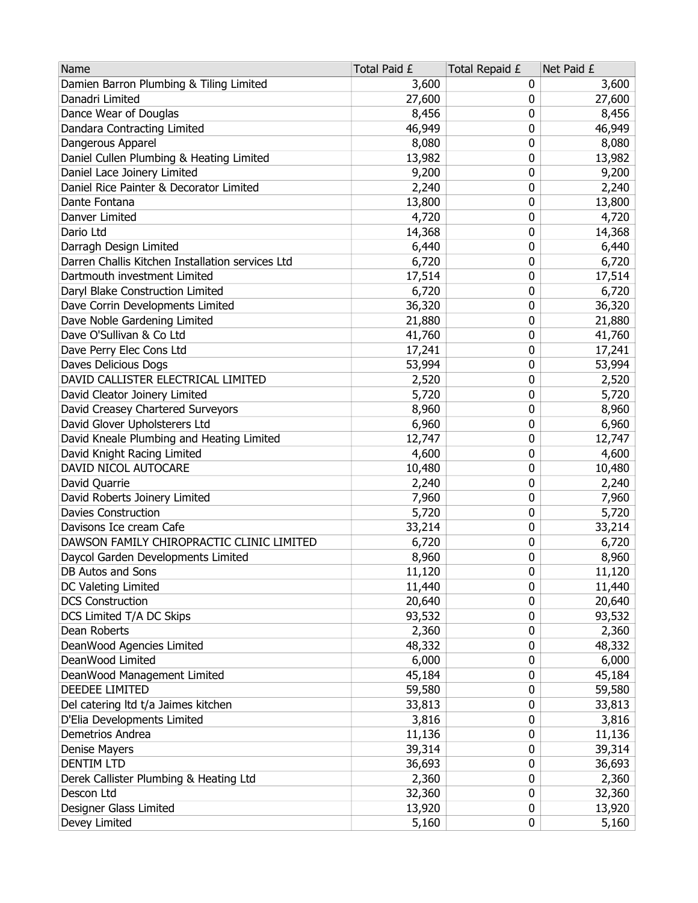| Name                                             | Total Paid £ | Total Repaid £ | Net Paid £ |
|--------------------------------------------------|--------------|----------------|------------|
| Damien Barron Plumbing & Tiling Limited          | 3,600        | 0              | 3,600      |
| Danadri Limited                                  | 27,600       | 0              | 27,600     |
| Dance Wear of Douglas                            | 8,456        | 0              | 8,456      |
| Dandara Contracting Limited                      | 46,949       | 0              | 46,949     |
| Dangerous Apparel                                | 8,080        | 0              | 8,080      |
| Daniel Cullen Plumbing & Heating Limited         | 13,982       | 0              | 13,982     |
| Daniel Lace Joinery Limited                      | 9,200        | 0              | 9,200      |
| Daniel Rice Painter & Decorator Limited          | 2,240        | 0              | 2,240      |
| Dante Fontana                                    | 13,800       | 0              | 13,800     |
| Danver Limited                                   | 4,720        | 0              | 4,720      |
| Dario Ltd                                        | 14,368       | 0              | 14,368     |
| Darragh Design Limited                           | 6,440        | 0              | 6,440      |
| Darren Challis Kitchen Installation services Ltd | 6,720        | 0              | 6,720      |
| Dartmouth investment Limited                     | 17,514       | 0              | 17,514     |
| Daryl Blake Construction Limited                 | 6,720        | 0              | 6,720      |
| Dave Corrin Developments Limited                 | 36,320       | 0              | 36,320     |
| Dave Noble Gardening Limited                     | 21,880       | 0              | 21,880     |
| Dave O'Sullivan & Co Ltd                         | 41,760       | 0              | 41,760     |
| Dave Perry Elec Cons Ltd                         | 17,241       | 0              | 17,241     |
| Daves Delicious Dogs                             | 53,994       | 0              | 53,994     |
| DAVID CALLISTER ELECTRICAL LIMITED               | 2,520        | 0              | 2,520      |
| David Cleator Joinery Limited                    | 5,720        | 0              | 5,720      |
| David Creasey Chartered Surveyors                | 8,960        | 0              | 8,960      |
| David Glover Upholsterers Ltd                    | 6,960        | 0              | 6,960      |
| David Kneale Plumbing and Heating Limited        | 12,747       | 0              | 12,747     |
| David Knight Racing Limited                      | 4,600        | 0              | 4,600      |
| DAVID NICOL AUTOCARE                             | 10,480       | 0              | 10,480     |
| David Quarrie                                    | 2,240        | 0              | 2,240      |
| David Roberts Joinery Limited                    | 7,960        | 0              | 7,960      |
| <b>Davies Construction</b>                       | 5,720        | 0              | 5,720      |
| Davisons Ice cream Cafe                          | 33,214       | 0              | 33,214     |
| DAWSON FAMILY CHIROPRACTIC CLINIC LIMITED        | 6,720        | 0              | 6,720      |
| Daycol Garden Developments Limited               | 8,960        | 0              | 8,960      |
| DB Autos and Sons                                | 11,120       | 0              | 11,120     |
| DC Valeting Limited                              | 11,440       | 0              | 11,440     |
| <b>DCS Construction</b>                          | 20,640       | 0              | 20,640     |
| DCS Limited T/A DC Skips                         | 93,532       | 0              | 93,532     |
| Dean Roberts                                     | 2,360        | 0              | 2,360      |
| DeanWood Agencies Limited                        | 48,332       | 0              | 48,332     |
| DeanWood Limited                                 | 6,000        | 0              | 6,000      |
| DeanWood Management Limited                      | 45,184       | 0              | 45,184     |
| <b>DEEDEE LIMITED</b>                            | 59,580       | 0              | 59,580     |
| Del catering ltd t/a Jaimes kitchen              | 33,813       | 0              | 33,813     |
| D'Elia Developments Limited                      | 3,816        | 0              | 3,816      |
| Demetrios Andrea                                 | 11,136       | 0              | 11,136     |
| Denise Mayers                                    | 39,314       | 0              | 39,314     |
| <b>DENTIM LTD</b>                                | 36,693       | 0              | 36,693     |
| Derek Callister Plumbing & Heating Ltd           | 2,360        | 0              | 2,360      |
| Descon Ltd                                       | 32,360       | 0              | 32,360     |
| Designer Glass Limited                           | 13,920       | 0              | 13,920     |
| Devey Limited                                    | 5,160        | 0              | 5,160      |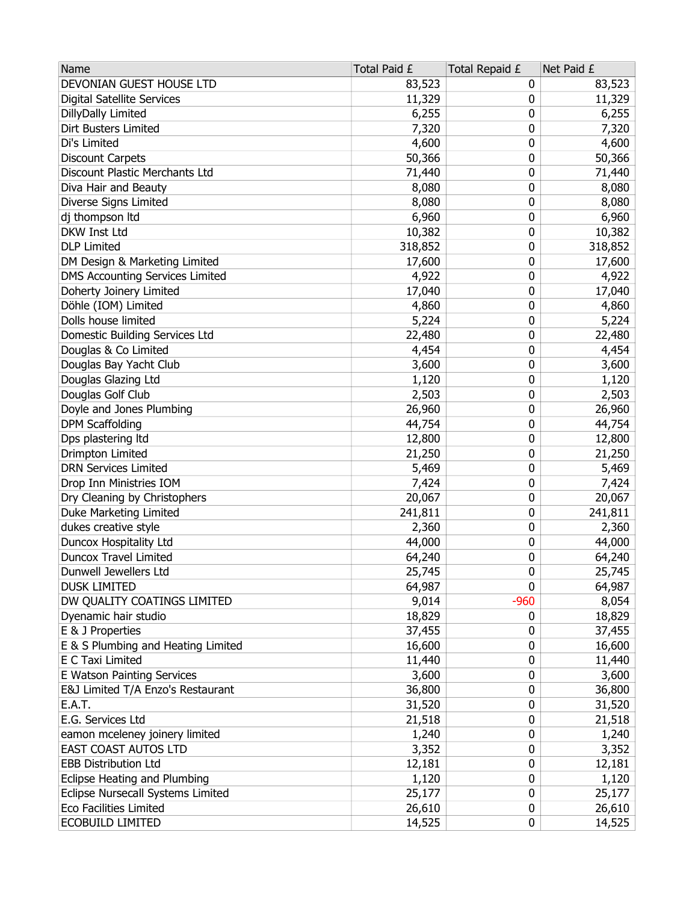| DEVONIAN GUEST HOUSE LTD<br>83,523<br>83,523<br>0<br><b>Digital Satellite Services</b><br>11,329<br>11,329<br>0<br>6,255<br>DillyDally Limited<br>6,255<br>0<br>Dirt Busters Limited<br>7,320<br>0<br>7,320<br>0<br>Di's Limited<br>4,600<br>4,600<br>50,366<br>0<br>50,366<br><b>Discount Carpets</b><br>0<br>Discount Plastic Merchants Ltd<br>71,440<br>71,440<br>Diva Hair and Beauty<br>8,080<br>8,080<br>0<br>Diverse Signs Limited<br>8,080<br>8,080<br>0<br>dj thompson Itd<br>6,960<br>6,960<br>0<br>DKW Inst Ltd<br>10,382<br>0<br>10,382<br><b>DLP Limited</b><br>318,852<br>0<br>318,852<br>DM Design & Marketing Limited<br>0<br>17,600<br>17,600<br><b>DMS Accounting Services Limited</b><br>0<br>4,922<br>4,922<br>Doherty Joinery Limited<br>17,040<br>17,040<br>0<br>Döhle (IOM) Limited<br>4,860<br>4,860<br>0<br>Dolls house limited<br>5,224<br>0<br>5,224<br>0<br>Domestic Building Services Ltd<br>22,480<br>22,480<br>Douglas & Co Limited<br>0<br>4,454<br>4,454<br>Douglas Bay Yacht Club<br>0<br>3,600<br>3,600<br>Douglas Glazing Ltd<br>1,120<br>1,120<br>0<br>Douglas Golf Club<br>2,503<br>0<br>2,503<br>Doyle and Jones Plumbing<br>26,960<br>0<br>26,960<br><b>DPM Scaffolding</b><br>0<br>44,754<br>44,754<br>Dps plastering ltd<br>12,800<br>0<br>12,800<br>Drimpton Limited<br>0<br>21,250<br>21,250<br><b>DRN Services Limited</b><br>5,469<br>0<br>5,469<br>Drop Inn Ministries IOM<br>7,424<br>0<br>7,424<br>Dry Cleaning by Christophers<br>20,067<br>0<br>20,067<br>Duke Marketing Limited<br>241,811<br>0<br>241,811<br>dukes creative style<br>0<br>2,360<br>2,360<br>0<br><b>Duncox Hospitality Ltd</b><br>44,000<br>44,000<br><b>Duncox Travel Limited</b><br>0<br>64,240<br>64,240<br>0<br>25,745<br>25,745<br>Dunwell Jewellers Ltd<br>64,987<br>0<br>64,987<br><b>DUSK LIMITED</b><br>$-960$<br>8,054<br>DW QUALITY COATINGS LIMITED<br>9,014<br>18,829<br>Dyenamic hair studio<br>18,829<br>0 |
|------------------------------------------------------------------------------------------------------------------------------------------------------------------------------------------------------------------------------------------------------------------------------------------------------------------------------------------------------------------------------------------------------------------------------------------------------------------------------------------------------------------------------------------------------------------------------------------------------------------------------------------------------------------------------------------------------------------------------------------------------------------------------------------------------------------------------------------------------------------------------------------------------------------------------------------------------------------------------------------------------------------------------------------------------------------------------------------------------------------------------------------------------------------------------------------------------------------------------------------------------------------------------------------------------------------------------------------------------------------------------------------------------------------------------------------------------------------------------------------------------------------------------------------------------------------------------------------------------------------------------------------------------------------------------------------------------------------------------------------------------------------------------------------------------------------------------------------------------------------------------------------------------------------------------------------------|
|                                                                                                                                                                                                                                                                                                                                                                                                                                                                                                                                                                                                                                                                                                                                                                                                                                                                                                                                                                                                                                                                                                                                                                                                                                                                                                                                                                                                                                                                                                                                                                                                                                                                                                                                                                                                                                                                                                                                                |
|                                                                                                                                                                                                                                                                                                                                                                                                                                                                                                                                                                                                                                                                                                                                                                                                                                                                                                                                                                                                                                                                                                                                                                                                                                                                                                                                                                                                                                                                                                                                                                                                                                                                                                                                                                                                                                                                                                                                                |
|                                                                                                                                                                                                                                                                                                                                                                                                                                                                                                                                                                                                                                                                                                                                                                                                                                                                                                                                                                                                                                                                                                                                                                                                                                                                                                                                                                                                                                                                                                                                                                                                                                                                                                                                                                                                                                                                                                                                                |
|                                                                                                                                                                                                                                                                                                                                                                                                                                                                                                                                                                                                                                                                                                                                                                                                                                                                                                                                                                                                                                                                                                                                                                                                                                                                                                                                                                                                                                                                                                                                                                                                                                                                                                                                                                                                                                                                                                                                                |
|                                                                                                                                                                                                                                                                                                                                                                                                                                                                                                                                                                                                                                                                                                                                                                                                                                                                                                                                                                                                                                                                                                                                                                                                                                                                                                                                                                                                                                                                                                                                                                                                                                                                                                                                                                                                                                                                                                                                                |
|                                                                                                                                                                                                                                                                                                                                                                                                                                                                                                                                                                                                                                                                                                                                                                                                                                                                                                                                                                                                                                                                                                                                                                                                                                                                                                                                                                                                                                                                                                                                                                                                                                                                                                                                                                                                                                                                                                                                                |
|                                                                                                                                                                                                                                                                                                                                                                                                                                                                                                                                                                                                                                                                                                                                                                                                                                                                                                                                                                                                                                                                                                                                                                                                                                                                                                                                                                                                                                                                                                                                                                                                                                                                                                                                                                                                                                                                                                                                                |
|                                                                                                                                                                                                                                                                                                                                                                                                                                                                                                                                                                                                                                                                                                                                                                                                                                                                                                                                                                                                                                                                                                                                                                                                                                                                                                                                                                                                                                                                                                                                                                                                                                                                                                                                                                                                                                                                                                                                                |
|                                                                                                                                                                                                                                                                                                                                                                                                                                                                                                                                                                                                                                                                                                                                                                                                                                                                                                                                                                                                                                                                                                                                                                                                                                                                                                                                                                                                                                                                                                                                                                                                                                                                                                                                                                                                                                                                                                                                                |
|                                                                                                                                                                                                                                                                                                                                                                                                                                                                                                                                                                                                                                                                                                                                                                                                                                                                                                                                                                                                                                                                                                                                                                                                                                                                                                                                                                                                                                                                                                                                                                                                                                                                                                                                                                                                                                                                                                                                                |
|                                                                                                                                                                                                                                                                                                                                                                                                                                                                                                                                                                                                                                                                                                                                                                                                                                                                                                                                                                                                                                                                                                                                                                                                                                                                                                                                                                                                                                                                                                                                                                                                                                                                                                                                                                                                                                                                                                                                                |
|                                                                                                                                                                                                                                                                                                                                                                                                                                                                                                                                                                                                                                                                                                                                                                                                                                                                                                                                                                                                                                                                                                                                                                                                                                                                                                                                                                                                                                                                                                                                                                                                                                                                                                                                                                                                                                                                                                                                                |
|                                                                                                                                                                                                                                                                                                                                                                                                                                                                                                                                                                                                                                                                                                                                                                                                                                                                                                                                                                                                                                                                                                                                                                                                                                                                                                                                                                                                                                                                                                                                                                                                                                                                                                                                                                                                                                                                                                                                                |
|                                                                                                                                                                                                                                                                                                                                                                                                                                                                                                                                                                                                                                                                                                                                                                                                                                                                                                                                                                                                                                                                                                                                                                                                                                                                                                                                                                                                                                                                                                                                                                                                                                                                                                                                                                                                                                                                                                                                                |
|                                                                                                                                                                                                                                                                                                                                                                                                                                                                                                                                                                                                                                                                                                                                                                                                                                                                                                                                                                                                                                                                                                                                                                                                                                                                                                                                                                                                                                                                                                                                                                                                                                                                                                                                                                                                                                                                                                                                                |
|                                                                                                                                                                                                                                                                                                                                                                                                                                                                                                                                                                                                                                                                                                                                                                                                                                                                                                                                                                                                                                                                                                                                                                                                                                                                                                                                                                                                                                                                                                                                                                                                                                                                                                                                                                                                                                                                                                                                                |
|                                                                                                                                                                                                                                                                                                                                                                                                                                                                                                                                                                                                                                                                                                                                                                                                                                                                                                                                                                                                                                                                                                                                                                                                                                                                                                                                                                                                                                                                                                                                                                                                                                                                                                                                                                                                                                                                                                                                                |
|                                                                                                                                                                                                                                                                                                                                                                                                                                                                                                                                                                                                                                                                                                                                                                                                                                                                                                                                                                                                                                                                                                                                                                                                                                                                                                                                                                                                                                                                                                                                                                                                                                                                                                                                                                                                                                                                                                                                                |
|                                                                                                                                                                                                                                                                                                                                                                                                                                                                                                                                                                                                                                                                                                                                                                                                                                                                                                                                                                                                                                                                                                                                                                                                                                                                                                                                                                                                                                                                                                                                                                                                                                                                                                                                                                                                                                                                                                                                                |
|                                                                                                                                                                                                                                                                                                                                                                                                                                                                                                                                                                                                                                                                                                                                                                                                                                                                                                                                                                                                                                                                                                                                                                                                                                                                                                                                                                                                                                                                                                                                                                                                                                                                                                                                                                                                                                                                                                                                                |
|                                                                                                                                                                                                                                                                                                                                                                                                                                                                                                                                                                                                                                                                                                                                                                                                                                                                                                                                                                                                                                                                                                                                                                                                                                                                                                                                                                                                                                                                                                                                                                                                                                                                                                                                                                                                                                                                                                                                                |
|                                                                                                                                                                                                                                                                                                                                                                                                                                                                                                                                                                                                                                                                                                                                                                                                                                                                                                                                                                                                                                                                                                                                                                                                                                                                                                                                                                                                                                                                                                                                                                                                                                                                                                                                                                                                                                                                                                                                                |
|                                                                                                                                                                                                                                                                                                                                                                                                                                                                                                                                                                                                                                                                                                                                                                                                                                                                                                                                                                                                                                                                                                                                                                                                                                                                                                                                                                                                                                                                                                                                                                                                                                                                                                                                                                                                                                                                                                                                                |
|                                                                                                                                                                                                                                                                                                                                                                                                                                                                                                                                                                                                                                                                                                                                                                                                                                                                                                                                                                                                                                                                                                                                                                                                                                                                                                                                                                                                                                                                                                                                                                                                                                                                                                                                                                                                                                                                                                                                                |
|                                                                                                                                                                                                                                                                                                                                                                                                                                                                                                                                                                                                                                                                                                                                                                                                                                                                                                                                                                                                                                                                                                                                                                                                                                                                                                                                                                                                                                                                                                                                                                                                                                                                                                                                                                                                                                                                                                                                                |
|                                                                                                                                                                                                                                                                                                                                                                                                                                                                                                                                                                                                                                                                                                                                                                                                                                                                                                                                                                                                                                                                                                                                                                                                                                                                                                                                                                                                                                                                                                                                                                                                                                                                                                                                                                                                                                                                                                                                                |
|                                                                                                                                                                                                                                                                                                                                                                                                                                                                                                                                                                                                                                                                                                                                                                                                                                                                                                                                                                                                                                                                                                                                                                                                                                                                                                                                                                                                                                                                                                                                                                                                                                                                                                                                                                                                                                                                                                                                                |
|                                                                                                                                                                                                                                                                                                                                                                                                                                                                                                                                                                                                                                                                                                                                                                                                                                                                                                                                                                                                                                                                                                                                                                                                                                                                                                                                                                                                                                                                                                                                                                                                                                                                                                                                                                                                                                                                                                                                                |
|                                                                                                                                                                                                                                                                                                                                                                                                                                                                                                                                                                                                                                                                                                                                                                                                                                                                                                                                                                                                                                                                                                                                                                                                                                                                                                                                                                                                                                                                                                                                                                                                                                                                                                                                                                                                                                                                                                                                                |
|                                                                                                                                                                                                                                                                                                                                                                                                                                                                                                                                                                                                                                                                                                                                                                                                                                                                                                                                                                                                                                                                                                                                                                                                                                                                                                                                                                                                                                                                                                                                                                                                                                                                                                                                                                                                                                                                                                                                                |
|                                                                                                                                                                                                                                                                                                                                                                                                                                                                                                                                                                                                                                                                                                                                                                                                                                                                                                                                                                                                                                                                                                                                                                                                                                                                                                                                                                                                                                                                                                                                                                                                                                                                                                                                                                                                                                                                                                                                                |
|                                                                                                                                                                                                                                                                                                                                                                                                                                                                                                                                                                                                                                                                                                                                                                                                                                                                                                                                                                                                                                                                                                                                                                                                                                                                                                                                                                                                                                                                                                                                                                                                                                                                                                                                                                                                                                                                                                                                                |
|                                                                                                                                                                                                                                                                                                                                                                                                                                                                                                                                                                                                                                                                                                                                                                                                                                                                                                                                                                                                                                                                                                                                                                                                                                                                                                                                                                                                                                                                                                                                                                                                                                                                                                                                                                                                                                                                                                                                                |
|                                                                                                                                                                                                                                                                                                                                                                                                                                                                                                                                                                                                                                                                                                                                                                                                                                                                                                                                                                                                                                                                                                                                                                                                                                                                                                                                                                                                                                                                                                                                                                                                                                                                                                                                                                                                                                                                                                                                                |
|                                                                                                                                                                                                                                                                                                                                                                                                                                                                                                                                                                                                                                                                                                                                                                                                                                                                                                                                                                                                                                                                                                                                                                                                                                                                                                                                                                                                                                                                                                                                                                                                                                                                                                                                                                                                                                                                                                                                                |
|                                                                                                                                                                                                                                                                                                                                                                                                                                                                                                                                                                                                                                                                                                                                                                                                                                                                                                                                                                                                                                                                                                                                                                                                                                                                                                                                                                                                                                                                                                                                                                                                                                                                                                                                                                                                                                                                                                                                                |
|                                                                                                                                                                                                                                                                                                                                                                                                                                                                                                                                                                                                                                                                                                                                                                                                                                                                                                                                                                                                                                                                                                                                                                                                                                                                                                                                                                                                                                                                                                                                                                                                                                                                                                                                                                                                                                                                                                                                                |
| E & J Properties<br>37,455<br>37,455<br>0                                                                                                                                                                                                                                                                                                                                                                                                                                                                                                                                                                                                                                                                                                                                                                                                                                                                                                                                                                                                                                                                                                                                                                                                                                                                                                                                                                                                                                                                                                                                                                                                                                                                                                                                                                                                                                                                                                      |
| E & S Plumbing and Heating Limited<br>16,600<br>16,600<br>0                                                                                                                                                                                                                                                                                                                                                                                                                                                                                                                                                                                                                                                                                                                                                                                                                                                                                                                                                                                                                                                                                                                                                                                                                                                                                                                                                                                                                                                                                                                                                                                                                                                                                                                                                                                                                                                                                    |
| E C Taxi Limited<br>11,440<br>11,440<br>0                                                                                                                                                                                                                                                                                                                                                                                                                                                                                                                                                                                                                                                                                                                                                                                                                                                                                                                                                                                                                                                                                                                                                                                                                                                                                                                                                                                                                                                                                                                                                                                                                                                                                                                                                                                                                                                                                                      |
| E Watson Painting Services<br>3,600<br>0<br>3,600                                                                                                                                                                                                                                                                                                                                                                                                                                                                                                                                                                                                                                                                                                                                                                                                                                                                                                                                                                                                                                                                                                                                                                                                                                                                                                                                                                                                                                                                                                                                                                                                                                                                                                                                                                                                                                                                                              |
| E&J Limited T/A Enzo's Restaurant<br>36,800<br>0<br>36,800                                                                                                                                                                                                                                                                                                                                                                                                                                                                                                                                                                                                                                                                                                                                                                                                                                                                                                                                                                                                                                                                                                                                                                                                                                                                                                                                                                                                                                                                                                                                                                                                                                                                                                                                                                                                                                                                                     |
| <b>E.A.T.</b><br>31,520<br>0<br>31,520                                                                                                                                                                                                                                                                                                                                                                                                                                                                                                                                                                                                                                                                                                                                                                                                                                                                                                                                                                                                                                                                                                                                                                                                                                                                                                                                                                                                                                                                                                                                                                                                                                                                                                                                                                                                                                                                                                         |
| E.G. Services Ltd<br>0<br>21,518<br>21,518                                                                                                                                                                                                                                                                                                                                                                                                                                                                                                                                                                                                                                                                                                                                                                                                                                                                                                                                                                                                                                                                                                                                                                                                                                                                                                                                                                                                                                                                                                                                                                                                                                                                                                                                                                                                                                                                                                     |
| eamon mceleney joinery limited<br>1,240<br>0<br>1,240                                                                                                                                                                                                                                                                                                                                                                                                                                                                                                                                                                                                                                                                                                                                                                                                                                                                                                                                                                                                                                                                                                                                                                                                                                                                                                                                                                                                                                                                                                                                                                                                                                                                                                                                                                                                                                                                                          |
| EAST COAST AUTOS LTD<br>3,352<br>3,352<br>0                                                                                                                                                                                                                                                                                                                                                                                                                                                                                                                                                                                                                                                                                                                                                                                                                                                                                                                                                                                                                                                                                                                                                                                                                                                                                                                                                                                                                                                                                                                                                                                                                                                                                                                                                                                                                                                                                                    |
| <b>EBB Distribution Ltd</b><br>12,181<br>0<br>12,181                                                                                                                                                                                                                                                                                                                                                                                                                                                                                                                                                                                                                                                                                                                                                                                                                                                                                                                                                                                                                                                                                                                                                                                                                                                                                                                                                                                                                                                                                                                                                                                                                                                                                                                                                                                                                                                                                           |
| Eclipse Heating and Plumbing<br>1,120<br>0<br>1,120                                                                                                                                                                                                                                                                                                                                                                                                                                                                                                                                                                                                                                                                                                                                                                                                                                                                                                                                                                                                                                                                                                                                                                                                                                                                                                                                                                                                                                                                                                                                                                                                                                                                                                                                                                                                                                                                                            |
| Eclipse Nursecall Systems Limited<br>0<br>25,177<br>25,177                                                                                                                                                                                                                                                                                                                                                                                                                                                                                                                                                                                                                                                                                                                                                                                                                                                                                                                                                                                                                                                                                                                                                                                                                                                                                                                                                                                                                                                                                                                                                                                                                                                                                                                                                                                                                                                                                     |
| <b>Eco Facilities Limited</b><br>26,610<br>26,610<br>0                                                                                                                                                                                                                                                                                                                                                                                                                                                                                                                                                                                                                                                                                                                                                                                                                                                                                                                                                                                                                                                                                                                                                                                                                                                                                                                                                                                                                                                                                                                                                                                                                                                                                                                                                                                                                                                                                         |
| <b>ECOBUILD LIMITED</b><br>14,525<br>0<br>14,525                                                                                                                                                                                                                                                                                                                                                                                                                                                                                                                                                                                                                                                                                                                                                                                                                                                                                                                                                                                                                                                                                                                                                                                                                                                                                                                                                                                                                                                                                                                                                                                                                                                                                                                                                                                                                                                                                               |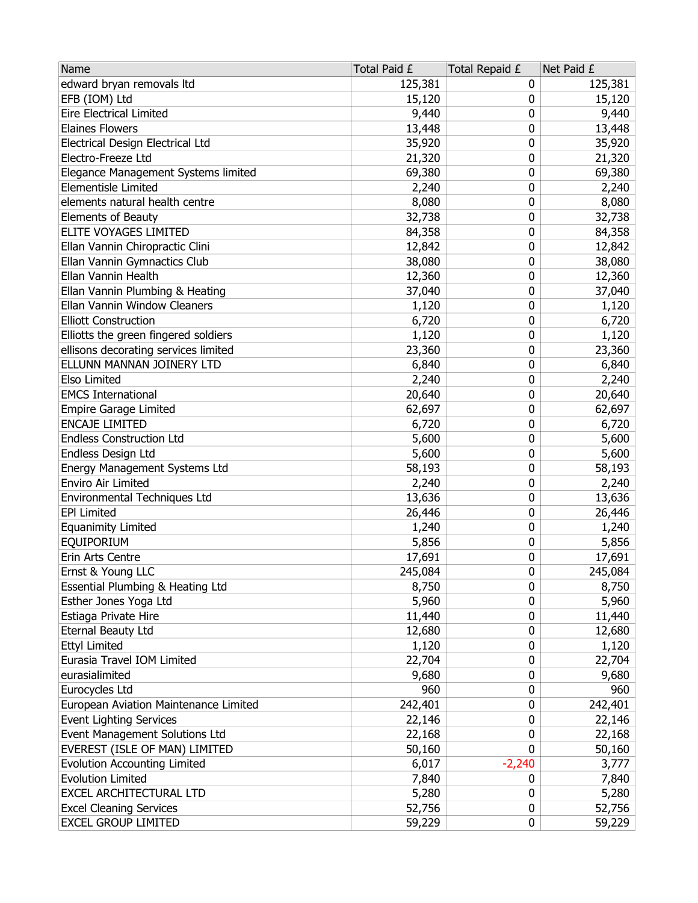| Name                                  | Total Paid £ | Total Repaid £ | Net Paid £ |
|---------------------------------------|--------------|----------------|------------|
| edward bryan removals Itd             | 125,381      | 0              | 125,381    |
| EFB (IOM) Ltd                         | 15,120       | 0              | 15,120     |
| <b>Eire Electrical Limited</b>        | 9,440        | 0              | 9,440      |
| <b>Elaines Flowers</b>                | 13,448       | 0              | 13,448     |
| Electrical Design Electrical Ltd      | 35,920       | 0              | 35,920     |
| Electro-Freeze Ltd                    | 21,320       | 0              | 21,320     |
| Elegance Management Systems limited   | 69,380       | 0              | 69,380     |
| <b>Elementisle Limited</b>            | 2,240        | 0              | 2,240      |
| elements natural health centre        | 8,080        | 0              | 8,080      |
| Elements of Beauty                    | 32,738       | 0              | 32,738     |
| ELITE VOYAGES LIMITED                 | 84,358       | 0              | 84,358     |
| Ellan Vannin Chiropractic Clini       | 12,842       | 0              | 12,842     |
| Ellan Vannin Gymnactics Club          | 38,080       | 0              | 38,080     |
| Ellan Vannin Health                   | 12,360       | 0              | 12,360     |
| Ellan Vannin Plumbing & Heating       | 37,040       | 0              | 37,040     |
| Ellan Vannin Window Cleaners          | 1,120        | 0              | 1,120      |
| <b>Elliott Construction</b>           | 6,720        | 0              | 6,720      |
| Elliotts the green fingered soldiers  | 1,120        | 0              | 1,120      |
| ellisons decorating services limited  | 23,360       | 0              | 23,360     |
| ELLUNN MANNAN JOINERY LTD             | 6,840        | 0              | 6,840      |
| Elso Limited                          | 2,240        | 0              | 2,240      |
| <b>EMCS International</b>             | 20,640       | 0              | 20,640     |
| <b>Empire Garage Limited</b>          | 62,697       | 0              | 62,697     |
| <b>ENCAJE LIMITED</b>                 | 6,720        | 0              | 6,720      |
| <b>Endless Construction Ltd</b>       | 5,600        | 0              | 5,600      |
| Endless Design Ltd                    | 5,600        | 0              | 5,600      |
| Energy Management Systems Ltd         | 58,193       | 0              | 58,193     |
| Enviro Air Limited                    | 2,240        | 0              | 2,240      |
| Environmental Techniques Ltd          | 13,636       | 0              | 13,636     |
| <b>EPI Limited</b>                    | 26,446       | 0              | 26,446     |
| <b>Equanimity Limited</b>             | 1,240        | 0              | 1,240      |
| EQUIPORIUM                            | 5,856        | 0              | 5,856      |
| Erin Arts Centre                      | 17,691       | 0              | 17,691     |
| Ernst & Young LLC                     | 245,084      | 0              | 245,084    |
| Essential Plumbing & Heating Ltd      | 8,750        | 0              | 8,750      |
| Esther Jones Yoga Ltd                 | 5,960        | 0              | 5,960      |
| Estiaga Private Hire                  | 11,440       | 0              | 11,440     |
| Eternal Beauty Ltd                    | 12,680       | 0              | 12,680     |
| <b>Ettyl Limited</b>                  | 1,120        | 0              | 1,120      |
| Eurasia Travel IOM Limited            | 22,704       | 0              | 22,704     |
| eurasialimited                        | 9,680        | 0              | 9,680      |
| Eurocycles Ltd                        | 960          | 0              | 960        |
| European Aviation Maintenance Limited | 242,401      | 0              | 242,401    |
| <b>Event Lighting Services</b>        | 22,146       | 0              | 22,146     |
| Event Management Solutions Ltd        | 22,168       | 0              | 22,168     |
| EVEREST (ISLE OF MAN) LIMITED         | 50,160       | 0              | 50,160     |
| <b>Evolution Accounting Limited</b>   | 6,017        | $-2,240$       | 3,777      |
| <b>Evolution Limited</b>              | 7,840        | 0              | 7,840      |
| EXCEL ARCHITECTURAL LTD               | 5,280        | 0              | 5,280      |
| <b>Excel Cleaning Services</b>        | 52,756       | 0              | 52,756     |
| <b>EXCEL GROUP LIMITED</b>            | 59,229       | 0              | 59,229     |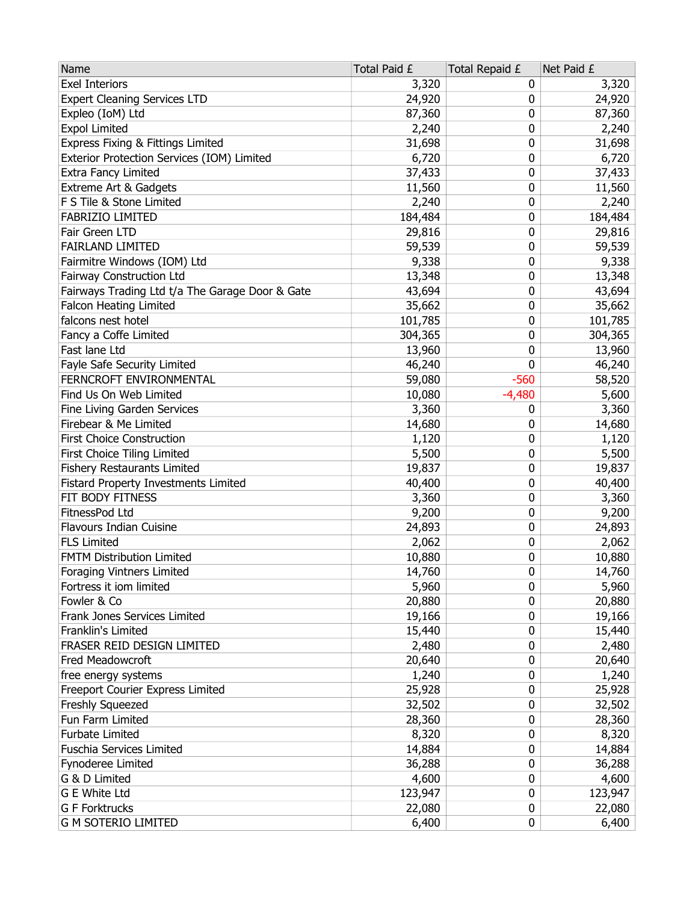| Name                                            | Total Paid £ | Total Repaid £ | Net Paid £ |
|-------------------------------------------------|--------------|----------------|------------|
| <b>Exel Interiors</b>                           | 3,320        | 0              | 3,320      |
| <b>Expert Cleaning Services LTD</b>             | 24,920       | 0              | 24,920     |
| Expleo (IoM) Ltd                                | 87,360       | 0              | 87,360     |
| <b>Expol Limited</b>                            | 2,240        | 0              | 2,240      |
| Express Fixing & Fittings Limited               | 31,698       | 0              | 31,698     |
| Exterior Protection Services (IOM) Limited      | 6,720        | 0              | 6,720      |
| Extra Fancy Limited                             | 37,433       | 0              | 37,433     |
| Extreme Art & Gadgets                           | 11,560       | 0              | 11,560     |
| F S Tile & Stone Limited                        | 2,240        | 0              | 2,240      |
| FABRIZIO LIMITED                                | 184,484      | 0              | 184,484    |
| Fair Green LTD                                  | 29,816       | 0              | 29,816     |
| <b>FAIRLAND LIMITED</b>                         | 59,539       | 0              | 59,539     |
| Fairmitre Windows (IOM) Ltd                     | 9,338        | 0              | 9,338      |
| <b>Fairway Construction Ltd</b>                 | 13,348       | 0              | 13,348     |
| Fairways Trading Ltd t/a The Garage Door & Gate | 43,694       | 0              | 43,694     |
| <b>Falcon Heating Limited</b>                   | 35,662       | 0              | 35,662     |
| falcons nest hotel                              | 101,785      | 0              | 101,785    |
| Fancy a Coffe Limited                           | 304,365      | 0              | 304,365    |
| Fast lane Ltd                                   | 13,960       | 0              | 13,960     |
| Fayle Safe Security Limited                     | 46,240       | 0              | 46,240     |
| FERNCROFT ENVIRONMENTAL                         | 59,080       | $-560$         | 58,520     |
| Find Us On Web Limited                          | 10,080       | $-4,480$       | 5,600      |
| Fine Living Garden Services                     | 3,360        | 0              | 3,360      |
| Firebear & Me Limited                           | 14,680       | 0              | 14,680     |
| <b>First Choice Construction</b>                | 1,120        | 0              | 1,120      |
| First Choice Tiling Limited                     | 5,500        | 0              | 5,500      |
| <b>Fishery Restaurants Limited</b>              | 19,837       | 0              | 19,837     |
| Fistard Property Investments Limited            | 40,400       | 0              | 40,400     |
| FIT BODY FITNESS                                | 3,360        | 0              | 3,360      |
| FitnessPod Ltd                                  | 9,200        | 0              | 9,200      |
| Flavours Indian Cuisine                         | 24,893       | 0              | 24,893     |
| <b>FLS Limited</b>                              | 2,062        | 0              | 2,062      |
| FMTM Distribution Limited                       | 10,880       | 0              | 10,880     |
| Foraging Vintners Limited                       | 14,760       | 0              | 14,760     |
| Fortress it iom limited                         | 5,960        | 0              | 5,960      |
| Fowler & Co                                     | 20,880       | 0              | 20,880     |
| Frank Jones Services Limited                    | 19,166       | 0              | 19,166     |
| Franklin's Limited                              | 15,440       | 0              | 15,440     |
| FRASER REID DESIGN LIMITED                      | 2,480        | 0              | 2,480      |
| Fred Meadowcroft                                | 20,640       | 0              | 20,640     |
| free energy systems                             | 1,240        | 0              | 1,240      |
| Freeport Courier Express Limited                | 25,928       | 0              | 25,928     |
| Freshly Squeezed                                | 32,502       | 0              | 32,502     |
| Fun Farm Limited                                | 28,360       | 0              | 28,360     |
| Furbate Limited                                 | 8,320        | 0              | 8,320      |
| <b>Fuschia Services Limited</b>                 | 14,884       | 0              | 14,884     |
| Fynoderee Limited                               | 36,288       | 0              | 36,288     |
| G & D Limited                                   | 4,600        | 0              | 4,600      |
| G E White Ltd                                   | 123,947      | 0              | 123,947    |
| <b>G F Forktrucks</b>                           | 22,080       | 0              | 22,080     |
| <b>G M SOTERIO LIMITED</b>                      | 6,400        | 0              | 6,400      |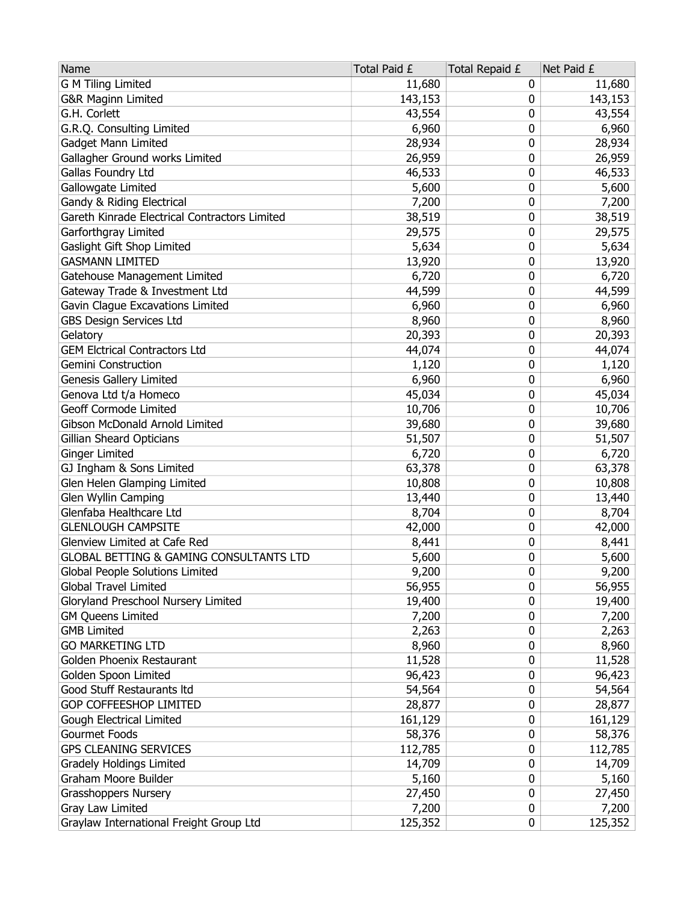| Name                                               | Total Paid £ | Total Repaid £ | Net Paid £ |
|----------------------------------------------------|--------------|----------------|------------|
| <b>G M Tiling Limited</b>                          | 11,680       | 0              | 11,680     |
| <b>G&amp;R Maginn Limited</b>                      | 143,153      | 0              | 143,153    |
| G.H. Corlett                                       | 43,554       | 0              | 43,554     |
| G.R.Q. Consulting Limited                          | 6,960        | 0              | 6,960      |
| Gadget Mann Limited                                | 28,934       | 0              | 28,934     |
| Gallagher Ground works Limited                     | 26,959       | 0              | 26,959     |
| Gallas Foundry Ltd                                 | 46,533       | 0              | 46,533     |
| Gallowgate Limited                                 | 5,600        | 0              | 5,600      |
| Gandy & Riding Electrical                          | 7,200        | 0              | 7,200      |
| Gareth Kinrade Electrical Contractors Limited      | 38,519       | 0              | 38,519     |
| Garforthgray Limited                               | 29,575       | 0              | 29,575     |
| Gaslight Gift Shop Limited                         | 5,634        | 0              | 5,634      |
| <b>GASMANN LIMITED</b>                             | 13,920       | 0              | 13,920     |
| Gatehouse Management Limited                       | 6,720        | 0              | 6,720      |
| Gateway Trade & Investment Ltd                     | 44,599       | 0              | 44,599     |
| Gavin Clague Excavations Limited                   | 6,960        | 0              | 6,960      |
| <b>GBS Design Services Ltd</b>                     | 8,960        | 0              | 8,960      |
| Gelatory                                           | 20,393       | 0              | 20,393     |
| <b>GEM Elctrical Contractors Ltd</b>               | 44,074       | 0              | 44,074     |
| <b>Gemini Construction</b>                         | 1,120        | 0              | 1,120      |
| Genesis Gallery Limited                            | 6,960        | 0              | 6,960      |
| Genova Ltd t/a Homeco                              | 45,034       | 0              | 45,034     |
| Geoff Cormode Limited                              | 10,706       | 0              | 10,706     |
| Gibson McDonald Arnold Limited                     | 39,680       | 0              | 39,680     |
| Gillian Sheard Opticians                           | 51,507       | 0              | 51,507     |
| <b>Ginger Limited</b>                              | 6,720        | 0              | 6,720      |
| GJ Ingham & Sons Limited                           | 63,378       | 0              | 63,378     |
| Glen Helen Glamping Limited                        | 10,808       | 0              | 10,808     |
| Glen Wyllin Camping                                | 13,440       | 0              | 13,440     |
| Glenfaba Healthcare Ltd                            | 8,704        | 0              | 8,704      |
| <b>GLENLOUGH CAMPSITE</b>                          | 42,000       | 0              | 42,000     |
| Glenview Limited at Cafe Red                       | 8,441        | 0              | 8,441      |
| <b>GLOBAL BETTING &amp; GAMING CONSULTANTS LTD</b> | 5,600        | 0              | 5,600      |
| Global People Solutions Limited                    | 9,200        | 0              | 9,200      |
| Global Travel Limited                              | 56,955       | 0              | 56,955     |
| Gloryland Preschool Nursery Limited                | 19,400       | 0              | 19,400     |
| <b>GM Queens Limited</b>                           | 7,200        | 0              | 7,200      |
| <b>GMB Limited</b>                                 | 2,263        | 0              | 2,263      |
| <b>GO MARKETING LTD</b>                            | 8,960        | 0              | 8,960      |
| Golden Phoenix Restaurant                          | 11,528       | 0              | 11,528     |
| Golden Spoon Limited                               | 96,423       | 0              | 96,423     |
| Good Stuff Restaurants Itd                         | 54,564       | 0              | 54,564     |
| GOP COFFEESHOP LIMITED                             | 28,877       | 0              | 28,877     |
| <b>Gough Electrical Limited</b>                    | 161,129      | 0              | 161,129    |
| Gourmet Foods                                      | 58,376       | 0              | 58,376     |
| <b>GPS CLEANING SERVICES</b>                       | 112,785      | 0              | 112,785    |
| Gradely Holdings Limited                           | 14,709       | 0              | 14,709     |
| Graham Moore Builder                               | 5,160        | 0              | 5,160      |
| Grasshoppers Nursery                               | 27,450       | 0              | 27,450     |
| Gray Law Limited                                   | 7,200        | 0              | 7,200      |
| Graylaw International Freight Group Ltd            | 125,352      | 0              | 125,352    |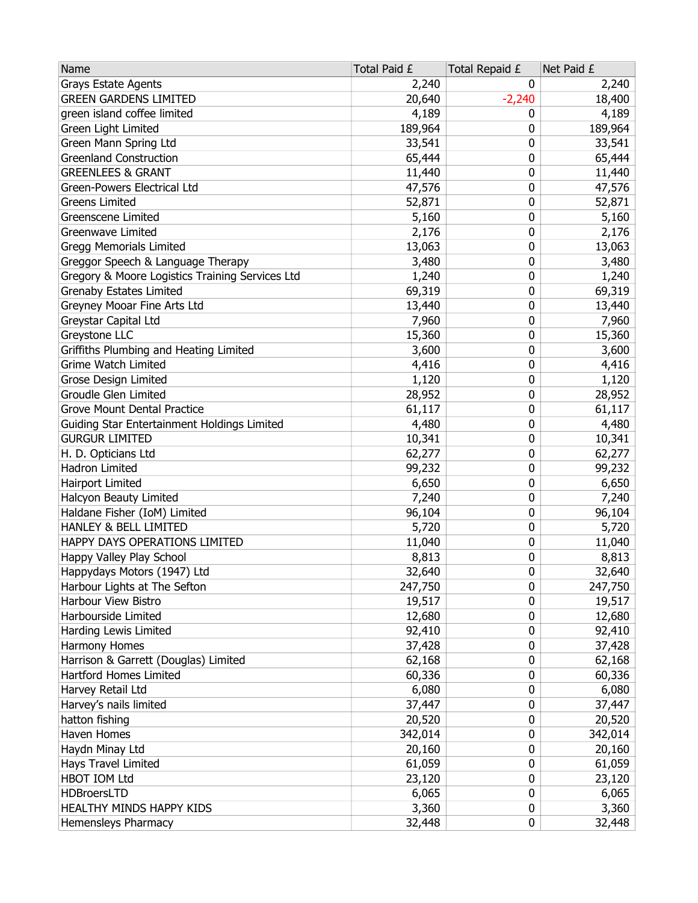| Name                                            | Total Paid £ | Total Repaid £ | Net Paid £ |
|-------------------------------------------------|--------------|----------------|------------|
| Grays Estate Agents                             | 2,240        | 0              | 2,240      |
| <b>GREEN GARDENS LIMITED</b>                    | 20,640       | $-2,240$       | 18,400     |
| green island coffee limited                     | 4,189        | 0              | 4,189      |
| Green Light Limited                             | 189,964      | 0              | 189,964    |
| Green Mann Spring Ltd                           | 33,541       | 0              | 33,541     |
| <b>Greenland Construction</b>                   | 65,444       | 0              | 65,444     |
| <b>GREENLEES &amp; GRANT</b>                    | 11,440       | 0              | 11,440     |
| Green-Powers Electrical Ltd                     | 47,576       | 0              | 47,576     |
| <b>Greens Limited</b>                           | 52,871       | 0              | 52,871     |
| Greenscene Limited                              | 5,160        | 0              | 5,160      |
| Greenwave Limited                               | 2,176        | 0              | 2,176      |
| <b>Gregg Memorials Limited</b>                  | 13,063       | 0              | 13,063     |
| Greggor Speech & Language Therapy               | 3,480        | 0              | 3,480      |
| Gregory & Moore Logistics Training Services Ltd | 1,240        | 0              | 1,240      |
| <b>Grenaby Estates Limited</b>                  | 69,319       | 0              | 69,319     |
| Greyney Mooar Fine Arts Ltd                     | 13,440       | 0              | 13,440     |
| Greystar Capital Ltd                            | 7,960        | 0              | 7,960      |
| Greystone LLC                                   | 15,360       | 0              | 15,360     |
| Griffiths Plumbing and Heating Limited          | 3,600        | 0              | 3,600      |
| <b>Grime Watch Limited</b>                      | 4,416        | 0              | 4,416      |
| <b>Grose Design Limited</b>                     | 1,120        | 0              | 1,120      |
| Groudle Glen Limited                            | 28,952       | 0              | 28,952     |
| <b>Grove Mount Dental Practice</b>              | 61,117       | 0              | 61,117     |
| Guiding Star Entertainment Holdings Limited     | 4,480        | 0              | 4,480      |
| <b>GURGUR LIMITED</b>                           | 10,341       | 0              | 10,341     |
| H. D. Opticians Ltd                             | 62,277       | 0              | 62,277     |
| Hadron Limited                                  | 99,232       | 0              | 99,232     |
| Hairport Limited                                | 6,650        | 0              | 6,650      |
| Halcyon Beauty Limited                          | 7,240        | 0              | 7,240      |
| Haldane Fisher (IoM) Limited                    | 96,104       | 0              | 96,104     |
| HANLEY & BELL LIMITED                           | 5,720        | 0              | 5,720      |
| HAPPY DAYS OPERATIONS LIMITED                   | 11,040       | 0              | 11,040     |
| Happy Valley Play School                        | 8,813        | 0              | 8,813      |
| Happydays Motors (1947) Ltd                     | 32,640       | 0              | 32,640     |
| Harbour Lights at The Sefton                    | 247,750      | 0              | 247,750    |
| Harbour View Bistro                             | 19,517       | 0              | 19,517     |
| Harbourside Limited                             | 12,680       | 0              | 12,680     |
| Harding Lewis Limited                           | 92,410       | 0              | 92,410     |
| Harmony Homes                                   | 37,428       | 0              | 37,428     |
| Harrison & Garrett (Douglas) Limited            | 62,168       | 0              | 62,168     |
| Hartford Homes Limited                          | 60,336       | 0              | 60,336     |
| Harvey Retail Ltd                               | 6,080        | 0              | 6,080      |
| Harvey's nails limited                          | 37,447       | 0              | 37,447     |
| hatton fishing                                  | 20,520       | 0              | 20,520     |
| Haven Homes                                     | 342,014      | 0              | 342,014    |
| Haydn Minay Ltd                                 | 20,160       | 0              | 20,160     |
| Hays Travel Limited                             | 61,059       | 0              | 61,059     |
| HBOT IOM Ltd                                    | 23,120       | 0              | 23,120     |
| <b>HDBroersLTD</b>                              | 6,065        | 0              | 6,065      |
| HEALTHY MINDS HAPPY KIDS                        | 3,360        | 0              | 3,360      |
| Hemensleys Pharmacy                             | 32,448       | 0              | 32,448     |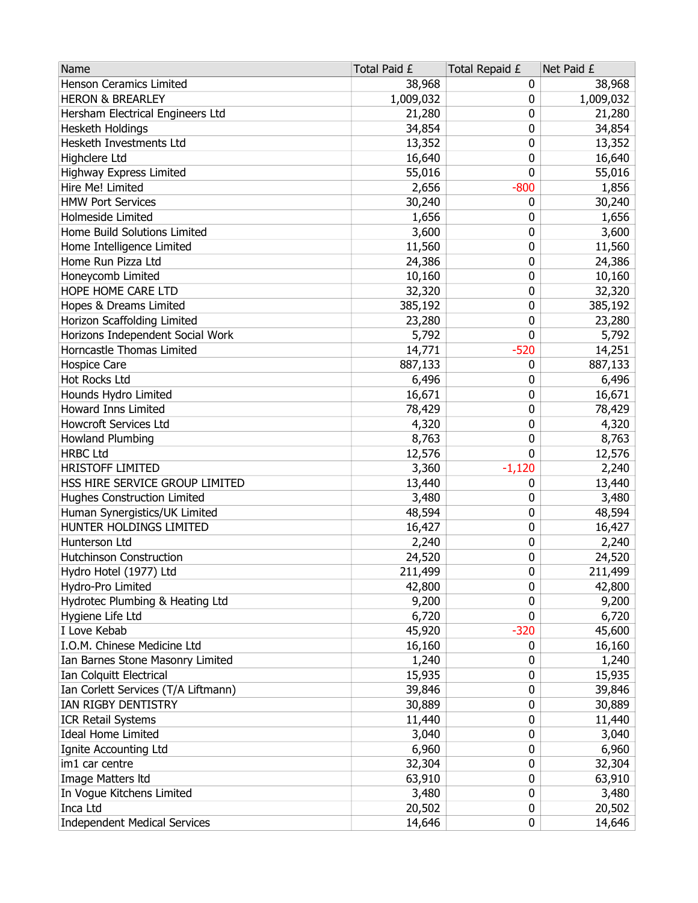| Name                                | Total Paid £ | Total Repaid £ | Net Paid £ |
|-------------------------------------|--------------|----------------|------------|
| Henson Ceramics Limited             | 38,968       | 0              | 38,968     |
| <b>HERON &amp; BREARLEY</b>         | 1,009,032    | 0              | 1,009,032  |
| Hersham Electrical Engineers Ltd    | 21,280       | 0              | 21,280     |
| Hesketh Holdings                    | 34,854       | 0              | 34,854     |
| Hesketh Investments Ltd             | 13,352       | 0              | 13,352     |
| Highclere Ltd                       | 16,640       | 0              | 16,640     |
| Highway Express Limited             | 55,016       | 0              | 55,016     |
| Hire Me! Limited                    | 2,656        | $-800$         | 1,856      |
| <b>HMW Port Services</b>            | 30,240       | 0              | 30,240     |
| Holmeside Limited                   | 1,656        | 0              | 1,656      |
| Home Build Solutions Limited        | 3,600        | 0              | 3,600      |
| Home Intelligence Limited           | 11,560       | 0              | 11,560     |
| Home Run Pizza Ltd                  | 24,386       | 0              | 24,386     |
| Honeycomb Limited                   | 10,160       | 0              | 10,160     |
| HOPE HOME CARE LTD                  | 32,320       | 0              | 32,320     |
| Hopes & Dreams Limited              | 385,192      | 0              | 385,192    |
| Horizon Scaffolding Limited         | 23,280       | 0              | 23,280     |
| Horizons Independent Social Work    | 5,792        | 0              | 5,792      |
| Horncastle Thomas Limited           | 14,771       | $-520$         | 14,251     |
| <b>Hospice Care</b>                 | 887,133      | 0              | 887,133    |
| Hot Rocks Ltd                       | 6,496        | 0              | 6,496      |
| Hounds Hydro Limited                | 16,671       | 0              | 16,671     |
| Howard Inns Limited                 | 78,429       | 0              | 78,429     |
| <b>Howcroft Services Ltd</b>        | 4,320        | 0              | 4,320      |
| Howland Plumbing                    | 8,763        | 0              | 8,763      |
| <b>HRBC Ltd</b>                     | 12,576       | 0              | 12,576     |
| <b>HRISTOFF LIMITED</b>             | 3,360        | $-1,120$       | 2,240      |
| HSS HIRE SERVICE GROUP LIMITED      | 13,440       | 0              | 13,440     |
| <b>Hughes Construction Limited</b>  | 3,480        | 0              | 3,480      |
| Human Synergistics/UK Limited       | 48,594       | 0              | 48,594     |
| HUNTER HOLDINGS LIMITED             | 16,427       | 0              | 16,427     |
| Hunterson Ltd                       | 2,240        | 0              | 2,240      |
| Hutchinson Construction             | 24,520       | 0              | 24,520     |
| Hydro Hotel (1977) Ltd              | 211,499      | 0              | 211,499    |
| Hydro-Pro Limited                   | 42,800       | 0              | 42,800     |
| Hydrotec Plumbing & Heating Ltd     | 9,200        | 0              | 9,200      |
| Hygiene Life Ltd                    | 6,720        | 0              | 6,720      |
| I Love Kebab                        | 45,920       | $-320$         | 45,600     |
| I.O.M. Chinese Medicine Ltd         | 16,160       | 0              | 16,160     |
| Ian Barnes Stone Masonry Limited    | 1,240        | 0              | 1,240      |
| Ian Colquitt Electrical             | 15,935       | 0              | 15,935     |
| Ian Corlett Services (T/A Liftmann) | 39,846       | 0              | 39,846     |
| IAN RIGBY DENTISTRY                 | 30,889       | 0              | 30,889     |
| <b>ICR Retail Systems</b>           | 11,440       | 0              | 11,440     |
| <b>Ideal Home Limited</b>           | 3,040        | 0              | 3,040      |
| Ignite Accounting Ltd               | 6,960        | 0              | 6,960      |
| im1 car centre                      | 32,304       | 0              | 32,304     |
| Image Matters Itd                   | 63,910       | 0              | 63,910     |
| In Vogue Kitchens Limited           | 3,480        | 0              | 3,480      |
| Inca Ltd                            | 20,502       | 0              | 20,502     |
| <b>Independent Medical Services</b> | 14,646       | 0              | 14,646     |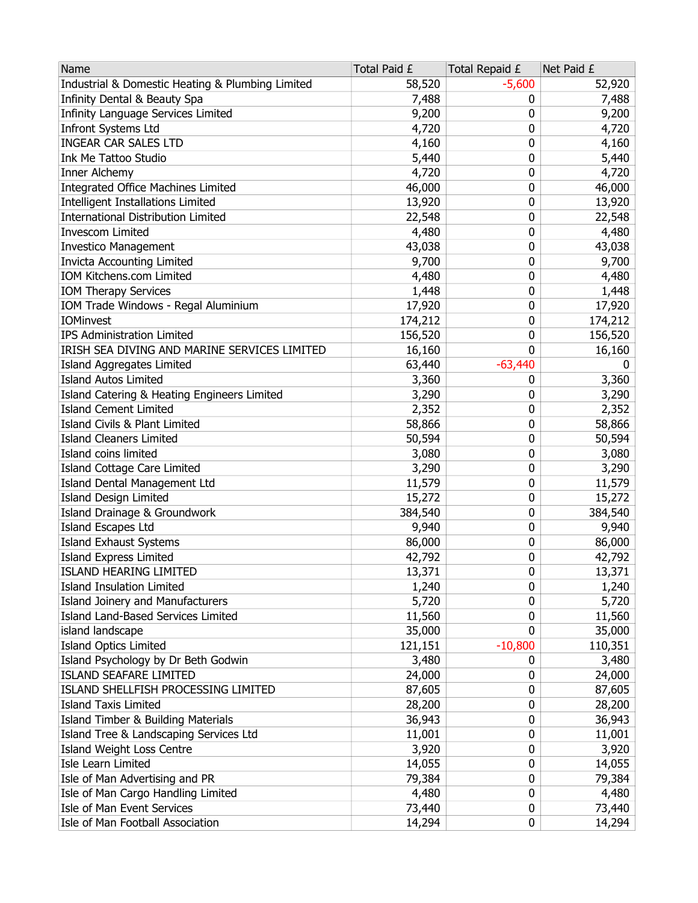| Name                                             | Total Paid £ | Total Repaid £ | Net Paid £ |
|--------------------------------------------------|--------------|----------------|------------|
| Industrial & Domestic Heating & Plumbing Limited | 58,520       | $-5,600$       | 52,920     |
| Infinity Dental & Beauty Spa                     | 7,488        | 0              | 7,488      |
| Infinity Language Services Limited               | 9,200        | 0              | 9,200      |
| <b>Infront Systems Ltd</b>                       | 4,720        | 0              | 4,720      |
| <b>INGEAR CAR SALES LTD</b>                      | 4,160        | 0              | 4,160      |
| Ink Me Tattoo Studio                             | 5,440        | 0              | 5,440      |
| Inner Alchemy                                    | 4,720        | 0              | 4,720      |
| <b>Integrated Office Machines Limited</b>        | 46,000       | 0              | 46,000     |
| <b>Intelligent Installations Limited</b>         | 13,920       | 0              | 13,920     |
| <b>International Distribution Limited</b>        | 22,548       | 0              | 22,548     |
| <b>Invescom Limited</b>                          | 4,480        | 0              | 4,480      |
| <b>Investico Management</b>                      | 43,038       | 0              | 43,038     |
| Invicta Accounting Limited                       | 9,700        | 0              | 9,700      |
| IOM Kitchens.com Limited                         | 4,480        | 0              | 4,480      |
| <b>IOM Therapy Services</b>                      | 1,448        | 0              | 1,448      |
| IOM Trade Windows - Regal Aluminium              | 17,920       | 0              | 17,920     |
| <b>IOMinvest</b>                                 | 174,212      | 0              | 174,212    |
| <b>IPS Administration Limited</b>                | 156,520      | 0              | 156,520    |
| IRISH SEA DIVING AND MARINE SERVICES LIMITED     | 16,160       | 0              | 16,160     |
| Island Aggregates Limited                        | 63,440       | $-63,440$      | 0          |
| <b>Island Autos Limited</b>                      | 3,360        | 0              | 3,360      |
| Island Catering & Heating Engineers Limited      | 3,290        | 0              | 3,290      |
| <b>Island Cement Limited</b>                     | 2,352        | 0              | 2,352      |
| Island Civils & Plant Limited                    | 58,866       | 0              | 58,866     |
| <b>Island Cleaners Limited</b>                   | 50,594       | 0              | 50,594     |
| Island coins limited                             | 3,080        | 0              | 3,080      |
| Island Cottage Care Limited                      | 3,290        | 0              | 3,290      |
| Island Dental Management Ltd                     | 11,579       | 0              | 11,579     |
| Island Design Limited                            | 15,272       | 0              | 15,272     |
| Island Drainage & Groundwork                     | 384,540      | 0              | 384,540    |
| <b>Island Escapes Ltd</b>                        | 9,940        | 0              | 9,940      |
| <b>Island Exhaust Systems</b>                    | 86,000       | 0              | 86,000     |
| <b>Island Express Limited</b>                    | 42,792       | 0              | 42,792     |
| <b>ISLAND HEARING LIMITED</b>                    | 13,371       | 0              | 13,371     |
| <b>Island Insulation Limited</b>                 | 1,240        | 0              | 1,240      |
| Island Joinery and Manufacturers                 | 5,720        | 0              | 5,720      |
| Island Land-Based Services Limited               | 11,560       | 0              | 11,560     |
| island landscape                                 | 35,000       | 0              | 35,000     |
| <b>Island Optics Limited</b>                     | 121,151      | $-10,800$      | 110,351    |
| Island Psychology by Dr Beth Godwin              | 3,480        | 0              | 3,480      |
| <b>ISLAND SEAFARE LIMITED</b>                    | 24,000       | 0              | 24,000     |
| ISLAND SHELLFISH PROCESSING LIMITED              | 87,605       | 0              | 87,605     |
| <b>Island Taxis Limited</b>                      | 28,200       | 0              | 28,200     |
| Island Timber & Building Materials               | 36,943       | 0              | 36,943     |
| Island Tree & Landscaping Services Ltd           | 11,001       | 0              | 11,001     |
| Island Weight Loss Centre                        | 3,920        | 0              | 3,920      |
| Isle Learn Limited                               | 14,055       | 0              | 14,055     |
| Isle of Man Advertising and PR                   | 79,384       | 0              | 79,384     |
| Isle of Man Cargo Handling Limited               | 4,480        | 0              | 4,480      |
| Isle of Man Event Services                       | 73,440       | 0              | 73,440     |
| Isle of Man Football Association                 | 14,294       | 0              | 14,294     |
|                                                  |              |                |            |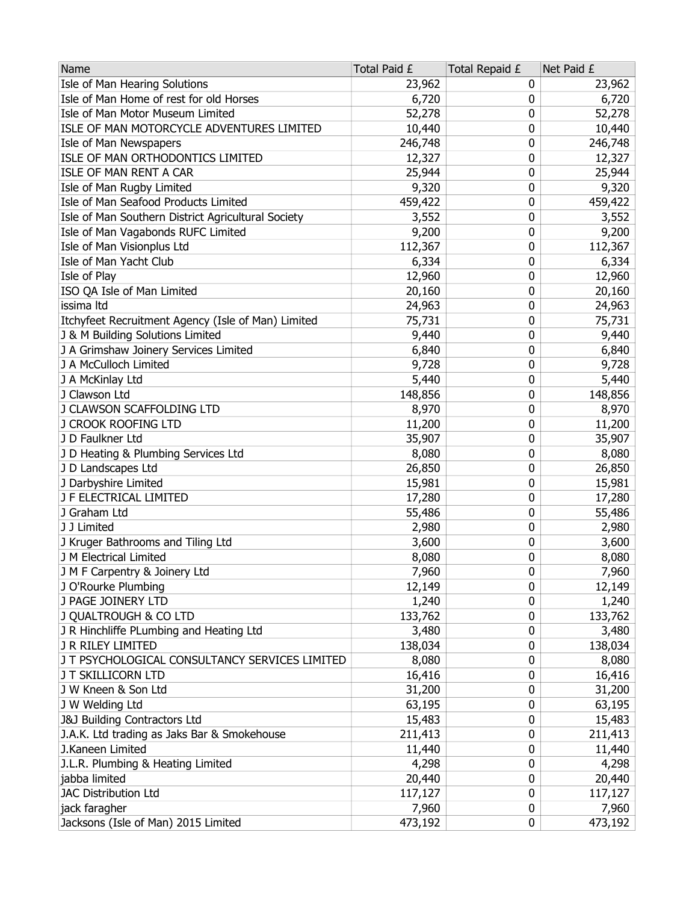| Name                                                 | Total Paid £ | Total Repaid £ | Net Paid £      |
|------------------------------------------------------|--------------|----------------|-----------------|
| Isle of Man Hearing Solutions                        | 23,962       | 0              | 23,962          |
| Isle of Man Home of rest for old Horses              | 6,720        | 0              | 6,720           |
| Isle of Man Motor Museum Limited                     | 52,278       | 0              | 52,278          |
| ISLE OF MAN MOTORCYCLE ADVENTURES LIMITED            | 10,440       | 0              | 10,440          |
| Isle of Man Newspapers                               | 246,748      | 0              | 246,748         |
| ISLE OF MAN ORTHODONTICS LIMITED                     | 12,327       | 0              | 12,327          |
| ISLE OF MAN RENT A CAR                               | 25,944       | 0              | 25,944          |
| Isle of Man Rugby Limited                            | 9,320        | 0              | 9,320           |
| Isle of Man Seafood Products Limited                 | 459,422      | 0              | 459,422         |
| Isle of Man Southern District Agricultural Society   | 3,552        | 0              | 3,552           |
| Isle of Man Vagabonds RUFC Limited                   | 9,200        | 0              | 9,200           |
| Isle of Man Visionplus Ltd                           | 112,367      | 0              | 112,367         |
| Isle of Man Yacht Club                               | 6,334        | 0              | 6,334           |
| Isle of Play                                         | 12,960       | 0              | 12,960          |
| ISO QA Isle of Man Limited                           | 20,160       | 0              | 20,160          |
| issima Itd                                           | 24,963       | 0              | 24,963          |
| Itchyfeet Recruitment Agency (Isle of Man) Limited   | 75,731       | 0              | 75,731          |
| J & M Building Solutions Limited                     | 9,440        | 0              | 9,440           |
| J A Grimshaw Joinery Services Limited                | 6,840        | 0              | 6,840           |
| J A McCulloch Limited                                | 9,728        | 0              | 9,728           |
| J A McKinlay Ltd                                     | 5,440        | 0              | 5,440           |
| J Clawson Ltd                                        | 148,856      | 0              | 148,856         |
| J CLAWSON SCAFFOLDING LTD                            | 8,970        | 0              | 8,970           |
| J CROOK ROOFING LTD                                  | 11,200       | 0              | 11,200          |
| J D Faulkner Ltd                                     | 35,907       | 0              | 35,907          |
| J D Heating & Plumbing Services Ltd                  | 8,080        | 0              | 8,080           |
| J D Landscapes Ltd                                   | 26,850       | 0              | 26,850          |
| J Darbyshire Limited                                 | 15,981       | 0              | 15,981          |
| J F ELECTRICAL LIMITED                               | 17,280       | 0              | 17,280          |
| J Graham Ltd                                         | 55,486       | 0              | 55,486          |
| J J Limited                                          | 2,980        | 0              | 2,980           |
| J Kruger Bathrooms and Tiling Ltd                    | 3,600        | 0              | 3,600           |
| J M Electrical Limited                               | 8,080        | 0              | 8,080           |
|                                                      | 7,960        | 0              |                 |
| J M F Carpentry & Joinery Ltd<br>J O'Rourke Plumbing | 12,149       | 0              | 7,960<br>12,149 |
| J PAGE JOINERY LTD                                   | 1,240        | 0              | 1,240           |
| J QUALTROUGH & CO LTD                                |              | 0              |                 |
| J R Hinchliffe PLumbing and Heating Ltd              | 133,762      | 0              | 133,762         |
|                                                      | 3,480        |                | 3,480           |
| J R RILEY LIMITED                                    | 138,034      | 0              | 138,034         |
| J T PSYCHOLOGICAL CONSULTANCY SERVICES LIMITED       | 8,080        | 0              | 8,080           |
| J T SKILLICORN LTD                                   | 16,416       | 0              | 16,416          |
| J W Kneen & Son Ltd                                  | 31,200       | 0              | 31,200          |
| J W Welding Ltd                                      | 63,195       | 0              | 63,195          |
| <b>J&amp;J Building Contractors Ltd</b>              | 15,483       | 0              | 15,483          |
| J.A.K. Ltd trading as Jaks Bar & Smokehouse          | 211,413      | 0              | 211,413         |
| J.Kaneen Limited                                     | 11,440       | 0              | 11,440          |
| J.L.R. Plumbing & Heating Limited                    | 4,298        | 0              | 4,298           |
| jabba limited                                        | 20,440       | 0              | 20,440          |
| <b>JAC Distribution Ltd</b>                          | 117,127      | 0              | 117,127         |
| jack faragher                                        | 7,960        | 0              | 7,960           |
| Jacksons (Isle of Man) 2015 Limited                  | 473,192      | 0              | 473,192         |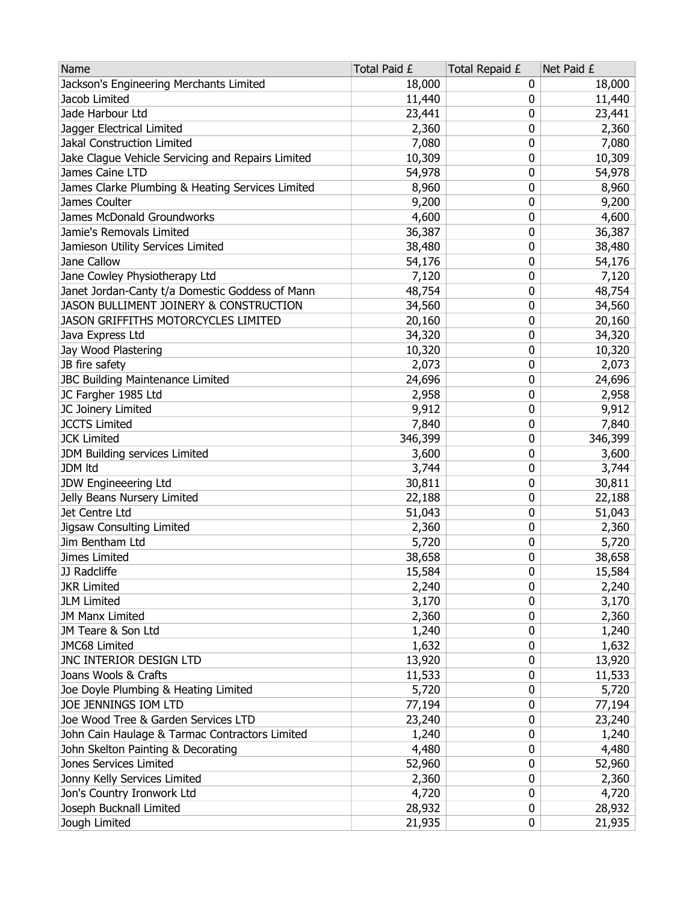| Jackson's Engineering Merchants Limited<br>18,000<br>0<br>18,000<br>Jacob Limited<br>11,440<br>11,440<br>0<br>23,441<br>23,441<br>Jade Harbour Ltd<br>0<br>Jagger Electrical Limited<br>2,360<br>0<br>2,360<br>Jakal Construction Limited<br>7,080<br>7,080<br>0<br>Jake Clague Vehicle Servicing and Repairs Limited<br>0<br>10,309<br>10,309<br>James Caine LTD<br>54,978<br>54,978<br>0<br>James Clarke Plumbing & Heating Services Limited<br>0<br>8,960<br>8,960<br>James Coulter<br>9,200<br>9,200<br>0<br>James McDonald Groundworks<br>4,600<br>4,600<br>0<br>36,387<br>0<br>Jamie's Removals Limited<br>36,387<br>Jamieson Utility Services Limited<br>38,480<br>0<br>38,480<br>Jane Callow<br>54,176<br>0<br>54,176<br>Jane Cowley Physiotherapy Ltd<br>7,120<br>0<br>7,120<br>Janet Jordan-Canty t/a Domestic Goddess of Mann<br>48,754<br>0<br>48,754<br>JASON BULLIMENT JOINERY & CONSTRUCTION<br>34,560<br>34,560<br>0<br><b>JASON GRIFFITHS MOTORCYCLES LIMITED</b><br>20,160<br>20,160<br>0<br>Java Express Ltd<br>34,320<br>0<br>34,320<br>Jay Wood Plastering<br>10,320<br>0<br>10,320<br>JB fire safety<br>2,073<br>0<br>2,073<br>JBC Building Maintenance Limited<br>24,696<br>24,696<br>0<br>JC Fargher 1985 Ltd<br>2,958<br>2,958<br>0<br>9,912<br>JC Joinery Limited<br>9,912<br>0<br><b>JCCTS Limited</b><br>7,840<br>0<br>7,840<br><b>JCK Limited</b><br>346,399<br>0<br>346,399<br>JDM Building services Limited<br>0<br>3,600<br>3,600<br><b>JDM Itd</b><br>3,744<br>0<br>3,744<br>JDW Engineeering Ltd<br>30,811<br>30,811<br>0<br>Jelly Beans Nursery Limited<br>22,188<br>0<br>22,188<br>Jet Centre Ltd<br>51,043<br>0<br>51,043<br>Jigsaw Consulting Limited<br>0<br>2,360<br>2,360<br>Jim Bentham Ltd<br>5,720<br>5,720<br>0<br>Jimes Limited<br>38,658<br>0<br>38,658<br>0<br>15,584<br>15,584<br>JJ Radcliffe<br>2,240<br>0<br>2,240<br><b>JKR Limited</b><br>3,170<br><b>JLM Limited</b><br>3,170<br>0<br><b>JM Manx Limited</b><br>0<br>2,360<br>2,360<br>JM Teare & Son Ltd<br>1,240<br>1,240<br>0<br>JMC68 Limited<br>1,632<br>1,632<br>0<br>JNC INTERIOR DESIGN LTD<br>13,920<br>13,920<br>0<br>Joans Wools & Crafts<br>11,533<br>0<br>11,533<br>Joe Doyle Plumbing & Heating Limited<br>5,720<br>0<br>5,720<br>JOE JENNINGS IOM LTD<br>77,194<br>77,194<br>0<br>Joe Wood Tree & Garden Services LTD<br>0<br>23,240<br>23,240<br>John Cain Haulage & Tarmac Contractors Limited<br>1,240<br>0<br>1,240<br>John Skelton Painting & Decorating<br>4,480<br>4,480<br>0<br>Jones Services Limited<br>52,960<br>0<br>52,960<br>Jonny Kelly Services Limited<br>0<br>2,360<br>2,360<br>Jon's Country Ironwork Ltd<br>4,720<br>0<br>4,720<br>Joseph Bucknall Limited<br>28,932<br>28,932<br>0 | Name          | Total Paid £ | Total Repaid £ | Net Paid £ |
|-------------------------------------------------------------------------------------------------------------------------------------------------------------------------------------------------------------------------------------------------------------------------------------------------------------------------------------------------------------------------------------------------------------------------------------------------------------------------------------------------------------------------------------------------------------------------------------------------------------------------------------------------------------------------------------------------------------------------------------------------------------------------------------------------------------------------------------------------------------------------------------------------------------------------------------------------------------------------------------------------------------------------------------------------------------------------------------------------------------------------------------------------------------------------------------------------------------------------------------------------------------------------------------------------------------------------------------------------------------------------------------------------------------------------------------------------------------------------------------------------------------------------------------------------------------------------------------------------------------------------------------------------------------------------------------------------------------------------------------------------------------------------------------------------------------------------------------------------------------------------------------------------------------------------------------------------------------------------------------------------------------------------------------------------------------------------------------------------------------------------------------------------------------------------------------------------------------------------------------------------------------------------------------------------------------------------------------------------------------------------------------------------------------------------------------------------------------------------------------------------------------------------------------------------------------------------------------------------------------------------------------------------------------------------------------------------------------------------------|---------------|--------------|----------------|------------|
|                                                                                                                                                                                                                                                                                                                                                                                                                                                                                                                                                                                                                                                                                                                                                                                                                                                                                                                                                                                                                                                                                                                                                                                                                                                                                                                                                                                                                                                                                                                                                                                                                                                                                                                                                                                                                                                                                                                                                                                                                                                                                                                                                                                                                                                                                                                                                                                                                                                                                                                                                                                                                                                                                                                               |               |              |                |            |
|                                                                                                                                                                                                                                                                                                                                                                                                                                                                                                                                                                                                                                                                                                                                                                                                                                                                                                                                                                                                                                                                                                                                                                                                                                                                                                                                                                                                                                                                                                                                                                                                                                                                                                                                                                                                                                                                                                                                                                                                                                                                                                                                                                                                                                                                                                                                                                                                                                                                                                                                                                                                                                                                                                                               |               |              |                |            |
|                                                                                                                                                                                                                                                                                                                                                                                                                                                                                                                                                                                                                                                                                                                                                                                                                                                                                                                                                                                                                                                                                                                                                                                                                                                                                                                                                                                                                                                                                                                                                                                                                                                                                                                                                                                                                                                                                                                                                                                                                                                                                                                                                                                                                                                                                                                                                                                                                                                                                                                                                                                                                                                                                                                               |               |              |                |            |
|                                                                                                                                                                                                                                                                                                                                                                                                                                                                                                                                                                                                                                                                                                                                                                                                                                                                                                                                                                                                                                                                                                                                                                                                                                                                                                                                                                                                                                                                                                                                                                                                                                                                                                                                                                                                                                                                                                                                                                                                                                                                                                                                                                                                                                                                                                                                                                                                                                                                                                                                                                                                                                                                                                                               |               |              |                |            |
|                                                                                                                                                                                                                                                                                                                                                                                                                                                                                                                                                                                                                                                                                                                                                                                                                                                                                                                                                                                                                                                                                                                                                                                                                                                                                                                                                                                                                                                                                                                                                                                                                                                                                                                                                                                                                                                                                                                                                                                                                                                                                                                                                                                                                                                                                                                                                                                                                                                                                                                                                                                                                                                                                                                               |               |              |                |            |
|                                                                                                                                                                                                                                                                                                                                                                                                                                                                                                                                                                                                                                                                                                                                                                                                                                                                                                                                                                                                                                                                                                                                                                                                                                                                                                                                                                                                                                                                                                                                                                                                                                                                                                                                                                                                                                                                                                                                                                                                                                                                                                                                                                                                                                                                                                                                                                                                                                                                                                                                                                                                                                                                                                                               |               |              |                |            |
|                                                                                                                                                                                                                                                                                                                                                                                                                                                                                                                                                                                                                                                                                                                                                                                                                                                                                                                                                                                                                                                                                                                                                                                                                                                                                                                                                                                                                                                                                                                                                                                                                                                                                                                                                                                                                                                                                                                                                                                                                                                                                                                                                                                                                                                                                                                                                                                                                                                                                                                                                                                                                                                                                                                               |               |              |                |            |
|                                                                                                                                                                                                                                                                                                                                                                                                                                                                                                                                                                                                                                                                                                                                                                                                                                                                                                                                                                                                                                                                                                                                                                                                                                                                                                                                                                                                                                                                                                                                                                                                                                                                                                                                                                                                                                                                                                                                                                                                                                                                                                                                                                                                                                                                                                                                                                                                                                                                                                                                                                                                                                                                                                                               |               |              |                |            |
|                                                                                                                                                                                                                                                                                                                                                                                                                                                                                                                                                                                                                                                                                                                                                                                                                                                                                                                                                                                                                                                                                                                                                                                                                                                                                                                                                                                                                                                                                                                                                                                                                                                                                                                                                                                                                                                                                                                                                                                                                                                                                                                                                                                                                                                                                                                                                                                                                                                                                                                                                                                                                                                                                                                               |               |              |                |            |
|                                                                                                                                                                                                                                                                                                                                                                                                                                                                                                                                                                                                                                                                                                                                                                                                                                                                                                                                                                                                                                                                                                                                                                                                                                                                                                                                                                                                                                                                                                                                                                                                                                                                                                                                                                                                                                                                                                                                                                                                                                                                                                                                                                                                                                                                                                                                                                                                                                                                                                                                                                                                                                                                                                                               |               |              |                |            |
|                                                                                                                                                                                                                                                                                                                                                                                                                                                                                                                                                                                                                                                                                                                                                                                                                                                                                                                                                                                                                                                                                                                                                                                                                                                                                                                                                                                                                                                                                                                                                                                                                                                                                                                                                                                                                                                                                                                                                                                                                                                                                                                                                                                                                                                                                                                                                                                                                                                                                                                                                                                                                                                                                                                               |               |              |                |            |
|                                                                                                                                                                                                                                                                                                                                                                                                                                                                                                                                                                                                                                                                                                                                                                                                                                                                                                                                                                                                                                                                                                                                                                                                                                                                                                                                                                                                                                                                                                                                                                                                                                                                                                                                                                                                                                                                                                                                                                                                                                                                                                                                                                                                                                                                                                                                                                                                                                                                                                                                                                                                                                                                                                                               |               |              |                |            |
|                                                                                                                                                                                                                                                                                                                                                                                                                                                                                                                                                                                                                                                                                                                                                                                                                                                                                                                                                                                                                                                                                                                                                                                                                                                                                                                                                                                                                                                                                                                                                                                                                                                                                                                                                                                                                                                                                                                                                                                                                                                                                                                                                                                                                                                                                                                                                                                                                                                                                                                                                                                                                                                                                                                               |               |              |                |            |
|                                                                                                                                                                                                                                                                                                                                                                                                                                                                                                                                                                                                                                                                                                                                                                                                                                                                                                                                                                                                                                                                                                                                                                                                                                                                                                                                                                                                                                                                                                                                                                                                                                                                                                                                                                                                                                                                                                                                                                                                                                                                                                                                                                                                                                                                                                                                                                                                                                                                                                                                                                                                                                                                                                                               |               |              |                |            |
|                                                                                                                                                                                                                                                                                                                                                                                                                                                                                                                                                                                                                                                                                                                                                                                                                                                                                                                                                                                                                                                                                                                                                                                                                                                                                                                                                                                                                                                                                                                                                                                                                                                                                                                                                                                                                                                                                                                                                                                                                                                                                                                                                                                                                                                                                                                                                                                                                                                                                                                                                                                                                                                                                                                               |               |              |                |            |
|                                                                                                                                                                                                                                                                                                                                                                                                                                                                                                                                                                                                                                                                                                                                                                                                                                                                                                                                                                                                                                                                                                                                                                                                                                                                                                                                                                                                                                                                                                                                                                                                                                                                                                                                                                                                                                                                                                                                                                                                                                                                                                                                                                                                                                                                                                                                                                                                                                                                                                                                                                                                                                                                                                                               |               |              |                |            |
|                                                                                                                                                                                                                                                                                                                                                                                                                                                                                                                                                                                                                                                                                                                                                                                                                                                                                                                                                                                                                                                                                                                                                                                                                                                                                                                                                                                                                                                                                                                                                                                                                                                                                                                                                                                                                                                                                                                                                                                                                                                                                                                                                                                                                                                                                                                                                                                                                                                                                                                                                                                                                                                                                                                               |               |              |                |            |
|                                                                                                                                                                                                                                                                                                                                                                                                                                                                                                                                                                                                                                                                                                                                                                                                                                                                                                                                                                                                                                                                                                                                                                                                                                                                                                                                                                                                                                                                                                                                                                                                                                                                                                                                                                                                                                                                                                                                                                                                                                                                                                                                                                                                                                                                                                                                                                                                                                                                                                                                                                                                                                                                                                                               |               |              |                |            |
|                                                                                                                                                                                                                                                                                                                                                                                                                                                                                                                                                                                                                                                                                                                                                                                                                                                                                                                                                                                                                                                                                                                                                                                                                                                                                                                                                                                                                                                                                                                                                                                                                                                                                                                                                                                                                                                                                                                                                                                                                                                                                                                                                                                                                                                                                                                                                                                                                                                                                                                                                                                                                                                                                                                               |               |              |                |            |
|                                                                                                                                                                                                                                                                                                                                                                                                                                                                                                                                                                                                                                                                                                                                                                                                                                                                                                                                                                                                                                                                                                                                                                                                                                                                                                                                                                                                                                                                                                                                                                                                                                                                                                                                                                                                                                                                                                                                                                                                                                                                                                                                                                                                                                                                                                                                                                                                                                                                                                                                                                                                                                                                                                                               |               |              |                |            |
|                                                                                                                                                                                                                                                                                                                                                                                                                                                                                                                                                                                                                                                                                                                                                                                                                                                                                                                                                                                                                                                                                                                                                                                                                                                                                                                                                                                                                                                                                                                                                                                                                                                                                                                                                                                                                                                                                                                                                                                                                                                                                                                                                                                                                                                                                                                                                                                                                                                                                                                                                                                                                                                                                                                               |               |              |                |            |
|                                                                                                                                                                                                                                                                                                                                                                                                                                                                                                                                                                                                                                                                                                                                                                                                                                                                                                                                                                                                                                                                                                                                                                                                                                                                                                                                                                                                                                                                                                                                                                                                                                                                                                                                                                                                                                                                                                                                                                                                                                                                                                                                                                                                                                                                                                                                                                                                                                                                                                                                                                                                                                                                                                                               |               |              |                |            |
|                                                                                                                                                                                                                                                                                                                                                                                                                                                                                                                                                                                                                                                                                                                                                                                                                                                                                                                                                                                                                                                                                                                                                                                                                                                                                                                                                                                                                                                                                                                                                                                                                                                                                                                                                                                                                                                                                                                                                                                                                                                                                                                                                                                                                                                                                                                                                                                                                                                                                                                                                                                                                                                                                                                               |               |              |                |            |
|                                                                                                                                                                                                                                                                                                                                                                                                                                                                                                                                                                                                                                                                                                                                                                                                                                                                                                                                                                                                                                                                                                                                                                                                                                                                                                                                                                                                                                                                                                                                                                                                                                                                                                                                                                                                                                                                                                                                                                                                                                                                                                                                                                                                                                                                                                                                                                                                                                                                                                                                                                                                                                                                                                                               |               |              |                |            |
|                                                                                                                                                                                                                                                                                                                                                                                                                                                                                                                                                                                                                                                                                                                                                                                                                                                                                                                                                                                                                                                                                                                                                                                                                                                                                                                                                                                                                                                                                                                                                                                                                                                                                                                                                                                                                                                                                                                                                                                                                                                                                                                                                                                                                                                                                                                                                                                                                                                                                                                                                                                                                                                                                                                               |               |              |                |            |
|                                                                                                                                                                                                                                                                                                                                                                                                                                                                                                                                                                                                                                                                                                                                                                                                                                                                                                                                                                                                                                                                                                                                                                                                                                                                                                                                                                                                                                                                                                                                                                                                                                                                                                                                                                                                                                                                                                                                                                                                                                                                                                                                                                                                                                                                                                                                                                                                                                                                                                                                                                                                                                                                                                                               |               |              |                |            |
|                                                                                                                                                                                                                                                                                                                                                                                                                                                                                                                                                                                                                                                                                                                                                                                                                                                                                                                                                                                                                                                                                                                                                                                                                                                                                                                                                                                                                                                                                                                                                                                                                                                                                                                                                                                                                                                                                                                                                                                                                                                                                                                                                                                                                                                                                                                                                                                                                                                                                                                                                                                                                                                                                                                               |               |              |                |            |
|                                                                                                                                                                                                                                                                                                                                                                                                                                                                                                                                                                                                                                                                                                                                                                                                                                                                                                                                                                                                                                                                                                                                                                                                                                                                                                                                                                                                                                                                                                                                                                                                                                                                                                                                                                                                                                                                                                                                                                                                                                                                                                                                                                                                                                                                                                                                                                                                                                                                                                                                                                                                                                                                                                                               |               |              |                |            |
|                                                                                                                                                                                                                                                                                                                                                                                                                                                                                                                                                                                                                                                                                                                                                                                                                                                                                                                                                                                                                                                                                                                                                                                                                                                                                                                                                                                                                                                                                                                                                                                                                                                                                                                                                                                                                                                                                                                                                                                                                                                                                                                                                                                                                                                                                                                                                                                                                                                                                                                                                                                                                                                                                                                               |               |              |                |            |
|                                                                                                                                                                                                                                                                                                                                                                                                                                                                                                                                                                                                                                                                                                                                                                                                                                                                                                                                                                                                                                                                                                                                                                                                                                                                                                                                                                                                                                                                                                                                                                                                                                                                                                                                                                                                                                                                                                                                                                                                                                                                                                                                                                                                                                                                                                                                                                                                                                                                                                                                                                                                                                                                                                                               |               |              |                |            |
|                                                                                                                                                                                                                                                                                                                                                                                                                                                                                                                                                                                                                                                                                                                                                                                                                                                                                                                                                                                                                                                                                                                                                                                                                                                                                                                                                                                                                                                                                                                                                                                                                                                                                                                                                                                                                                                                                                                                                                                                                                                                                                                                                                                                                                                                                                                                                                                                                                                                                                                                                                                                                                                                                                                               |               |              |                |            |
|                                                                                                                                                                                                                                                                                                                                                                                                                                                                                                                                                                                                                                                                                                                                                                                                                                                                                                                                                                                                                                                                                                                                                                                                                                                                                                                                                                                                                                                                                                                                                                                                                                                                                                                                                                                                                                                                                                                                                                                                                                                                                                                                                                                                                                                                                                                                                                                                                                                                                                                                                                                                                                                                                                                               |               |              |                |            |
|                                                                                                                                                                                                                                                                                                                                                                                                                                                                                                                                                                                                                                                                                                                                                                                                                                                                                                                                                                                                                                                                                                                                                                                                                                                                                                                                                                                                                                                                                                                                                                                                                                                                                                                                                                                                                                                                                                                                                                                                                                                                                                                                                                                                                                                                                                                                                                                                                                                                                                                                                                                                                                                                                                                               |               |              |                |            |
|                                                                                                                                                                                                                                                                                                                                                                                                                                                                                                                                                                                                                                                                                                                                                                                                                                                                                                                                                                                                                                                                                                                                                                                                                                                                                                                                                                                                                                                                                                                                                                                                                                                                                                                                                                                                                                                                                                                                                                                                                                                                                                                                                                                                                                                                                                                                                                                                                                                                                                                                                                                                                                                                                                                               |               |              |                |            |
|                                                                                                                                                                                                                                                                                                                                                                                                                                                                                                                                                                                                                                                                                                                                                                                                                                                                                                                                                                                                                                                                                                                                                                                                                                                                                                                                                                                                                                                                                                                                                                                                                                                                                                                                                                                                                                                                                                                                                                                                                                                                                                                                                                                                                                                                                                                                                                                                                                                                                                                                                                                                                                                                                                                               |               |              |                |            |
|                                                                                                                                                                                                                                                                                                                                                                                                                                                                                                                                                                                                                                                                                                                                                                                                                                                                                                                                                                                                                                                                                                                                                                                                                                                                                                                                                                                                                                                                                                                                                                                                                                                                                                                                                                                                                                                                                                                                                                                                                                                                                                                                                                                                                                                                                                                                                                                                                                                                                                                                                                                                                                                                                                                               |               |              |                |            |
|                                                                                                                                                                                                                                                                                                                                                                                                                                                                                                                                                                                                                                                                                                                                                                                                                                                                                                                                                                                                                                                                                                                                                                                                                                                                                                                                                                                                                                                                                                                                                                                                                                                                                                                                                                                                                                                                                                                                                                                                                                                                                                                                                                                                                                                                                                                                                                                                                                                                                                                                                                                                                                                                                                                               |               |              |                |            |
|                                                                                                                                                                                                                                                                                                                                                                                                                                                                                                                                                                                                                                                                                                                                                                                                                                                                                                                                                                                                                                                                                                                                                                                                                                                                                                                                                                                                                                                                                                                                                                                                                                                                                                                                                                                                                                                                                                                                                                                                                                                                                                                                                                                                                                                                                                                                                                                                                                                                                                                                                                                                                                                                                                                               |               |              |                |            |
|                                                                                                                                                                                                                                                                                                                                                                                                                                                                                                                                                                                                                                                                                                                                                                                                                                                                                                                                                                                                                                                                                                                                                                                                                                                                                                                                                                                                                                                                                                                                                                                                                                                                                                                                                                                                                                                                                                                                                                                                                                                                                                                                                                                                                                                                                                                                                                                                                                                                                                                                                                                                                                                                                                                               |               |              |                |            |
|                                                                                                                                                                                                                                                                                                                                                                                                                                                                                                                                                                                                                                                                                                                                                                                                                                                                                                                                                                                                                                                                                                                                                                                                                                                                                                                                                                                                                                                                                                                                                                                                                                                                                                                                                                                                                                                                                                                                                                                                                                                                                                                                                                                                                                                                                                                                                                                                                                                                                                                                                                                                                                                                                                                               |               |              |                |            |
|                                                                                                                                                                                                                                                                                                                                                                                                                                                                                                                                                                                                                                                                                                                                                                                                                                                                                                                                                                                                                                                                                                                                                                                                                                                                                                                                                                                                                                                                                                                                                                                                                                                                                                                                                                                                                                                                                                                                                                                                                                                                                                                                                                                                                                                                                                                                                                                                                                                                                                                                                                                                                                                                                                                               |               |              |                |            |
|                                                                                                                                                                                                                                                                                                                                                                                                                                                                                                                                                                                                                                                                                                                                                                                                                                                                                                                                                                                                                                                                                                                                                                                                                                                                                                                                                                                                                                                                                                                                                                                                                                                                                                                                                                                                                                                                                                                                                                                                                                                                                                                                                                                                                                                                                                                                                                                                                                                                                                                                                                                                                                                                                                                               |               |              |                |            |
|                                                                                                                                                                                                                                                                                                                                                                                                                                                                                                                                                                                                                                                                                                                                                                                                                                                                                                                                                                                                                                                                                                                                                                                                                                                                                                                                                                                                                                                                                                                                                                                                                                                                                                                                                                                                                                                                                                                                                                                                                                                                                                                                                                                                                                                                                                                                                                                                                                                                                                                                                                                                                                                                                                                               |               |              |                |            |
|                                                                                                                                                                                                                                                                                                                                                                                                                                                                                                                                                                                                                                                                                                                                                                                                                                                                                                                                                                                                                                                                                                                                                                                                                                                                                                                                                                                                                                                                                                                                                                                                                                                                                                                                                                                                                                                                                                                                                                                                                                                                                                                                                                                                                                                                                                                                                                                                                                                                                                                                                                                                                                                                                                                               |               |              |                |            |
|                                                                                                                                                                                                                                                                                                                                                                                                                                                                                                                                                                                                                                                                                                                                                                                                                                                                                                                                                                                                                                                                                                                                                                                                                                                                                                                                                                                                                                                                                                                                                                                                                                                                                                                                                                                                                                                                                                                                                                                                                                                                                                                                                                                                                                                                                                                                                                                                                                                                                                                                                                                                                                                                                                                               |               |              |                |            |
|                                                                                                                                                                                                                                                                                                                                                                                                                                                                                                                                                                                                                                                                                                                                                                                                                                                                                                                                                                                                                                                                                                                                                                                                                                                                                                                                                                                                                                                                                                                                                                                                                                                                                                                                                                                                                                                                                                                                                                                                                                                                                                                                                                                                                                                                                                                                                                                                                                                                                                                                                                                                                                                                                                                               |               |              |                |            |
|                                                                                                                                                                                                                                                                                                                                                                                                                                                                                                                                                                                                                                                                                                                                                                                                                                                                                                                                                                                                                                                                                                                                                                                                                                                                                                                                                                                                                                                                                                                                                                                                                                                                                                                                                                                                                                                                                                                                                                                                                                                                                                                                                                                                                                                                                                                                                                                                                                                                                                                                                                                                                                                                                                                               |               |              |                |            |
|                                                                                                                                                                                                                                                                                                                                                                                                                                                                                                                                                                                                                                                                                                                                                                                                                                                                                                                                                                                                                                                                                                                                                                                                                                                                                                                                                                                                                                                                                                                                                                                                                                                                                                                                                                                                                                                                                                                                                                                                                                                                                                                                                                                                                                                                                                                                                                                                                                                                                                                                                                                                                                                                                                                               |               |              |                |            |
|                                                                                                                                                                                                                                                                                                                                                                                                                                                                                                                                                                                                                                                                                                                                                                                                                                                                                                                                                                                                                                                                                                                                                                                                                                                                                                                                                                                                                                                                                                                                                                                                                                                                                                                                                                                                                                                                                                                                                                                                                                                                                                                                                                                                                                                                                                                                                                                                                                                                                                                                                                                                                                                                                                                               |               |              |                |            |
|                                                                                                                                                                                                                                                                                                                                                                                                                                                                                                                                                                                                                                                                                                                                                                                                                                                                                                                                                                                                                                                                                                                                                                                                                                                                                                                                                                                                                                                                                                                                                                                                                                                                                                                                                                                                                                                                                                                                                                                                                                                                                                                                                                                                                                                                                                                                                                                                                                                                                                                                                                                                                                                                                                                               |               |              |                |            |
|                                                                                                                                                                                                                                                                                                                                                                                                                                                                                                                                                                                                                                                                                                                                                                                                                                                                                                                                                                                                                                                                                                                                                                                                                                                                                                                                                                                                                                                                                                                                                                                                                                                                                                                                                                                                                                                                                                                                                                                                                                                                                                                                                                                                                                                                                                                                                                                                                                                                                                                                                                                                                                                                                                                               | Jough Limited | 21,935       | 0              | 21,935     |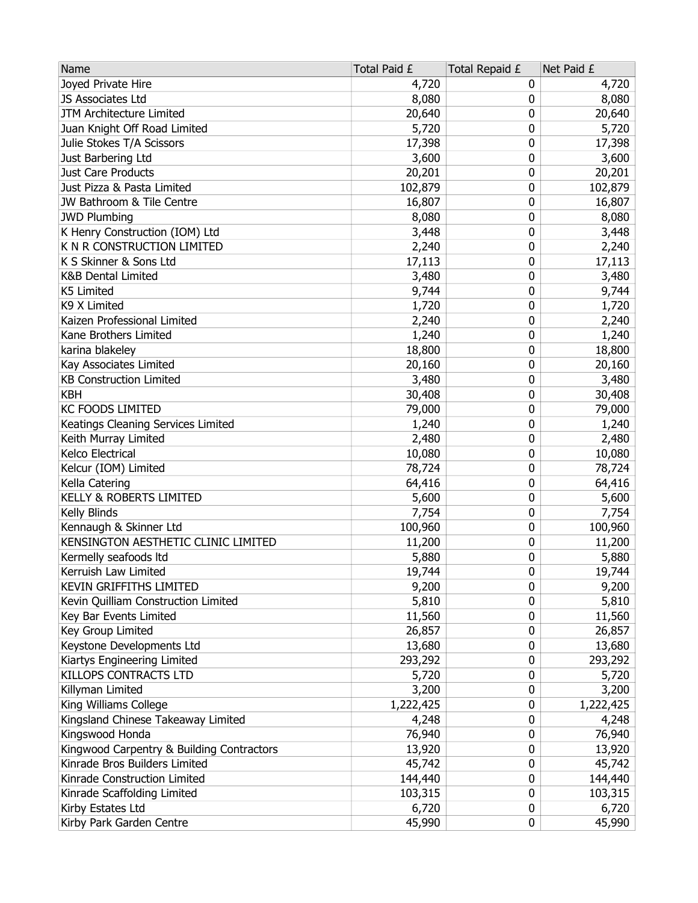| Name                                      | Total Paid £ | Total Repaid £ | Net Paid £ |
|-------------------------------------------|--------------|----------------|------------|
| Joyed Private Hire                        | 4,720        | 0              | 4,720      |
| JS Associates Ltd                         | 8,080        | 0              | 8,080      |
| JTM Architecture Limited                  | 20,640       | 0              | 20,640     |
| Juan Knight Off Road Limited              | 5,720        | 0              | 5,720      |
| Julie Stokes T/A Scissors                 | 17,398       | 0              | 17,398     |
| Just Barbering Ltd                        | 3,600        | 0              | 3,600      |
| Just Care Products                        | 20,201       | 0              | 20,201     |
| Just Pizza & Pasta Limited                | 102,879      | 0              | 102,879    |
| JW Bathroom & Tile Centre                 | 16,807       | 0              | 16,807     |
| <b>JWD Plumbing</b>                       | 8,080        | 0              | 8,080      |
| K Henry Construction (IOM) Ltd            | 3,448        | 0              | 3,448      |
| K N R CONSTRUCTION LIMITED                | 2,240        | 0              | 2,240      |
| K S Skinner & Sons Ltd                    | 17,113       | 0              | 17,113     |
| <b>K&amp;B Dental Limited</b>             | 3,480        | 0              | 3,480      |
| K5 Limited                                | 9,744        | 0              | 9,744      |
| K9 X Limited                              | 1,720        | 0              | 1,720      |
| Kaizen Professional Limited               | 2,240        | 0              | 2,240      |
| Kane Brothers Limited                     | 1,240        | 0              | 1,240      |
| karina blakeley                           | 18,800       | 0              | 18,800     |
| Kay Associates Limited                    | 20,160       | 0              | 20,160     |
| <b>KB Construction Limited</b>            | 3,480        | 0              | 3,480      |
| <b>KBH</b>                                | 30,408       | 0              | 30,408     |
| <b>KC FOODS LIMITED</b>                   | 79,000       | 0              | 79,000     |
| Keatings Cleaning Services Limited        | 1,240        | 0              | 1,240      |
| Keith Murray Limited                      | 2,480        | 0              | 2,480      |
| Kelco Electrical                          | 10,080       | 0              | 10,080     |
| Kelcur (IOM) Limited                      | 78,724       | 0              | 78,724     |
| Kella Catering                            | 64,416       | 0              | 64,416     |
| <b>KELLY &amp; ROBERTS LIMITED</b>        | 5,600        | 0              | 5,600      |
| Kelly Blinds                              | 7,754        | 0              | 7,754      |
| Kennaugh & Skinner Ltd                    | 100,960      | 0              | 100,960    |
| KENSINGTON AESTHETIC CLINIC LIMITED       | 11,200       | 0              | 11,200     |
| Kermelly seafoods ltd                     | 5,880        | 0              | 5,880      |
| Kerruish Law Limited                      | 19,744       | 0              | 19,744     |
| <b>KEVIN GRIFFITHS LIMITED</b>            | 9,200        | 0              | 9,200      |
| Kevin Quilliam Construction Limited       | 5,810        | 0              | 5,810      |
| Key Bar Events Limited                    | 11,560       | 0              | 11,560     |
| Key Group Limited                         | 26,857       | 0              | 26,857     |
| Keystone Developments Ltd                 | 13,680       | 0              | 13,680     |
| Kiartys Engineering Limited               | 293,292      | 0              | 293,292    |
| KILLOPS CONTRACTS LTD                     | 5,720        | 0              | 5,720      |
| Killyman Limited                          | 3,200        | 0              | 3,200      |
| King Williams College                     | 1,222,425    | 0              | 1,222,425  |
| Kingsland Chinese Takeaway Limited        | 4,248        | 0              | 4,248      |
| Kingswood Honda                           | 76,940       | 0              | 76,940     |
| Kingwood Carpentry & Building Contractors | 13,920       | 0              | 13,920     |
| Kinrade Bros Builders Limited             | 45,742       | 0              | 45,742     |
| Kinrade Construction Limited              | 144,440      | 0              | 144,440    |
| Kinrade Scaffolding Limited               | 103,315      | 0              | 103,315    |
| Kirby Estates Ltd                         | 6,720        | 0              | 6,720      |
| Kirby Park Garden Centre                  | 45,990       | 0              | 45,990     |
|                                           |              |                |            |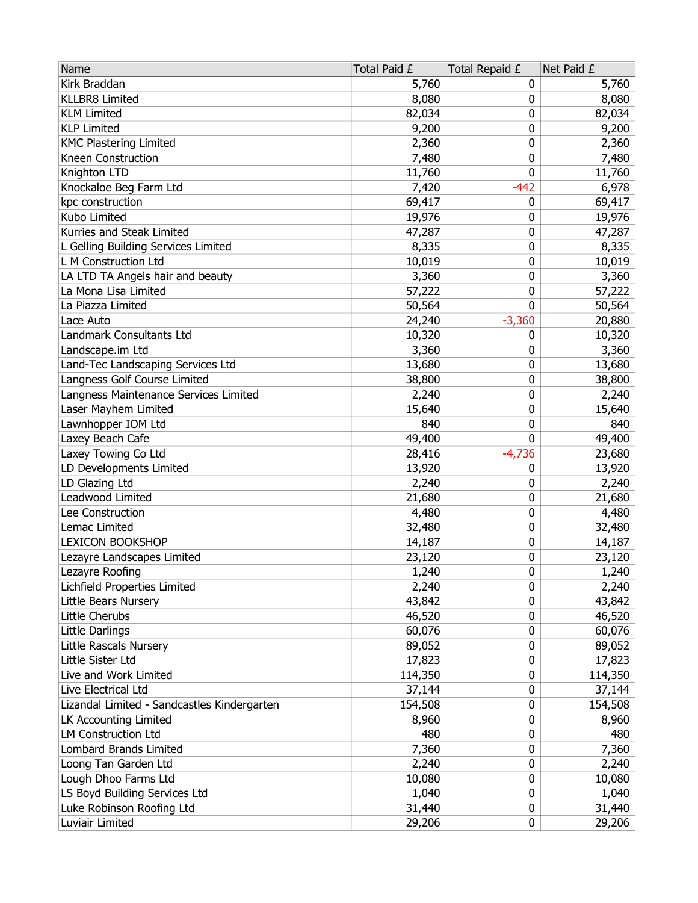| Kirk Braddan<br>5,760<br>5,760<br>0<br><b>KLLBR8 Limited</b><br>8,080<br>0<br>8,080<br><b>KLM Limited</b><br>82,034<br>82,034<br>0<br>9,200<br><b>KLP Limited</b><br>9,200<br>0<br><b>KMC Plastering Limited</b><br>2,360<br>0<br>2,360<br>Kneen Construction<br>7,480<br>0<br>7,480<br>Knighton LTD<br>0<br>11,760<br>11,760<br>$-442$<br>Knockaloe Beg Farm Ltd<br>6,978<br>7,420<br>kpc construction<br>69,417<br>69,417<br>0<br>Kubo Limited<br>19,976<br>19,976<br>0<br>Kurries and Steak Limited<br>47,287<br>0<br>47,287<br>0<br>L Gelling Building Services Limited<br>8,335<br>8,335<br>L M Construction Ltd<br>10,019<br>0<br>10,019<br>LA LTD TA Angels hair and beauty<br>3,360<br>3,360<br>0<br>La Mona Lisa Limited<br>57,222<br>0<br>57,222<br>La Piazza Limited<br>50,564<br>0<br>50,564 |
|----------------------------------------------------------------------------------------------------------------------------------------------------------------------------------------------------------------------------------------------------------------------------------------------------------------------------------------------------------------------------------------------------------------------------------------------------------------------------------------------------------------------------------------------------------------------------------------------------------------------------------------------------------------------------------------------------------------------------------------------------------------------------------------------------------|
|                                                                                                                                                                                                                                                                                                                                                                                                                                                                                                                                                                                                                                                                                                                                                                                                          |
|                                                                                                                                                                                                                                                                                                                                                                                                                                                                                                                                                                                                                                                                                                                                                                                                          |
|                                                                                                                                                                                                                                                                                                                                                                                                                                                                                                                                                                                                                                                                                                                                                                                                          |
|                                                                                                                                                                                                                                                                                                                                                                                                                                                                                                                                                                                                                                                                                                                                                                                                          |
|                                                                                                                                                                                                                                                                                                                                                                                                                                                                                                                                                                                                                                                                                                                                                                                                          |
|                                                                                                                                                                                                                                                                                                                                                                                                                                                                                                                                                                                                                                                                                                                                                                                                          |
|                                                                                                                                                                                                                                                                                                                                                                                                                                                                                                                                                                                                                                                                                                                                                                                                          |
|                                                                                                                                                                                                                                                                                                                                                                                                                                                                                                                                                                                                                                                                                                                                                                                                          |
|                                                                                                                                                                                                                                                                                                                                                                                                                                                                                                                                                                                                                                                                                                                                                                                                          |
|                                                                                                                                                                                                                                                                                                                                                                                                                                                                                                                                                                                                                                                                                                                                                                                                          |
|                                                                                                                                                                                                                                                                                                                                                                                                                                                                                                                                                                                                                                                                                                                                                                                                          |
|                                                                                                                                                                                                                                                                                                                                                                                                                                                                                                                                                                                                                                                                                                                                                                                                          |
|                                                                                                                                                                                                                                                                                                                                                                                                                                                                                                                                                                                                                                                                                                                                                                                                          |
|                                                                                                                                                                                                                                                                                                                                                                                                                                                                                                                                                                                                                                                                                                                                                                                                          |
|                                                                                                                                                                                                                                                                                                                                                                                                                                                                                                                                                                                                                                                                                                                                                                                                          |
|                                                                                                                                                                                                                                                                                                                                                                                                                                                                                                                                                                                                                                                                                                                                                                                                          |
| $-3,360$<br>24,240<br>20,880<br>Lace Auto                                                                                                                                                                                                                                                                                                                                                                                                                                                                                                                                                                                                                                                                                                                                                                |
| Landmark Consultants Ltd<br>10,320<br>10,320<br>0                                                                                                                                                                                                                                                                                                                                                                                                                                                                                                                                                                                                                                                                                                                                                        |
| 3,360<br>3,360<br>Landscape.im Ltd<br>0                                                                                                                                                                                                                                                                                                                                                                                                                                                                                                                                                                                                                                                                                                                                                                  |
| Land-Tec Landscaping Services Ltd<br>0<br>13,680<br>13,680                                                                                                                                                                                                                                                                                                                                                                                                                                                                                                                                                                                                                                                                                                                                               |
| Langness Golf Course Limited<br>38,800<br>0<br>38,800                                                                                                                                                                                                                                                                                                                                                                                                                                                                                                                                                                                                                                                                                                                                                    |
| Langness Maintenance Services Limited<br>0<br>2,240<br>2,240                                                                                                                                                                                                                                                                                                                                                                                                                                                                                                                                                                                                                                                                                                                                             |
| Laser Mayhem Limited<br>0<br>15,640<br>15,640                                                                                                                                                                                                                                                                                                                                                                                                                                                                                                                                                                                                                                                                                                                                                            |
| Lawnhopper IOM Ltd<br>840<br>0<br>840                                                                                                                                                                                                                                                                                                                                                                                                                                                                                                                                                                                                                                                                                                                                                                    |
| Laxey Beach Cafe<br>49,400<br>0<br>49,400                                                                                                                                                                                                                                                                                                                                                                                                                                                                                                                                                                                                                                                                                                                                                                |
| Laxey Towing Co Ltd<br>28,416<br>$-4,736$<br>23,680                                                                                                                                                                                                                                                                                                                                                                                                                                                                                                                                                                                                                                                                                                                                                      |
| LD Developments Limited<br>13,920<br>0<br>13,920                                                                                                                                                                                                                                                                                                                                                                                                                                                                                                                                                                                                                                                                                                                                                         |
| LD Glazing Ltd<br>2,240<br>2,240<br>0                                                                                                                                                                                                                                                                                                                                                                                                                                                                                                                                                                                                                                                                                                                                                                    |
| Leadwood Limited<br>21,680<br>0<br>21,680                                                                                                                                                                                                                                                                                                                                                                                                                                                                                                                                                                                                                                                                                                                                                                |
| 0<br>Lee Construction<br>4,480<br>4,480                                                                                                                                                                                                                                                                                                                                                                                                                                                                                                                                                                                                                                                                                                                                                                  |
| Lemac Limited<br>32,480<br>0<br>32,480                                                                                                                                                                                                                                                                                                                                                                                                                                                                                                                                                                                                                                                                                                                                                                   |
| <b>LEXICON BOOKSHOP</b><br>14,187<br>0<br>14,187                                                                                                                                                                                                                                                                                                                                                                                                                                                                                                                                                                                                                                                                                                                                                         |
| Lezayre Landscapes Limited<br>23,120<br>0<br>23,120                                                                                                                                                                                                                                                                                                                                                                                                                                                                                                                                                                                                                                                                                                                                                      |
| 0<br>Lezayre Roofing<br>1,240<br>1,240                                                                                                                                                                                                                                                                                                                                                                                                                                                                                                                                                                                                                                                                                                                                                                   |
| Lichfield Properties Limited<br>2,240<br>0<br>2,240                                                                                                                                                                                                                                                                                                                                                                                                                                                                                                                                                                                                                                                                                                                                                      |
| 43,842<br>Little Bears Nursery<br>43,842<br>0                                                                                                                                                                                                                                                                                                                                                                                                                                                                                                                                                                                                                                                                                                                                                            |
| Little Cherubs<br>46,520<br>0<br>46,520                                                                                                                                                                                                                                                                                                                                                                                                                                                                                                                                                                                                                                                                                                                                                                  |
| Little Darlings<br>60,076<br>0<br>60,076                                                                                                                                                                                                                                                                                                                                                                                                                                                                                                                                                                                                                                                                                                                                                                 |
| Little Rascals Nursery<br>89,052<br>89,052<br>0                                                                                                                                                                                                                                                                                                                                                                                                                                                                                                                                                                                                                                                                                                                                                          |
| Little Sister Ltd<br>17,823<br>0<br>17,823                                                                                                                                                                                                                                                                                                                                                                                                                                                                                                                                                                                                                                                                                                                                                               |
| Live and Work Limited<br>114,350<br>0<br>114,350                                                                                                                                                                                                                                                                                                                                                                                                                                                                                                                                                                                                                                                                                                                                                         |
| Live Electrical Ltd<br>37,144<br>0<br>37,144                                                                                                                                                                                                                                                                                                                                                                                                                                                                                                                                                                                                                                                                                                                                                             |
| Lizandal Limited - Sandcastles Kindergarten<br>154,508<br>0<br>154,508                                                                                                                                                                                                                                                                                                                                                                                                                                                                                                                                                                                                                                                                                                                                   |
| LK Accounting Limited<br>0<br>8,960<br>8,960                                                                                                                                                                                                                                                                                                                                                                                                                                                                                                                                                                                                                                                                                                                                                             |
| <b>LM Construction Ltd</b><br>480<br>0<br>480                                                                                                                                                                                                                                                                                                                                                                                                                                                                                                                                                                                                                                                                                                                                                            |
| <b>Lombard Brands Limited</b><br>7,360<br>7,360<br>0                                                                                                                                                                                                                                                                                                                                                                                                                                                                                                                                                                                                                                                                                                                                                     |
| Loong Tan Garden Ltd<br>2,240<br>2,240<br>0                                                                                                                                                                                                                                                                                                                                                                                                                                                                                                                                                                                                                                                                                                                                                              |
| Lough Dhoo Farms Ltd<br>10,080<br>0<br>10,080                                                                                                                                                                                                                                                                                                                                                                                                                                                                                                                                                                                                                                                                                                                                                            |
| LS Boyd Building Services Ltd<br>0<br>1,040<br>1,040                                                                                                                                                                                                                                                                                                                                                                                                                                                                                                                                                                                                                                                                                                                                                     |
| Luke Robinson Roofing Ltd<br>31,440<br>0<br>31,440                                                                                                                                                                                                                                                                                                                                                                                                                                                                                                                                                                                                                                                                                                                                                       |
| Luviair Limited<br>29,206<br>0<br>29,206                                                                                                                                                                                                                                                                                                                                                                                                                                                                                                                                                                                                                                                                                                                                                                 |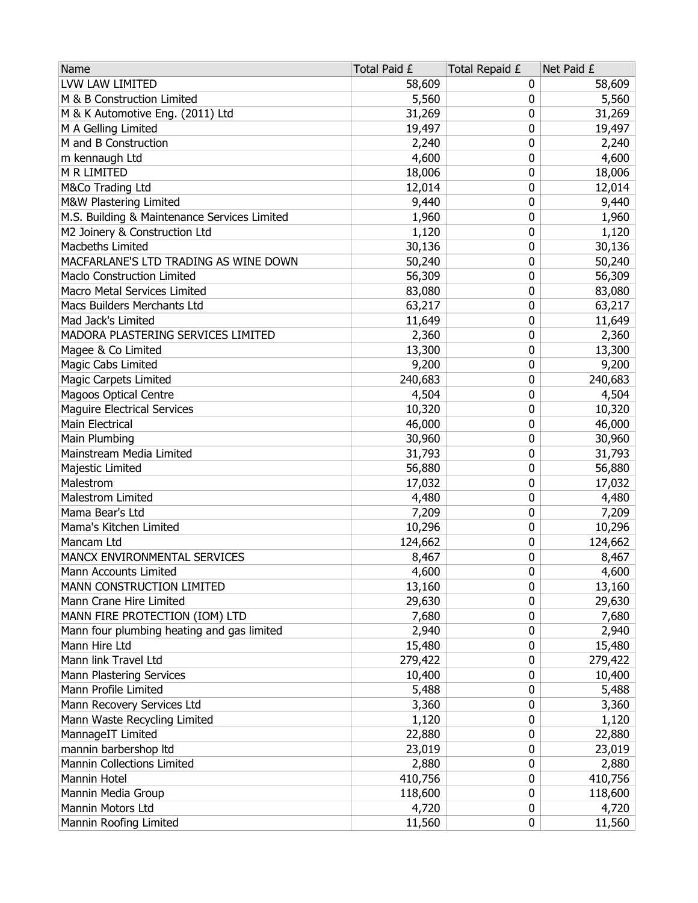| LVW LAW LIMITED<br>58,609<br>58,609<br>0<br>M & B Construction Limited<br>5,560<br>5,560<br>0<br>M & K Automotive Eng. (2011) Ltd<br>31,269<br>0<br>31,269<br>M A Gelling Limited<br>19,497<br>0<br>19,497<br>M and B Construction<br>0<br>2,240<br>2,240<br>m kennaugh Ltd<br>4,600<br>0<br>4,600<br>M R LIMITED<br>18,006<br>0<br>18,006<br>M&Co Trading Ltd<br>0<br>12,014<br>12,014<br>M&W Plastering Limited<br>9,440<br>0<br>9,440<br>M.S. Building & Maintenance Services Limited<br>0<br>1,960<br>1,960<br>M2 Joinery & Construction Ltd<br>1,120<br>0<br>1,120<br>Macbeths Limited<br>30,136<br>0<br>30,136<br>MACFARLANE'S LTD TRADING AS WINE DOWN<br>0<br>50,240<br>50,240<br><b>Maclo Construction Limited</b><br>56,309<br>0<br>56,309<br>Macro Metal Services Limited<br>83,080<br>0<br>83,080<br>63,217<br>63,217<br>Macs Builders Merchants Ltd<br>0<br>0<br>Mad Jack's Limited<br>11,649<br>11,649 |
|----------------------------------------------------------------------------------------------------------------------------------------------------------------------------------------------------------------------------------------------------------------------------------------------------------------------------------------------------------------------------------------------------------------------------------------------------------------------------------------------------------------------------------------------------------------------------------------------------------------------------------------------------------------------------------------------------------------------------------------------------------------------------------------------------------------------------------------------------------------------------------------------------------------------|
|                                                                                                                                                                                                                                                                                                                                                                                                                                                                                                                                                                                                                                                                                                                                                                                                                                                                                                                      |
|                                                                                                                                                                                                                                                                                                                                                                                                                                                                                                                                                                                                                                                                                                                                                                                                                                                                                                                      |
|                                                                                                                                                                                                                                                                                                                                                                                                                                                                                                                                                                                                                                                                                                                                                                                                                                                                                                                      |
|                                                                                                                                                                                                                                                                                                                                                                                                                                                                                                                                                                                                                                                                                                                                                                                                                                                                                                                      |
|                                                                                                                                                                                                                                                                                                                                                                                                                                                                                                                                                                                                                                                                                                                                                                                                                                                                                                                      |
|                                                                                                                                                                                                                                                                                                                                                                                                                                                                                                                                                                                                                                                                                                                                                                                                                                                                                                                      |
|                                                                                                                                                                                                                                                                                                                                                                                                                                                                                                                                                                                                                                                                                                                                                                                                                                                                                                                      |
|                                                                                                                                                                                                                                                                                                                                                                                                                                                                                                                                                                                                                                                                                                                                                                                                                                                                                                                      |
|                                                                                                                                                                                                                                                                                                                                                                                                                                                                                                                                                                                                                                                                                                                                                                                                                                                                                                                      |
|                                                                                                                                                                                                                                                                                                                                                                                                                                                                                                                                                                                                                                                                                                                                                                                                                                                                                                                      |
|                                                                                                                                                                                                                                                                                                                                                                                                                                                                                                                                                                                                                                                                                                                                                                                                                                                                                                                      |
|                                                                                                                                                                                                                                                                                                                                                                                                                                                                                                                                                                                                                                                                                                                                                                                                                                                                                                                      |
|                                                                                                                                                                                                                                                                                                                                                                                                                                                                                                                                                                                                                                                                                                                                                                                                                                                                                                                      |
|                                                                                                                                                                                                                                                                                                                                                                                                                                                                                                                                                                                                                                                                                                                                                                                                                                                                                                                      |
|                                                                                                                                                                                                                                                                                                                                                                                                                                                                                                                                                                                                                                                                                                                                                                                                                                                                                                                      |
|                                                                                                                                                                                                                                                                                                                                                                                                                                                                                                                                                                                                                                                                                                                                                                                                                                                                                                                      |
|                                                                                                                                                                                                                                                                                                                                                                                                                                                                                                                                                                                                                                                                                                                                                                                                                                                                                                                      |
| 0<br>MADORA PLASTERING SERVICES LIMITED<br>2,360<br>2,360                                                                                                                                                                                                                                                                                                                                                                                                                                                                                                                                                                                                                                                                                                                                                                                                                                                            |
| 0<br>Magee & Co Limited<br>13,300<br>13,300                                                                                                                                                                                                                                                                                                                                                                                                                                                                                                                                                                                                                                                                                                                                                                                                                                                                          |
| <b>Magic Cabs Limited</b><br>9,200<br>0<br>9,200                                                                                                                                                                                                                                                                                                                                                                                                                                                                                                                                                                                                                                                                                                                                                                                                                                                                     |
| <b>Magic Carpets Limited</b><br>240,683<br>0<br>240,683                                                                                                                                                                                                                                                                                                                                                                                                                                                                                                                                                                                                                                                                                                                                                                                                                                                              |
| <b>Magoos Optical Centre</b><br>4,504<br>0<br>4,504                                                                                                                                                                                                                                                                                                                                                                                                                                                                                                                                                                                                                                                                                                                                                                                                                                                                  |
| <b>Maguire Electrical Services</b><br>10,320<br>0<br>10,320                                                                                                                                                                                                                                                                                                                                                                                                                                                                                                                                                                                                                                                                                                                                                                                                                                                          |
| <b>Main Electrical</b><br>46,000<br>0<br>46,000                                                                                                                                                                                                                                                                                                                                                                                                                                                                                                                                                                                                                                                                                                                                                                                                                                                                      |
| 0<br>Main Plumbing<br>30,960<br>30,960                                                                                                                                                                                                                                                                                                                                                                                                                                                                                                                                                                                                                                                                                                                                                                                                                                                                               |
| Mainstream Media Limited<br>0<br>31,793<br>31,793                                                                                                                                                                                                                                                                                                                                                                                                                                                                                                                                                                                                                                                                                                                                                                                                                                                                    |
| Majestic Limited<br>56,880<br>0<br>56,880                                                                                                                                                                                                                                                                                                                                                                                                                                                                                                                                                                                                                                                                                                                                                                                                                                                                            |
| Malestrom<br>17,032<br>0<br>17,032                                                                                                                                                                                                                                                                                                                                                                                                                                                                                                                                                                                                                                                                                                                                                                                                                                                                                   |
| Malestrom Limited<br>4,480<br>0<br>4,480                                                                                                                                                                                                                                                                                                                                                                                                                                                                                                                                                                                                                                                                                                                                                                                                                                                                             |
| 7,209<br>Mama Bear's Ltd<br>7,209<br>0                                                                                                                                                                                                                                                                                                                                                                                                                                                                                                                                                                                                                                                                                                                                                                                                                                                                               |
| 0<br>Mama's Kitchen Limited<br>10,296<br>10,296                                                                                                                                                                                                                                                                                                                                                                                                                                                                                                                                                                                                                                                                                                                                                                                                                                                                      |
| Mancam Ltd<br>124,662<br>0<br>124,662                                                                                                                                                                                                                                                                                                                                                                                                                                                                                                                                                                                                                                                                                                                                                                                                                                                                                |
| MANCX ENVIRONMENTAL SERVICES<br>0<br>8,467<br>8,467                                                                                                                                                                                                                                                                                                                                                                                                                                                                                                                                                                                                                                                                                                                                                                                                                                                                  |
| 0<br>4,600<br>4,600<br>Mann Accounts Limited                                                                                                                                                                                                                                                                                                                                                                                                                                                                                                                                                                                                                                                                                                                                                                                                                                                                         |
| 13,160<br>0<br>13,160<br>MANN CONSTRUCTION LIMITED                                                                                                                                                                                                                                                                                                                                                                                                                                                                                                                                                                                                                                                                                                                                                                                                                                                                   |
| 29,630<br>Mann Crane Hire Limited<br>0<br>29,630                                                                                                                                                                                                                                                                                                                                                                                                                                                                                                                                                                                                                                                                                                                                                                                                                                                                     |
| MANN FIRE PROTECTION (IOM) LTD<br>7,680<br>7,680<br>0                                                                                                                                                                                                                                                                                                                                                                                                                                                                                                                                                                                                                                                                                                                                                                                                                                                                |
| Mann four plumbing heating and gas limited<br>2,940<br>0<br>2,940                                                                                                                                                                                                                                                                                                                                                                                                                                                                                                                                                                                                                                                                                                                                                                                                                                                    |
| Mann Hire Ltd<br>15,480<br>15,480<br>0                                                                                                                                                                                                                                                                                                                                                                                                                                                                                                                                                                                                                                                                                                                                                                                                                                                                               |
| Mann link Travel Ltd<br>279,422<br>279,422<br>0                                                                                                                                                                                                                                                                                                                                                                                                                                                                                                                                                                                                                                                                                                                                                                                                                                                                      |
| Mann Plastering Services<br>10,400<br>0<br>10,400                                                                                                                                                                                                                                                                                                                                                                                                                                                                                                                                                                                                                                                                                                                                                                                                                                                                    |
| Mann Profile Limited<br>0<br>5,488<br>5,488                                                                                                                                                                                                                                                                                                                                                                                                                                                                                                                                                                                                                                                                                                                                                                                                                                                                          |
| Mann Recovery Services Ltd<br>0<br>3,360<br>3,360                                                                                                                                                                                                                                                                                                                                                                                                                                                                                                                                                                                                                                                                                                                                                                                                                                                                    |
| Mann Waste Recycling Limited<br>1,120<br>1,120<br>0                                                                                                                                                                                                                                                                                                                                                                                                                                                                                                                                                                                                                                                                                                                                                                                                                                                                  |
| MannageIT Limited<br>22,880<br>0<br>22,880                                                                                                                                                                                                                                                                                                                                                                                                                                                                                                                                                                                                                                                                                                                                                                                                                                                                           |
| mannin barbershop Itd<br>23,019<br>23,019<br>0                                                                                                                                                                                                                                                                                                                                                                                                                                                                                                                                                                                                                                                                                                                                                                                                                                                                       |
| Mannin Collections Limited<br>2,880<br>0<br>2,880                                                                                                                                                                                                                                                                                                                                                                                                                                                                                                                                                                                                                                                                                                                                                                                                                                                                    |
| Mannin Hotel<br>410,756<br>0<br>410,756                                                                                                                                                                                                                                                                                                                                                                                                                                                                                                                                                                                                                                                                                                                                                                                                                                                                              |
| Mannin Media Group<br>118,600<br>0<br>118,600                                                                                                                                                                                                                                                                                                                                                                                                                                                                                                                                                                                                                                                                                                                                                                                                                                                                        |
| Mannin Motors Ltd<br>4,720<br>4,720<br>0                                                                                                                                                                                                                                                                                                                                                                                                                                                                                                                                                                                                                                                                                                                                                                                                                                                                             |
| Mannin Roofing Limited<br>0<br>11,560<br>11,560                                                                                                                                                                                                                                                                                                                                                                                                                                                                                                                                                                                                                                                                                                                                                                                                                                                                      |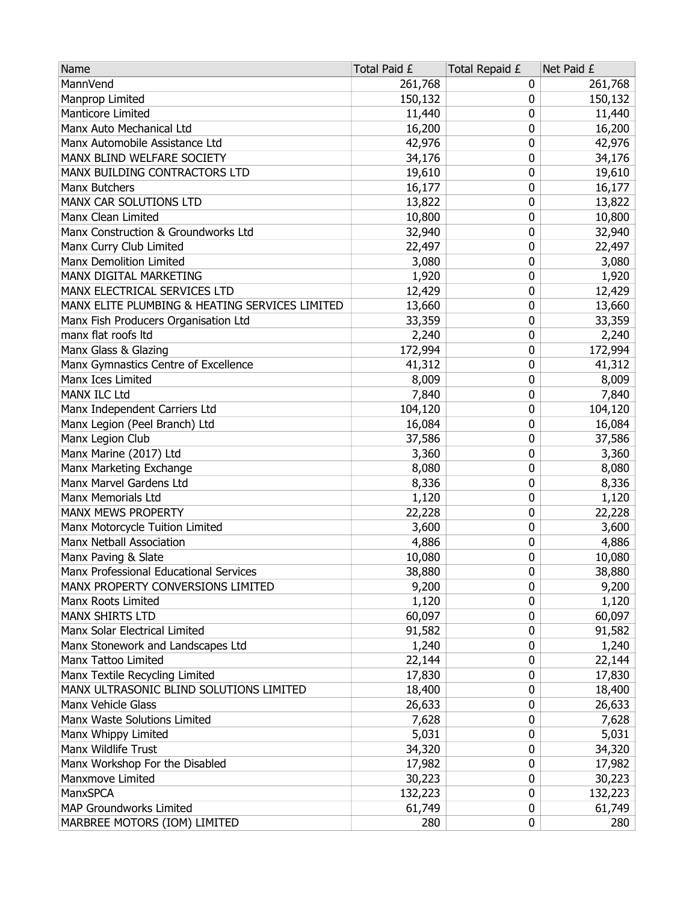| Name                                           | Total Paid £ | Total Repaid £ | Net Paid £ |
|------------------------------------------------|--------------|----------------|------------|
| MannVend                                       | 261,768      | 0              | 261,768    |
| Manprop Limited                                | 150,132      | 0              | 150,132    |
| Manticore Limited                              | 11,440       | 0              | 11,440     |
| Manx Auto Mechanical Ltd                       | 16,200       | 0              | 16,200     |
| Manx Automobile Assistance Ltd                 | 42,976       | 0              | 42,976     |
| MANX BLIND WELFARE SOCIETY                     | 34,176       | 0              | 34,176     |
| MANX BUILDING CONTRACTORS LTD                  | 19,610       | 0              | 19,610     |
| Manx Butchers                                  | 16,177       | 0              | 16,177     |
| MANX CAR SOLUTIONS LTD                         | 13,822       | 0              | 13,822     |
| Manx Clean Limited                             | 10,800       | 0              | 10,800     |
| Manx Construction & Groundworks Ltd            | 32,940       | 0              | 32,940     |
| Manx Curry Club Limited                        | 22,497       | 0              | 22,497     |
| Manx Demolition Limited                        | 3,080        | 0              | 3,080      |
| MANX DIGITAL MARKETING                         | 1,920        | 0              | 1,920      |
| MANX ELECTRICAL SERVICES LTD                   | 12,429       | 0              | 12,429     |
| MANX ELITE PLUMBING & HEATING SERVICES LIMITED | 13,660       | 0              | 13,660     |
| Manx Fish Producers Organisation Ltd           | 33,359       | 0              | 33,359     |
| manx flat roofs ltd                            | 2,240        | 0              | 2,240      |
| Manx Glass & Glazing                           | 172,994      | 0              | 172,994    |
| Manx Gymnastics Centre of Excellence           | 41,312       | 0              | 41,312     |
| Manx Ices Limited                              | 8,009        | 0              | 8,009      |
| <b>MANX ILC Ltd</b>                            | 7,840        | 0              | 7,840      |
| Manx Independent Carriers Ltd                  | 104,120      | 0              | 104,120    |
| Manx Legion (Peel Branch) Ltd                  | 16,084       | 0              | 16,084     |
| Manx Legion Club                               | 37,586       | 0              | 37,586     |
| Manx Marine (2017) Ltd                         | 3,360        | 0              | 3,360      |
| Manx Marketing Exchange                        | 8,080        | 0              | 8,080      |
| Manx Marvel Gardens Ltd                        | 8,336        | 0              | 8,336      |
| Manx Memorials Ltd                             | 1,120        | 0              | 1,120      |
| MANX MEWS PROPERTY                             | 22,228       | 0              | 22,228     |
| Manx Motorcycle Tuition Limited                | 3,600        | 0              | 3,600      |
| Manx Netball Association                       | 4,886        | 0              | 4,886      |
| Manx Paving & Slate                            | 10,080       | 0              | 10,080     |
| Manx Professional Educational Services         | 38,880       | 0              | 38,880     |
| MANX PROPERTY CONVERSIONS LIMITED              | 9,200        | 0              | 9,200      |
| Manx Roots Limited                             | 1,120        | 0              | 1,120      |
| MANX SHIRTS LTD                                | 60,097       | 0              | 60,097     |
| Manx Solar Electrical Limited                  | 91,582       | 0              | 91,582     |
| Manx Stonework and Landscapes Ltd              | 1,240        | 0              | 1,240      |
| Manx Tattoo Limited                            | 22,144       | 0              | 22,144     |
| Manx Textile Recycling Limited                 | 17,830       | 0              | 17,830     |
| MANX ULTRASONIC BLIND SOLUTIONS LIMITED        | 18,400       | 0              | 18,400     |
| Manx Vehicle Glass                             | 26,633       | 0              | 26,633     |
| Manx Waste Solutions Limited                   | 7,628        | 0              | 7,628      |
| Manx Whippy Limited                            | 5,031        | 0              | 5,031      |
| Manx Wildlife Trust                            | 34,320       | 0              | 34,320     |
| Manx Workshop For the Disabled                 | 17,982       | 0              | 17,982     |
| Manxmove Limited                               | 30,223       | 0              | 30,223     |
| ManxSPCA                                       | 132,223      | 0              | 132,223    |
| <b>MAP Groundworks Limited</b>                 | 61,749       | 0              | 61,749     |
| MARBREE MOTORS (IOM) LIMITED                   | 280          | 0              | 280        |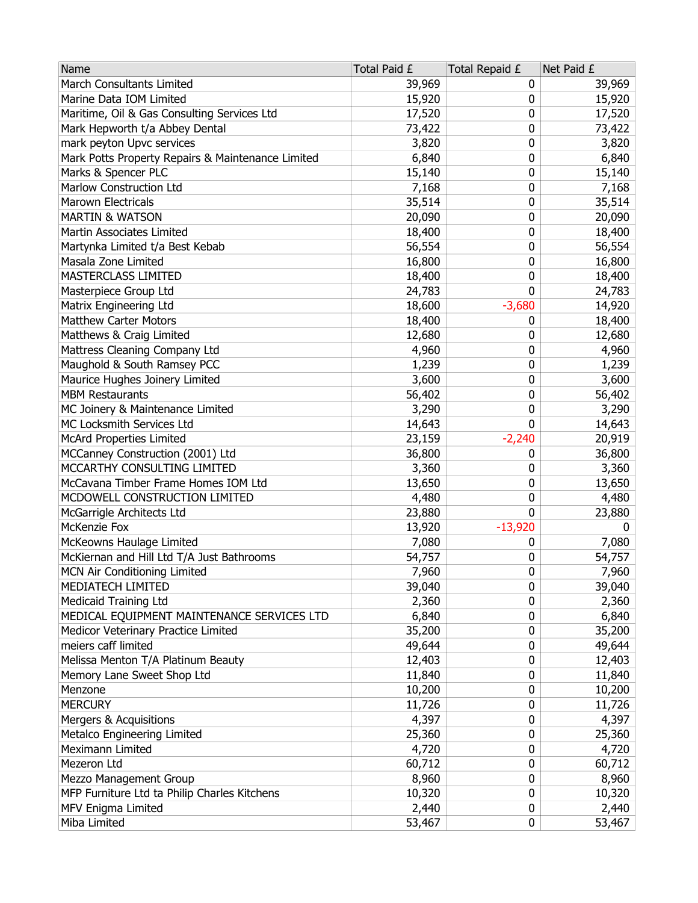| Name                                              | Total Paid £ | Total Repaid £ | Net Paid £   |
|---------------------------------------------------|--------------|----------------|--------------|
| <b>March Consultants Limited</b>                  | 39,969       | 0              | 39,969       |
| Marine Data IOM Limited                           | 15,920       | 0              | 15,920       |
| Maritime, Oil & Gas Consulting Services Ltd       | 17,520       | 0              | 17,520       |
| Mark Hepworth t/a Abbey Dental                    | 73,422       | 0              | 73,422       |
| mark peyton Upvc services                         | 3,820        | 0              | 3,820        |
| Mark Potts Property Repairs & Maintenance Limited | 6,840        | 0              | 6,840        |
| Marks & Spencer PLC                               | 15,140       | 0              | 15,140       |
| Marlow Construction Ltd                           | 7,168        | 0              | 7,168        |
| <b>Marown Electricals</b>                         | 35,514       | 0              | 35,514       |
| <b>MARTIN &amp; WATSON</b>                        | 20,090       | 0              | 20,090       |
| Martin Associates Limited                         | 18,400       | 0              | 18,400       |
| Martynka Limited t/a Best Kebab                   | 56,554       | 0              | 56,554       |
| Masala Zone Limited                               | 16,800       | 0              | 16,800       |
| MASTERCLASS LIMITED                               | 18,400       | 0              | 18,400       |
| Masterpiece Group Ltd                             | 24,783       | 0              | 24,783       |
| Matrix Engineering Ltd                            | 18,600       | $-3,680$       | 14,920       |
| <b>Matthew Carter Motors</b>                      | 18,400       | 0              | 18,400       |
| Matthews & Craig Limited                          | 12,680       | 0              | 12,680       |
| Mattress Cleaning Company Ltd                     | 4,960        | 0              | 4,960        |
| Maughold & South Ramsey PCC                       | 1,239        | 0              | 1,239        |
| Maurice Hughes Joinery Limited                    | 3,600        | 0              | 3,600        |
| <b>MBM Restaurants</b>                            | 56,402       | 0              | 56,402       |
| MC Joinery & Maintenance Limited                  | 3,290        | 0              | 3,290        |
| MC Locksmith Services Ltd                         | 14,643       | 0              | 14,643       |
| <b>McArd Properties Limited</b>                   | 23,159       | $-2,240$       | 20,919       |
| MCCanney Construction (2001) Ltd                  | 36,800       | 0              | 36,800       |
| MCCARTHY CONSULTING LIMITED                       | 3,360        | 0              | 3,360        |
| McCavana Timber Frame Homes IOM Ltd               | 13,650       | 0              | 13,650       |
| MCDOWELL CONSTRUCTION LIMITED                     | 4,480        | 0              | 4,480        |
| McGarrigle Architects Ltd                         | 23,880       | 0              | 23,880       |
| McKenzie Fox                                      | 13,920       | $-13,920$      | $\mathbf{0}$ |
| McKeowns Haulage Limited                          | 7,080        | 0              | 7,080        |
| McKiernan and Hill Ltd T/A Just Bathrooms         | 54,757       | 0              | 54,757       |
| MCN Air Conditioning Limited                      | 7,960        | 0              | 7,960        |
| MEDIATECH LIMITED                                 | 39,040       | 0              | 39,040       |
| <b>Medicaid Training Ltd</b>                      | 2,360        | 0              | 2,360        |
| MEDICAL EQUIPMENT MAINTENANCE SERVICES LTD        | 6,840        | 0              | 6,840        |
| Medicor Veterinary Practice Limited               | 35,200       | 0              | 35,200       |
| meiers caff limited                               | 49,644       | 0              | 49,644       |
| Melissa Menton T/A Platinum Beauty                | 12,403       | 0              | 12,403       |
| Memory Lane Sweet Shop Ltd                        | 11,840       | 0              | 11,840       |
| Menzone                                           | 10,200       | 0              | 10,200       |
| <b>MERCURY</b>                                    | 11,726       | 0              | 11,726       |
| Mergers & Acquisitions                            | 4,397        | 0              | 4,397        |
| Metalco Engineering Limited                       | 25,360       | 0              | 25,360       |
| Meximann Limited                                  | 4,720        | 0              | 4,720        |
| Mezeron Ltd                                       | 60,712       | 0              | 60,712       |
| Mezzo Management Group                            | 8,960        | 0              | 8,960        |
| MFP Furniture Ltd ta Philip Charles Kitchens      | 10,320       | 0              | 10,320       |
| MFV Enigma Limited                                | 2,440        | 0              | 2,440        |
| Miba Limited                                      | 53,467       | 0              | 53,467       |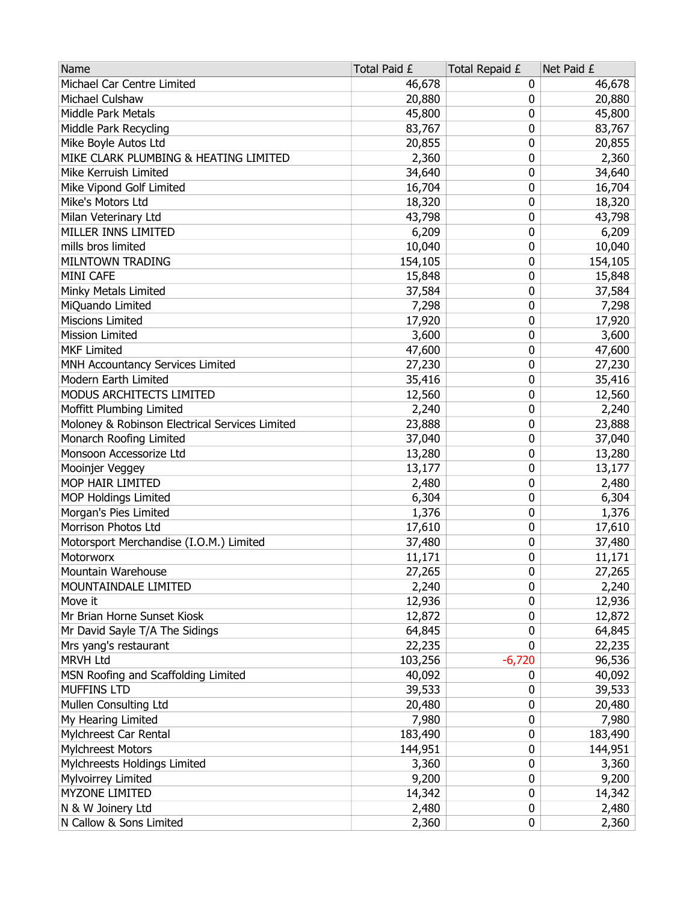| Name                                           | Total Paid £ | Total Repaid £ | Net Paid £ |
|------------------------------------------------|--------------|----------------|------------|
| Michael Car Centre Limited                     | 46,678       | 0              | 46,678     |
| Michael Culshaw                                | 20,880       | 0              | 20,880     |
| Middle Park Metals                             | 45,800       | 0              | 45,800     |
| Middle Park Recycling                          | 83,767       | 0              | 83,767     |
| Mike Boyle Autos Ltd                           | 20,855       | 0              | 20,855     |
| MIKE CLARK PLUMBING & HEATING LIMITED          | 2,360        | 0              | 2,360      |
| Mike Kerruish Limited                          | 34,640       | 0              | 34,640     |
| Mike Vipond Golf Limited                       | 16,704       | 0              | 16,704     |
| Mike's Motors Ltd                              | 18,320       | 0              | 18,320     |
| Milan Veterinary Ltd                           | 43,798       | 0              | 43,798     |
| MILLER INNS LIMITED                            | 6,209        | 0              | 6,209      |
| mills bros limited                             | 10,040       | 0              | 10,040     |
| MILNTOWN TRADING                               | 154,105      | 0              | 154,105    |
| MINI CAFE                                      | 15,848       | 0              | 15,848     |
| Minky Metals Limited                           | 37,584       | 0              | 37,584     |
| MiQuando Limited                               | 7,298        | 0              | 7,298      |
| <b>Miscions Limited</b>                        | 17,920       | 0              | 17,920     |
| <b>Mission Limited</b>                         | 3,600        | 0              | 3,600      |
| <b>MKF Limited</b>                             | 47,600       | 0              | 47,600     |
| MNH Accountancy Services Limited               | 27,230       | 0              | 27,230     |
| Modern Earth Limited                           | 35,416       | 0              | 35,416     |
| MODUS ARCHITECTS LIMITED                       | 12,560       | 0              | 12,560     |
| Moffitt Plumbing Limited                       | 2,240        | 0              | 2,240      |
| Moloney & Robinson Electrical Services Limited | 23,888       | 0              | 23,888     |
| Monarch Roofing Limited                        | 37,040       | 0              | 37,040     |
| Monsoon Accessorize Ltd                        | 13,280       | 0              | 13,280     |
| Mooinjer Veggey                                | 13,177       | 0              | 13,177     |
| MOP HAIR LIMITED                               | 2,480        | 0              | 2,480      |
| <b>MOP Holdings Limited</b>                    | 6,304        | 0              | 6,304      |
| Morgan's Pies Limited                          | 1,376        | 0              | 1,376      |
| Morrison Photos Ltd                            | 17,610       | 0              | 17,610     |
| Motorsport Merchandise (I.O.M.) Limited        | 37,480       | 0              | 37,480     |
| Motorworx                                      | 11,171       | 0              | 11,171     |
| Mountain Warehouse                             | 27,265       | 0              | 27,265     |
| MOUNTAINDALE LIMITED                           | 2,240        | 0              | 2,240      |
| Move it                                        | 12,936       | 0              | 12,936     |
| Mr Brian Horne Sunset Kiosk                    | 12,872       | 0              | 12,872     |
| Mr David Sayle T/A The Sidings                 | 64,845       | 0              | 64,845     |
| Mrs yang's restaurant                          | 22,235       | 0              | 22,235     |
| <b>MRVH Ltd</b>                                | 103,256      | $-6,720$       | 96,536     |
| MSN Roofing and Scaffolding Limited            | 40,092       | 0              | 40,092     |
| <b>MUFFINS LTD</b>                             | 39,533       | 0              | 39,533     |
| Mullen Consulting Ltd                          | 20,480       | 0              | 20,480     |
| My Hearing Limited                             | 7,980        | 0              | 7,980      |
| Mylchreest Car Rental                          | 183,490      | 0              | 183,490    |
| <b>Mylchreest Motors</b>                       | 144,951      | 0              | 144,951    |
| Mylchreests Holdings Limited                   | 3,360        | 0              | 3,360      |
| Mylvoirrey Limited                             | 9,200        | 0              | 9,200      |
| MYZONE LIMITED                                 | 14,342       | 0              | 14,342     |
| N & W Joinery Ltd                              | 2,480        | 0              | 2,480      |
| N Callow & Sons Limited                        | 2,360        | 0              | 2,360      |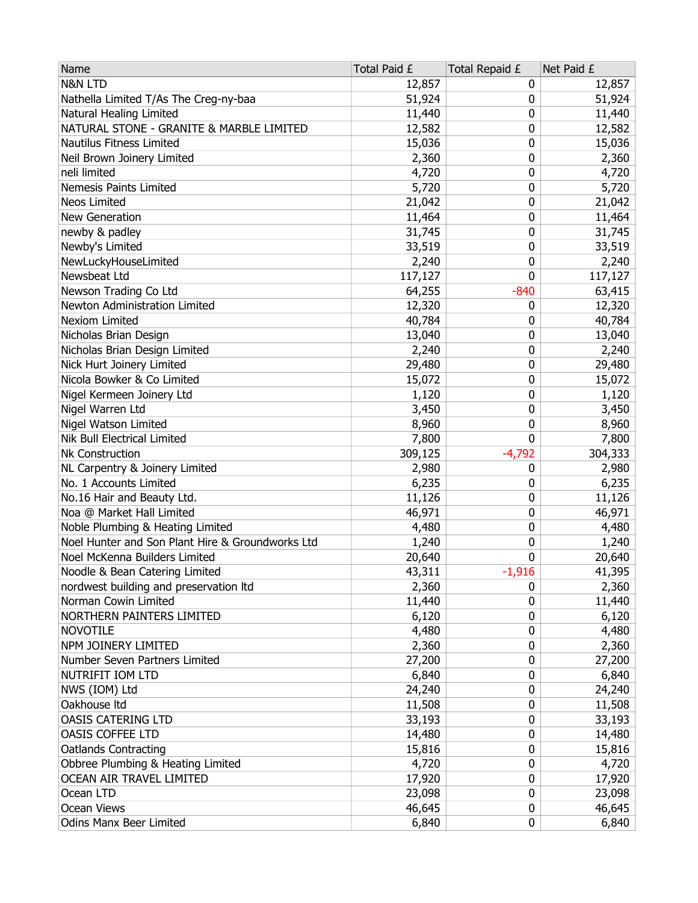| Name                                             | Total Paid £ | Total Repaid £ | Net Paid £ |
|--------------------------------------------------|--------------|----------------|------------|
| <b>N&amp;N LTD</b>                               | 12,857       | 0              | 12,857     |
| Nathella Limited T/As The Creg-ny-baa            | 51,924       | 0              | 51,924     |
| Natural Healing Limited                          | 11,440       | 0              | 11,440     |
| NATURAL STONE - GRANITE & MARBLE LIMITED         | 12,582       | 0              | 12,582     |
| Nautilus Fitness Limited                         | 15,036       | 0              | 15,036     |
| Neil Brown Joinery Limited                       | 2,360        | 0              | 2,360      |
| neli limited                                     | 4,720        | 0              | 4,720      |
| Nemesis Paints Limited                           | 5,720        | 0              | 5,720      |
| Neos Limited                                     | 21,042       | 0              | 21,042     |
| New Generation                                   | 11,464       | 0              | 11,464     |
| newby & padley                                   | 31,745       | 0              | 31,745     |
| Newby's Limited                                  | 33,519       | 0              | 33,519     |
| NewLuckyHouseLimited                             | 2,240        | 0              | 2,240      |
| Newsbeat Ltd                                     | 117,127      | 0              | 117,127    |
| Newson Trading Co Ltd                            | 64,255       | $-840$         | 63,415     |
| Newton Administration Limited                    | 12,320       | 0              | 12,320     |
| <b>Nexiom Limited</b>                            | 40,784       | 0              | 40,784     |
| Nicholas Brian Design                            | 13,040       | 0              | 13,040     |
| Nicholas Brian Design Limited                    | 2,240        | 0              | 2,240      |
| Nick Hurt Joinery Limited                        | 29,480       | 0              | 29,480     |
| Nicola Bowker & Co Limited                       | 15,072       | 0              | 15,072     |
| Nigel Kermeen Joinery Ltd                        | 1,120        | 0              | 1,120      |
| Nigel Warren Ltd                                 | 3,450        | 0              | 3,450      |
| Nigel Watson Limited                             | 8,960        | 0              | 8,960      |
| Nik Bull Electrical Limited                      | 7,800        | 0              | 7,800      |
| Nk Construction                                  | 309,125      | $-4,792$       | 304,333    |
| NL Carpentry & Joinery Limited                   | 2,980        | 0              | 2,980      |
| No. 1 Accounts Limited                           | 6,235        | 0              | 6,235      |
| No.16 Hair and Beauty Ltd.                       | 11,126       | 0              | 11,126     |
| Noa @ Market Hall Limited                        | 46,971       | 0              | 46,971     |
| Noble Plumbing & Heating Limited                 | 4,480        | 0              | 4,480      |
| Noel Hunter and Son Plant Hire & Groundworks Ltd | 1,240        | 0              | 1,240      |
| Noel McKenna Builders Limited                    | 20,640       | 0              | 20,640     |
| Noodle & Bean Catering Limited                   | 43,311       | $-1,916$       | 41,395     |
| nordwest building and preservation Itd           | 2,360        | 0              | 2,360      |
| Norman Cowin Limited                             | 11,440       | 0              | 11,440     |
| NORTHERN PAINTERS LIMITED                        | 6,120        | 0              | 6,120      |
| <b>NOVOTILE</b>                                  | 4,480        | 0              | 4,480      |
| NPM JOINERY LIMITED                              | 2,360        | 0              | 2,360      |
| Number Seven Partners Limited                    | 27,200       | 0              | 27,200     |
| NUTRIFIT IOM LTD                                 | 6,840        | 0              | 6,840      |
| NWS (IOM) Ltd                                    | 24,240       | 0              | 24,240     |
| Oakhouse Itd                                     | 11,508       | 0              | 11,508     |
| OASIS CATERING LTD                               | 33,193       | 0              | 33,193     |
| <b>OASIS COFFEE LTD</b>                          | 14,480       | 0              | 14,480     |
| <b>Oatlands Contracting</b>                      | 15,816       | 0              | 15,816     |
| Obbree Plumbing & Heating Limited                | 4,720        | 0              | 4,720      |
| OCEAN AIR TRAVEL LIMITED                         | 17,920       | 0              | 17,920     |
| Ocean LTD                                        | 23,098       | 0              | 23,098     |
| Ocean Views                                      | 46,645       | 0              | 46,645     |
| <b>Odins Manx Beer Limited</b>                   | 6,840        | 0              | 6,840      |
|                                                  |              |                |            |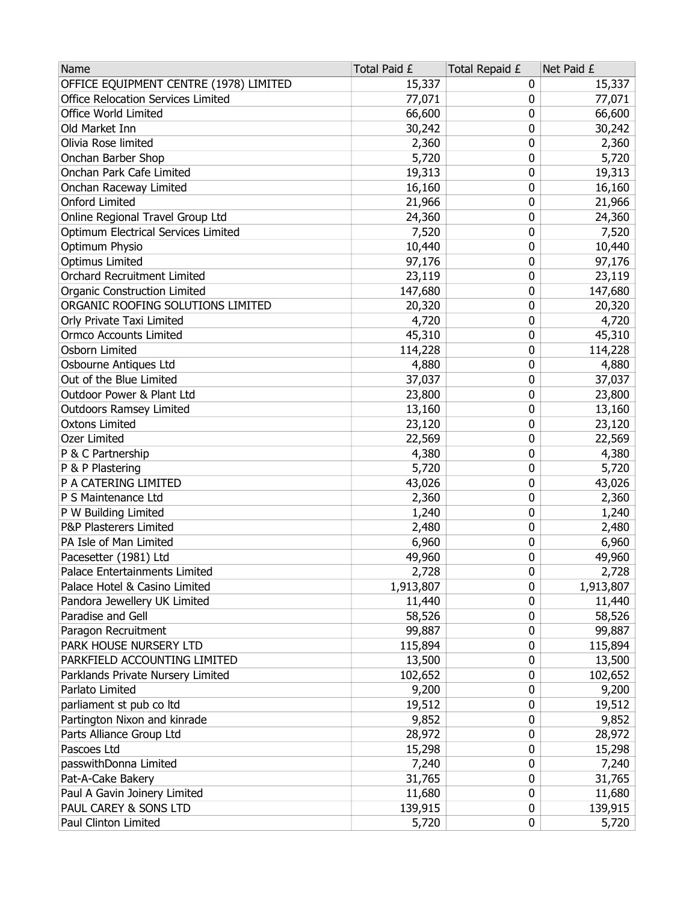| Name                                   | Total Paid £ | Total Repaid £ | Net Paid £ |
|----------------------------------------|--------------|----------------|------------|
| OFFICE EQUIPMENT CENTRE (1978) LIMITED | 15,337       | 0              | 15,337     |
| Office Relocation Services Limited     | 77,071       | 0              | 77,071     |
| <b>Office World Limited</b>            | 66,600       | 0              | 66,600     |
| Old Market Inn                         | 30,242       | 0              | 30,242     |
| Olivia Rose limited                    | 2,360        | 0              | 2,360      |
| Onchan Barber Shop                     | 5,720        | 0              | 5,720      |
| Onchan Park Cafe Limited               | 19,313       | 0              | 19,313     |
| Onchan Raceway Limited                 | 16,160       | 0              | 16,160     |
| <b>Onford Limited</b>                  | 21,966       | 0              | 21,966     |
| Online Regional Travel Group Ltd       | 24,360       | 0              | 24,360     |
| Optimum Electrical Services Limited    | 7,520        | 0              | 7,520      |
| Optimum Physio                         | 10,440       | 0              | 10,440     |
| <b>Optimus Limited</b>                 | 97,176       | 0              | 97,176     |
| <b>Orchard Recruitment Limited</b>     | 23,119       | 0              | 23,119     |
| <b>Organic Construction Limited</b>    | 147,680      | 0              | 147,680    |
| ORGANIC ROOFING SOLUTIONS LIMITED      | 20,320       | 0              | 20,320     |
| Orly Private Taxi Limited              | 4,720        | 0              | 4,720      |
| <b>Ormco Accounts Limited</b>          | 45,310       | 0              | 45,310     |
| Osborn Limited                         | 114,228      | 0              | 114,228    |
| Osbourne Antiques Ltd                  | 4,880        | 0              | 4,880      |
| Out of the Blue Limited                | 37,037       | 0              | 37,037     |
| Outdoor Power & Plant Ltd              | 23,800       | 0              | 23,800     |
| <b>Outdoors Ramsey Limited</b>         | 13,160       | 0              | 13,160     |
| <b>Oxtons Limited</b>                  | 23,120       | 0              | 23,120     |
| Ozer Limited                           | 22,569       | 0              | 22,569     |
| P & C Partnership                      | 4,380        | 0              | 4,380      |
| P & P Plastering                       | 5,720        | 0              | 5,720      |
| P A CATERING LIMITED                   | 43,026       | 0              | 43,026     |
| P S Maintenance Ltd                    | 2,360        | 0              | 2,360      |
| P W Building Limited                   | 1,240        | 0              | 1,240      |
| P&P Plasterers Limited                 | 2,480        | 0              | 2,480      |
| PA Isle of Man Limited                 | 6,960        | 0              | 6,960      |
| Pacesetter (1981) Ltd                  | 49,960       | 0              | 49,960     |
| Palace Entertainments Limited          | 2,728        | 0              | 2,728      |
| Palace Hotel & Casino Limited          | 1,913,807    | 0              | 1,913,807  |
| Pandora Jewellery UK Limited           | 11,440       | 0              | 11,440     |
| Paradise and Gell                      | 58,526       | 0              | 58,526     |
| Paragon Recruitment                    | 99,887       | 0              | 99,887     |
| PARK HOUSE NURSERY LTD                 | 115,894      | 0              | 115,894    |
| PARKFIELD ACCOUNTING LIMITED           | 13,500       | 0              | 13,500     |
| Parklands Private Nursery Limited      | 102,652      | 0              | 102,652    |
| Parlato Limited                        | 9,200        | 0              | 9,200      |
| parliament st pub co ltd               | 19,512       | 0              | 19,512     |
| Partington Nixon and kinrade           | 9,852        | 0              | 9,852      |
| Parts Alliance Group Ltd               | 28,972       | 0              | 28,972     |
| Pascoes Ltd                            | 15,298       | 0              | 15,298     |
| passwithDonna Limited                  | 7,240        | 0              | 7,240      |
| Pat-A-Cake Bakery                      | 31,765       | 0              | 31,765     |
| Paul A Gavin Joinery Limited           | 11,680       | 0              | 11,680     |
| PAUL CAREY & SONS LTD                  | 139,915      | 0              | 139,915    |
| Paul Clinton Limited                   | 5,720        | 0              | 5,720      |
|                                        |              |                |            |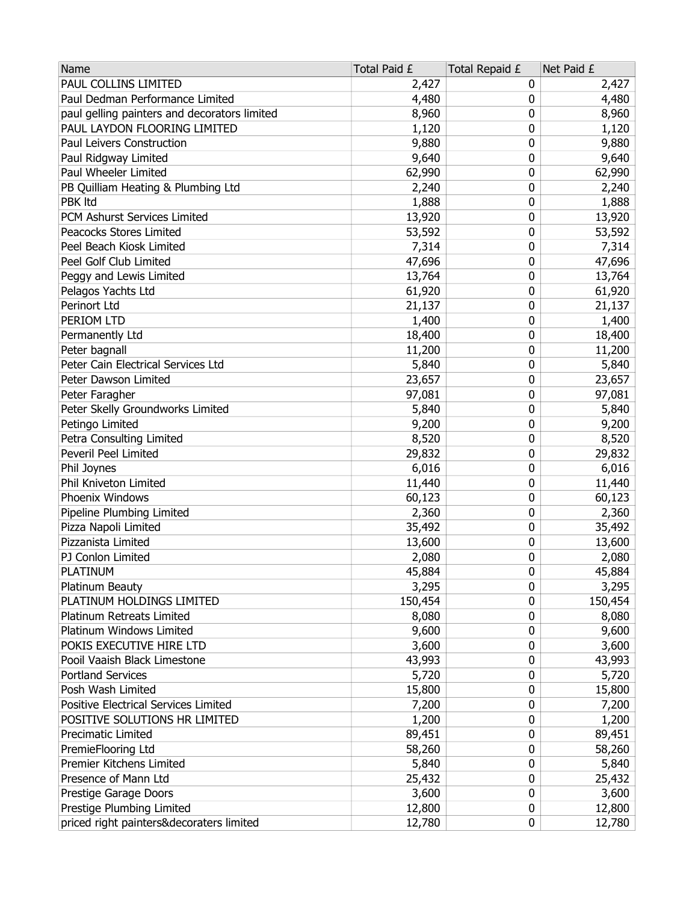| Name                                         | Total Paid £ | Total Repaid £ | Net Paid £ |
|----------------------------------------------|--------------|----------------|------------|
| PAUL COLLINS LIMITED                         | 2,427        | 0              | 2,427      |
| Paul Dedman Performance Limited              | 4,480        | 0              | 4,480      |
| paul gelling painters and decorators limited | 8,960        | 0              | 8,960      |
| PAUL LAYDON FLOORING LIMITED                 | 1,120        | 0              | 1,120      |
| Paul Leivers Construction                    | 9,880        | 0              | 9,880      |
| Paul Ridgway Limited                         | 9,640        | 0              | 9,640      |
| Paul Wheeler Limited                         | 62,990       | 0              | 62,990     |
| PB Quilliam Heating & Plumbing Ltd           | 2,240        | 0              | 2,240      |
| PBK Itd                                      | 1,888        | 0              | 1,888      |
| PCM Ashurst Services Limited                 | 13,920       | 0              | 13,920     |
| Peacocks Stores Limited                      | 53,592       | 0              | 53,592     |
| Peel Beach Kiosk Limited                     | 7,314        | 0              | 7,314      |
| Peel Golf Club Limited                       | 47,696       | 0              | 47,696     |
| Peggy and Lewis Limited                      | 13,764       | 0              | 13,764     |
| Pelagos Yachts Ltd                           | 61,920       | 0              | 61,920     |
| Perinort Ltd                                 | 21,137       | 0              | 21,137     |
| PERIOM LTD                                   | 1,400        | 0              | 1,400      |
| Permanently Ltd                              | 18,400       | 0              | 18,400     |
| Peter bagnall                                | 11,200       | 0              | 11,200     |
| Peter Cain Electrical Services Ltd           | 5,840        | 0              | 5,840      |
| Peter Dawson Limited                         | 23,657       | 0              | 23,657     |
| Peter Faragher                               | 97,081       | 0              | 97,081     |
| Peter Skelly Groundworks Limited             | 5,840        | 0              | 5,840      |
| Petingo Limited                              | 9,200        | 0              | 9,200      |
| Petra Consulting Limited                     | 8,520        | 0              | 8,520      |
| <b>Peveril Peel Limited</b>                  | 29,832       | 0              | 29,832     |
| Phil Joynes                                  | 6,016        | 0              | 6,016      |
| Phil Kniveton Limited                        | 11,440       | 0              | 11,440     |
| Phoenix Windows                              | 60,123       | 0              | 60,123     |
| Pipeline Plumbing Limited                    | 2,360        | 0              | 2,360      |
| Pizza Napoli Limited                         | 35,492       | 0              | 35,492     |
| Pizzanista Limited                           | 13,600       | 0              | 13,600     |
| PJ Conlon Limited                            | 2,080        | 0              | 2,080      |
| <b>PLATINUM</b>                              | 45,884       | 0              | 45,884     |
| Platinum Beauty                              | 3,295        | 0              | 3,295      |
| PLATINUM HOLDINGS LIMITED                    | 150,454      | 0              | 150,454    |
| Platinum Retreats Limited                    | 8,080        | 0              | 8,080      |
| Platinum Windows Limited                     | 9,600        | 0              | 9,600      |
| POKIS EXECUTIVE HIRE LTD                     | 3,600        | 0              | 3,600      |
| Pooil Vaaish Black Limestone                 | 43,993       | 0              | 43,993     |
| <b>Portland Services</b>                     | 5,720        | 0              | 5,720      |
| Posh Wash Limited                            | 15,800       | 0              | 15,800     |
| Positive Electrical Services Limited         | 7,200        | 0              | 7,200      |
| POSITIVE SOLUTIONS HR LIMITED                | 1,200        | 0              | 1,200      |
| Precimatic Limited                           | 89,451       | 0              | 89,451     |
| PremieFlooring Ltd                           | 58,260       | 0              | 58,260     |
| Premier Kitchens Limited                     | 5,840        | 0              | 5,840      |
| Presence of Mann Ltd                         | 25,432       | 0              | 25,432     |
| Prestige Garage Doors                        | 3,600        | 0              | 3,600      |
| Prestige Plumbing Limited                    | 12,800       | 0              | 12,800     |
| priced right painters&decoraters limited     | 12,780       | 0              | 12,780     |
|                                              |              |                |            |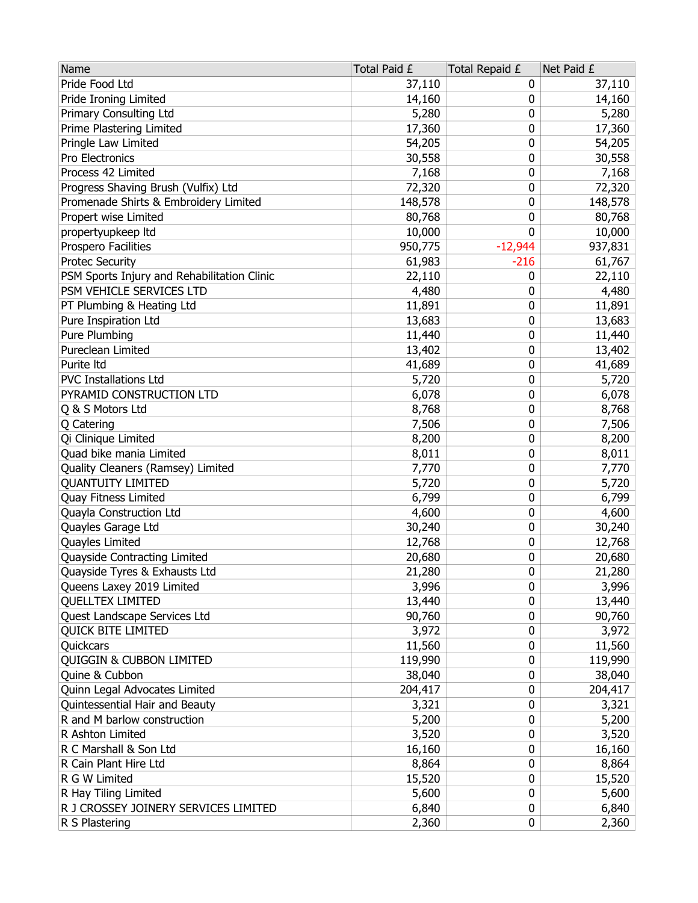| Name                                        | Total Paid £ | Total Repaid £ | Net Paid £ |
|---------------------------------------------|--------------|----------------|------------|
| Pride Food Ltd                              | 37,110       | 0              | 37,110     |
| Pride Ironing Limited                       | 14,160       | 0              | 14,160     |
| <b>Primary Consulting Ltd</b>               | 5,280        | 0              | 5,280      |
| Prime Plastering Limited                    | 17,360       | 0              | 17,360     |
| Pringle Law Limited                         | 54,205       | 0              | 54,205     |
| Pro Electronics                             | 30,558       | 0              | 30,558     |
| Process 42 Limited                          | 7,168        | 0              | 7,168      |
| Progress Shaving Brush (Vulfix) Ltd         | 72,320       | 0              | 72,320     |
| Promenade Shirts & Embroidery Limited       | 148,578      | 0              | 148,578    |
| Propert wise Limited                        | 80,768       | 0              | 80,768     |
| propertyupkeep Itd                          | 10,000       | 0              | 10,000     |
| Prospero Facilities                         | 950,775      | $-12,944$      | 937,831    |
| <b>Protec Security</b>                      | 61,983       | $-216$         | 61,767     |
| PSM Sports Injury and Rehabilitation Clinic | 22,110       | 0              | 22,110     |
| PSM VEHICLE SERVICES LTD                    | 4,480        | 0              | 4,480      |
| PT Plumbing & Heating Ltd                   | 11,891       | 0              | 11,891     |
| Pure Inspiration Ltd                        | 13,683       | 0              | 13,683     |
| Pure Plumbing                               | 11,440       | 0              | 11,440     |
| Pureclean Limited                           | 13,402       | 0              | 13,402     |
| Purite Itd                                  | 41,689       | 0              | 41,689     |
| <b>PVC Installations Ltd</b>                | 5,720        | 0              | 5,720      |
| PYRAMID CONSTRUCTION LTD                    | 6,078        | 0              | 6,078      |
| Q & S Motors Ltd                            | 8,768        | 0              | 8,768      |
| Q Catering                                  | 7,506        | 0              | 7,506      |
| Qi Clinique Limited                         | 8,200        | 0              | 8,200      |
| Quad bike mania Limited                     | 8,011        | 0              | 8,011      |
| Quality Cleaners (Ramsey) Limited           | 7,770        | 0              | 7,770      |
| <b>QUANTUITY LIMITED</b>                    | 5,720        | 0              | 5,720      |
| Quay Fitness Limited                        | 6,799        | 0              | 6,799      |
| Quayla Construction Ltd                     | 4,600        | 0              | 4,600      |
| Quayles Garage Ltd                          | 30,240       | 0              | 30,240     |
| Quayles Limited                             | 12,768       | 0              | 12,768     |
| Quayside Contracting Limited                | 20,680       | 0              | 20,680     |
| Quayside Tyres & Exhausts Ltd               | 21,280       | 0              | 21,280     |
| Queens Laxey 2019 Limited                   | 3,996        | 0              | 3,996      |
| <b>QUELLTEX LIMITED</b>                     | 13,440       | 0              | 13,440     |
| <b>Quest Landscape Services Ltd</b>         | 90,760       | 0              | 90,760     |
| <b>QUICK BITE LIMITED</b>                   | 3,972        | 0              | 3,972      |
| Quickcars                                   | 11,560       | 0              | 11,560     |
| <b>QUIGGIN &amp; CUBBON LIMITED</b>         | 119,990      | 0              | 119,990    |
| Quine & Cubbon                              | 38,040       | 0              | 38,040     |
| Quinn Legal Advocates Limited               | 204,417      | 0              | 204,417    |
| Quintessential Hair and Beauty              | 3,321        | 0              | 3,321      |
| R and M barlow construction                 | 5,200        | 0              | 5,200      |
| R Ashton Limited                            | 3,520        | 0              | 3,520      |
| R C Marshall & Son Ltd                      | 16,160       | 0              | 16,160     |
| R Cain Plant Hire Ltd                       | 8,864        | 0              | 8,864      |
| R G W Limited                               | 15,520       | 0              | 15,520     |
| R Hay Tiling Limited                        | 5,600        | 0              | 5,600      |
| R J CROSSEY JOINERY SERVICES LIMITED        | 6,840        | 0              | 6,840      |
| R S Plastering                              | 2,360        | 0              | 2,360      |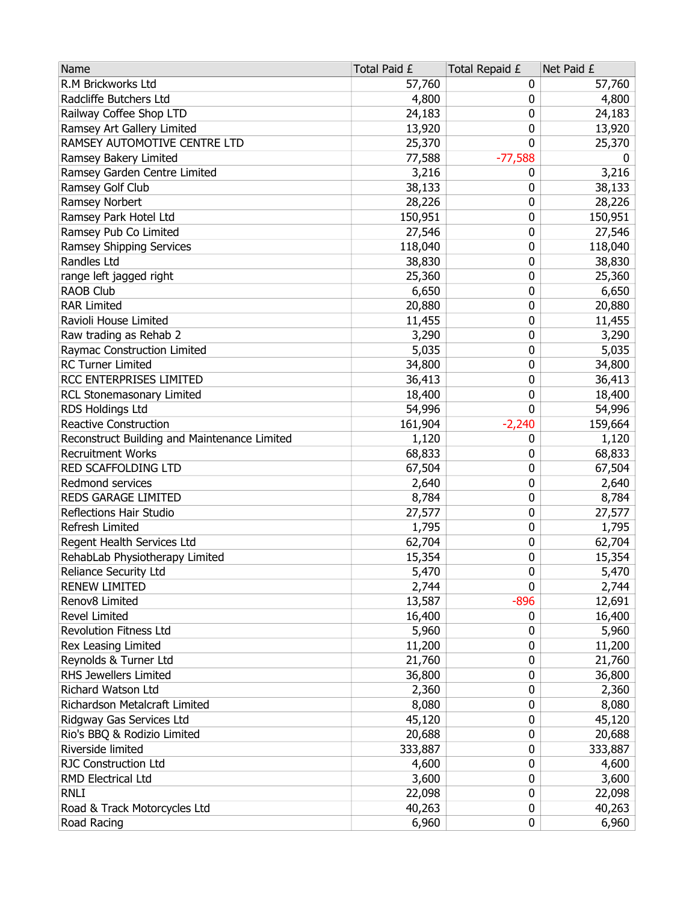| R.M Brickworks Ltd<br>57,760<br>57,760<br>0<br>Radcliffe Butchers Ltd<br>4,800<br>4,800<br>0<br>Railway Coffee Shop LTD<br>24,183<br>0<br>24,183<br>Ramsey Art Gallery Limited<br>13,920<br>0<br>13,920<br>RAMSEY AUTOMOTIVE CENTRE LTD<br>0<br>25,370<br>25,370<br>Ramsey Bakery Limited<br>$-77,588$<br>77,588<br>0<br>Ramsey Garden Centre Limited<br>3,216<br>3,216<br>0<br>Ramsey Golf Club<br>38,133<br>38,133<br>0<br>28,226<br>Ramsey Norbert<br>28,226<br>0<br>150,951<br>0<br>150,951<br>Ramsey Park Hotel Ltd<br>Ramsey Pub Co Limited<br>0<br>27,546<br>27,546<br>Ramsey Shipping Services<br>118,040<br>0<br>118,040<br>Randles Ltd<br>38,830<br>0<br>38,830<br>range left jagged right<br>0<br>25,360<br>25,360<br><b>RAOB Club</b><br>6,650<br>0<br>6,650<br><b>RAR Limited</b><br>20,880<br>0<br>20,880<br>Ravioli House Limited<br>11,455<br>0<br>11,455<br>0<br>Raw trading as Rehab 2<br>3,290<br>3,290<br>Raymac Construction Limited<br>5,035<br>0<br>5,035<br><b>RC Turner Limited</b><br>34,800<br>0<br>34,800<br>RCC ENTERPRISES LIMITED<br>36,413<br>0<br>36,413<br>RCL Stonemasonary Limited<br>18,400<br>0<br>18,400<br>0<br>RDS Holdings Ltd<br>54,996<br>54,996<br>Reactive Construction<br>161,904<br>$-2,240$<br>159,664<br>Reconstruct Building and Maintenance Limited<br>1,120<br>1,120<br>0<br><b>Recruitment Works</b><br>68,833<br>0<br>68,833<br>RED SCAFFOLDING LTD<br>67,504<br>0<br>67,504<br>Redmond services<br>2,640<br>0<br>2,640<br>REDS GARAGE LIMITED<br>8,784<br>0<br>8,784<br>Reflections Hair Studio<br>27,577<br>0<br>27,577<br>0<br>Refresh Limited<br>1,795<br>1,795<br>Regent Health Services Ltd<br>62,704<br>0<br>62,704<br>RehabLab Physiotherapy Limited<br>0<br>15,354<br>15,354<br>5,470<br>0<br>5,470<br>Reliance Security Ltd<br>2,744<br>0<br>2,744<br><b>RENEW LIMITED</b><br>13,587<br>$-896$<br>Renov8 Limited<br>12,691<br>Revel Limited<br>16,400<br>16,400<br>0<br><b>Revolution Fitness Ltd</b><br>5,960<br>0<br>5,960<br>Rex Leasing Limited<br>0<br>11,200<br>11,200<br>Reynolds & Turner Ltd<br>21,760<br>0<br>21,760<br>RHS Jewellers Limited<br>36,800<br>0<br>36,800<br>Richard Watson Ltd<br>0<br>2,360<br>2,360<br>Richardson Metalcraft Limited<br>8,080<br>0<br>8,080<br>Ridgway Gas Services Ltd<br>0<br>45,120<br>45,120<br>Rio's BBQ & Rodizio Limited<br>20,688<br>0<br>20,688<br>Riverside limited<br>333,887<br>333,887<br>0<br><b>RJC Construction Ltd</b><br>4,600<br>0<br>4,600<br>RMD Electrical Ltd<br>3,600<br>0<br>3,600<br><b>RNLI</b><br>22,098<br>0<br>22,098<br>Road & Track Motorcycles Ltd<br>0<br>40,263<br>40,263 | Name        | Total Paid £ | Total Repaid £ | Net Paid £ |
|-------------------------------------------------------------------------------------------------------------------------------------------------------------------------------------------------------------------------------------------------------------------------------------------------------------------------------------------------------------------------------------------------------------------------------------------------------------------------------------------------------------------------------------------------------------------------------------------------------------------------------------------------------------------------------------------------------------------------------------------------------------------------------------------------------------------------------------------------------------------------------------------------------------------------------------------------------------------------------------------------------------------------------------------------------------------------------------------------------------------------------------------------------------------------------------------------------------------------------------------------------------------------------------------------------------------------------------------------------------------------------------------------------------------------------------------------------------------------------------------------------------------------------------------------------------------------------------------------------------------------------------------------------------------------------------------------------------------------------------------------------------------------------------------------------------------------------------------------------------------------------------------------------------------------------------------------------------------------------------------------------------------------------------------------------------------------------------------------------------------------------------------------------------------------------------------------------------------------------------------------------------------------------------------------------------------------------------------------------------------------------------------------------------------------------------------------------------------------------------------------------------------------------------------------------------------------------------------------------------------------|-------------|--------------|----------------|------------|
|                                                                                                                                                                                                                                                                                                                                                                                                                                                                                                                                                                                                                                                                                                                                                                                                                                                                                                                                                                                                                                                                                                                                                                                                                                                                                                                                                                                                                                                                                                                                                                                                                                                                                                                                                                                                                                                                                                                                                                                                                                                                                                                                                                                                                                                                                                                                                                                                                                                                                                                                                                                                                         |             |              |                |            |
|                                                                                                                                                                                                                                                                                                                                                                                                                                                                                                                                                                                                                                                                                                                                                                                                                                                                                                                                                                                                                                                                                                                                                                                                                                                                                                                                                                                                                                                                                                                                                                                                                                                                                                                                                                                                                                                                                                                                                                                                                                                                                                                                                                                                                                                                                                                                                                                                                                                                                                                                                                                                                         |             |              |                |            |
|                                                                                                                                                                                                                                                                                                                                                                                                                                                                                                                                                                                                                                                                                                                                                                                                                                                                                                                                                                                                                                                                                                                                                                                                                                                                                                                                                                                                                                                                                                                                                                                                                                                                                                                                                                                                                                                                                                                                                                                                                                                                                                                                                                                                                                                                                                                                                                                                                                                                                                                                                                                                                         |             |              |                |            |
|                                                                                                                                                                                                                                                                                                                                                                                                                                                                                                                                                                                                                                                                                                                                                                                                                                                                                                                                                                                                                                                                                                                                                                                                                                                                                                                                                                                                                                                                                                                                                                                                                                                                                                                                                                                                                                                                                                                                                                                                                                                                                                                                                                                                                                                                                                                                                                                                                                                                                                                                                                                                                         |             |              |                |            |
|                                                                                                                                                                                                                                                                                                                                                                                                                                                                                                                                                                                                                                                                                                                                                                                                                                                                                                                                                                                                                                                                                                                                                                                                                                                                                                                                                                                                                                                                                                                                                                                                                                                                                                                                                                                                                                                                                                                                                                                                                                                                                                                                                                                                                                                                                                                                                                                                                                                                                                                                                                                                                         |             |              |                |            |
|                                                                                                                                                                                                                                                                                                                                                                                                                                                                                                                                                                                                                                                                                                                                                                                                                                                                                                                                                                                                                                                                                                                                                                                                                                                                                                                                                                                                                                                                                                                                                                                                                                                                                                                                                                                                                                                                                                                                                                                                                                                                                                                                                                                                                                                                                                                                                                                                                                                                                                                                                                                                                         |             |              |                |            |
|                                                                                                                                                                                                                                                                                                                                                                                                                                                                                                                                                                                                                                                                                                                                                                                                                                                                                                                                                                                                                                                                                                                                                                                                                                                                                                                                                                                                                                                                                                                                                                                                                                                                                                                                                                                                                                                                                                                                                                                                                                                                                                                                                                                                                                                                                                                                                                                                                                                                                                                                                                                                                         |             |              |                |            |
|                                                                                                                                                                                                                                                                                                                                                                                                                                                                                                                                                                                                                                                                                                                                                                                                                                                                                                                                                                                                                                                                                                                                                                                                                                                                                                                                                                                                                                                                                                                                                                                                                                                                                                                                                                                                                                                                                                                                                                                                                                                                                                                                                                                                                                                                                                                                                                                                                                                                                                                                                                                                                         |             |              |                |            |
|                                                                                                                                                                                                                                                                                                                                                                                                                                                                                                                                                                                                                                                                                                                                                                                                                                                                                                                                                                                                                                                                                                                                                                                                                                                                                                                                                                                                                                                                                                                                                                                                                                                                                                                                                                                                                                                                                                                                                                                                                                                                                                                                                                                                                                                                                                                                                                                                                                                                                                                                                                                                                         |             |              |                |            |
|                                                                                                                                                                                                                                                                                                                                                                                                                                                                                                                                                                                                                                                                                                                                                                                                                                                                                                                                                                                                                                                                                                                                                                                                                                                                                                                                                                                                                                                                                                                                                                                                                                                                                                                                                                                                                                                                                                                                                                                                                                                                                                                                                                                                                                                                                                                                                                                                                                                                                                                                                                                                                         |             |              |                |            |
|                                                                                                                                                                                                                                                                                                                                                                                                                                                                                                                                                                                                                                                                                                                                                                                                                                                                                                                                                                                                                                                                                                                                                                                                                                                                                                                                                                                                                                                                                                                                                                                                                                                                                                                                                                                                                                                                                                                                                                                                                                                                                                                                                                                                                                                                                                                                                                                                                                                                                                                                                                                                                         |             |              |                |            |
|                                                                                                                                                                                                                                                                                                                                                                                                                                                                                                                                                                                                                                                                                                                                                                                                                                                                                                                                                                                                                                                                                                                                                                                                                                                                                                                                                                                                                                                                                                                                                                                                                                                                                                                                                                                                                                                                                                                                                                                                                                                                                                                                                                                                                                                                                                                                                                                                                                                                                                                                                                                                                         |             |              |                |            |
|                                                                                                                                                                                                                                                                                                                                                                                                                                                                                                                                                                                                                                                                                                                                                                                                                                                                                                                                                                                                                                                                                                                                                                                                                                                                                                                                                                                                                                                                                                                                                                                                                                                                                                                                                                                                                                                                                                                                                                                                                                                                                                                                                                                                                                                                                                                                                                                                                                                                                                                                                                                                                         |             |              |                |            |
|                                                                                                                                                                                                                                                                                                                                                                                                                                                                                                                                                                                                                                                                                                                                                                                                                                                                                                                                                                                                                                                                                                                                                                                                                                                                                                                                                                                                                                                                                                                                                                                                                                                                                                                                                                                                                                                                                                                                                                                                                                                                                                                                                                                                                                                                                                                                                                                                                                                                                                                                                                                                                         |             |              |                |            |
|                                                                                                                                                                                                                                                                                                                                                                                                                                                                                                                                                                                                                                                                                                                                                                                                                                                                                                                                                                                                                                                                                                                                                                                                                                                                                                                                                                                                                                                                                                                                                                                                                                                                                                                                                                                                                                                                                                                                                                                                                                                                                                                                                                                                                                                                                                                                                                                                                                                                                                                                                                                                                         |             |              |                |            |
|                                                                                                                                                                                                                                                                                                                                                                                                                                                                                                                                                                                                                                                                                                                                                                                                                                                                                                                                                                                                                                                                                                                                                                                                                                                                                                                                                                                                                                                                                                                                                                                                                                                                                                                                                                                                                                                                                                                                                                                                                                                                                                                                                                                                                                                                                                                                                                                                                                                                                                                                                                                                                         |             |              |                |            |
|                                                                                                                                                                                                                                                                                                                                                                                                                                                                                                                                                                                                                                                                                                                                                                                                                                                                                                                                                                                                                                                                                                                                                                                                                                                                                                                                                                                                                                                                                                                                                                                                                                                                                                                                                                                                                                                                                                                                                                                                                                                                                                                                                                                                                                                                                                                                                                                                                                                                                                                                                                                                                         |             |              |                |            |
|                                                                                                                                                                                                                                                                                                                                                                                                                                                                                                                                                                                                                                                                                                                                                                                                                                                                                                                                                                                                                                                                                                                                                                                                                                                                                                                                                                                                                                                                                                                                                                                                                                                                                                                                                                                                                                                                                                                                                                                                                                                                                                                                                                                                                                                                                                                                                                                                                                                                                                                                                                                                                         |             |              |                |            |
|                                                                                                                                                                                                                                                                                                                                                                                                                                                                                                                                                                                                                                                                                                                                                                                                                                                                                                                                                                                                                                                                                                                                                                                                                                                                                                                                                                                                                                                                                                                                                                                                                                                                                                                                                                                                                                                                                                                                                                                                                                                                                                                                                                                                                                                                                                                                                                                                                                                                                                                                                                                                                         |             |              |                |            |
|                                                                                                                                                                                                                                                                                                                                                                                                                                                                                                                                                                                                                                                                                                                                                                                                                                                                                                                                                                                                                                                                                                                                                                                                                                                                                                                                                                                                                                                                                                                                                                                                                                                                                                                                                                                                                                                                                                                                                                                                                                                                                                                                                                                                                                                                                                                                                                                                                                                                                                                                                                                                                         |             |              |                |            |
|                                                                                                                                                                                                                                                                                                                                                                                                                                                                                                                                                                                                                                                                                                                                                                                                                                                                                                                                                                                                                                                                                                                                                                                                                                                                                                                                                                                                                                                                                                                                                                                                                                                                                                                                                                                                                                                                                                                                                                                                                                                                                                                                                                                                                                                                                                                                                                                                                                                                                                                                                                                                                         |             |              |                |            |
|                                                                                                                                                                                                                                                                                                                                                                                                                                                                                                                                                                                                                                                                                                                                                                                                                                                                                                                                                                                                                                                                                                                                                                                                                                                                                                                                                                                                                                                                                                                                                                                                                                                                                                                                                                                                                                                                                                                                                                                                                                                                                                                                                                                                                                                                                                                                                                                                                                                                                                                                                                                                                         |             |              |                |            |
|                                                                                                                                                                                                                                                                                                                                                                                                                                                                                                                                                                                                                                                                                                                                                                                                                                                                                                                                                                                                                                                                                                                                                                                                                                                                                                                                                                                                                                                                                                                                                                                                                                                                                                                                                                                                                                                                                                                                                                                                                                                                                                                                                                                                                                                                                                                                                                                                                                                                                                                                                                                                                         |             |              |                |            |
|                                                                                                                                                                                                                                                                                                                                                                                                                                                                                                                                                                                                                                                                                                                                                                                                                                                                                                                                                                                                                                                                                                                                                                                                                                                                                                                                                                                                                                                                                                                                                                                                                                                                                                                                                                                                                                                                                                                                                                                                                                                                                                                                                                                                                                                                                                                                                                                                                                                                                                                                                                                                                         |             |              |                |            |
|                                                                                                                                                                                                                                                                                                                                                                                                                                                                                                                                                                                                                                                                                                                                                                                                                                                                                                                                                                                                                                                                                                                                                                                                                                                                                                                                                                                                                                                                                                                                                                                                                                                                                                                                                                                                                                                                                                                                                                                                                                                                                                                                                                                                                                                                                                                                                                                                                                                                                                                                                                                                                         |             |              |                |            |
|                                                                                                                                                                                                                                                                                                                                                                                                                                                                                                                                                                                                                                                                                                                                                                                                                                                                                                                                                                                                                                                                                                                                                                                                                                                                                                                                                                                                                                                                                                                                                                                                                                                                                                                                                                                                                                                                                                                                                                                                                                                                                                                                                                                                                                                                                                                                                                                                                                                                                                                                                                                                                         |             |              |                |            |
|                                                                                                                                                                                                                                                                                                                                                                                                                                                                                                                                                                                                                                                                                                                                                                                                                                                                                                                                                                                                                                                                                                                                                                                                                                                                                                                                                                                                                                                                                                                                                                                                                                                                                                                                                                                                                                                                                                                                                                                                                                                                                                                                                                                                                                                                                                                                                                                                                                                                                                                                                                                                                         |             |              |                |            |
|                                                                                                                                                                                                                                                                                                                                                                                                                                                                                                                                                                                                                                                                                                                                                                                                                                                                                                                                                                                                                                                                                                                                                                                                                                                                                                                                                                                                                                                                                                                                                                                                                                                                                                                                                                                                                                                                                                                                                                                                                                                                                                                                                                                                                                                                                                                                                                                                                                                                                                                                                                                                                         |             |              |                |            |
|                                                                                                                                                                                                                                                                                                                                                                                                                                                                                                                                                                                                                                                                                                                                                                                                                                                                                                                                                                                                                                                                                                                                                                                                                                                                                                                                                                                                                                                                                                                                                                                                                                                                                                                                                                                                                                                                                                                                                                                                                                                                                                                                                                                                                                                                                                                                                                                                                                                                                                                                                                                                                         |             |              |                |            |
|                                                                                                                                                                                                                                                                                                                                                                                                                                                                                                                                                                                                                                                                                                                                                                                                                                                                                                                                                                                                                                                                                                                                                                                                                                                                                                                                                                                                                                                                                                                                                                                                                                                                                                                                                                                                                                                                                                                                                                                                                                                                                                                                                                                                                                                                                                                                                                                                                                                                                                                                                                                                                         |             |              |                |            |
|                                                                                                                                                                                                                                                                                                                                                                                                                                                                                                                                                                                                                                                                                                                                                                                                                                                                                                                                                                                                                                                                                                                                                                                                                                                                                                                                                                                                                                                                                                                                                                                                                                                                                                                                                                                                                                                                                                                                                                                                                                                                                                                                                                                                                                                                                                                                                                                                                                                                                                                                                                                                                         |             |              |                |            |
|                                                                                                                                                                                                                                                                                                                                                                                                                                                                                                                                                                                                                                                                                                                                                                                                                                                                                                                                                                                                                                                                                                                                                                                                                                                                                                                                                                                                                                                                                                                                                                                                                                                                                                                                                                                                                                                                                                                                                                                                                                                                                                                                                                                                                                                                                                                                                                                                                                                                                                                                                                                                                         |             |              |                |            |
|                                                                                                                                                                                                                                                                                                                                                                                                                                                                                                                                                                                                                                                                                                                                                                                                                                                                                                                                                                                                                                                                                                                                                                                                                                                                                                                                                                                                                                                                                                                                                                                                                                                                                                                                                                                                                                                                                                                                                                                                                                                                                                                                                                                                                                                                                                                                                                                                                                                                                                                                                                                                                         |             |              |                |            |
|                                                                                                                                                                                                                                                                                                                                                                                                                                                                                                                                                                                                                                                                                                                                                                                                                                                                                                                                                                                                                                                                                                                                                                                                                                                                                                                                                                                                                                                                                                                                                                                                                                                                                                                                                                                                                                                                                                                                                                                                                                                                                                                                                                                                                                                                                                                                                                                                                                                                                                                                                                                                                         |             |              |                |            |
|                                                                                                                                                                                                                                                                                                                                                                                                                                                                                                                                                                                                                                                                                                                                                                                                                                                                                                                                                                                                                                                                                                                                                                                                                                                                                                                                                                                                                                                                                                                                                                                                                                                                                                                                                                                                                                                                                                                                                                                                                                                                                                                                                                                                                                                                                                                                                                                                                                                                                                                                                                                                                         |             |              |                |            |
|                                                                                                                                                                                                                                                                                                                                                                                                                                                                                                                                                                                                                                                                                                                                                                                                                                                                                                                                                                                                                                                                                                                                                                                                                                                                                                                                                                                                                                                                                                                                                                                                                                                                                                                                                                                                                                                                                                                                                                                                                                                                                                                                                                                                                                                                                                                                                                                                                                                                                                                                                                                                                         |             |              |                |            |
|                                                                                                                                                                                                                                                                                                                                                                                                                                                                                                                                                                                                                                                                                                                                                                                                                                                                                                                                                                                                                                                                                                                                                                                                                                                                                                                                                                                                                                                                                                                                                                                                                                                                                                                                                                                                                                                                                                                                                                                                                                                                                                                                                                                                                                                                                                                                                                                                                                                                                                                                                                                                                         |             |              |                |            |
|                                                                                                                                                                                                                                                                                                                                                                                                                                                                                                                                                                                                                                                                                                                                                                                                                                                                                                                                                                                                                                                                                                                                                                                                                                                                                                                                                                                                                                                                                                                                                                                                                                                                                                                                                                                                                                                                                                                                                                                                                                                                                                                                                                                                                                                                                                                                                                                                                                                                                                                                                                                                                         |             |              |                |            |
|                                                                                                                                                                                                                                                                                                                                                                                                                                                                                                                                                                                                                                                                                                                                                                                                                                                                                                                                                                                                                                                                                                                                                                                                                                                                                                                                                                                                                                                                                                                                                                                                                                                                                                                                                                                                                                                                                                                                                                                                                                                                                                                                                                                                                                                                                                                                                                                                                                                                                                                                                                                                                         |             |              |                |            |
|                                                                                                                                                                                                                                                                                                                                                                                                                                                                                                                                                                                                                                                                                                                                                                                                                                                                                                                                                                                                                                                                                                                                                                                                                                                                                                                                                                                                                                                                                                                                                                                                                                                                                                                                                                                                                                                                                                                                                                                                                                                                                                                                                                                                                                                                                                                                                                                                                                                                                                                                                                                                                         |             |              |                |            |
|                                                                                                                                                                                                                                                                                                                                                                                                                                                                                                                                                                                                                                                                                                                                                                                                                                                                                                                                                                                                                                                                                                                                                                                                                                                                                                                                                                                                                                                                                                                                                                                                                                                                                                                                                                                                                                                                                                                                                                                                                                                                                                                                                                                                                                                                                                                                                                                                                                                                                                                                                                                                                         |             |              |                |            |
|                                                                                                                                                                                                                                                                                                                                                                                                                                                                                                                                                                                                                                                                                                                                                                                                                                                                                                                                                                                                                                                                                                                                                                                                                                                                                                                                                                                                                                                                                                                                                                                                                                                                                                                                                                                                                                                                                                                                                                                                                                                                                                                                                                                                                                                                                                                                                                                                                                                                                                                                                                                                                         |             |              |                |            |
|                                                                                                                                                                                                                                                                                                                                                                                                                                                                                                                                                                                                                                                                                                                                                                                                                                                                                                                                                                                                                                                                                                                                                                                                                                                                                                                                                                                                                                                                                                                                                                                                                                                                                                                                                                                                                                                                                                                                                                                                                                                                                                                                                                                                                                                                                                                                                                                                                                                                                                                                                                                                                         |             |              |                |            |
|                                                                                                                                                                                                                                                                                                                                                                                                                                                                                                                                                                                                                                                                                                                                                                                                                                                                                                                                                                                                                                                                                                                                                                                                                                                                                                                                                                                                                                                                                                                                                                                                                                                                                                                                                                                                                                                                                                                                                                                                                                                                                                                                                                                                                                                                                                                                                                                                                                                                                                                                                                                                                         |             |              |                |            |
|                                                                                                                                                                                                                                                                                                                                                                                                                                                                                                                                                                                                                                                                                                                                                                                                                                                                                                                                                                                                                                                                                                                                                                                                                                                                                                                                                                                                                                                                                                                                                                                                                                                                                                                                                                                                                                                                                                                                                                                                                                                                                                                                                                                                                                                                                                                                                                                                                                                                                                                                                                                                                         |             |              |                |            |
|                                                                                                                                                                                                                                                                                                                                                                                                                                                                                                                                                                                                                                                                                                                                                                                                                                                                                                                                                                                                                                                                                                                                                                                                                                                                                                                                                                                                                                                                                                                                                                                                                                                                                                                                                                                                                                                                                                                                                                                                                                                                                                                                                                                                                                                                                                                                                                                                                                                                                                                                                                                                                         |             |              |                |            |
|                                                                                                                                                                                                                                                                                                                                                                                                                                                                                                                                                                                                                                                                                                                                                                                                                                                                                                                                                                                                                                                                                                                                                                                                                                                                                                                                                                                                                                                                                                                                                                                                                                                                                                                                                                                                                                                                                                                                                                                                                                                                                                                                                                                                                                                                                                                                                                                                                                                                                                                                                                                                                         |             |              |                |            |
|                                                                                                                                                                                                                                                                                                                                                                                                                                                                                                                                                                                                                                                                                                                                                                                                                                                                                                                                                                                                                                                                                                                                                                                                                                                                                                                                                                                                                                                                                                                                                                                                                                                                                                                                                                                                                                                                                                                                                                                                                                                                                                                                                                                                                                                                                                                                                                                                                                                                                                                                                                                                                         |             |              |                |            |
|                                                                                                                                                                                                                                                                                                                                                                                                                                                                                                                                                                                                                                                                                                                                                                                                                                                                                                                                                                                                                                                                                                                                                                                                                                                                                                                                                                                                                                                                                                                                                                                                                                                                                                                                                                                                                                                                                                                                                                                                                                                                                                                                                                                                                                                                                                                                                                                                                                                                                                                                                                                                                         |             |              |                |            |
|                                                                                                                                                                                                                                                                                                                                                                                                                                                                                                                                                                                                                                                                                                                                                                                                                                                                                                                                                                                                                                                                                                                                                                                                                                                                                                                                                                                                                                                                                                                                                                                                                                                                                                                                                                                                                                                                                                                                                                                                                                                                                                                                                                                                                                                                                                                                                                                                                                                                                                                                                                                                                         |             |              |                |            |
|                                                                                                                                                                                                                                                                                                                                                                                                                                                                                                                                                                                                                                                                                                                                                                                                                                                                                                                                                                                                                                                                                                                                                                                                                                                                                                                                                                                                                                                                                                                                                                                                                                                                                                                                                                                                                                                                                                                                                                                                                                                                                                                                                                                                                                                                                                                                                                                                                                                                                                                                                                                                                         | Road Racing | 6,960        | 0              | 6,960      |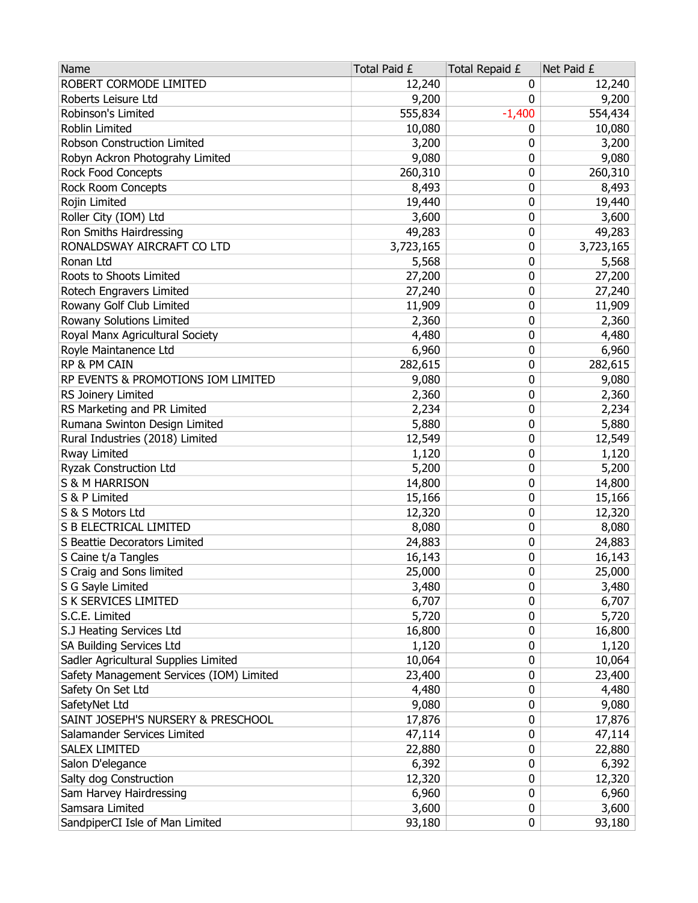| ROBERT CORMODE LIMITED<br>12,240<br>12,240<br>0<br>Roberts Leisure Ltd<br>9,200<br>9,200<br>0<br>555,834<br>Robinson's Limited<br>$-1,400$<br>554,434<br>Roblin Limited<br>10,080<br>10,080<br>0<br>Robson Construction Limited<br>3,200<br>0<br>3,200<br>Robyn Ackron Photograhy Limited<br>9,080<br>0<br>9,080<br>Rock Food Concepts<br>0<br>260,310<br>260,310<br>Rock Room Concepts<br>0<br>8,493<br>8,493<br>Rojin Limited<br>19,440<br>0<br>19,440<br>Roller City (IOM) Ltd<br>3,600<br>0<br>3,600<br>Ron Smiths Hairdressing<br>49,283<br>0<br>49,283<br>RONALDSWAY AIRCRAFT CO LTD<br>3,723,165<br>0<br>3,723,165<br>Ronan Ltd<br>5,568<br>0<br>5,568<br>Roots to Shoots Limited<br>0<br>27,200<br>27,200<br>Rotech Engravers Limited<br>27,240<br>0<br>27,240<br>Rowany Golf Club Limited<br>11,909<br>0<br>11,909<br>Rowany Solutions Limited<br>0<br>2,360<br>2,360<br>Royal Manx Agricultural Society<br>0<br>4,480<br>4,480<br>Royle Maintanence Ltd<br>6,960<br>0<br>6,960<br>RP & PM CAIN<br>282,615<br>282,615<br>0<br>RP EVENTS & PROMOTIONS IOM LIMITED<br>9,080<br>9,080<br>0<br>RS Joinery Limited<br>2,360<br>0<br>2,360<br>RS Marketing and PR Limited<br>2,234<br>0<br>2,234<br>Rumana Swinton Design Limited<br>5,880<br>0<br>5,880<br>Rural Industries (2018) Limited<br>12,549<br>0<br>12,549<br>Rway Limited<br>0<br>1,120<br>1,120 |
|----------------------------------------------------------------------------------------------------------------------------------------------------------------------------------------------------------------------------------------------------------------------------------------------------------------------------------------------------------------------------------------------------------------------------------------------------------------------------------------------------------------------------------------------------------------------------------------------------------------------------------------------------------------------------------------------------------------------------------------------------------------------------------------------------------------------------------------------------------------------------------------------------------------------------------------------------------------------------------------------------------------------------------------------------------------------------------------------------------------------------------------------------------------------------------------------------------------------------------------------------------------------------------------------------------------------------------------------------------------|
|                                                                                                                                                                                                                                                                                                                                                                                                                                                                                                                                                                                                                                                                                                                                                                                                                                                                                                                                                                                                                                                                                                                                                                                                                                                                                                                                                                |
|                                                                                                                                                                                                                                                                                                                                                                                                                                                                                                                                                                                                                                                                                                                                                                                                                                                                                                                                                                                                                                                                                                                                                                                                                                                                                                                                                                |
|                                                                                                                                                                                                                                                                                                                                                                                                                                                                                                                                                                                                                                                                                                                                                                                                                                                                                                                                                                                                                                                                                                                                                                                                                                                                                                                                                                |
|                                                                                                                                                                                                                                                                                                                                                                                                                                                                                                                                                                                                                                                                                                                                                                                                                                                                                                                                                                                                                                                                                                                                                                                                                                                                                                                                                                |
|                                                                                                                                                                                                                                                                                                                                                                                                                                                                                                                                                                                                                                                                                                                                                                                                                                                                                                                                                                                                                                                                                                                                                                                                                                                                                                                                                                |
|                                                                                                                                                                                                                                                                                                                                                                                                                                                                                                                                                                                                                                                                                                                                                                                                                                                                                                                                                                                                                                                                                                                                                                                                                                                                                                                                                                |
|                                                                                                                                                                                                                                                                                                                                                                                                                                                                                                                                                                                                                                                                                                                                                                                                                                                                                                                                                                                                                                                                                                                                                                                                                                                                                                                                                                |
|                                                                                                                                                                                                                                                                                                                                                                                                                                                                                                                                                                                                                                                                                                                                                                                                                                                                                                                                                                                                                                                                                                                                                                                                                                                                                                                                                                |
|                                                                                                                                                                                                                                                                                                                                                                                                                                                                                                                                                                                                                                                                                                                                                                                                                                                                                                                                                                                                                                                                                                                                                                                                                                                                                                                                                                |
|                                                                                                                                                                                                                                                                                                                                                                                                                                                                                                                                                                                                                                                                                                                                                                                                                                                                                                                                                                                                                                                                                                                                                                                                                                                                                                                                                                |
|                                                                                                                                                                                                                                                                                                                                                                                                                                                                                                                                                                                                                                                                                                                                                                                                                                                                                                                                                                                                                                                                                                                                                                                                                                                                                                                                                                |
|                                                                                                                                                                                                                                                                                                                                                                                                                                                                                                                                                                                                                                                                                                                                                                                                                                                                                                                                                                                                                                                                                                                                                                                                                                                                                                                                                                |
|                                                                                                                                                                                                                                                                                                                                                                                                                                                                                                                                                                                                                                                                                                                                                                                                                                                                                                                                                                                                                                                                                                                                                                                                                                                                                                                                                                |
|                                                                                                                                                                                                                                                                                                                                                                                                                                                                                                                                                                                                                                                                                                                                                                                                                                                                                                                                                                                                                                                                                                                                                                                                                                                                                                                                                                |
|                                                                                                                                                                                                                                                                                                                                                                                                                                                                                                                                                                                                                                                                                                                                                                                                                                                                                                                                                                                                                                                                                                                                                                                                                                                                                                                                                                |
|                                                                                                                                                                                                                                                                                                                                                                                                                                                                                                                                                                                                                                                                                                                                                                                                                                                                                                                                                                                                                                                                                                                                                                                                                                                                                                                                                                |
|                                                                                                                                                                                                                                                                                                                                                                                                                                                                                                                                                                                                                                                                                                                                                                                                                                                                                                                                                                                                                                                                                                                                                                                                                                                                                                                                                                |
|                                                                                                                                                                                                                                                                                                                                                                                                                                                                                                                                                                                                                                                                                                                                                                                                                                                                                                                                                                                                                                                                                                                                                                                                                                                                                                                                                                |
|                                                                                                                                                                                                                                                                                                                                                                                                                                                                                                                                                                                                                                                                                                                                                                                                                                                                                                                                                                                                                                                                                                                                                                                                                                                                                                                                                                |
|                                                                                                                                                                                                                                                                                                                                                                                                                                                                                                                                                                                                                                                                                                                                                                                                                                                                                                                                                                                                                                                                                                                                                                                                                                                                                                                                                                |
|                                                                                                                                                                                                                                                                                                                                                                                                                                                                                                                                                                                                                                                                                                                                                                                                                                                                                                                                                                                                                                                                                                                                                                                                                                                                                                                                                                |
|                                                                                                                                                                                                                                                                                                                                                                                                                                                                                                                                                                                                                                                                                                                                                                                                                                                                                                                                                                                                                                                                                                                                                                                                                                                                                                                                                                |
|                                                                                                                                                                                                                                                                                                                                                                                                                                                                                                                                                                                                                                                                                                                                                                                                                                                                                                                                                                                                                                                                                                                                                                                                                                                                                                                                                                |
|                                                                                                                                                                                                                                                                                                                                                                                                                                                                                                                                                                                                                                                                                                                                                                                                                                                                                                                                                                                                                                                                                                                                                                                                                                                                                                                                                                |
|                                                                                                                                                                                                                                                                                                                                                                                                                                                                                                                                                                                                                                                                                                                                                                                                                                                                                                                                                                                                                                                                                                                                                                                                                                                                                                                                                                |
|                                                                                                                                                                                                                                                                                                                                                                                                                                                                                                                                                                                                                                                                                                                                                                                                                                                                                                                                                                                                                                                                                                                                                                                                                                                                                                                                                                |
| Ryzak Construction Ltd<br>5,200<br>5,200<br>0                                                                                                                                                                                                                                                                                                                                                                                                                                                                                                                                                                                                                                                                                                                                                                                                                                                                                                                                                                                                                                                                                                                                                                                                                                                                                                                  |
| S & M HARRISON<br>14,800<br>0<br>14,800                                                                                                                                                                                                                                                                                                                                                                                                                                                                                                                                                                                                                                                                                                                                                                                                                                                                                                                                                                                                                                                                                                                                                                                                                                                                                                                        |
| S & P Limited<br>15,166<br>0<br>15,166                                                                                                                                                                                                                                                                                                                                                                                                                                                                                                                                                                                                                                                                                                                                                                                                                                                                                                                                                                                                                                                                                                                                                                                                                                                                                                                         |
| 12,320<br>0<br>S & S Motors Ltd<br>12,320                                                                                                                                                                                                                                                                                                                                                                                                                                                                                                                                                                                                                                                                                                                                                                                                                                                                                                                                                                                                                                                                                                                                                                                                                                                                                                                      |
| S B ELECTRICAL LIMITED<br>8,080<br>0<br>8,080                                                                                                                                                                                                                                                                                                                                                                                                                                                                                                                                                                                                                                                                                                                                                                                                                                                                                                                                                                                                                                                                                                                                                                                                                                                                                                                  |
| 0<br>S Beattie Decorators Limited<br>24,883<br>24,883                                                                                                                                                                                                                                                                                                                                                                                                                                                                                                                                                                                                                                                                                                                                                                                                                                                                                                                                                                                                                                                                                                                                                                                                                                                                                                          |
| S Caine t/a Tangles<br>0<br>16,143<br>16,143                                                                                                                                                                                                                                                                                                                                                                                                                                                                                                                                                                                                                                                                                                                                                                                                                                                                                                                                                                                                                                                                                                                                                                                                                                                                                                                   |
| 25,000<br>0<br>25,000<br>S Craig and Sons limited                                                                                                                                                                                                                                                                                                                                                                                                                                                                                                                                                                                                                                                                                                                                                                                                                                                                                                                                                                                                                                                                                                                                                                                                                                                                                                              |
| S G Sayle Limited<br>3,480<br>0<br>3,480                                                                                                                                                                                                                                                                                                                                                                                                                                                                                                                                                                                                                                                                                                                                                                                                                                                                                                                                                                                                                                                                                                                                                                                                                                                                                                                       |
| 6,707<br>S K SERVICES LIMITED<br>0<br>6,707                                                                                                                                                                                                                                                                                                                                                                                                                                                                                                                                                                                                                                                                                                                                                                                                                                                                                                                                                                                                                                                                                                                                                                                                                                                                                                                    |
| S.C.E. Limited<br>5,720<br>5,720<br>0                                                                                                                                                                                                                                                                                                                                                                                                                                                                                                                                                                                                                                                                                                                                                                                                                                                                                                                                                                                                                                                                                                                                                                                                                                                                                                                          |
| S.J Heating Services Ltd<br>16,800<br>0<br>16,800                                                                                                                                                                                                                                                                                                                                                                                                                                                                                                                                                                                                                                                                                                                                                                                                                                                                                                                                                                                                                                                                                                                                                                                                                                                                                                              |
| SA Building Services Ltd<br>1,120<br>0<br>1,120                                                                                                                                                                                                                                                                                                                                                                                                                                                                                                                                                                                                                                                                                                                                                                                                                                                                                                                                                                                                                                                                                                                                                                                                                                                                                                                |
| Sadler Agricultural Supplies Limited<br>10,064<br>10,064<br>0                                                                                                                                                                                                                                                                                                                                                                                                                                                                                                                                                                                                                                                                                                                                                                                                                                                                                                                                                                                                                                                                                                                                                                                                                                                                                                  |
| Safety Management Services (IOM) Limited<br>23,400<br>0<br>23,400                                                                                                                                                                                                                                                                                                                                                                                                                                                                                                                                                                                                                                                                                                                                                                                                                                                                                                                                                                                                                                                                                                                                                                                                                                                                                              |
| Safety On Set Ltd<br>4,480<br>0<br>4,480                                                                                                                                                                                                                                                                                                                                                                                                                                                                                                                                                                                                                                                                                                                                                                                                                                                                                                                                                                                                                                                                                                                                                                                                                                                                                                                       |
| SafetyNet Ltd<br>9,080<br>0<br>9,080                                                                                                                                                                                                                                                                                                                                                                                                                                                                                                                                                                                                                                                                                                                                                                                                                                                                                                                                                                                                                                                                                                                                                                                                                                                                                                                           |
| SAINT JOSEPH'S NURSERY & PRESCHOOL<br>17,876<br>17,876<br>0                                                                                                                                                                                                                                                                                                                                                                                                                                                                                                                                                                                                                                                                                                                                                                                                                                                                                                                                                                                                                                                                                                                                                                                                                                                                                                    |
| Salamander Services Limited<br>47,114<br>47,114<br>0                                                                                                                                                                                                                                                                                                                                                                                                                                                                                                                                                                                                                                                                                                                                                                                                                                                                                                                                                                                                                                                                                                                                                                                                                                                                                                           |
| <b>SALEX LIMITED</b><br>22,880<br>22,880<br>0                                                                                                                                                                                                                                                                                                                                                                                                                                                                                                                                                                                                                                                                                                                                                                                                                                                                                                                                                                                                                                                                                                                                                                                                                                                                                                                  |
| Salon D'elegance<br>6,392<br>6,392<br>0                                                                                                                                                                                                                                                                                                                                                                                                                                                                                                                                                                                                                                                                                                                                                                                                                                                                                                                                                                                                                                                                                                                                                                                                                                                                                                                        |
| Salty dog Construction<br>12,320<br>0<br>12,320                                                                                                                                                                                                                                                                                                                                                                                                                                                                                                                                                                                                                                                                                                                                                                                                                                                                                                                                                                                                                                                                                                                                                                                                                                                                                                                |
| Sam Harvey Hairdressing<br>6,960<br>0<br>6,960                                                                                                                                                                                                                                                                                                                                                                                                                                                                                                                                                                                                                                                                                                                                                                                                                                                                                                                                                                                                                                                                                                                                                                                                                                                                                                                 |
| Samsara Limited<br>3,600<br>0<br>3,600                                                                                                                                                                                                                                                                                                                                                                                                                                                                                                                                                                                                                                                                                                                                                                                                                                                                                                                                                                                                                                                                                                                                                                                                                                                                                                                         |
| SandpiperCI Isle of Man Limited<br>0<br>93,180<br>93,180                                                                                                                                                                                                                                                                                                                                                                                                                                                                                                                                                                                                                                                                                                                                                                                                                                                                                                                                                                                                                                                                                                                                                                                                                                                                                                       |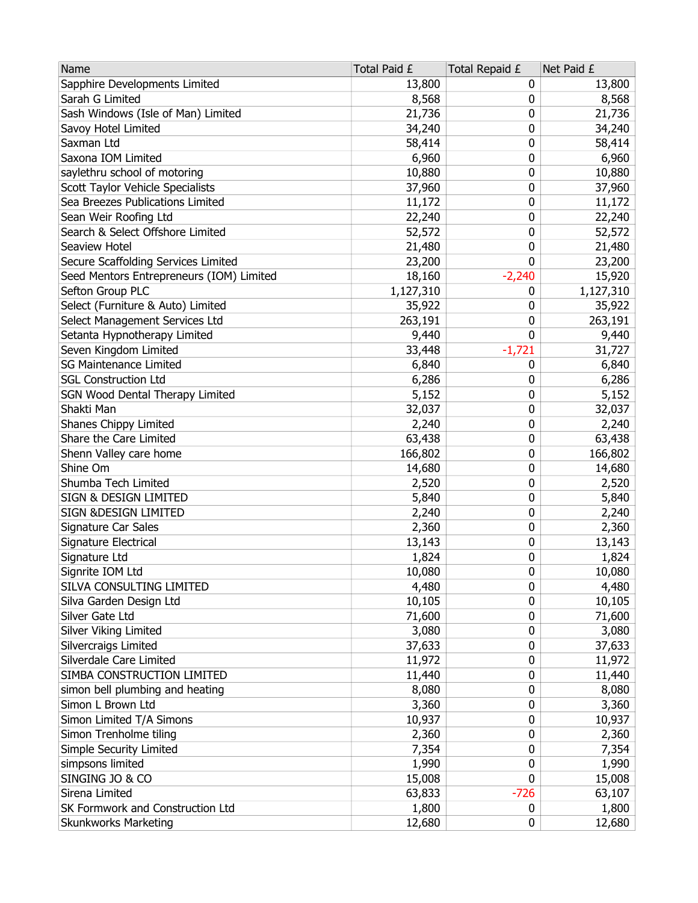| Sapphire Developments Limited<br>13,800<br>13,800<br>0<br>Sarah G Limited<br>8,568<br>8,568<br>0<br>Sash Windows (Isle of Man) Limited<br>21,736<br>21,736<br>0<br>Savoy Hotel Limited<br>34,240<br>0<br>34,240<br>0<br>Saxman Ltd<br>58,414<br>58,414<br>Saxona IOM Limited<br>6,960<br>0<br>6,960<br>0<br>saylethru school of motoring<br>10,880<br>10,880<br>Scott Taylor Vehicle Specialists<br>37,960<br>0<br>37,960<br>Sea Breezes Publications Limited<br>11,172<br>11,172<br>0<br>22,240<br>22,240<br>Sean Weir Roofing Ltd<br>0<br>Search & Select Offshore Limited<br>0<br>52,572<br>52,572<br>Seaview Hotel<br>21,480<br>0<br>21,480<br>0<br>Secure Scaffolding Services Limited<br>23,200<br>23,200<br>Seed Mentors Entrepreneurs (IOM) Limited<br>$-2,240$<br>15,920<br>18,160<br>Sefton Group PLC<br>1,127,310<br>1,127,310<br>0<br>Select (Furniture & Auto) Limited<br>35,922<br>35,922<br>0<br>263,191<br>Select Management Services Ltd<br>263,191<br>0<br>0<br>Setanta Hypnotherapy Limited<br>9,440<br>9,440<br>Seven Kingdom Limited<br>$-1,721$<br>33,448<br>31,727<br><b>SG Maintenance Limited</b><br>6,840<br>0<br>6,840<br><b>SGL Construction Ltd</b><br>6,286<br>6,286<br>0<br>SGN Wood Dental Therapy Limited<br>5,152<br>0<br>5,152<br>32,037<br>0<br>32,037<br>0<br>Shanes Chippy Limited<br>2,240<br>2,240<br>Share the Care Limited<br>63,438<br>0<br>63,438<br>Shenn Valley care home<br>166,802<br>0<br>166,802<br>Shine Om<br>14,680<br>0<br>14,680<br>Shumba Tech Limited<br>2,520<br>0<br>2,520<br>SIGN & DESIGN LIMITED<br>5,840<br>0<br>5,840<br>SIGN & DESIGN LIMITED<br>2,240<br>0<br>2,240<br>0<br>Signature Car Sales<br>2,360<br>2,360<br>0<br>Signature Electrical<br>13,143<br>13,143<br>Signature Ltd<br>0<br>1,824<br>1,824<br>0<br>10,080<br>Signrite IOM Ltd<br>10,080<br>SILVA CONSULTING LIMITED<br>4,480<br>0<br>4,480<br>10,105<br>10,105<br>0<br>Silva Garden Design Ltd<br>71,600<br>Silver Gate Ltd<br>71,600<br>0<br>Silver Viking Limited<br>3,080<br>0<br>3,080<br>Silvercraigs Limited<br>37,633<br>37,633<br>0<br>Silverdale Care Limited<br>11,972<br>11,972<br>0<br>SIMBA CONSTRUCTION LIMITED<br>11,440<br>0<br>11,440<br>simon bell plumbing and heating<br>0<br>8,080<br>8,080<br>Simon L Brown Ltd<br>3,360<br>0<br>3,360<br>Simon Limited T/A Simons<br>10,937<br>10,937<br>0<br>Simon Trenholme tiling<br>2,360<br>2,360<br>0<br>Simple Security Limited<br>7,354<br>7,354<br>0<br>simpsons limited<br>1,990<br>0<br>1,990<br>SINGING JO & CO<br>0<br>15,008<br>15,008<br>Sirena Limited<br>$-726$<br>63,833<br>63,107<br>SK Formwork and Construction Ltd<br>1,800<br>1,800<br>0 | Name                        | Total Paid £ | Total Repaid £ | Net Paid £ |
|----------------------------------------------------------------------------------------------------------------------------------------------------------------------------------------------------------------------------------------------------------------------------------------------------------------------------------------------------------------------------------------------------------------------------------------------------------------------------------------------------------------------------------------------------------------------------------------------------------------------------------------------------------------------------------------------------------------------------------------------------------------------------------------------------------------------------------------------------------------------------------------------------------------------------------------------------------------------------------------------------------------------------------------------------------------------------------------------------------------------------------------------------------------------------------------------------------------------------------------------------------------------------------------------------------------------------------------------------------------------------------------------------------------------------------------------------------------------------------------------------------------------------------------------------------------------------------------------------------------------------------------------------------------------------------------------------------------------------------------------------------------------------------------------------------------------------------------------------------------------------------------------------------------------------------------------------------------------------------------------------------------------------------------------------------------------------------------------------------------------------------------------------------------------------------------------------------------------------------------------------------------------------------------------------------------------------------------------------------------------------------------------------------------------------------------------------------------------------------------------------------------------------------------------------------------------------------------------------------------------------------------------------------|-----------------------------|--------------|----------------|------------|
|                                                                                                                                                                                                                                                                                                                                                                                                                                                                                                                                                                                                                                                                                                                                                                                                                                                                                                                                                                                                                                                                                                                                                                                                                                                                                                                                                                                                                                                                                                                                                                                                                                                                                                                                                                                                                                                                                                                                                                                                                                                                                                                                                                                                                                                                                                                                                                                                                                                                                                                                                                                                                                                          |                             |              |                |            |
|                                                                                                                                                                                                                                                                                                                                                                                                                                                                                                                                                                                                                                                                                                                                                                                                                                                                                                                                                                                                                                                                                                                                                                                                                                                                                                                                                                                                                                                                                                                                                                                                                                                                                                                                                                                                                                                                                                                                                                                                                                                                                                                                                                                                                                                                                                                                                                                                                                                                                                                                                                                                                                                          |                             |              |                |            |
|                                                                                                                                                                                                                                                                                                                                                                                                                                                                                                                                                                                                                                                                                                                                                                                                                                                                                                                                                                                                                                                                                                                                                                                                                                                                                                                                                                                                                                                                                                                                                                                                                                                                                                                                                                                                                                                                                                                                                                                                                                                                                                                                                                                                                                                                                                                                                                                                                                                                                                                                                                                                                                                          |                             |              |                |            |
|                                                                                                                                                                                                                                                                                                                                                                                                                                                                                                                                                                                                                                                                                                                                                                                                                                                                                                                                                                                                                                                                                                                                                                                                                                                                                                                                                                                                                                                                                                                                                                                                                                                                                                                                                                                                                                                                                                                                                                                                                                                                                                                                                                                                                                                                                                                                                                                                                                                                                                                                                                                                                                                          |                             |              |                |            |
|                                                                                                                                                                                                                                                                                                                                                                                                                                                                                                                                                                                                                                                                                                                                                                                                                                                                                                                                                                                                                                                                                                                                                                                                                                                                                                                                                                                                                                                                                                                                                                                                                                                                                                                                                                                                                                                                                                                                                                                                                                                                                                                                                                                                                                                                                                                                                                                                                                                                                                                                                                                                                                                          |                             |              |                |            |
|                                                                                                                                                                                                                                                                                                                                                                                                                                                                                                                                                                                                                                                                                                                                                                                                                                                                                                                                                                                                                                                                                                                                                                                                                                                                                                                                                                                                                                                                                                                                                                                                                                                                                                                                                                                                                                                                                                                                                                                                                                                                                                                                                                                                                                                                                                                                                                                                                                                                                                                                                                                                                                                          |                             |              |                |            |
|                                                                                                                                                                                                                                                                                                                                                                                                                                                                                                                                                                                                                                                                                                                                                                                                                                                                                                                                                                                                                                                                                                                                                                                                                                                                                                                                                                                                                                                                                                                                                                                                                                                                                                                                                                                                                                                                                                                                                                                                                                                                                                                                                                                                                                                                                                                                                                                                                                                                                                                                                                                                                                                          |                             |              |                |            |
|                                                                                                                                                                                                                                                                                                                                                                                                                                                                                                                                                                                                                                                                                                                                                                                                                                                                                                                                                                                                                                                                                                                                                                                                                                                                                                                                                                                                                                                                                                                                                                                                                                                                                                                                                                                                                                                                                                                                                                                                                                                                                                                                                                                                                                                                                                                                                                                                                                                                                                                                                                                                                                                          |                             |              |                |            |
|                                                                                                                                                                                                                                                                                                                                                                                                                                                                                                                                                                                                                                                                                                                                                                                                                                                                                                                                                                                                                                                                                                                                                                                                                                                                                                                                                                                                                                                                                                                                                                                                                                                                                                                                                                                                                                                                                                                                                                                                                                                                                                                                                                                                                                                                                                                                                                                                                                                                                                                                                                                                                                                          |                             |              |                |            |
|                                                                                                                                                                                                                                                                                                                                                                                                                                                                                                                                                                                                                                                                                                                                                                                                                                                                                                                                                                                                                                                                                                                                                                                                                                                                                                                                                                                                                                                                                                                                                                                                                                                                                                                                                                                                                                                                                                                                                                                                                                                                                                                                                                                                                                                                                                                                                                                                                                                                                                                                                                                                                                                          |                             |              |                |            |
|                                                                                                                                                                                                                                                                                                                                                                                                                                                                                                                                                                                                                                                                                                                                                                                                                                                                                                                                                                                                                                                                                                                                                                                                                                                                                                                                                                                                                                                                                                                                                                                                                                                                                                                                                                                                                                                                                                                                                                                                                                                                                                                                                                                                                                                                                                                                                                                                                                                                                                                                                                                                                                                          |                             |              |                |            |
|                                                                                                                                                                                                                                                                                                                                                                                                                                                                                                                                                                                                                                                                                                                                                                                                                                                                                                                                                                                                                                                                                                                                                                                                                                                                                                                                                                                                                                                                                                                                                                                                                                                                                                                                                                                                                                                                                                                                                                                                                                                                                                                                                                                                                                                                                                                                                                                                                                                                                                                                                                                                                                                          |                             |              |                |            |
|                                                                                                                                                                                                                                                                                                                                                                                                                                                                                                                                                                                                                                                                                                                                                                                                                                                                                                                                                                                                                                                                                                                                                                                                                                                                                                                                                                                                                                                                                                                                                                                                                                                                                                                                                                                                                                                                                                                                                                                                                                                                                                                                                                                                                                                                                                                                                                                                                                                                                                                                                                                                                                                          |                             |              |                |            |
|                                                                                                                                                                                                                                                                                                                                                                                                                                                                                                                                                                                                                                                                                                                                                                                                                                                                                                                                                                                                                                                                                                                                                                                                                                                                                                                                                                                                                                                                                                                                                                                                                                                                                                                                                                                                                                                                                                                                                                                                                                                                                                                                                                                                                                                                                                                                                                                                                                                                                                                                                                                                                                                          |                             |              |                |            |
|                                                                                                                                                                                                                                                                                                                                                                                                                                                                                                                                                                                                                                                                                                                                                                                                                                                                                                                                                                                                                                                                                                                                                                                                                                                                                                                                                                                                                                                                                                                                                                                                                                                                                                                                                                                                                                                                                                                                                                                                                                                                                                                                                                                                                                                                                                                                                                                                                                                                                                                                                                                                                                                          |                             |              |                |            |
|                                                                                                                                                                                                                                                                                                                                                                                                                                                                                                                                                                                                                                                                                                                                                                                                                                                                                                                                                                                                                                                                                                                                                                                                                                                                                                                                                                                                                                                                                                                                                                                                                                                                                                                                                                                                                                                                                                                                                                                                                                                                                                                                                                                                                                                                                                                                                                                                                                                                                                                                                                                                                                                          |                             |              |                |            |
|                                                                                                                                                                                                                                                                                                                                                                                                                                                                                                                                                                                                                                                                                                                                                                                                                                                                                                                                                                                                                                                                                                                                                                                                                                                                                                                                                                                                                                                                                                                                                                                                                                                                                                                                                                                                                                                                                                                                                                                                                                                                                                                                                                                                                                                                                                                                                                                                                                                                                                                                                                                                                                                          |                             |              |                |            |
|                                                                                                                                                                                                                                                                                                                                                                                                                                                                                                                                                                                                                                                                                                                                                                                                                                                                                                                                                                                                                                                                                                                                                                                                                                                                                                                                                                                                                                                                                                                                                                                                                                                                                                                                                                                                                                                                                                                                                                                                                                                                                                                                                                                                                                                                                                                                                                                                                                                                                                                                                                                                                                                          |                             |              |                |            |
|                                                                                                                                                                                                                                                                                                                                                                                                                                                                                                                                                                                                                                                                                                                                                                                                                                                                                                                                                                                                                                                                                                                                                                                                                                                                                                                                                                                                                                                                                                                                                                                                                                                                                                                                                                                                                                                                                                                                                                                                                                                                                                                                                                                                                                                                                                                                                                                                                                                                                                                                                                                                                                                          |                             |              |                |            |
|                                                                                                                                                                                                                                                                                                                                                                                                                                                                                                                                                                                                                                                                                                                                                                                                                                                                                                                                                                                                                                                                                                                                                                                                                                                                                                                                                                                                                                                                                                                                                                                                                                                                                                                                                                                                                                                                                                                                                                                                                                                                                                                                                                                                                                                                                                                                                                                                                                                                                                                                                                                                                                                          |                             |              |                |            |
|                                                                                                                                                                                                                                                                                                                                                                                                                                                                                                                                                                                                                                                                                                                                                                                                                                                                                                                                                                                                                                                                                                                                                                                                                                                                                                                                                                                                                                                                                                                                                                                                                                                                                                                                                                                                                                                                                                                                                                                                                                                                                                                                                                                                                                                                                                                                                                                                                                                                                                                                                                                                                                                          |                             |              |                |            |
|                                                                                                                                                                                                                                                                                                                                                                                                                                                                                                                                                                                                                                                                                                                                                                                                                                                                                                                                                                                                                                                                                                                                                                                                                                                                                                                                                                                                                                                                                                                                                                                                                                                                                                                                                                                                                                                                                                                                                                                                                                                                                                                                                                                                                                                                                                                                                                                                                                                                                                                                                                                                                                                          |                             |              |                |            |
|                                                                                                                                                                                                                                                                                                                                                                                                                                                                                                                                                                                                                                                                                                                                                                                                                                                                                                                                                                                                                                                                                                                                                                                                                                                                                                                                                                                                                                                                                                                                                                                                                                                                                                                                                                                                                                                                                                                                                                                                                                                                                                                                                                                                                                                                                                                                                                                                                                                                                                                                                                                                                                                          | Shakti Man                  |              |                |            |
|                                                                                                                                                                                                                                                                                                                                                                                                                                                                                                                                                                                                                                                                                                                                                                                                                                                                                                                                                                                                                                                                                                                                                                                                                                                                                                                                                                                                                                                                                                                                                                                                                                                                                                                                                                                                                                                                                                                                                                                                                                                                                                                                                                                                                                                                                                                                                                                                                                                                                                                                                                                                                                                          |                             |              |                |            |
|                                                                                                                                                                                                                                                                                                                                                                                                                                                                                                                                                                                                                                                                                                                                                                                                                                                                                                                                                                                                                                                                                                                                                                                                                                                                                                                                                                                                                                                                                                                                                                                                                                                                                                                                                                                                                                                                                                                                                                                                                                                                                                                                                                                                                                                                                                                                                                                                                                                                                                                                                                                                                                                          |                             |              |                |            |
|                                                                                                                                                                                                                                                                                                                                                                                                                                                                                                                                                                                                                                                                                                                                                                                                                                                                                                                                                                                                                                                                                                                                                                                                                                                                                                                                                                                                                                                                                                                                                                                                                                                                                                                                                                                                                                                                                                                                                                                                                                                                                                                                                                                                                                                                                                                                                                                                                                                                                                                                                                                                                                                          |                             |              |                |            |
|                                                                                                                                                                                                                                                                                                                                                                                                                                                                                                                                                                                                                                                                                                                                                                                                                                                                                                                                                                                                                                                                                                                                                                                                                                                                                                                                                                                                                                                                                                                                                                                                                                                                                                                                                                                                                                                                                                                                                                                                                                                                                                                                                                                                                                                                                                                                                                                                                                                                                                                                                                                                                                                          |                             |              |                |            |
|                                                                                                                                                                                                                                                                                                                                                                                                                                                                                                                                                                                                                                                                                                                                                                                                                                                                                                                                                                                                                                                                                                                                                                                                                                                                                                                                                                                                                                                                                                                                                                                                                                                                                                                                                                                                                                                                                                                                                                                                                                                                                                                                                                                                                                                                                                                                                                                                                                                                                                                                                                                                                                                          |                             |              |                |            |
|                                                                                                                                                                                                                                                                                                                                                                                                                                                                                                                                                                                                                                                                                                                                                                                                                                                                                                                                                                                                                                                                                                                                                                                                                                                                                                                                                                                                                                                                                                                                                                                                                                                                                                                                                                                                                                                                                                                                                                                                                                                                                                                                                                                                                                                                                                                                                                                                                                                                                                                                                                                                                                                          |                             |              |                |            |
|                                                                                                                                                                                                                                                                                                                                                                                                                                                                                                                                                                                                                                                                                                                                                                                                                                                                                                                                                                                                                                                                                                                                                                                                                                                                                                                                                                                                                                                                                                                                                                                                                                                                                                                                                                                                                                                                                                                                                                                                                                                                                                                                                                                                                                                                                                                                                                                                                                                                                                                                                                                                                                                          |                             |              |                |            |
|                                                                                                                                                                                                                                                                                                                                                                                                                                                                                                                                                                                                                                                                                                                                                                                                                                                                                                                                                                                                                                                                                                                                                                                                                                                                                                                                                                                                                                                                                                                                                                                                                                                                                                                                                                                                                                                                                                                                                                                                                                                                                                                                                                                                                                                                                                                                                                                                                                                                                                                                                                                                                                                          |                             |              |                |            |
|                                                                                                                                                                                                                                                                                                                                                                                                                                                                                                                                                                                                                                                                                                                                                                                                                                                                                                                                                                                                                                                                                                                                                                                                                                                                                                                                                                                                                                                                                                                                                                                                                                                                                                                                                                                                                                                                                                                                                                                                                                                                                                                                                                                                                                                                                                                                                                                                                                                                                                                                                                                                                                                          |                             |              |                |            |
|                                                                                                                                                                                                                                                                                                                                                                                                                                                                                                                                                                                                                                                                                                                                                                                                                                                                                                                                                                                                                                                                                                                                                                                                                                                                                                                                                                                                                                                                                                                                                                                                                                                                                                                                                                                                                                                                                                                                                                                                                                                                                                                                                                                                                                                                                                                                                                                                                                                                                                                                                                                                                                                          |                             |              |                |            |
|                                                                                                                                                                                                                                                                                                                                                                                                                                                                                                                                                                                                                                                                                                                                                                                                                                                                                                                                                                                                                                                                                                                                                                                                                                                                                                                                                                                                                                                                                                                                                                                                                                                                                                                                                                                                                                                                                                                                                                                                                                                                                                                                                                                                                                                                                                                                                                                                                                                                                                                                                                                                                                                          |                             |              |                |            |
|                                                                                                                                                                                                                                                                                                                                                                                                                                                                                                                                                                                                                                                                                                                                                                                                                                                                                                                                                                                                                                                                                                                                                                                                                                                                                                                                                                                                                                                                                                                                                                                                                                                                                                                                                                                                                                                                                                                                                                                                                                                                                                                                                                                                                                                                                                                                                                                                                                                                                                                                                                                                                                                          |                             |              |                |            |
|                                                                                                                                                                                                                                                                                                                                                                                                                                                                                                                                                                                                                                                                                                                                                                                                                                                                                                                                                                                                                                                                                                                                                                                                                                                                                                                                                                                                                                                                                                                                                                                                                                                                                                                                                                                                                                                                                                                                                                                                                                                                                                                                                                                                                                                                                                                                                                                                                                                                                                                                                                                                                                                          |                             |              |                |            |
|                                                                                                                                                                                                                                                                                                                                                                                                                                                                                                                                                                                                                                                                                                                                                                                                                                                                                                                                                                                                                                                                                                                                                                                                                                                                                                                                                                                                                                                                                                                                                                                                                                                                                                                                                                                                                                                                                                                                                                                                                                                                                                                                                                                                                                                                                                                                                                                                                                                                                                                                                                                                                                                          |                             |              |                |            |
|                                                                                                                                                                                                                                                                                                                                                                                                                                                                                                                                                                                                                                                                                                                                                                                                                                                                                                                                                                                                                                                                                                                                                                                                                                                                                                                                                                                                                                                                                                                                                                                                                                                                                                                                                                                                                                                                                                                                                                                                                                                                                                                                                                                                                                                                                                                                                                                                                                                                                                                                                                                                                                                          |                             |              |                |            |
|                                                                                                                                                                                                                                                                                                                                                                                                                                                                                                                                                                                                                                                                                                                                                                                                                                                                                                                                                                                                                                                                                                                                                                                                                                                                                                                                                                                                                                                                                                                                                                                                                                                                                                                                                                                                                                                                                                                                                                                                                                                                                                                                                                                                                                                                                                                                                                                                                                                                                                                                                                                                                                                          |                             |              |                |            |
|                                                                                                                                                                                                                                                                                                                                                                                                                                                                                                                                                                                                                                                                                                                                                                                                                                                                                                                                                                                                                                                                                                                                                                                                                                                                                                                                                                                                                                                                                                                                                                                                                                                                                                                                                                                                                                                                                                                                                                                                                                                                                                                                                                                                                                                                                                                                                                                                                                                                                                                                                                                                                                                          |                             |              |                |            |
|                                                                                                                                                                                                                                                                                                                                                                                                                                                                                                                                                                                                                                                                                                                                                                                                                                                                                                                                                                                                                                                                                                                                                                                                                                                                                                                                                                                                                                                                                                                                                                                                                                                                                                                                                                                                                                                                                                                                                                                                                                                                                                                                                                                                                                                                                                                                                                                                                                                                                                                                                                                                                                                          |                             |              |                |            |
|                                                                                                                                                                                                                                                                                                                                                                                                                                                                                                                                                                                                                                                                                                                                                                                                                                                                                                                                                                                                                                                                                                                                                                                                                                                                                                                                                                                                                                                                                                                                                                                                                                                                                                                                                                                                                                                                                                                                                                                                                                                                                                                                                                                                                                                                                                                                                                                                                                                                                                                                                                                                                                                          |                             |              |                |            |
|                                                                                                                                                                                                                                                                                                                                                                                                                                                                                                                                                                                                                                                                                                                                                                                                                                                                                                                                                                                                                                                                                                                                                                                                                                                                                                                                                                                                                                                                                                                                                                                                                                                                                                                                                                                                                                                                                                                                                                                                                                                                                                                                                                                                                                                                                                                                                                                                                                                                                                                                                                                                                                                          |                             |              |                |            |
|                                                                                                                                                                                                                                                                                                                                                                                                                                                                                                                                                                                                                                                                                                                                                                                                                                                                                                                                                                                                                                                                                                                                                                                                                                                                                                                                                                                                                                                                                                                                                                                                                                                                                                                                                                                                                                                                                                                                                                                                                                                                                                                                                                                                                                                                                                                                                                                                                                                                                                                                                                                                                                                          |                             |              |                |            |
|                                                                                                                                                                                                                                                                                                                                                                                                                                                                                                                                                                                                                                                                                                                                                                                                                                                                                                                                                                                                                                                                                                                                                                                                                                                                                                                                                                                                                                                                                                                                                                                                                                                                                                                                                                                                                                                                                                                                                                                                                                                                                                                                                                                                                                                                                                                                                                                                                                                                                                                                                                                                                                                          |                             |              |                |            |
|                                                                                                                                                                                                                                                                                                                                                                                                                                                                                                                                                                                                                                                                                                                                                                                                                                                                                                                                                                                                                                                                                                                                                                                                                                                                                                                                                                                                                                                                                                                                                                                                                                                                                                                                                                                                                                                                                                                                                                                                                                                                                                                                                                                                                                                                                                                                                                                                                                                                                                                                                                                                                                                          |                             |              |                |            |
|                                                                                                                                                                                                                                                                                                                                                                                                                                                                                                                                                                                                                                                                                                                                                                                                                                                                                                                                                                                                                                                                                                                                                                                                                                                                                                                                                                                                                                                                                                                                                                                                                                                                                                                                                                                                                                                                                                                                                                                                                                                                                                                                                                                                                                                                                                                                                                                                                                                                                                                                                                                                                                                          |                             |              |                |            |
|                                                                                                                                                                                                                                                                                                                                                                                                                                                                                                                                                                                                                                                                                                                                                                                                                                                                                                                                                                                                                                                                                                                                                                                                                                                                                                                                                                                                                                                                                                                                                                                                                                                                                                                                                                                                                                                                                                                                                                                                                                                                                                                                                                                                                                                                                                                                                                                                                                                                                                                                                                                                                                                          |                             |              |                |            |
|                                                                                                                                                                                                                                                                                                                                                                                                                                                                                                                                                                                                                                                                                                                                                                                                                                                                                                                                                                                                                                                                                                                                                                                                                                                                                                                                                                                                                                                                                                                                                                                                                                                                                                                                                                                                                                                                                                                                                                                                                                                                                                                                                                                                                                                                                                                                                                                                                                                                                                                                                                                                                                                          |                             |              |                |            |
|                                                                                                                                                                                                                                                                                                                                                                                                                                                                                                                                                                                                                                                                                                                                                                                                                                                                                                                                                                                                                                                                                                                                                                                                                                                                                                                                                                                                                                                                                                                                                                                                                                                                                                                                                                                                                                                                                                                                                                                                                                                                                                                                                                                                                                                                                                                                                                                                                                                                                                                                                                                                                                                          |                             |              |                |            |
|                                                                                                                                                                                                                                                                                                                                                                                                                                                                                                                                                                                                                                                                                                                                                                                                                                                                                                                                                                                                                                                                                                                                                                                                                                                                                                                                                                                                                                                                                                                                                                                                                                                                                                                                                                                                                                                                                                                                                                                                                                                                                                                                                                                                                                                                                                                                                                                                                                                                                                                                                                                                                                                          | <b>Skunkworks Marketing</b> | 12,680       | 0              | 12,680     |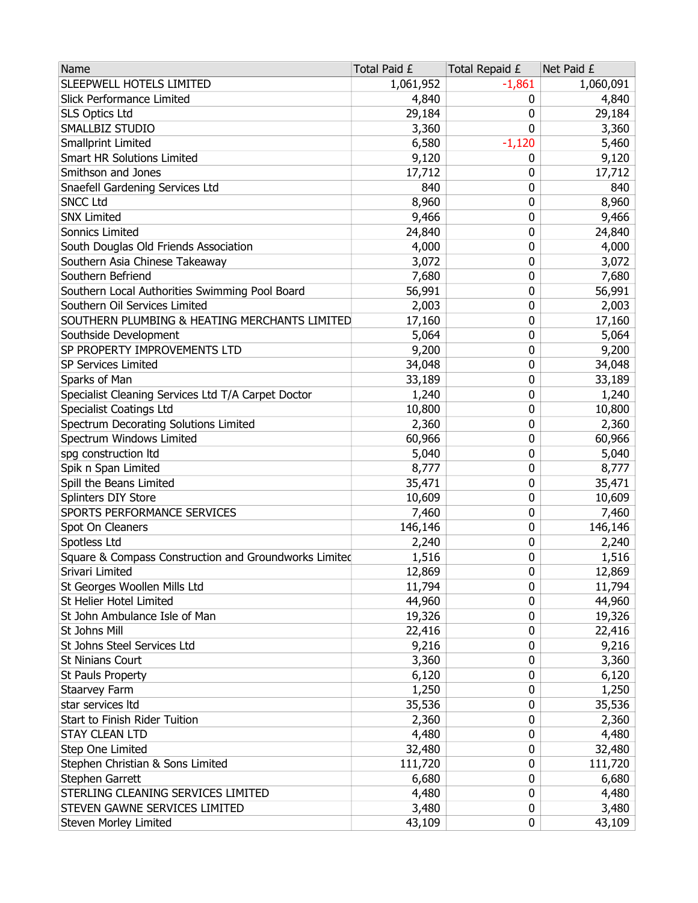| Name                                                  | Total Paid £ | Total Repaid £ | Net Paid £ |
|-------------------------------------------------------|--------------|----------------|------------|
| SLEEPWELL HOTELS LIMITED                              | 1,061,952    | $-1,861$       | 1,060,091  |
| Slick Performance Limited                             | 4,840        | 0              | 4,840      |
| <b>SLS Optics Ltd</b>                                 | 29,184       | 0              | 29,184     |
| SMALLBIZ STUDIO                                       | 3,360        | 0              | 3,360      |
| <b>Smallprint Limited</b>                             | 6,580        | $-1,120$       | 5,460      |
| <b>Smart HR Solutions Limited</b>                     | 9,120        | 0              | 9,120      |
| Smithson and Jones                                    | 17,712       | 0              | 17,712     |
| Snaefell Gardening Services Ltd                       | 840          | 0              | 840        |
| <b>SNCC Ltd</b>                                       | 8,960        | 0              | 8,960      |
| <b>SNX Limited</b>                                    | 9,466        | 0              | 9,466      |
| Sonnics Limited                                       | 24,840       | 0              | 24,840     |
| South Douglas Old Friends Association                 | 4,000        | 0              | 4,000      |
| Southern Asia Chinese Takeaway                        | 3,072        | 0              | 3,072      |
| Southern Befriend                                     | 7,680        | 0              | 7,680      |
| Southern Local Authorities Swimming Pool Board        | 56,991       | 0              | 56,991     |
| Southern Oil Services Limited                         | 2,003        | 0              | 2,003      |
| SOUTHERN PLUMBING & HEATING MERCHANTS LIMITED         | 17,160       | 0              | 17,160     |
| Southside Development                                 | 5,064        | 0              | 5,064      |
| SP PROPERTY IMPROVEMENTS LTD                          | 9,200        | 0              | 9,200      |
| <b>SP Services Limited</b>                            | 34,048       | 0              | 34,048     |
| Sparks of Man                                         | 33,189       | 0              | 33,189     |
| Specialist Cleaning Services Ltd T/A Carpet Doctor    | 1,240        | 0              | 1,240      |
| <b>Specialist Coatings Ltd</b>                        | 10,800       | 0              | 10,800     |
| Spectrum Decorating Solutions Limited                 | 2,360        | 0              | 2,360      |
| Spectrum Windows Limited                              | 60,966       | 0              | 60,966     |
| spg construction Itd                                  | 5,040        | 0              | 5,040      |
| Spik n Span Limited                                   | 8,777        | 0              | 8,777      |
| Spill the Beans Limited                               | 35,471       | 0              | 35,471     |
| Splinters DIY Store                                   | 10,609       | 0              | 10,609     |
| SPORTS PERFORMANCE SERVICES                           | 7,460        | 0              | 7,460      |
| Spot On Cleaners                                      | 146,146      | 0              | 146,146    |
| Spotless Ltd                                          | 2,240        | 0              | 2,240      |
| Square & Compass Construction and Groundworks Limited | 1,516        | 0              | 1,516      |
| Srivari Limited                                       | 12,869       | 0              | 12,869     |
| St Georges Woollen Mills Ltd                          | 11,794       | 0              | 11,794     |
| St Helier Hotel Limited                               | 44,960       | 0              | 44,960     |
| St John Ambulance Isle of Man                         | 19,326       | 0              | 19,326     |
| St Johns Mill                                         | 22,416       | 0              | 22,416     |
| St Johns Steel Services Ltd                           | 9,216        | 0              | 9,216      |
| <b>St Ninians Court</b>                               | 3,360        | 0              | 3,360      |
| St Pauls Property                                     | 6,120        | 0              | 6,120      |
| Staarvey Farm                                         | 1,250        | 0              | 1,250      |
| star services Itd                                     | 35,536       | 0              | 35,536     |
| Start to Finish Rider Tuition                         | 2,360        | 0              | 2,360      |
| <b>STAY CLEAN LTD</b>                                 | 4,480        | 0              | 4,480      |
| Step One Limited                                      | 32,480       | 0              | 32,480     |
| Stephen Christian & Sons Limited                      | 111,720      | 0              | 111,720    |
| Stephen Garrett                                       | 6,680        | 0              | 6,680      |
| STERLING CLEANING SERVICES LIMITED                    | 4,480        | 0              | 4,480      |
| STEVEN GAWNE SERVICES LIMITED                         | 3,480        | 0              | 3,480      |
| Steven Morley Limited                                 | 43,109       | 0              | 43,109     |
|                                                       |              |                |            |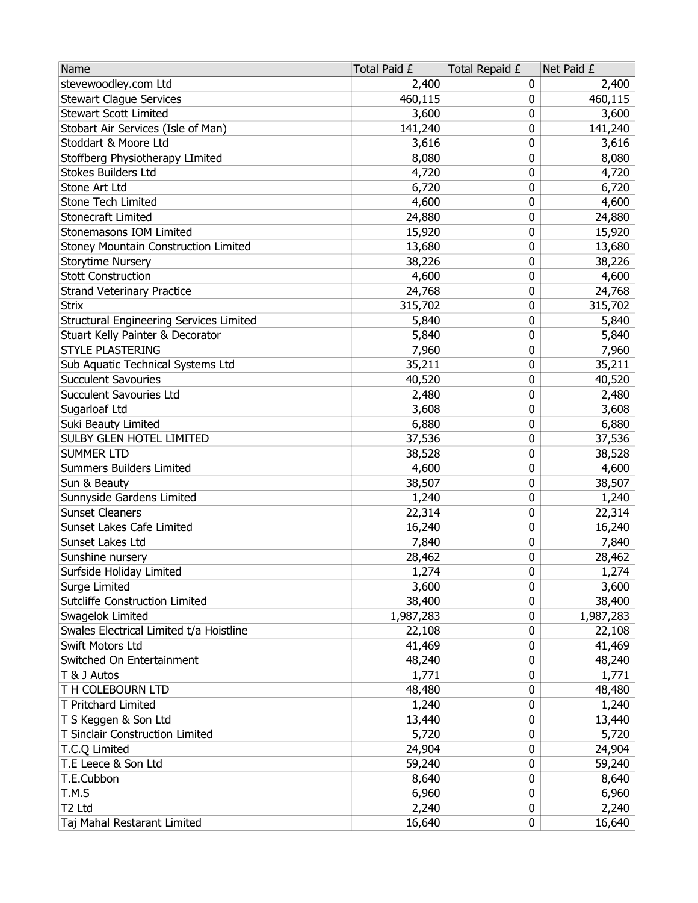| stevewoodley.com Ltd<br>2,400<br>0<br><b>Stewart Clague Services</b><br>460,115<br>460,115<br>0<br><b>Stewart Scott Limited</b><br>3,600<br>0 | 2,400<br>3,600 |
|-----------------------------------------------------------------------------------------------------------------------------------------------|----------------|
|                                                                                                                                               |                |
|                                                                                                                                               |                |
|                                                                                                                                               |                |
| Stobart Air Services (Isle of Man)<br>141,240<br>0<br>141,240                                                                                 |                |
| Stoddart & Moore Ltd<br>0<br>3,616                                                                                                            | 3,616          |
| Stoffberg Physiotherapy LImited<br>0<br>8,080                                                                                                 | 8,080          |
| <b>Stokes Builders Ltd</b><br>0<br>4,720                                                                                                      | 4,720          |
| Stone Art Ltd<br>6,720<br>0                                                                                                                   | 6,720          |
| Stone Tech Limited<br>4,600<br>0                                                                                                              | 4,600          |
| Stonecraft Limited<br>24,880<br>0<br>24,880                                                                                                   |                |
| 0<br>Stonemasons IOM Limited<br>15,920<br>15,920                                                                                              |                |
| Stoney Mountain Construction Limited<br>13,680<br>0<br>13,680                                                                                 |                |
| Storytime Nursery<br>0<br>38,226<br>38,226                                                                                                    |                |
| <b>Stott Construction</b><br>4,600<br>0                                                                                                       | 4,600          |
| <b>Strand Veterinary Practice</b><br>24,768<br>24,768<br>0                                                                                    |                |
| 0<br><b>Strix</b><br>315,702<br>315,702                                                                                                       |                |
| <b>Structural Engineering Services Limited</b><br>0<br>5,840                                                                                  | 5,840          |
| Stuart Kelly Painter & Decorator<br>0<br>5,840                                                                                                | 5,840          |
| <b>STYLE PLASTERING</b><br>0<br>7,960                                                                                                         | 7,960          |
| Sub Aquatic Technical Systems Ltd<br>35,211<br>0<br>35,211                                                                                    |                |
| <b>Succulent Savouries</b><br>40,520<br>0<br>40,520                                                                                           |                |
| <b>Succulent Savouries Ltd</b><br>2,480<br>0                                                                                                  | 2,480          |
| Sugarloaf Ltd<br>3,608<br>0                                                                                                                   | 3,608          |
| Suki Beauty Limited<br>6,880<br>0                                                                                                             | 6,880          |
| SULBY GLEN HOTEL LIMITED<br>37,536<br>0<br>37,536                                                                                             |                |
| <b>SUMMER LTD</b><br>0<br>38,528<br>38,528                                                                                                    |                |
| <b>Summers Builders Limited</b><br>4,600<br>0                                                                                                 | 4,600          |
| 38,507<br>38,507<br>Sun & Beauty<br>0                                                                                                         |                |
| Sunnyside Gardens Limited<br>1,240<br>0                                                                                                       | 1,240          |
| 0<br><b>Sunset Cleaners</b><br>22,314<br>22,314                                                                                               |                |
| Sunset Lakes Cafe Limited<br>16,240<br>0<br>16,240                                                                                            |                |
| Sunset Lakes Ltd<br>0<br>7,840                                                                                                                | 7,840          |
| Sunshine nursery<br>0<br>28,462<br>28,462                                                                                                     |                |
| 0<br>1,274<br>Surfside Holiday Limited                                                                                                        | 1,274          |
| 0<br>Surge Limited<br>3,600                                                                                                                   | 3,600          |
| <b>Sutcliffe Construction Limited</b><br>38,400<br>0<br>38,400                                                                                |                |
| 1,987,283<br>Swagelok Limited<br>0<br>1,987,283                                                                                               |                |
| Swales Electrical Limited t/a Hoistline<br>22,108<br>0<br>22,108                                                                              |                |
| Swift Motors Ltd<br>41,469<br>41,469<br>0                                                                                                     |                |
| Switched On Entertainment<br>48,240<br>48,240<br>0                                                                                            |                |
| T & J Autos<br>1,771<br>0                                                                                                                     | 1,771          |
| T H COLEBOURN LTD<br>48,480<br>0<br>48,480                                                                                                    |                |
| T Pritchard Limited<br>1,240<br>0                                                                                                             | 1,240          |
| T S Keggen & Son Ltd<br>13,440<br>0<br>13,440                                                                                                 |                |
| T Sinclair Construction Limited<br>5,720<br>0                                                                                                 | 5,720          |
| 24,904<br>24,904<br>T.C.Q Limited<br>0                                                                                                        |                |
| T.E Leece & Son Ltd<br>59,240<br>0<br>59,240                                                                                                  |                |
| T.E.Cubbon<br>8,640<br>0                                                                                                                      | 8,640          |
| T.M.S<br>6,960<br>0                                                                                                                           | 6,960          |
| T <sub>2</sub> Ltd<br>2,240<br>0                                                                                                              | 2,240          |
| Taj Mahal Restarant Limited<br>16,640<br>0<br>16,640                                                                                          |                |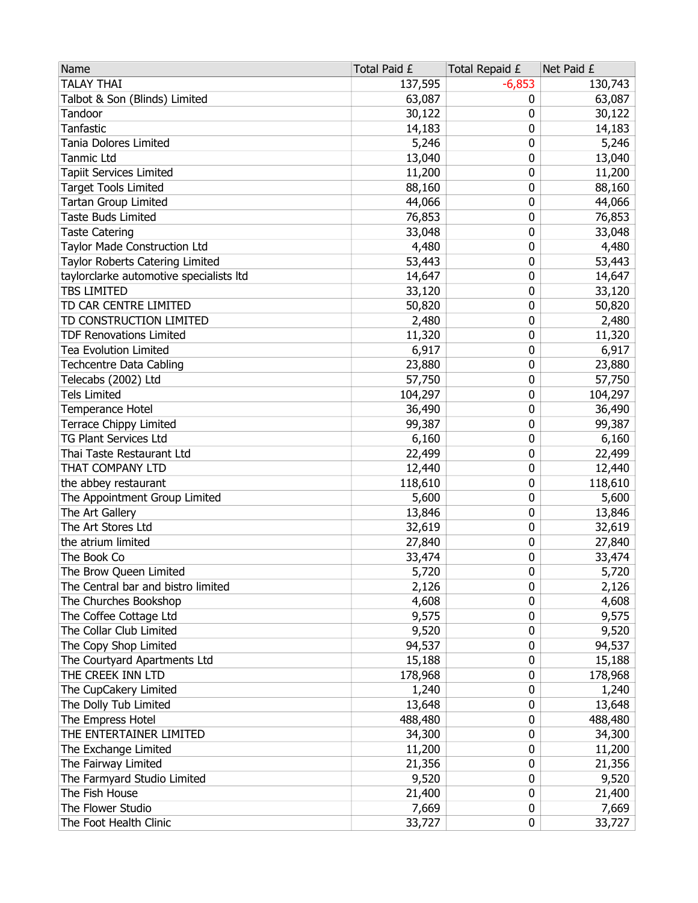| <b>TALAY THAI</b><br>137,595<br>$-6,853$<br>130,743<br>Talbot & Son (Blinds) Limited<br>63,087<br>63,087<br>0<br>Tandoor<br>30,122<br>30,122<br>0<br>Tanfastic<br>14,183<br>0<br>14,183<br>Tania Dolores Limited<br>5,246<br>0<br>5,246<br><b>Tanmic Ltd</b><br>13,040<br>0<br>13,040<br>Tapiit Services Limited<br>11,200<br>0<br>11,200<br><b>Target Tools Limited</b><br>88,160<br>0<br>88,160<br>Tartan Group Limited<br>44,066<br>0<br>44,066<br><b>Taste Buds Limited</b><br>76,853<br>0<br>76,853<br><b>Taste Catering</b><br>33,048<br>0<br>33,048<br>Taylor Made Construction Ltd<br>4,480<br>0<br>4,480<br>Taylor Roberts Catering Limited<br>0<br>53,443<br>53,443<br>taylorclarke automotive specialists Itd<br>14,647<br>0<br>14,647<br><b>TBS LIMITED</b><br>33,120<br>33,120<br>0<br>TD CAR CENTRE LIMITED<br>50,820<br>0<br>50,820<br>TD CONSTRUCTION LIMITED<br>2,480<br>0<br>2,480<br>0<br><b>TDF Renovations Limited</b><br>11,320<br>11,320<br><b>Tea Evolution Limited</b><br>6,917<br>0<br>6,917<br><b>Techcentre Data Cabling</b><br>0<br>23,880<br>23,880<br>Telecabs (2002) Ltd<br>0<br>57,750<br>57,750<br><b>Tels Limited</b><br>104,297<br>104,297<br>0<br>0<br>36,490<br>Temperance Hotel<br>36,490<br><b>Terrace Chippy Limited</b><br>99,387<br>0<br>99,387<br><b>TG Plant Services Ltd</b><br>6,160<br>0<br>6,160<br>Thai Taste Restaurant Ltd<br>22,499<br>0<br>22,499<br>THAT COMPANY LTD<br>0<br>12,440<br>12,440<br>the abbey restaurant<br>118,610<br>118,610<br>0<br>The Appointment Group Limited<br>5,600<br>0<br>5,600<br>The Art Gallery<br>13,846<br>0<br>13,846<br>The Art Stores Ltd<br>32,619<br>0<br>32,619<br>the atrium limited<br>27,840<br>0<br>27,840<br>The Book Co<br>33,474<br>33,474<br>0<br>5,720<br>0<br>The Brow Queen Limited<br>5,720<br>The Central bar and bistro limited<br>0<br>2,126<br>2,126<br>The Churches Bookshop<br>4,608<br>4,608<br>0<br>The Coffee Cottage Ltd<br>9,575<br>0<br>9,575<br>The Collar Club Limited<br>0<br>9,520<br>9,520<br>The Copy Shop Limited<br>94,537<br>0<br>94,537<br>The Courtyard Apartments Ltd<br>15,188<br>0<br>15,188<br>THE CREEK INN LTD<br>178,968<br>178,968<br>0<br>The CupCakery Limited<br>0<br>1,240<br>1,240<br>The Dolly Tub Limited<br>13,648<br>0<br>13,648<br>The Empress Hotel<br>488,480<br>0<br>488,480<br>THE ENTERTAINER LIMITED<br>0<br>34,300<br>34,300<br>The Exchange Limited<br>11,200<br>11,200<br>0<br>The Fairway Limited<br>21,356<br>0<br>21,356<br>The Farmyard Studio Limited<br>0<br>9,520<br>9,520<br>The Fish House<br>0<br>21,400<br>21,400<br>The Flower Studio<br>7,669<br>0<br>7,669<br>The Foot Health Clinic<br>0<br>33,727<br>33,727 | Name | Total Paid £ | Total Repaid £ | Net Paid £ |
|--------------------------------------------------------------------------------------------------------------------------------------------------------------------------------------------------------------------------------------------------------------------------------------------------------------------------------------------------------------------------------------------------------------------------------------------------------------------------------------------------------------------------------------------------------------------------------------------------------------------------------------------------------------------------------------------------------------------------------------------------------------------------------------------------------------------------------------------------------------------------------------------------------------------------------------------------------------------------------------------------------------------------------------------------------------------------------------------------------------------------------------------------------------------------------------------------------------------------------------------------------------------------------------------------------------------------------------------------------------------------------------------------------------------------------------------------------------------------------------------------------------------------------------------------------------------------------------------------------------------------------------------------------------------------------------------------------------------------------------------------------------------------------------------------------------------------------------------------------------------------------------------------------------------------------------------------------------------------------------------------------------------------------------------------------------------------------------------------------------------------------------------------------------------------------------------------------------------------------------------------------------------------------------------------------------------------------------------------------------------------------------------------------------------------------------------------------------------------------------------------------------------------------------------------------------------------------------------------------------------------------------------------------------------------------------|------|--------------|----------------|------------|
|                                                                                                                                                                                                                                                                                                                                                                                                                                                                                                                                                                                                                                                                                                                                                                                                                                                                                                                                                                                                                                                                                                                                                                                                                                                                                                                                                                                                                                                                                                                                                                                                                                                                                                                                                                                                                                                                                                                                                                                                                                                                                                                                                                                                                                                                                                                                                                                                                                                                                                                                                                                                                                                                                      |      |              |                |            |
|                                                                                                                                                                                                                                                                                                                                                                                                                                                                                                                                                                                                                                                                                                                                                                                                                                                                                                                                                                                                                                                                                                                                                                                                                                                                                                                                                                                                                                                                                                                                                                                                                                                                                                                                                                                                                                                                                                                                                                                                                                                                                                                                                                                                                                                                                                                                                                                                                                                                                                                                                                                                                                                                                      |      |              |                |            |
|                                                                                                                                                                                                                                                                                                                                                                                                                                                                                                                                                                                                                                                                                                                                                                                                                                                                                                                                                                                                                                                                                                                                                                                                                                                                                                                                                                                                                                                                                                                                                                                                                                                                                                                                                                                                                                                                                                                                                                                                                                                                                                                                                                                                                                                                                                                                                                                                                                                                                                                                                                                                                                                                                      |      |              |                |            |
|                                                                                                                                                                                                                                                                                                                                                                                                                                                                                                                                                                                                                                                                                                                                                                                                                                                                                                                                                                                                                                                                                                                                                                                                                                                                                                                                                                                                                                                                                                                                                                                                                                                                                                                                                                                                                                                                                                                                                                                                                                                                                                                                                                                                                                                                                                                                                                                                                                                                                                                                                                                                                                                                                      |      |              |                |            |
|                                                                                                                                                                                                                                                                                                                                                                                                                                                                                                                                                                                                                                                                                                                                                                                                                                                                                                                                                                                                                                                                                                                                                                                                                                                                                                                                                                                                                                                                                                                                                                                                                                                                                                                                                                                                                                                                                                                                                                                                                                                                                                                                                                                                                                                                                                                                                                                                                                                                                                                                                                                                                                                                                      |      |              |                |            |
|                                                                                                                                                                                                                                                                                                                                                                                                                                                                                                                                                                                                                                                                                                                                                                                                                                                                                                                                                                                                                                                                                                                                                                                                                                                                                                                                                                                                                                                                                                                                                                                                                                                                                                                                                                                                                                                                                                                                                                                                                                                                                                                                                                                                                                                                                                                                                                                                                                                                                                                                                                                                                                                                                      |      |              |                |            |
|                                                                                                                                                                                                                                                                                                                                                                                                                                                                                                                                                                                                                                                                                                                                                                                                                                                                                                                                                                                                                                                                                                                                                                                                                                                                                                                                                                                                                                                                                                                                                                                                                                                                                                                                                                                                                                                                                                                                                                                                                                                                                                                                                                                                                                                                                                                                                                                                                                                                                                                                                                                                                                                                                      |      |              |                |            |
|                                                                                                                                                                                                                                                                                                                                                                                                                                                                                                                                                                                                                                                                                                                                                                                                                                                                                                                                                                                                                                                                                                                                                                                                                                                                                                                                                                                                                                                                                                                                                                                                                                                                                                                                                                                                                                                                                                                                                                                                                                                                                                                                                                                                                                                                                                                                                                                                                                                                                                                                                                                                                                                                                      |      |              |                |            |
|                                                                                                                                                                                                                                                                                                                                                                                                                                                                                                                                                                                                                                                                                                                                                                                                                                                                                                                                                                                                                                                                                                                                                                                                                                                                                                                                                                                                                                                                                                                                                                                                                                                                                                                                                                                                                                                                                                                                                                                                                                                                                                                                                                                                                                                                                                                                                                                                                                                                                                                                                                                                                                                                                      |      |              |                |            |
|                                                                                                                                                                                                                                                                                                                                                                                                                                                                                                                                                                                                                                                                                                                                                                                                                                                                                                                                                                                                                                                                                                                                                                                                                                                                                                                                                                                                                                                                                                                                                                                                                                                                                                                                                                                                                                                                                                                                                                                                                                                                                                                                                                                                                                                                                                                                                                                                                                                                                                                                                                                                                                                                                      |      |              |                |            |
|                                                                                                                                                                                                                                                                                                                                                                                                                                                                                                                                                                                                                                                                                                                                                                                                                                                                                                                                                                                                                                                                                                                                                                                                                                                                                                                                                                                                                                                                                                                                                                                                                                                                                                                                                                                                                                                                                                                                                                                                                                                                                                                                                                                                                                                                                                                                                                                                                                                                                                                                                                                                                                                                                      |      |              |                |            |
|                                                                                                                                                                                                                                                                                                                                                                                                                                                                                                                                                                                                                                                                                                                                                                                                                                                                                                                                                                                                                                                                                                                                                                                                                                                                                                                                                                                                                                                                                                                                                                                                                                                                                                                                                                                                                                                                                                                                                                                                                                                                                                                                                                                                                                                                                                                                                                                                                                                                                                                                                                                                                                                                                      |      |              |                |            |
|                                                                                                                                                                                                                                                                                                                                                                                                                                                                                                                                                                                                                                                                                                                                                                                                                                                                                                                                                                                                                                                                                                                                                                                                                                                                                                                                                                                                                                                                                                                                                                                                                                                                                                                                                                                                                                                                                                                                                                                                                                                                                                                                                                                                                                                                                                                                                                                                                                                                                                                                                                                                                                                                                      |      |              |                |            |
|                                                                                                                                                                                                                                                                                                                                                                                                                                                                                                                                                                                                                                                                                                                                                                                                                                                                                                                                                                                                                                                                                                                                                                                                                                                                                                                                                                                                                                                                                                                                                                                                                                                                                                                                                                                                                                                                                                                                                                                                                                                                                                                                                                                                                                                                                                                                                                                                                                                                                                                                                                                                                                                                                      |      |              |                |            |
|                                                                                                                                                                                                                                                                                                                                                                                                                                                                                                                                                                                                                                                                                                                                                                                                                                                                                                                                                                                                                                                                                                                                                                                                                                                                                                                                                                                                                                                                                                                                                                                                                                                                                                                                                                                                                                                                                                                                                                                                                                                                                                                                                                                                                                                                                                                                                                                                                                                                                                                                                                                                                                                                                      |      |              |                |            |
|                                                                                                                                                                                                                                                                                                                                                                                                                                                                                                                                                                                                                                                                                                                                                                                                                                                                                                                                                                                                                                                                                                                                                                                                                                                                                                                                                                                                                                                                                                                                                                                                                                                                                                                                                                                                                                                                                                                                                                                                                                                                                                                                                                                                                                                                                                                                                                                                                                                                                                                                                                                                                                                                                      |      |              |                |            |
|                                                                                                                                                                                                                                                                                                                                                                                                                                                                                                                                                                                                                                                                                                                                                                                                                                                                                                                                                                                                                                                                                                                                                                                                                                                                                                                                                                                                                                                                                                                                                                                                                                                                                                                                                                                                                                                                                                                                                                                                                                                                                                                                                                                                                                                                                                                                                                                                                                                                                                                                                                                                                                                                                      |      |              |                |            |
|                                                                                                                                                                                                                                                                                                                                                                                                                                                                                                                                                                                                                                                                                                                                                                                                                                                                                                                                                                                                                                                                                                                                                                                                                                                                                                                                                                                                                                                                                                                                                                                                                                                                                                                                                                                                                                                                                                                                                                                                                                                                                                                                                                                                                                                                                                                                                                                                                                                                                                                                                                                                                                                                                      |      |              |                |            |
|                                                                                                                                                                                                                                                                                                                                                                                                                                                                                                                                                                                                                                                                                                                                                                                                                                                                                                                                                                                                                                                                                                                                                                                                                                                                                                                                                                                                                                                                                                                                                                                                                                                                                                                                                                                                                                                                                                                                                                                                                                                                                                                                                                                                                                                                                                                                                                                                                                                                                                                                                                                                                                                                                      |      |              |                |            |
|                                                                                                                                                                                                                                                                                                                                                                                                                                                                                                                                                                                                                                                                                                                                                                                                                                                                                                                                                                                                                                                                                                                                                                                                                                                                                                                                                                                                                                                                                                                                                                                                                                                                                                                                                                                                                                                                                                                                                                                                                                                                                                                                                                                                                                                                                                                                                                                                                                                                                                                                                                                                                                                                                      |      |              |                |            |
|                                                                                                                                                                                                                                                                                                                                                                                                                                                                                                                                                                                                                                                                                                                                                                                                                                                                                                                                                                                                                                                                                                                                                                                                                                                                                                                                                                                                                                                                                                                                                                                                                                                                                                                                                                                                                                                                                                                                                                                                                                                                                                                                                                                                                                                                                                                                                                                                                                                                                                                                                                                                                                                                                      |      |              |                |            |
|                                                                                                                                                                                                                                                                                                                                                                                                                                                                                                                                                                                                                                                                                                                                                                                                                                                                                                                                                                                                                                                                                                                                                                                                                                                                                                                                                                                                                                                                                                                                                                                                                                                                                                                                                                                                                                                                                                                                                                                                                                                                                                                                                                                                                                                                                                                                                                                                                                                                                                                                                                                                                                                                                      |      |              |                |            |
|                                                                                                                                                                                                                                                                                                                                                                                                                                                                                                                                                                                                                                                                                                                                                                                                                                                                                                                                                                                                                                                                                                                                                                                                                                                                                                                                                                                                                                                                                                                                                                                                                                                                                                                                                                                                                                                                                                                                                                                                                                                                                                                                                                                                                                                                                                                                                                                                                                                                                                                                                                                                                                                                                      |      |              |                |            |
|                                                                                                                                                                                                                                                                                                                                                                                                                                                                                                                                                                                                                                                                                                                                                                                                                                                                                                                                                                                                                                                                                                                                                                                                                                                                                                                                                                                                                                                                                                                                                                                                                                                                                                                                                                                                                                                                                                                                                                                                                                                                                                                                                                                                                                                                                                                                                                                                                                                                                                                                                                                                                                                                                      |      |              |                |            |
|                                                                                                                                                                                                                                                                                                                                                                                                                                                                                                                                                                                                                                                                                                                                                                                                                                                                                                                                                                                                                                                                                                                                                                                                                                                                                                                                                                                                                                                                                                                                                                                                                                                                                                                                                                                                                                                                                                                                                                                                                                                                                                                                                                                                                                                                                                                                                                                                                                                                                                                                                                                                                                                                                      |      |              |                |            |
|                                                                                                                                                                                                                                                                                                                                                                                                                                                                                                                                                                                                                                                                                                                                                                                                                                                                                                                                                                                                                                                                                                                                                                                                                                                                                                                                                                                                                                                                                                                                                                                                                                                                                                                                                                                                                                                                                                                                                                                                                                                                                                                                                                                                                                                                                                                                                                                                                                                                                                                                                                                                                                                                                      |      |              |                |            |
|                                                                                                                                                                                                                                                                                                                                                                                                                                                                                                                                                                                                                                                                                                                                                                                                                                                                                                                                                                                                                                                                                                                                                                                                                                                                                                                                                                                                                                                                                                                                                                                                                                                                                                                                                                                                                                                                                                                                                                                                                                                                                                                                                                                                                                                                                                                                                                                                                                                                                                                                                                                                                                                                                      |      |              |                |            |
|                                                                                                                                                                                                                                                                                                                                                                                                                                                                                                                                                                                                                                                                                                                                                                                                                                                                                                                                                                                                                                                                                                                                                                                                                                                                                                                                                                                                                                                                                                                                                                                                                                                                                                                                                                                                                                                                                                                                                                                                                                                                                                                                                                                                                                                                                                                                                                                                                                                                                                                                                                                                                                                                                      |      |              |                |            |
|                                                                                                                                                                                                                                                                                                                                                                                                                                                                                                                                                                                                                                                                                                                                                                                                                                                                                                                                                                                                                                                                                                                                                                                                                                                                                                                                                                                                                                                                                                                                                                                                                                                                                                                                                                                                                                                                                                                                                                                                                                                                                                                                                                                                                                                                                                                                                                                                                                                                                                                                                                                                                                                                                      |      |              |                |            |
|                                                                                                                                                                                                                                                                                                                                                                                                                                                                                                                                                                                                                                                                                                                                                                                                                                                                                                                                                                                                                                                                                                                                                                                                                                                                                                                                                                                                                                                                                                                                                                                                                                                                                                                                                                                                                                                                                                                                                                                                                                                                                                                                                                                                                                                                                                                                                                                                                                                                                                                                                                                                                                                                                      |      |              |                |            |
|                                                                                                                                                                                                                                                                                                                                                                                                                                                                                                                                                                                                                                                                                                                                                                                                                                                                                                                                                                                                                                                                                                                                                                                                                                                                                                                                                                                                                                                                                                                                                                                                                                                                                                                                                                                                                                                                                                                                                                                                                                                                                                                                                                                                                                                                                                                                                                                                                                                                                                                                                                                                                                                                                      |      |              |                |            |
|                                                                                                                                                                                                                                                                                                                                                                                                                                                                                                                                                                                                                                                                                                                                                                                                                                                                                                                                                                                                                                                                                                                                                                                                                                                                                                                                                                                                                                                                                                                                                                                                                                                                                                                                                                                                                                                                                                                                                                                                                                                                                                                                                                                                                                                                                                                                                                                                                                                                                                                                                                                                                                                                                      |      |              |                |            |
|                                                                                                                                                                                                                                                                                                                                                                                                                                                                                                                                                                                                                                                                                                                                                                                                                                                                                                                                                                                                                                                                                                                                                                                                                                                                                                                                                                                                                                                                                                                                                                                                                                                                                                                                                                                                                                                                                                                                                                                                                                                                                                                                                                                                                                                                                                                                                                                                                                                                                                                                                                                                                                                                                      |      |              |                |            |
|                                                                                                                                                                                                                                                                                                                                                                                                                                                                                                                                                                                                                                                                                                                                                                                                                                                                                                                                                                                                                                                                                                                                                                                                                                                                                                                                                                                                                                                                                                                                                                                                                                                                                                                                                                                                                                                                                                                                                                                                                                                                                                                                                                                                                                                                                                                                                                                                                                                                                                                                                                                                                                                                                      |      |              |                |            |
|                                                                                                                                                                                                                                                                                                                                                                                                                                                                                                                                                                                                                                                                                                                                                                                                                                                                                                                                                                                                                                                                                                                                                                                                                                                                                                                                                                                                                                                                                                                                                                                                                                                                                                                                                                                                                                                                                                                                                                                                                                                                                                                                                                                                                                                                                                                                                                                                                                                                                                                                                                                                                                                                                      |      |              |                |            |
|                                                                                                                                                                                                                                                                                                                                                                                                                                                                                                                                                                                                                                                                                                                                                                                                                                                                                                                                                                                                                                                                                                                                                                                                                                                                                                                                                                                                                                                                                                                                                                                                                                                                                                                                                                                                                                                                                                                                                                                                                                                                                                                                                                                                                                                                                                                                                                                                                                                                                                                                                                                                                                                                                      |      |              |                |            |
|                                                                                                                                                                                                                                                                                                                                                                                                                                                                                                                                                                                                                                                                                                                                                                                                                                                                                                                                                                                                                                                                                                                                                                                                                                                                                                                                                                                                                                                                                                                                                                                                                                                                                                                                                                                                                                                                                                                                                                                                                                                                                                                                                                                                                                                                                                                                                                                                                                                                                                                                                                                                                                                                                      |      |              |                |            |
|                                                                                                                                                                                                                                                                                                                                                                                                                                                                                                                                                                                                                                                                                                                                                                                                                                                                                                                                                                                                                                                                                                                                                                                                                                                                                                                                                                                                                                                                                                                                                                                                                                                                                                                                                                                                                                                                                                                                                                                                                                                                                                                                                                                                                                                                                                                                                                                                                                                                                                                                                                                                                                                                                      |      |              |                |            |
|                                                                                                                                                                                                                                                                                                                                                                                                                                                                                                                                                                                                                                                                                                                                                                                                                                                                                                                                                                                                                                                                                                                                                                                                                                                                                                                                                                                                                                                                                                                                                                                                                                                                                                                                                                                                                                                                                                                                                                                                                                                                                                                                                                                                                                                                                                                                                                                                                                                                                                                                                                                                                                                                                      |      |              |                |            |
|                                                                                                                                                                                                                                                                                                                                                                                                                                                                                                                                                                                                                                                                                                                                                                                                                                                                                                                                                                                                                                                                                                                                                                                                                                                                                                                                                                                                                                                                                                                                                                                                                                                                                                                                                                                                                                                                                                                                                                                                                                                                                                                                                                                                                                                                                                                                                                                                                                                                                                                                                                                                                                                                                      |      |              |                |            |
|                                                                                                                                                                                                                                                                                                                                                                                                                                                                                                                                                                                                                                                                                                                                                                                                                                                                                                                                                                                                                                                                                                                                                                                                                                                                                                                                                                                                                                                                                                                                                                                                                                                                                                                                                                                                                                                                                                                                                                                                                                                                                                                                                                                                                                                                                                                                                                                                                                                                                                                                                                                                                                                                                      |      |              |                |            |
|                                                                                                                                                                                                                                                                                                                                                                                                                                                                                                                                                                                                                                                                                                                                                                                                                                                                                                                                                                                                                                                                                                                                                                                                                                                                                                                                                                                                                                                                                                                                                                                                                                                                                                                                                                                                                                                                                                                                                                                                                                                                                                                                                                                                                                                                                                                                                                                                                                                                                                                                                                                                                                                                                      |      |              |                |            |
|                                                                                                                                                                                                                                                                                                                                                                                                                                                                                                                                                                                                                                                                                                                                                                                                                                                                                                                                                                                                                                                                                                                                                                                                                                                                                                                                                                                                                                                                                                                                                                                                                                                                                                                                                                                                                                                                                                                                                                                                                                                                                                                                                                                                                                                                                                                                                                                                                                                                                                                                                                                                                                                                                      |      |              |                |            |
|                                                                                                                                                                                                                                                                                                                                                                                                                                                                                                                                                                                                                                                                                                                                                                                                                                                                                                                                                                                                                                                                                                                                                                                                                                                                                                                                                                                                                                                                                                                                                                                                                                                                                                                                                                                                                                                                                                                                                                                                                                                                                                                                                                                                                                                                                                                                                                                                                                                                                                                                                                                                                                                                                      |      |              |                |            |
|                                                                                                                                                                                                                                                                                                                                                                                                                                                                                                                                                                                                                                                                                                                                                                                                                                                                                                                                                                                                                                                                                                                                                                                                                                                                                                                                                                                                                                                                                                                                                                                                                                                                                                                                                                                                                                                                                                                                                                                                                                                                                                                                                                                                                                                                                                                                                                                                                                                                                                                                                                                                                                                                                      |      |              |                |            |
|                                                                                                                                                                                                                                                                                                                                                                                                                                                                                                                                                                                                                                                                                                                                                                                                                                                                                                                                                                                                                                                                                                                                                                                                                                                                                                                                                                                                                                                                                                                                                                                                                                                                                                                                                                                                                                                                                                                                                                                                                                                                                                                                                                                                                                                                                                                                                                                                                                                                                                                                                                                                                                                                                      |      |              |                |            |
|                                                                                                                                                                                                                                                                                                                                                                                                                                                                                                                                                                                                                                                                                                                                                                                                                                                                                                                                                                                                                                                                                                                                                                                                                                                                                                                                                                                                                                                                                                                                                                                                                                                                                                                                                                                                                                                                                                                                                                                                                                                                                                                                                                                                                                                                                                                                                                                                                                                                                                                                                                                                                                                                                      |      |              |                |            |
|                                                                                                                                                                                                                                                                                                                                                                                                                                                                                                                                                                                                                                                                                                                                                                                                                                                                                                                                                                                                                                                                                                                                                                                                                                                                                                                                                                                                                                                                                                                                                                                                                                                                                                                                                                                                                                                                                                                                                                                                                                                                                                                                                                                                                                                                                                                                                                                                                                                                                                                                                                                                                                                                                      |      |              |                |            |
|                                                                                                                                                                                                                                                                                                                                                                                                                                                                                                                                                                                                                                                                                                                                                                                                                                                                                                                                                                                                                                                                                                                                                                                                                                                                                                                                                                                                                                                                                                                                                                                                                                                                                                                                                                                                                                                                                                                                                                                                                                                                                                                                                                                                                                                                                                                                                                                                                                                                                                                                                                                                                                                                                      |      |              |                |            |
|                                                                                                                                                                                                                                                                                                                                                                                                                                                                                                                                                                                                                                                                                                                                                                                                                                                                                                                                                                                                                                                                                                                                                                                                                                                                                                                                                                                                                                                                                                                                                                                                                                                                                                                                                                                                                                                                                                                                                                                                                                                                                                                                                                                                                                                                                                                                                                                                                                                                                                                                                                                                                                                                                      |      |              |                |            |
|                                                                                                                                                                                                                                                                                                                                                                                                                                                                                                                                                                                                                                                                                                                                                                                                                                                                                                                                                                                                                                                                                                                                                                                                                                                                                                                                                                                                                                                                                                                                                                                                                                                                                                                                                                                                                                                                                                                                                                                                                                                                                                                                                                                                                                                                                                                                                                                                                                                                                                                                                                                                                                                                                      |      |              |                |            |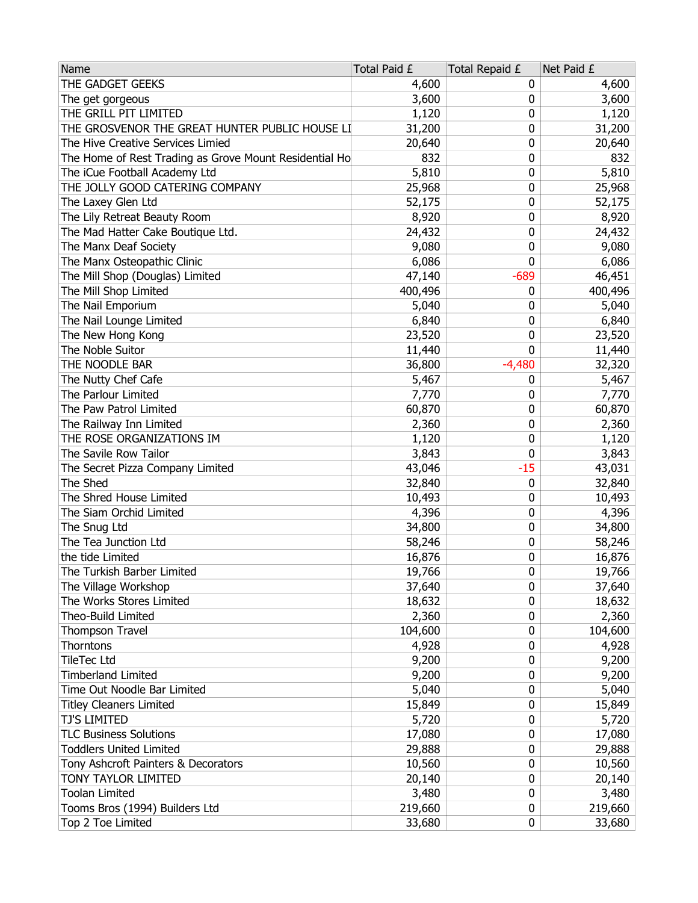| THE GADGET GEEKS<br>4,600<br>0<br>4,600<br>3,600<br>3,600<br>The get gorgeous<br>0<br>THE GRILL PIT LIMITED<br>1,120<br>1,120<br>0<br>THE GROSVENOR THE GREAT HUNTER PUBLIC HOUSE LI<br>31,200<br>0<br>31,200<br>The Hive Creative Services Limied<br>0<br>20,640<br>20,640<br>The Home of Rest Trading as Grove Mount Residential Ho<br>832<br>0<br>832<br>5,810<br>The iCue Football Academy Ltd<br>5,810<br>0<br>THE JOLLY GOOD CATERING COMPANY<br>25,968<br>25,968<br>0<br>The Laxey Glen Ltd<br>52,175<br>52,175<br>0<br>The Lily Retreat Beauty Room<br>8,920<br>0<br>8,920<br>The Mad Hatter Cake Boutique Ltd.<br>0<br>24,432<br>24,432<br>The Manx Deaf Society<br>0<br>9,080<br>9,080<br>The Manx Osteopathic Clinic<br>6,086<br>0<br>6,086<br>The Mill Shop (Douglas) Limited<br>$-689$<br>46,451<br>47,140<br>The Mill Shop Limited<br>400,496<br>400,496<br>0<br>The Nail Emporium<br>5,040<br>5,040<br>0<br>The Nail Lounge Limited<br>6,840<br>0<br>6,840<br>The New Hong Kong<br>23,520<br>0<br>23,520<br>0<br>The Noble Suitor<br>11,440<br>11,440<br>THE NOODLE BAR<br>36,800<br>$-4,480$<br>32,320<br>The Nutty Chef Cafe<br>5,467<br>5,467<br>0<br>The Parlour Limited<br>7,770<br>7,770<br>0<br>The Paw Patrol Limited<br>60,870<br>0<br>60,870<br>The Railway Inn Limited<br>0<br>2,360<br>2,360<br>THE ROSE ORGANIZATIONS IM<br>1,120<br>0<br>1,120<br>The Savile Row Tailor<br>0<br>3,843<br>3,843<br>The Secret Pizza Company Limited<br>43,046<br>-15<br>43,031<br>The Shed<br>32,840<br>32,840<br>0<br>The Shred House Limited<br>0<br>10,493<br>10,493<br>The Siam Orchid Limited<br>4,396<br>0<br>4,396<br>The Snug Ltd<br>34,800<br>0<br>34,800<br>The Tea Junction Ltd<br>58,246<br>0<br>58,246<br>the tide Limited<br>16,876<br>0<br>16,876<br>0<br>The Turkish Barber Limited<br>19,766<br>19,766<br>The Village Workshop<br>37,640<br>0<br>37,640<br>The Works Stores Limited<br>18,632<br>0<br>18,632<br>Theo-Build Limited<br>2,360<br>0<br>2,360<br>104,600<br>Thompson Travel<br>104,600<br>0<br>Thorntons<br>4,928<br>4,928<br>0<br><b>TileTec Ltd</b><br>9,200<br>9,200<br>0<br><b>Timberland Limited</b><br>9,200<br>9,200<br>0<br>Time Out Noodle Bar Limited<br>5,040<br>0<br>5,040<br><b>Titley Cleaners Limited</b><br>15,849<br>0<br>15,849<br><b>TJ'S LIMITED</b><br>5,720<br>0<br>5,720<br><b>TLC Business Solutions</b><br>17,080<br>0<br>17,080<br><b>Toddlers United Limited</b><br>29,888<br>29,888<br>0<br>Tony Ashcroft Painters & Decorators<br>10,560<br>10,560<br>0<br>TONY TAYLOR LIMITED<br>20,140<br>0<br>20,140<br><b>Toolan Limited</b><br>3,480<br>0<br>3,480<br>Tooms Bros (1994) Builders Ltd<br>219,660<br>219,660<br>0<br>Top 2 Toe Limited<br>33,680<br>0<br>33,680 | Name | Total Paid £ | Total Repaid £ | Net Paid £ |
|------------------------------------------------------------------------------------------------------------------------------------------------------------------------------------------------------------------------------------------------------------------------------------------------------------------------------------------------------------------------------------------------------------------------------------------------------------------------------------------------------------------------------------------------------------------------------------------------------------------------------------------------------------------------------------------------------------------------------------------------------------------------------------------------------------------------------------------------------------------------------------------------------------------------------------------------------------------------------------------------------------------------------------------------------------------------------------------------------------------------------------------------------------------------------------------------------------------------------------------------------------------------------------------------------------------------------------------------------------------------------------------------------------------------------------------------------------------------------------------------------------------------------------------------------------------------------------------------------------------------------------------------------------------------------------------------------------------------------------------------------------------------------------------------------------------------------------------------------------------------------------------------------------------------------------------------------------------------------------------------------------------------------------------------------------------------------------------------------------------------------------------------------------------------------------------------------------------------------------------------------------------------------------------------------------------------------------------------------------------------------------------------------------------------------------------------------------------------------------------------------------------------------------------------------------------------------------------------------------------------------------------------------------------------------------------------------------------------------------------|------|--------------|----------------|------------|
|                                                                                                                                                                                                                                                                                                                                                                                                                                                                                                                                                                                                                                                                                                                                                                                                                                                                                                                                                                                                                                                                                                                                                                                                                                                                                                                                                                                                                                                                                                                                                                                                                                                                                                                                                                                                                                                                                                                                                                                                                                                                                                                                                                                                                                                                                                                                                                                                                                                                                                                                                                                                                                                                                                                                          |      |              |                |            |
|                                                                                                                                                                                                                                                                                                                                                                                                                                                                                                                                                                                                                                                                                                                                                                                                                                                                                                                                                                                                                                                                                                                                                                                                                                                                                                                                                                                                                                                                                                                                                                                                                                                                                                                                                                                                                                                                                                                                                                                                                                                                                                                                                                                                                                                                                                                                                                                                                                                                                                                                                                                                                                                                                                                                          |      |              |                |            |
|                                                                                                                                                                                                                                                                                                                                                                                                                                                                                                                                                                                                                                                                                                                                                                                                                                                                                                                                                                                                                                                                                                                                                                                                                                                                                                                                                                                                                                                                                                                                                                                                                                                                                                                                                                                                                                                                                                                                                                                                                                                                                                                                                                                                                                                                                                                                                                                                                                                                                                                                                                                                                                                                                                                                          |      |              |                |            |
|                                                                                                                                                                                                                                                                                                                                                                                                                                                                                                                                                                                                                                                                                                                                                                                                                                                                                                                                                                                                                                                                                                                                                                                                                                                                                                                                                                                                                                                                                                                                                                                                                                                                                                                                                                                                                                                                                                                                                                                                                                                                                                                                                                                                                                                                                                                                                                                                                                                                                                                                                                                                                                                                                                                                          |      |              |                |            |
|                                                                                                                                                                                                                                                                                                                                                                                                                                                                                                                                                                                                                                                                                                                                                                                                                                                                                                                                                                                                                                                                                                                                                                                                                                                                                                                                                                                                                                                                                                                                                                                                                                                                                                                                                                                                                                                                                                                                                                                                                                                                                                                                                                                                                                                                                                                                                                                                                                                                                                                                                                                                                                                                                                                                          |      |              |                |            |
|                                                                                                                                                                                                                                                                                                                                                                                                                                                                                                                                                                                                                                                                                                                                                                                                                                                                                                                                                                                                                                                                                                                                                                                                                                                                                                                                                                                                                                                                                                                                                                                                                                                                                                                                                                                                                                                                                                                                                                                                                                                                                                                                                                                                                                                                                                                                                                                                                                                                                                                                                                                                                                                                                                                                          |      |              |                |            |
|                                                                                                                                                                                                                                                                                                                                                                                                                                                                                                                                                                                                                                                                                                                                                                                                                                                                                                                                                                                                                                                                                                                                                                                                                                                                                                                                                                                                                                                                                                                                                                                                                                                                                                                                                                                                                                                                                                                                                                                                                                                                                                                                                                                                                                                                                                                                                                                                                                                                                                                                                                                                                                                                                                                                          |      |              |                |            |
|                                                                                                                                                                                                                                                                                                                                                                                                                                                                                                                                                                                                                                                                                                                                                                                                                                                                                                                                                                                                                                                                                                                                                                                                                                                                                                                                                                                                                                                                                                                                                                                                                                                                                                                                                                                                                                                                                                                                                                                                                                                                                                                                                                                                                                                                                                                                                                                                                                                                                                                                                                                                                                                                                                                                          |      |              |                |            |
|                                                                                                                                                                                                                                                                                                                                                                                                                                                                                                                                                                                                                                                                                                                                                                                                                                                                                                                                                                                                                                                                                                                                                                                                                                                                                                                                                                                                                                                                                                                                                                                                                                                                                                                                                                                                                                                                                                                                                                                                                                                                                                                                                                                                                                                                                                                                                                                                                                                                                                                                                                                                                                                                                                                                          |      |              |                |            |
|                                                                                                                                                                                                                                                                                                                                                                                                                                                                                                                                                                                                                                                                                                                                                                                                                                                                                                                                                                                                                                                                                                                                                                                                                                                                                                                                                                                                                                                                                                                                                                                                                                                                                                                                                                                                                                                                                                                                                                                                                                                                                                                                                                                                                                                                                                                                                                                                                                                                                                                                                                                                                                                                                                                                          |      |              |                |            |
|                                                                                                                                                                                                                                                                                                                                                                                                                                                                                                                                                                                                                                                                                                                                                                                                                                                                                                                                                                                                                                                                                                                                                                                                                                                                                                                                                                                                                                                                                                                                                                                                                                                                                                                                                                                                                                                                                                                                                                                                                                                                                                                                                                                                                                                                                                                                                                                                                                                                                                                                                                                                                                                                                                                                          |      |              |                |            |
|                                                                                                                                                                                                                                                                                                                                                                                                                                                                                                                                                                                                                                                                                                                                                                                                                                                                                                                                                                                                                                                                                                                                                                                                                                                                                                                                                                                                                                                                                                                                                                                                                                                                                                                                                                                                                                                                                                                                                                                                                                                                                                                                                                                                                                                                                                                                                                                                                                                                                                                                                                                                                                                                                                                                          |      |              |                |            |
|                                                                                                                                                                                                                                                                                                                                                                                                                                                                                                                                                                                                                                                                                                                                                                                                                                                                                                                                                                                                                                                                                                                                                                                                                                                                                                                                                                                                                                                                                                                                                                                                                                                                                                                                                                                                                                                                                                                                                                                                                                                                                                                                                                                                                                                                                                                                                                                                                                                                                                                                                                                                                                                                                                                                          |      |              |                |            |
|                                                                                                                                                                                                                                                                                                                                                                                                                                                                                                                                                                                                                                                                                                                                                                                                                                                                                                                                                                                                                                                                                                                                                                                                                                                                                                                                                                                                                                                                                                                                                                                                                                                                                                                                                                                                                                                                                                                                                                                                                                                                                                                                                                                                                                                                                                                                                                                                                                                                                                                                                                                                                                                                                                                                          |      |              |                |            |
|                                                                                                                                                                                                                                                                                                                                                                                                                                                                                                                                                                                                                                                                                                                                                                                                                                                                                                                                                                                                                                                                                                                                                                                                                                                                                                                                                                                                                                                                                                                                                                                                                                                                                                                                                                                                                                                                                                                                                                                                                                                                                                                                                                                                                                                                                                                                                                                                                                                                                                                                                                                                                                                                                                                                          |      |              |                |            |
|                                                                                                                                                                                                                                                                                                                                                                                                                                                                                                                                                                                                                                                                                                                                                                                                                                                                                                                                                                                                                                                                                                                                                                                                                                                                                                                                                                                                                                                                                                                                                                                                                                                                                                                                                                                                                                                                                                                                                                                                                                                                                                                                                                                                                                                                                                                                                                                                                                                                                                                                                                                                                                                                                                                                          |      |              |                |            |
|                                                                                                                                                                                                                                                                                                                                                                                                                                                                                                                                                                                                                                                                                                                                                                                                                                                                                                                                                                                                                                                                                                                                                                                                                                                                                                                                                                                                                                                                                                                                                                                                                                                                                                                                                                                                                                                                                                                                                                                                                                                                                                                                                                                                                                                                                                                                                                                                                                                                                                                                                                                                                                                                                                                                          |      |              |                |            |
|                                                                                                                                                                                                                                                                                                                                                                                                                                                                                                                                                                                                                                                                                                                                                                                                                                                                                                                                                                                                                                                                                                                                                                                                                                                                                                                                                                                                                                                                                                                                                                                                                                                                                                                                                                                                                                                                                                                                                                                                                                                                                                                                                                                                                                                                                                                                                                                                                                                                                                                                                                                                                                                                                                                                          |      |              |                |            |
|                                                                                                                                                                                                                                                                                                                                                                                                                                                                                                                                                                                                                                                                                                                                                                                                                                                                                                                                                                                                                                                                                                                                                                                                                                                                                                                                                                                                                                                                                                                                                                                                                                                                                                                                                                                                                                                                                                                                                                                                                                                                                                                                                                                                                                                                                                                                                                                                                                                                                                                                                                                                                                                                                                                                          |      |              |                |            |
|                                                                                                                                                                                                                                                                                                                                                                                                                                                                                                                                                                                                                                                                                                                                                                                                                                                                                                                                                                                                                                                                                                                                                                                                                                                                                                                                                                                                                                                                                                                                                                                                                                                                                                                                                                                                                                                                                                                                                                                                                                                                                                                                                                                                                                                                                                                                                                                                                                                                                                                                                                                                                                                                                                                                          |      |              |                |            |
|                                                                                                                                                                                                                                                                                                                                                                                                                                                                                                                                                                                                                                                                                                                                                                                                                                                                                                                                                                                                                                                                                                                                                                                                                                                                                                                                                                                                                                                                                                                                                                                                                                                                                                                                                                                                                                                                                                                                                                                                                                                                                                                                                                                                                                                                                                                                                                                                                                                                                                                                                                                                                                                                                                                                          |      |              |                |            |
|                                                                                                                                                                                                                                                                                                                                                                                                                                                                                                                                                                                                                                                                                                                                                                                                                                                                                                                                                                                                                                                                                                                                                                                                                                                                                                                                                                                                                                                                                                                                                                                                                                                                                                                                                                                                                                                                                                                                                                                                                                                                                                                                                                                                                                                                                                                                                                                                                                                                                                                                                                                                                                                                                                                                          |      |              |                |            |
|                                                                                                                                                                                                                                                                                                                                                                                                                                                                                                                                                                                                                                                                                                                                                                                                                                                                                                                                                                                                                                                                                                                                                                                                                                                                                                                                                                                                                                                                                                                                                                                                                                                                                                                                                                                                                                                                                                                                                                                                                                                                                                                                                                                                                                                                                                                                                                                                                                                                                                                                                                                                                                                                                                                                          |      |              |                |            |
|                                                                                                                                                                                                                                                                                                                                                                                                                                                                                                                                                                                                                                                                                                                                                                                                                                                                                                                                                                                                                                                                                                                                                                                                                                                                                                                                                                                                                                                                                                                                                                                                                                                                                                                                                                                                                                                                                                                                                                                                                                                                                                                                                                                                                                                                                                                                                                                                                                                                                                                                                                                                                                                                                                                                          |      |              |                |            |
|                                                                                                                                                                                                                                                                                                                                                                                                                                                                                                                                                                                                                                                                                                                                                                                                                                                                                                                                                                                                                                                                                                                                                                                                                                                                                                                                                                                                                                                                                                                                                                                                                                                                                                                                                                                                                                                                                                                                                                                                                                                                                                                                                                                                                                                                                                                                                                                                                                                                                                                                                                                                                                                                                                                                          |      |              |                |            |
|                                                                                                                                                                                                                                                                                                                                                                                                                                                                                                                                                                                                                                                                                                                                                                                                                                                                                                                                                                                                                                                                                                                                                                                                                                                                                                                                                                                                                                                                                                                                                                                                                                                                                                                                                                                                                                                                                                                                                                                                                                                                                                                                                                                                                                                                                                                                                                                                                                                                                                                                                                                                                                                                                                                                          |      |              |                |            |
|                                                                                                                                                                                                                                                                                                                                                                                                                                                                                                                                                                                                                                                                                                                                                                                                                                                                                                                                                                                                                                                                                                                                                                                                                                                                                                                                                                                                                                                                                                                                                                                                                                                                                                                                                                                                                                                                                                                                                                                                                                                                                                                                                                                                                                                                                                                                                                                                                                                                                                                                                                                                                                                                                                                                          |      |              |                |            |
|                                                                                                                                                                                                                                                                                                                                                                                                                                                                                                                                                                                                                                                                                                                                                                                                                                                                                                                                                                                                                                                                                                                                                                                                                                                                                                                                                                                                                                                                                                                                                                                                                                                                                                                                                                                                                                                                                                                                                                                                                                                                                                                                                                                                                                                                                                                                                                                                                                                                                                                                                                                                                                                                                                                                          |      |              |                |            |
|                                                                                                                                                                                                                                                                                                                                                                                                                                                                                                                                                                                                                                                                                                                                                                                                                                                                                                                                                                                                                                                                                                                                                                                                                                                                                                                                                                                                                                                                                                                                                                                                                                                                                                                                                                                                                                                                                                                                                                                                                                                                                                                                                                                                                                                                                                                                                                                                                                                                                                                                                                                                                                                                                                                                          |      |              |                |            |
|                                                                                                                                                                                                                                                                                                                                                                                                                                                                                                                                                                                                                                                                                                                                                                                                                                                                                                                                                                                                                                                                                                                                                                                                                                                                                                                                                                                                                                                                                                                                                                                                                                                                                                                                                                                                                                                                                                                                                                                                                                                                                                                                                                                                                                                                                                                                                                                                                                                                                                                                                                                                                                                                                                                                          |      |              |                |            |
|                                                                                                                                                                                                                                                                                                                                                                                                                                                                                                                                                                                                                                                                                                                                                                                                                                                                                                                                                                                                                                                                                                                                                                                                                                                                                                                                                                                                                                                                                                                                                                                                                                                                                                                                                                                                                                                                                                                                                                                                                                                                                                                                                                                                                                                                                                                                                                                                                                                                                                                                                                                                                                                                                                                                          |      |              |                |            |
|                                                                                                                                                                                                                                                                                                                                                                                                                                                                                                                                                                                                                                                                                                                                                                                                                                                                                                                                                                                                                                                                                                                                                                                                                                                                                                                                                                                                                                                                                                                                                                                                                                                                                                                                                                                                                                                                                                                                                                                                                                                                                                                                                                                                                                                                                                                                                                                                                                                                                                                                                                                                                                                                                                                                          |      |              |                |            |
|                                                                                                                                                                                                                                                                                                                                                                                                                                                                                                                                                                                                                                                                                                                                                                                                                                                                                                                                                                                                                                                                                                                                                                                                                                                                                                                                                                                                                                                                                                                                                                                                                                                                                                                                                                                                                                                                                                                                                                                                                                                                                                                                                                                                                                                                                                                                                                                                                                                                                                                                                                                                                                                                                                                                          |      |              |                |            |
|                                                                                                                                                                                                                                                                                                                                                                                                                                                                                                                                                                                                                                                                                                                                                                                                                                                                                                                                                                                                                                                                                                                                                                                                                                                                                                                                                                                                                                                                                                                                                                                                                                                                                                                                                                                                                                                                                                                                                                                                                                                                                                                                                                                                                                                                                                                                                                                                                                                                                                                                                                                                                                                                                                                                          |      |              |                |            |
|                                                                                                                                                                                                                                                                                                                                                                                                                                                                                                                                                                                                                                                                                                                                                                                                                                                                                                                                                                                                                                                                                                                                                                                                                                                                                                                                                                                                                                                                                                                                                                                                                                                                                                                                                                                                                                                                                                                                                                                                                                                                                                                                                                                                                                                                                                                                                                                                                                                                                                                                                                                                                                                                                                                                          |      |              |                |            |
|                                                                                                                                                                                                                                                                                                                                                                                                                                                                                                                                                                                                                                                                                                                                                                                                                                                                                                                                                                                                                                                                                                                                                                                                                                                                                                                                                                                                                                                                                                                                                                                                                                                                                                                                                                                                                                                                                                                                                                                                                                                                                                                                                                                                                                                                                                                                                                                                                                                                                                                                                                                                                                                                                                                                          |      |              |                |            |
|                                                                                                                                                                                                                                                                                                                                                                                                                                                                                                                                                                                                                                                                                                                                                                                                                                                                                                                                                                                                                                                                                                                                                                                                                                                                                                                                                                                                                                                                                                                                                                                                                                                                                                                                                                                                                                                                                                                                                                                                                                                                                                                                                                                                                                                                                                                                                                                                                                                                                                                                                                                                                                                                                                                                          |      |              |                |            |
|                                                                                                                                                                                                                                                                                                                                                                                                                                                                                                                                                                                                                                                                                                                                                                                                                                                                                                                                                                                                                                                                                                                                                                                                                                                                                                                                                                                                                                                                                                                                                                                                                                                                                                                                                                                                                                                                                                                                                                                                                                                                                                                                                                                                                                                                                                                                                                                                                                                                                                                                                                                                                                                                                                                                          |      |              |                |            |
|                                                                                                                                                                                                                                                                                                                                                                                                                                                                                                                                                                                                                                                                                                                                                                                                                                                                                                                                                                                                                                                                                                                                                                                                                                                                                                                                                                                                                                                                                                                                                                                                                                                                                                                                                                                                                                                                                                                                                                                                                                                                                                                                                                                                                                                                                                                                                                                                                                                                                                                                                                                                                                                                                                                                          |      |              |                |            |
|                                                                                                                                                                                                                                                                                                                                                                                                                                                                                                                                                                                                                                                                                                                                                                                                                                                                                                                                                                                                                                                                                                                                                                                                                                                                                                                                                                                                                                                                                                                                                                                                                                                                                                                                                                                                                                                                                                                                                                                                                                                                                                                                                                                                                                                                                                                                                                                                                                                                                                                                                                                                                                                                                                                                          |      |              |                |            |
|                                                                                                                                                                                                                                                                                                                                                                                                                                                                                                                                                                                                                                                                                                                                                                                                                                                                                                                                                                                                                                                                                                                                                                                                                                                                                                                                                                                                                                                                                                                                                                                                                                                                                                                                                                                                                                                                                                                                                                                                                                                                                                                                                                                                                                                                                                                                                                                                                                                                                                                                                                                                                                                                                                                                          |      |              |                |            |
|                                                                                                                                                                                                                                                                                                                                                                                                                                                                                                                                                                                                                                                                                                                                                                                                                                                                                                                                                                                                                                                                                                                                                                                                                                                                                                                                                                                                                                                                                                                                                                                                                                                                                                                                                                                                                                                                                                                                                                                                                                                                                                                                                                                                                                                                                                                                                                                                                                                                                                                                                                                                                                                                                                                                          |      |              |                |            |
|                                                                                                                                                                                                                                                                                                                                                                                                                                                                                                                                                                                                                                                                                                                                                                                                                                                                                                                                                                                                                                                                                                                                                                                                                                                                                                                                                                                                                                                                                                                                                                                                                                                                                                                                                                                                                                                                                                                                                                                                                                                                                                                                                                                                                                                                                                                                                                                                                                                                                                                                                                                                                                                                                                                                          |      |              |                |            |
|                                                                                                                                                                                                                                                                                                                                                                                                                                                                                                                                                                                                                                                                                                                                                                                                                                                                                                                                                                                                                                                                                                                                                                                                                                                                                                                                                                                                                                                                                                                                                                                                                                                                                                                                                                                                                                                                                                                                                                                                                                                                                                                                                                                                                                                                                                                                                                                                                                                                                                                                                                                                                                                                                                                                          |      |              |                |            |
|                                                                                                                                                                                                                                                                                                                                                                                                                                                                                                                                                                                                                                                                                                                                                                                                                                                                                                                                                                                                                                                                                                                                                                                                                                                                                                                                                                                                                                                                                                                                                                                                                                                                                                                                                                                                                                                                                                                                                                                                                                                                                                                                                                                                                                                                                                                                                                                                                                                                                                                                                                                                                                                                                                                                          |      |              |                |            |
|                                                                                                                                                                                                                                                                                                                                                                                                                                                                                                                                                                                                                                                                                                                                                                                                                                                                                                                                                                                                                                                                                                                                                                                                                                                                                                                                                                                                                                                                                                                                                                                                                                                                                                                                                                                                                                                                                                                                                                                                                                                                                                                                                                                                                                                                                                                                                                                                                                                                                                                                                                                                                                                                                                                                          |      |              |                |            |
|                                                                                                                                                                                                                                                                                                                                                                                                                                                                                                                                                                                                                                                                                                                                                                                                                                                                                                                                                                                                                                                                                                                                                                                                                                                                                                                                                                                                                                                                                                                                                                                                                                                                                                                                                                                                                                                                                                                                                                                                                                                                                                                                                                                                                                                                                                                                                                                                                                                                                                                                                                                                                                                                                                                                          |      |              |                |            |
|                                                                                                                                                                                                                                                                                                                                                                                                                                                                                                                                                                                                                                                                                                                                                                                                                                                                                                                                                                                                                                                                                                                                                                                                                                                                                                                                                                                                                                                                                                                                                                                                                                                                                                                                                                                                                                                                                                                                                                                                                                                                                                                                                                                                                                                                                                                                                                                                                                                                                                                                                                                                                                                                                                                                          |      |              |                |            |
|                                                                                                                                                                                                                                                                                                                                                                                                                                                                                                                                                                                                                                                                                                                                                                                                                                                                                                                                                                                                                                                                                                                                                                                                                                                                                                                                                                                                                                                                                                                                                                                                                                                                                                                                                                                                                                                                                                                                                                                                                                                                                                                                                                                                                                                                                                                                                                                                                                                                                                                                                                                                                                                                                                                                          |      |              |                |            |
|                                                                                                                                                                                                                                                                                                                                                                                                                                                                                                                                                                                                                                                                                                                                                                                                                                                                                                                                                                                                                                                                                                                                                                                                                                                                                                                                                                                                                                                                                                                                                                                                                                                                                                                                                                                                                                                                                                                                                                                                                                                                                                                                                                                                                                                                                                                                                                                                                                                                                                                                                                                                                                                                                                                                          |      |              |                |            |
|                                                                                                                                                                                                                                                                                                                                                                                                                                                                                                                                                                                                                                                                                                                                                                                                                                                                                                                                                                                                                                                                                                                                                                                                                                                                                                                                                                                                                                                                                                                                                                                                                                                                                                                                                                                                                                                                                                                                                                                                                                                                                                                                                                                                                                                                                                                                                                                                                                                                                                                                                                                                                                                                                                                                          |      |              |                |            |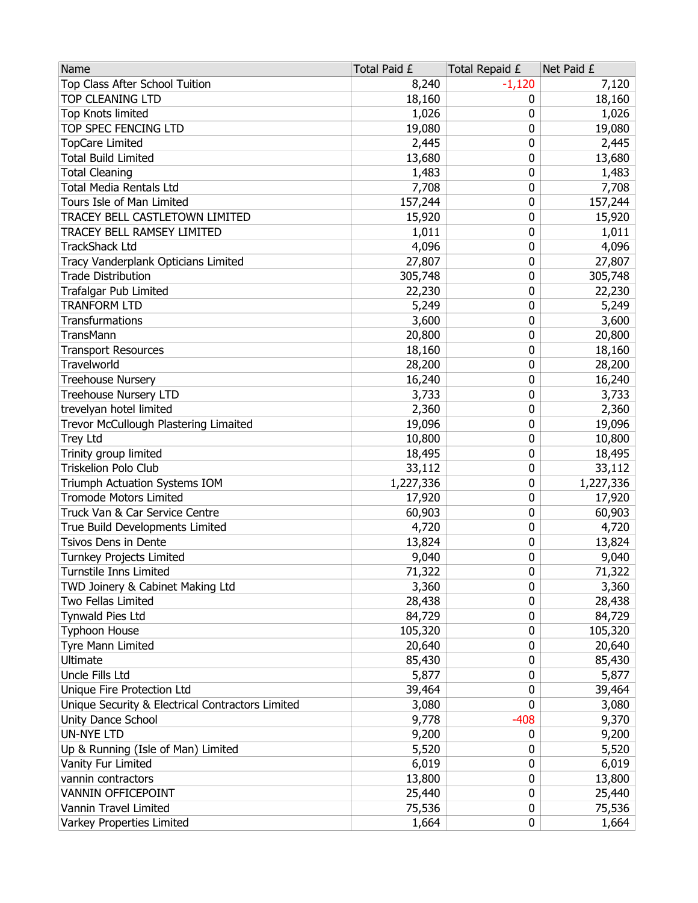| Name                                             | Total Paid £ | Total Repaid £ | Net Paid £ |
|--------------------------------------------------|--------------|----------------|------------|
| Top Class After School Tuition                   | 8,240        | $-1,120$       | 7,120      |
| <b>TOP CLEANING LTD</b>                          | 18,160       | 0              | 18,160     |
| Top Knots limited                                | 1,026        | 0              | 1,026      |
| TOP SPEC FENCING LTD                             | 19,080       | 0              | 19,080     |
| <b>TopCare Limited</b>                           | 2,445        | 0              | 2,445      |
| <b>Total Build Limited</b>                       | 13,680       | 0              | 13,680     |
| <b>Total Cleaning</b>                            | 1,483        | 0              | 1,483      |
| <b>Total Media Rentals Ltd</b>                   | 7,708        | 0              | 7,708      |
| Tours Isle of Man Limited                        | 157,244      | 0              | 157,244    |
| TRACEY BELL CASTLETOWN LIMITED                   | 15,920       | 0              | 15,920     |
| TRACEY BELL RAMSEY LIMITED                       | 1,011        | 0              | 1,011      |
| <b>TrackShack Ltd</b>                            | 4,096        | 0              | 4,096      |
| Tracy Vanderplank Opticians Limited              | 27,807       | 0              | 27,807     |
| <b>Trade Distribution</b>                        | 305,748      | 0              | 305,748    |
| <b>Trafalgar Pub Limited</b>                     | 22,230       | 0              | 22,230     |
| <b>TRANFORM LTD</b>                              | 5,249        | 0              | 5,249      |
| Transfurmations                                  | 3,600        | 0              | 3,600      |
| TransMann                                        | 20,800       | 0              | 20,800     |
| <b>Transport Resources</b>                       | 18,160       | 0              | 18,160     |
| Travelworld                                      | 28,200       | 0              | 28,200     |
| <b>Treehouse Nursery</b>                         | 16,240       | 0              | 16,240     |
| <b>Treehouse Nursery LTD</b>                     | 3,733        | 0              | 3,733      |
| trevelyan hotel limited                          | 2,360        | 0              | 2,360      |
| Trevor McCullough Plastering Limaited            | 19,096       | 0              | 19,096     |
| <b>Trey Ltd</b>                                  | 10,800       | 0              | 10,800     |
| Trinity group limited                            | 18,495       | 0              | 18,495     |
| Triskelion Polo Club                             | 33,112       | 0              | 33,112     |
| Triumph Actuation Systems IOM                    | 1,227,336    | 0              | 1,227,336  |
| <b>Tromode Motors Limited</b>                    | 17,920       | 0              | 17,920     |
| Truck Van & Car Service Centre                   | 60,903       | 0              | 60,903     |
| True Build Developments Limited                  | 4,720        | 0              | 4,720      |
| Tsivos Dens in Dente                             | 13,824       | 0              | 13,824     |
| Turnkey Projects Limited                         | 9,040        | 0              | 9,040      |
| Turnstile Inns Limited                           | 71,322       | 0              | 71,322     |
| TWD Joinery & Cabinet Making Ltd                 | 3,360        | 0              | 3,360      |
| Two Fellas Limited                               | 28,438       | 0              | 28,438     |
| Tynwald Pies Ltd                                 | 84,729       | 0              | 84,729     |
| <b>Typhoon House</b>                             | 105,320      | 0              | 105,320    |
| Tyre Mann Limited                                | 20,640       | 0              | 20,640     |
| Ultimate                                         | 85,430       | 0              | 85,430     |
| Uncle Fills Ltd                                  | 5,877        | 0              | 5,877      |
| Unique Fire Protection Ltd                       | 39,464       | 0              | 39,464     |
| Unique Security & Electrical Contractors Limited | 3,080        | 0              | 3,080      |
| Unity Dance School                               | 9,778        | $-408$         | 9,370      |
| <b>UN-NYE LTD</b>                                | 9,200        | 0              | 9,200      |
| Up & Running (Isle of Man) Limited               | 5,520        | 0              | 5,520      |
| Vanity Fur Limited                               | 6,019        | 0              | 6,019      |
| vannin contractors                               | 13,800       | 0              | 13,800     |
| VANNIN OFFICEPOINT                               | 25,440       | 0              | 25,440     |
| Vannin Travel Limited                            | 75,536       | 0              | 75,536     |
| Varkey Properties Limited                        | 1,664        | 0              | 1,664      |
|                                                  |              |                |            |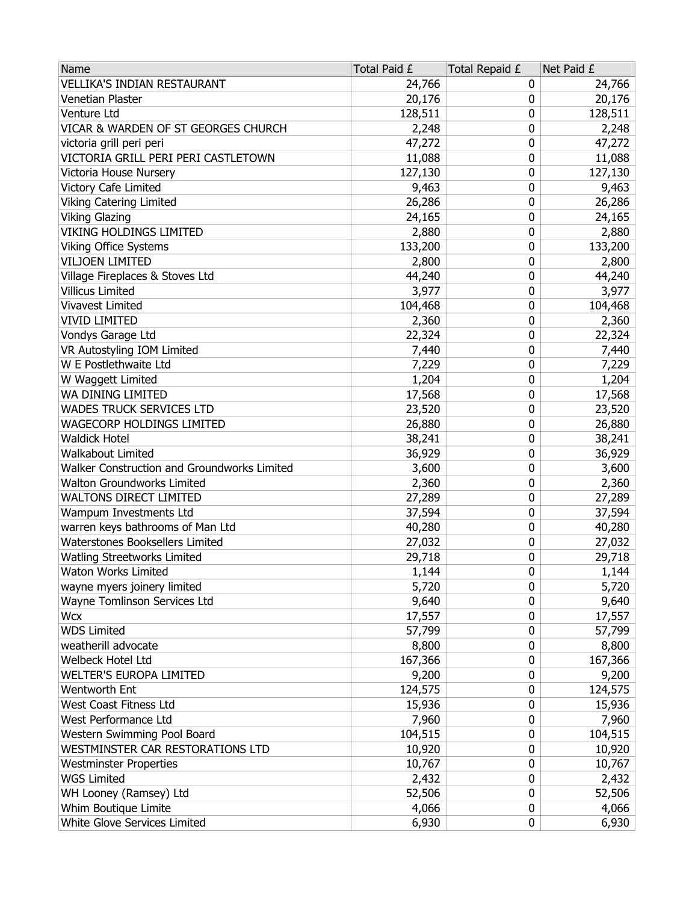| <b>VELLIKA'S INDIAN RESTAURANT</b><br>24,766<br>24,766<br>0<br>Venetian Plaster<br>20,176<br>20,176<br>0<br>128,511<br>128,511<br>Venture Ltd<br>0<br>VICAR & WARDEN OF ST GEORGES CHURCH<br>2,248<br>0<br>2,248<br>47,272<br>0<br>victoria grill peri peri<br>47,272<br>VICTORIA GRILL PERI PERI CASTLETOWN<br>11,088<br>0<br>11,088<br>Victoria House Nursery<br>127,130<br>0<br>127,130<br>Victory Cafe Limited<br>9,463<br>0<br>9,463<br><b>Viking Catering Limited</b><br>26,286<br>0<br>26,286<br><b>Viking Glazing</b><br>0<br>24,165<br>24,165<br>VIKING HOLDINGS LIMITED<br>0<br>2,880<br>2,880<br>133,200<br>133,200<br><b>Viking Office Systems</b><br>0<br><b>VILJOEN LIMITED</b><br>2,800<br>0<br>2,800<br>Village Fireplaces & Stoves Ltd<br>44,240<br>0<br>44,240<br>Villicus Limited<br>0<br>3,977<br>3,977<br>104,468<br>Vivavest Limited<br>104,468<br>0<br><b>VIVID LIMITED</b><br>2,360<br>0<br>2,360<br>0<br>Vondys Garage Ltd<br>22,324<br>22,324<br>VR Autostyling IOM Limited<br>0<br>7,440<br>7,440<br>W E Postlethwaite Ltd<br>0<br>7,229<br>7,229<br>W Waggett Limited<br>1,204<br>1,204<br>0<br>WA DINING LIMITED<br>17,568<br>0<br>17,568<br>WADES TRUCK SERVICES LTD<br>23,520<br>0<br>23,520<br>WAGECORP HOLDINGS LIMITED<br>26,880<br>0<br>26,880<br><b>Waldick Hotel</b><br>0<br>38,241<br>38,241<br>Walkabout Limited<br>0<br>36,929<br>36,929<br>Walker Construction and Groundworks Limited<br>3,600<br>0<br>3,600<br><b>Walton Groundworks Limited</b><br>2,360<br>2,360<br>0<br><b>WALTONS DIRECT LIMITED</b><br>27,289<br>0<br>27,289<br>37,594<br>Wampum Investments Ltd<br>0<br>37,594<br>warren keys bathrooms of Man Ltd<br>0<br>40,280<br>40,280<br>Waterstones Booksellers Limited<br>27,032<br>0<br>27,032<br><b>Watling Streetworks Limited</b><br>0<br>29,718<br>29,718<br>0<br>Waton Works Limited<br>1,144<br>1,144<br>0<br>wayne myers joinery limited<br>5,720<br>5,720<br>Wayne Tomlinson Services Ltd<br>9,640<br>9,640<br>0<br><b>Wcx</b><br>17,557<br>0<br>17,557<br><b>WDS Limited</b><br>57,799<br>0<br>57,799<br>weatherill advocate<br>0<br>8,800<br>8,800<br>Welbeck Hotel Ltd<br>167,366<br>0<br>167,366<br><b>WELTER'S EUROPA LIMITED</b><br>9,200<br>0<br>9,200<br>124,575<br>Wentworth Ent<br>124,575<br>0<br>West Coast Fitness Ltd<br>0<br>15,936<br>15,936<br>West Performance Ltd<br>7,960<br>0<br>7,960<br>Western Swimming Pool Board<br>104,515<br>104,515<br>0<br>WESTMINSTER CAR RESTORATIONS LTD<br>10,920<br>10,920<br>0<br><b>Westminster Properties</b><br>10,767<br>0<br>10,767<br>2,432<br><b>WGS Limited</b><br>2,432<br>0<br>52,506<br>0<br>52,506<br>WH Looney (Ramsey) Ltd<br>Whim Boutique Limite<br>4,066<br>0<br>4,066<br>0 | Name                         | Total Paid £ | Total Repaid £ | Net Paid £ |
|--------------------------------------------------------------------------------------------------------------------------------------------------------------------------------------------------------------------------------------------------------------------------------------------------------------------------------------------------------------------------------------------------------------------------------------------------------------------------------------------------------------------------------------------------------------------------------------------------------------------------------------------------------------------------------------------------------------------------------------------------------------------------------------------------------------------------------------------------------------------------------------------------------------------------------------------------------------------------------------------------------------------------------------------------------------------------------------------------------------------------------------------------------------------------------------------------------------------------------------------------------------------------------------------------------------------------------------------------------------------------------------------------------------------------------------------------------------------------------------------------------------------------------------------------------------------------------------------------------------------------------------------------------------------------------------------------------------------------------------------------------------------------------------------------------------------------------------------------------------------------------------------------------------------------------------------------------------------------------------------------------------------------------------------------------------------------------------------------------------------------------------------------------------------------------------------------------------------------------------------------------------------------------------------------------------------------------------------------------------------------------------------------------------------------------------------------------------------------------------------------------------------------------------------------------------------------------------------------------------------------------------------------------------------------------------------------------------------|------------------------------|--------------|----------------|------------|
|                                                                                                                                                                                                                                                                                                                                                                                                                                                                                                                                                                                                                                                                                                                                                                                                                                                                                                                                                                                                                                                                                                                                                                                                                                                                                                                                                                                                                                                                                                                                                                                                                                                                                                                                                                                                                                                                                                                                                                                                                                                                                                                                                                                                                                                                                                                                                                                                                                                                                                                                                                                                                                                                                                                    |                              |              |                |            |
|                                                                                                                                                                                                                                                                                                                                                                                                                                                                                                                                                                                                                                                                                                                                                                                                                                                                                                                                                                                                                                                                                                                                                                                                                                                                                                                                                                                                                                                                                                                                                                                                                                                                                                                                                                                                                                                                                                                                                                                                                                                                                                                                                                                                                                                                                                                                                                                                                                                                                                                                                                                                                                                                                                                    |                              |              |                |            |
|                                                                                                                                                                                                                                                                                                                                                                                                                                                                                                                                                                                                                                                                                                                                                                                                                                                                                                                                                                                                                                                                                                                                                                                                                                                                                                                                                                                                                                                                                                                                                                                                                                                                                                                                                                                                                                                                                                                                                                                                                                                                                                                                                                                                                                                                                                                                                                                                                                                                                                                                                                                                                                                                                                                    |                              |              |                |            |
|                                                                                                                                                                                                                                                                                                                                                                                                                                                                                                                                                                                                                                                                                                                                                                                                                                                                                                                                                                                                                                                                                                                                                                                                                                                                                                                                                                                                                                                                                                                                                                                                                                                                                                                                                                                                                                                                                                                                                                                                                                                                                                                                                                                                                                                                                                                                                                                                                                                                                                                                                                                                                                                                                                                    |                              |              |                |            |
|                                                                                                                                                                                                                                                                                                                                                                                                                                                                                                                                                                                                                                                                                                                                                                                                                                                                                                                                                                                                                                                                                                                                                                                                                                                                                                                                                                                                                                                                                                                                                                                                                                                                                                                                                                                                                                                                                                                                                                                                                                                                                                                                                                                                                                                                                                                                                                                                                                                                                                                                                                                                                                                                                                                    |                              |              |                |            |
|                                                                                                                                                                                                                                                                                                                                                                                                                                                                                                                                                                                                                                                                                                                                                                                                                                                                                                                                                                                                                                                                                                                                                                                                                                                                                                                                                                                                                                                                                                                                                                                                                                                                                                                                                                                                                                                                                                                                                                                                                                                                                                                                                                                                                                                                                                                                                                                                                                                                                                                                                                                                                                                                                                                    |                              |              |                |            |
|                                                                                                                                                                                                                                                                                                                                                                                                                                                                                                                                                                                                                                                                                                                                                                                                                                                                                                                                                                                                                                                                                                                                                                                                                                                                                                                                                                                                                                                                                                                                                                                                                                                                                                                                                                                                                                                                                                                                                                                                                                                                                                                                                                                                                                                                                                                                                                                                                                                                                                                                                                                                                                                                                                                    |                              |              |                |            |
|                                                                                                                                                                                                                                                                                                                                                                                                                                                                                                                                                                                                                                                                                                                                                                                                                                                                                                                                                                                                                                                                                                                                                                                                                                                                                                                                                                                                                                                                                                                                                                                                                                                                                                                                                                                                                                                                                                                                                                                                                                                                                                                                                                                                                                                                                                                                                                                                                                                                                                                                                                                                                                                                                                                    |                              |              |                |            |
|                                                                                                                                                                                                                                                                                                                                                                                                                                                                                                                                                                                                                                                                                                                                                                                                                                                                                                                                                                                                                                                                                                                                                                                                                                                                                                                                                                                                                                                                                                                                                                                                                                                                                                                                                                                                                                                                                                                                                                                                                                                                                                                                                                                                                                                                                                                                                                                                                                                                                                                                                                                                                                                                                                                    |                              |              |                |            |
|                                                                                                                                                                                                                                                                                                                                                                                                                                                                                                                                                                                                                                                                                                                                                                                                                                                                                                                                                                                                                                                                                                                                                                                                                                                                                                                                                                                                                                                                                                                                                                                                                                                                                                                                                                                                                                                                                                                                                                                                                                                                                                                                                                                                                                                                                                                                                                                                                                                                                                                                                                                                                                                                                                                    |                              |              |                |            |
|                                                                                                                                                                                                                                                                                                                                                                                                                                                                                                                                                                                                                                                                                                                                                                                                                                                                                                                                                                                                                                                                                                                                                                                                                                                                                                                                                                                                                                                                                                                                                                                                                                                                                                                                                                                                                                                                                                                                                                                                                                                                                                                                                                                                                                                                                                                                                                                                                                                                                                                                                                                                                                                                                                                    |                              |              |                |            |
|                                                                                                                                                                                                                                                                                                                                                                                                                                                                                                                                                                                                                                                                                                                                                                                                                                                                                                                                                                                                                                                                                                                                                                                                                                                                                                                                                                                                                                                                                                                                                                                                                                                                                                                                                                                                                                                                                                                                                                                                                                                                                                                                                                                                                                                                                                                                                                                                                                                                                                                                                                                                                                                                                                                    |                              |              |                |            |
|                                                                                                                                                                                                                                                                                                                                                                                                                                                                                                                                                                                                                                                                                                                                                                                                                                                                                                                                                                                                                                                                                                                                                                                                                                                                                                                                                                                                                                                                                                                                                                                                                                                                                                                                                                                                                                                                                                                                                                                                                                                                                                                                                                                                                                                                                                                                                                                                                                                                                                                                                                                                                                                                                                                    |                              |              |                |            |
|                                                                                                                                                                                                                                                                                                                                                                                                                                                                                                                                                                                                                                                                                                                                                                                                                                                                                                                                                                                                                                                                                                                                                                                                                                                                                                                                                                                                                                                                                                                                                                                                                                                                                                                                                                                                                                                                                                                                                                                                                                                                                                                                                                                                                                                                                                                                                                                                                                                                                                                                                                                                                                                                                                                    |                              |              |                |            |
|                                                                                                                                                                                                                                                                                                                                                                                                                                                                                                                                                                                                                                                                                                                                                                                                                                                                                                                                                                                                                                                                                                                                                                                                                                                                                                                                                                                                                                                                                                                                                                                                                                                                                                                                                                                                                                                                                                                                                                                                                                                                                                                                                                                                                                                                                                                                                                                                                                                                                                                                                                                                                                                                                                                    |                              |              |                |            |
|                                                                                                                                                                                                                                                                                                                                                                                                                                                                                                                                                                                                                                                                                                                                                                                                                                                                                                                                                                                                                                                                                                                                                                                                                                                                                                                                                                                                                                                                                                                                                                                                                                                                                                                                                                                                                                                                                                                                                                                                                                                                                                                                                                                                                                                                                                                                                                                                                                                                                                                                                                                                                                                                                                                    |                              |              |                |            |
|                                                                                                                                                                                                                                                                                                                                                                                                                                                                                                                                                                                                                                                                                                                                                                                                                                                                                                                                                                                                                                                                                                                                                                                                                                                                                                                                                                                                                                                                                                                                                                                                                                                                                                                                                                                                                                                                                                                                                                                                                                                                                                                                                                                                                                                                                                                                                                                                                                                                                                                                                                                                                                                                                                                    |                              |              |                |            |
|                                                                                                                                                                                                                                                                                                                                                                                                                                                                                                                                                                                                                                                                                                                                                                                                                                                                                                                                                                                                                                                                                                                                                                                                                                                                                                                                                                                                                                                                                                                                                                                                                                                                                                                                                                                                                                                                                                                                                                                                                                                                                                                                                                                                                                                                                                                                                                                                                                                                                                                                                                                                                                                                                                                    |                              |              |                |            |
|                                                                                                                                                                                                                                                                                                                                                                                                                                                                                                                                                                                                                                                                                                                                                                                                                                                                                                                                                                                                                                                                                                                                                                                                                                                                                                                                                                                                                                                                                                                                                                                                                                                                                                                                                                                                                                                                                                                                                                                                                                                                                                                                                                                                                                                                                                                                                                                                                                                                                                                                                                                                                                                                                                                    |                              |              |                |            |
|                                                                                                                                                                                                                                                                                                                                                                                                                                                                                                                                                                                                                                                                                                                                                                                                                                                                                                                                                                                                                                                                                                                                                                                                                                                                                                                                                                                                                                                                                                                                                                                                                                                                                                                                                                                                                                                                                                                                                                                                                                                                                                                                                                                                                                                                                                                                                                                                                                                                                                                                                                                                                                                                                                                    |                              |              |                |            |
|                                                                                                                                                                                                                                                                                                                                                                                                                                                                                                                                                                                                                                                                                                                                                                                                                                                                                                                                                                                                                                                                                                                                                                                                                                                                                                                                                                                                                                                                                                                                                                                                                                                                                                                                                                                                                                                                                                                                                                                                                                                                                                                                                                                                                                                                                                                                                                                                                                                                                                                                                                                                                                                                                                                    |                              |              |                |            |
|                                                                                                                                                                                                                                                                                                                                                                                                                                                                                                                                                                                                                                                                                                                                                                                                                                                                                                                                                                                                                                                                                                                                                                                                                                                                                                                                                                                                                                                                                                                                                                                                                                                                                                                                                                                                                                                                                                                                                                                                                                                                                                                                                                                                                                                                                                                                                                                                                                                                                                                                                                                                                                                                                                                    |                              |              |                |            |
|                                                                                                                                                                                                                                                                                                                                                                                                                                                                                                                                                                                                                                                                                                                                                                                                                                                                                                                                                                                                                                                                                                                                                                                                                                                                                                                                                                                                                                                                                                                                                                                                                                                                                                                                                                                                                                                                                                                                                                                                                                                                                                                                                                                                                                                                                                                                                                                                                                                                                                                                                                                                                                                                                                                    |                              |              |                |            |
|                                                                                                                                                                                                                                                                                                                                                                                                                                                                                                                                                                                                                                                                                                                                                                                                                                                                                                                                                                                                                                                                                                                                                                                                                                                                                                                                                                                                                                                                                                                                                                                                                                                                                                                                                                                                                                                                                                                                                                                                                                                                                                                                                                                                                                                                                                                                                                                                                                                                                                                                                                                                                                                                                                                    |                              |              |                |            |
|                                                                                                                                                                                                                                                                                                                                                                                                                                                                                                                                                                                                                                                                                                                                                                                                                                                                                                                                                                                                                                                                                                                                                                                                                                                                                                                                                                                                                                                                                                                                                                                                                                                                                                                                                                                                                                                                                                                                                                                                                                                                                                                                                                                                                                                                                                                                                                                                                                                                                                                                                                                                                                                                                                                    |                              |              |                |            |
|                                                                                                                                                                                                                                                                                                                                                                                                                                                                                                                                                                                                                                                                                                                                                                                                                                                                                                                                                                                                                                                                                                                                                                                                                                                                                                                                                                                                                                                                                                                                                                                                                                                                                                                                                                                                                                                                                                                                                                                                                                                                                                                                                                                                                                                                                                                                                                                                                                                                                                                                                                                                                                                                                                                    |                              |              |                |            |
|                                                                                                                                                                                                                                                                                                                                                                                                                                                                                                                                                                                                                                                                                                                                                                                                                                                                                                                                                                                                                                                                                                                                                                                                                                                                                                                                                                                                                                                                                                                                                                                                                                                                                                                                                                                                                                                                                                                                                                                                                                                                                                                                                                                                                                                                                                                                                                                                                                                                                                                                                                                                                                                                                                                    |                              |              |                |            |
|                                                                                                                                                                                                                                                                                                                                                                                                                                                                                                                                                                                                                                                                                                                                                                                                                                                                                                                                                                                                                                                                                                                                                                                                                                                                                                                                                                                                                                                                                                                                                                                                                                                                                                                                                                                                                                                                                                                                                                                                                                                                                                                                                                                                                                                                                                                                                                                                                                                                                                                                                                                                                                                                                                                    |                              |              |                |            |
|                                                                                                                                                                                                                                                                                                                                                                                                                                                                                                                                                                                                                                                                                                                                                                                                                                                                                                                                                                                                                                                                                                                                                                                                                                                                                                                                                                                                                                                                                                                                                                                                                                                                                                                                                                                                                                                                                                                                                                                                                                                                                                                                                                                                                                                                                                                                                                                                                                                                                                                                                                                                                                                                                                                    |                              |              |                |            |
|                                                                                                                                                                                                                                                                                                                                                                                                                                                                                                                                                                                                                                                                                                                                                                                                                                                                                                                                                                                                                                                                                                                                                                                                                                                                                                                                                                                                                                                                                                                                                                                                                                                                                                                                                                                                                                                                                                                                                                                                                                                                                                                                                                                                                                                                                                                                                                                                                                                                                                                                                                                                                                                                                                                    |                              |              |                |            |
|                                                                                                                                                                                                                                                                                                                                                                                                                                                                                                                                                                                                                                                                                                                                                                                                                                                                                                                                                                                                                                                                                                                                                                                                                                                                                                                                                                                                                                                                                                                                                                                                                                                                                                                                                                                                                                                                                                                                                                                                                                                                                                                                                                                                                                                                                                                                                                                                                                                                                                                                                                                                                                                                                                                    |                              |              |                |            |
|                                                                                                                                                                                                                                                                                                                                                                                                                                                                                                                                                                                                                                                                                                                                                                                                                                                                                                                                                                                                                                                                                                                                                                                                                                                                                                                                                                                                                                                                                                                                                                                                                                                                                                                                                                                                                                                                                                                                                                                                                                                                                                                                                                                                                                                                                                                                                                                                                                                                                                                                                                                                                                                                                                                    |                              |              |                |            |
|                                                                                                                                                                                                                                                                                                                                                                                                                                                                                                                                                                                                                                                                                                                                                                                                                                                                                                                                                                                                                                                                                                                                                                                                                                                                                                                                                                                                                                                                                                                                                                                                                                                                                                                                                                                                                                                                                                                                                                                                                                                                                                                                                                                                                                                                                                                                                                                                                                                                                                                                                                                                                                                                                                                    |                              |              |                |            |
|                                                                                                                                                                                                                                                                                                                                                                                                                                                                                                                                                                                                                                                                                                                                                                                                                                                                                                                                                                                                                                                                                                                                                                                                                                                                                                                                                                                                                                                                                                                                                                                                                                                                                                                                                                                                                                                                                                                                                                                                                                                                                                                                                                                                                                                                                                                                                                                                                                                                                                                                                                                                                                                                                                                    |                              |              |                |            |
|                                                                                                                                                                                                                                                                                                                                                                                                                                                                                                                                                                                                                                                                                                                                                                                                                                                                                                                                                                                                                                                                                                                                                                                                                                                                                                                                                                                                                                                                                                                                                                                                                                                                                                                                                                                                                                                                                                                                                                                                                                                                                                                                                                                                                                                                                                                                                                                                                                                                                                                                                                                                                                                                                                                    |                              |              |                |            |
|                                                                                                                                                                                                                                                                                                                                                                                                                                                                                                                                                                                                                                                                                                                                                                                                                                                                                                                                                                                                                                                                                                                                                                                                                                                                                                                                                                                                                                                                                                                                                                                                                                                                                                                                                                                                                                                                                                                                                                                                                                                                                                                                                                                                                                                                                                                                                                                                                                                                                                                                                                                                                                                                                                                    |                              |              |                |            |
|                                                                                                                                                                                                                                                                                                                                                                                                                                                                                                                                                                                                                                                                                                                                                                                                                                                                                                                                                                                                                                                                                                                                                                                                                                                                                                                                                                                                                                                                                                                                                                                                                                                                                                                                                                                                                                                                                                                                                                                                                                                                                                                                                                                                                                                                                                                                                                                                                                                                                                                                                                                                                                                                                                                    |                              |              |                |            |
|                                                                                                                                                                                                                                                                                                                                                                                                                                                                                                                                                                                                                                                                                                                                                                                                                                                                                                                                                                                                                                                                                                                                                                                                                                                                                                                                                                                                                                                                                                                                                                                                                                                                                                                                                                                                                                                                                                                                                                                                                                                                                                                                                                                                                                                                                                                                                                                                                                                                                                                                                                                                                                                                                                                    |                              |              |                |            |
|                                                                                                                                                                                                                                                                                                                                                                                                                                                                                                                                                                                                                                                                                                                                                                                                                                                                                                                                                                                                                                                                                                                                                                                                                                                                                                                                                                                                                                                                                                                                                                                                                                                                                                                                                                                                                                                                                                                                                                                                                                                                                                                                                                                                                                                                                                                                                                                                                                                                                                                                                                                                                                                                                                                    |                              |              |                |            |
|                                                                                                                                                                                                                                                                                                                                                                                                                                                                                                                                                                                                                                                                                                                                                                                                                                                                                                                                                                                                                                                                                                                                                                                                                                                                                                                                                                                                                                                                                                                                                                                                                                                                                                                                                                                                                                                                                                                                                                                                                                                                                                                                                                                                                                                                                                                                                                                                                                                                                                                                                                                                                                                                                                                    |                              |              |                |            |
|                                                                                                                                                                                                                                                                                                                                                                                                                                                                                                                                                                                                                                                                                                                                                                                                                                                                                                                                                                                                                                                                                                                                                                                                                                                                                                                                                                                                                                                                                                                                                                                                                                                                                                                                                                                                                                                                                                                                                                                                                                                                                                                                                                                                                                                                                                                                                                                                                                                                                                                                                                                                                                                                                                                    |                              |              |                |            |
|                                                                                                                                                                                                                                                                                                                                                                                                                                                                                                                                                                                                                                                                                                                                                                                                                                                                                                                                                                                                                                                                                                                                                                                                                                                                                                                                                                                                                                                                                                                                                                                                                                                                                                                                                                                                                                                                                                                                                                                                                                                                                                                                                                                                                                                                                                                                                                                                                                                                                                                                                                                                                                                                                                                    |                              |              |                |            |
|                                                                                                                                                                                                                                                                                                                                                                                                                                                                                                                                                                                                                                                                                                                                                                                                                                                                                                                                                                                                                                                                                                                                                                                                                                                                                                                                                                                                                                                                                                                                                                                                                                                                                                                                                                                                                                                                                                                                                                                                                                                                                                                                                                                                                                                                                                                                                                                                                                                                                                                                                                                                                                                                                                                    |                              |              |                |            |
|                                                                                                                                                                                                                                                                                                                                                                                                                                                                                                                                                                                                                                                                                                                                                                                                                                                                                                                                                                                                                                                                                                                                                                                                                                                                                                                                                                                                                                                                                                                                                                                                                                                                                                                                                                                                                                                                                                                                                                                                                                                                                                                                                                                                                                                                                                                                                                                                                                                                                                                                                                                                                                                                                                                    |                              |              |                |            |
|                                                                                                                                                                                                                                                                                                                                                                                                                                                                                                                                                                                                                                                                                                                                                                                                                                                                                                                                                                                                                                                                                                                                                                                                                                                                                                                                                                                                                                                                                                                                                                                                                                                                                                                                                                                                                                                                                                                                                                                                                                                                                                                                                                                                                                                                                                                                                                                                                                                                                                                                                                                                                                                                                                                    |                              |              |                |            |
|                                                                                                                                                                                                                                                                                                                                                                                                                                                                                                                                                                                                                                                                                                                                                                                                                                                                                                                                                                                                                                                                                                                                                                                                                                                                                                                                                                                                                                                                                                                                                                                                                                                                                                                                                                                                                                                                                                                                                                                                                                                                                                                                                                                                                                                                                                                                                                                                                                                                                                                                                                                                                                                                                                                    |                              |              |                |            |
|                                                                                                                                                                                                                                                                                                                                                                                                                                                                                                                                                                                                                                                                                                                                                                                                                                                                                                                                                                                                                                                                                                                                                                                                                                                                                                                                                                                                                                                                                                                                                                                                                                                                                                                                                                                                                                                                                                                                                                                                                                                                                                                                                                                                                                                                                                                                                                                                                                                                                                                                                                                                                                                                                                                    |                              |              |                |            |
|                                                                                                                                                                                                                                                                                                                                                                                                                                                                                                                                                                                                                                                                                                                                                                                                                                                                                                                                                                                                                                                                                                                                                                                                                                                                                                                                                                                                                                                                                                                                                                                                                                                                                                                                                                                                                                                                                                                                                                                                                                                                                                                                                                                                                                                                                                                                                                                                                                                                                                                                                                                                                                                                                                                    |                              |              |                |            |
|                                                                                                                                                                                                                                                                                                                                                                                                                                                                                                                                                                                                                                                                                                                                                                                                                                                                                                                                                                                                                                                                                                                                                                                                                                                                                                                                                                                                                                                                                                                                                                                                                                                                                                                                                                                                                                                                                                                                                                                                                                                                                                                                                                                                                                                                                                                                                                                                                                                                                                                                                                                                                                                                                                                    |                              |              |                |            |
|                                                                                                                                                                                                                                                                                                                                                                                                                                                                                                                                                                                                                                                                                                                                                                                                                                                                                                                                                                                                                                                                                                                                                                                                                                                                                                                                                                                                                                                                                                                                                                                                                                                                                                                                                                                                                                                                                                                                                                                                                                                                                                                                                                                                                                                                                                                                                                                                                                                                                                                                                                                                                                                                                                                    |                              |              |                |            |
|                                                                                                                                                                                                                                                                                                                                                                                                                                                                                                                                                                                                                                                                                                                                                                                                                                                                                                                                                                                                                                                                                                                                                                                                                                                                                                                                                                                                                                                                                                                                                                                                                                                                                                                                                                                                                                                                                                                                                                                                                                                                                                                                                                                                                                                                                                                                                                                                                                                                                                                                                                                                                                                                                                                    | White Glove Services Limited | 6,930        |                | 6,930      |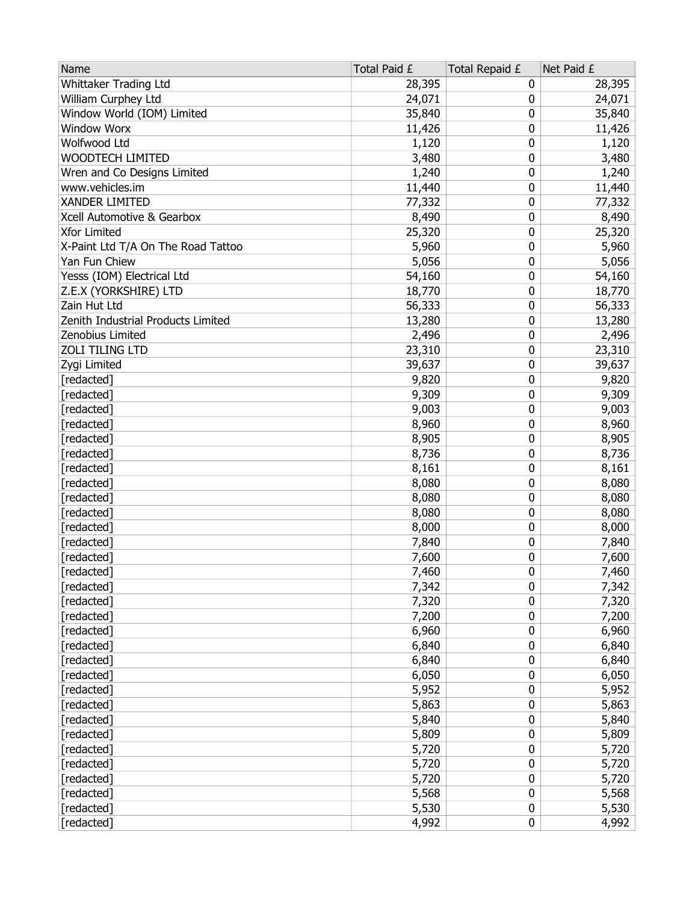| Name                               | Total Paid £ | Total Repaid £ | Net Paid £ |
|------------------------------------|--------------|----------------|------------|
| Whittaker Trading Ltd              | 28,395       | 0              | 28,395     |
| William Curphey Ltd                | 24,071       | 0              | 24,071     |
| Window World (IOM) Limited         | 35,840       | 0              | 35,840     |
| Window Worx                        | 11,426       | 0              | 11,426     |
| Wolfwood Ltd                       | 1,120        | 0              | 1,120      |
| WOODTECH LIMITED                   | 3,480        | 0              | 3,480      |
| Wren and Co Designs Limited        | 1,240        | 0              | 1,240      |
| www.vehicles.im                    | 11,440       | 0              | 11,440     |
| <b>XANDER LIMITED</b>              | 77,332       | 0              | 77,332     |
| Xcell Automotive & Gearbox         | 8,490        | 0              | 8,490      |
| <b>Xfor Limited</b>                | 25,320       | 0              | 25,320     |
| X-Paint Ltd T/A On The Road Tattoo | 5,960        | 0              | 5,960      |
| Yan Fun Chiew                      | 5,056        | 0              | 5,056      |
| Yesss (IOM) Electrical Ltd         | 54,160       | 0              | 54,160     |
| Z.E.X (YORKSHIRE) LTD              | 18,770       | 0              | 18,770     |
| Zain Hut Ltd                       | 56,333       | 0              | 56,333     |
| Zenith Industrial Products Limited | 13,280       | 0              | 13,280     |
| Zenobius Limited                   | 2,496        | 0              | 2,496      |
| ZOLI TILING LTD                    | 23,310       | 0              | 23,310     |
| Zygi Limited                       | 39,637       | 0              | 39,637     |
| [redacted]                         | 9,820        | 0              | 9,820      |
| [redacted]                         | 9,309        | 0              | 9,309      |
| [redacted]                         | 9,003        | 0              | 9,003      |
| [redacted]                         | 8,960        | 0              | 8,960      |
| [redacted]                         | 8,905        | 0              | 8,905      |
| [redacted]                         | 8,736        | 0              | 8,736      |
| [redacted]                         | 8,161        | 0              | 8,161      |
| [redacted]                         | 8,080        | 0              | 8,080      |
| [redacted]                         | 8,080        | 0              | 8,080      |
| [redacted]                         | 8,080        | 0              | 8,080      |
| [redacted]                         | 8,000        | 0              | 8,000      |
| [redacted]                         | 7,840        | 0              | 7,840      |
| [redacted]                         | 7,600        | 0              | 7,600      |
| [redacted]                         | 7,460        | 0              | 7,460      |
| [redacted]                         | 7,342        | 0              | 7,342      |
| [redacted]                         | 7,320        | 0              | 7,320      |
| [redacted]                         | 7,200        | 0              | 7,200      |
| [redacted]                         | 6,960        | 0              | 6,960      |
| [redacted]                         | 6,840        | 0              | 6,840      |
| [redacted]                         | 6,840        | 0              | 6,840      |
| [redacted]                         | 6,050        | 0              | 6,050      |
| [redacted]                         | 5,952        | 0              | 5,952      |
| [redacted]                         | 5,863        | 0              | 5,863      |
| [redacted]                         | 5,840        | 0              | 5,840      |
| [redacted]                         | 5,809        | 0              | 5,809      |
| [redacted]                         | 5,720        | 0              | 5,720      |
| [redacted]                         | 5,720        | 0              | 5,720      |
| [redacted]                         | 5,720        | 0              | 5,720      |
| [redacted]                         | 5,568        | 0              | 5,568      |
| [redacted]                         | 5,530        | 0              | 5,530      |
| [redacted]                         | 4,992        | 0              | 4,992      |
|                                    |              |                |            |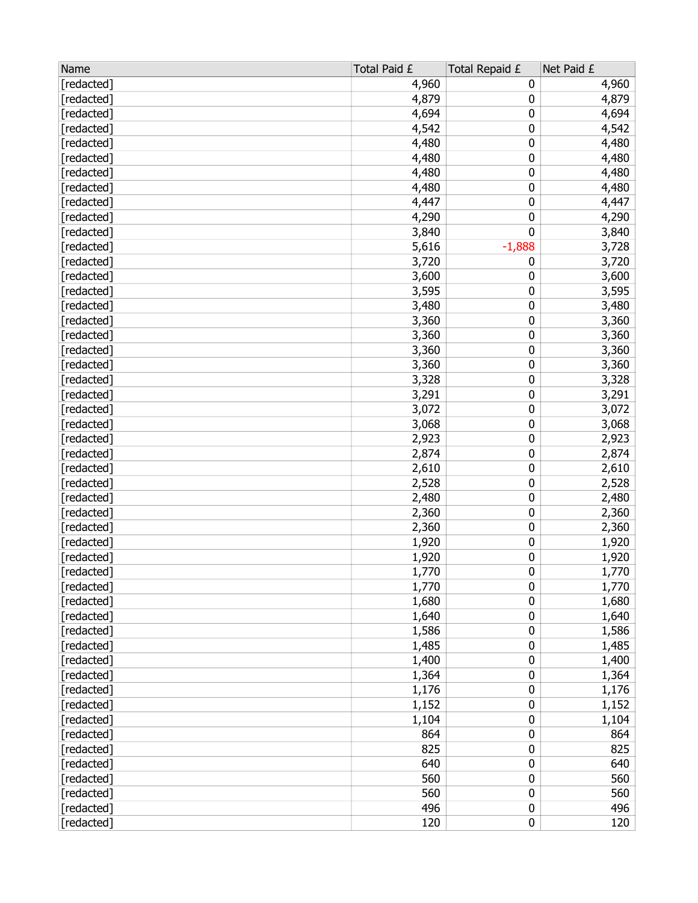| [redacted]<br>4,960<br>4,960<br>0<br>4,879<br>[redacted]<br>4,879<br>0<br>4,694<br>4,694<br>[redacted]<br>0<br>4,542<br>0<br>4,542<br>[redacted]<br>[redacted]<br>4,480<br>0<br>4,480<br>0<br>4,480<br>[redacted]<br>4,480<br>4,480<br>[redacted]<br>4,480<br>0<br>4,480<br>[redacted]<br>4,480<br>0<br>4,447<br>[redacted]<br>4,447<br>0<br>4,290<br>[redacted]<br>4,290<br>0<br>0<br>3,840<br>[redacted]<br>3,840<br>5,616<br>[redacted]<br>$-1,888$<br>3,728<br>[redacted]<br>3,720<br>0<br>3,720<br>[redacted]<br>3,600<br>3,600<br>0<br>[redacted]<br>3,595<br>3,595<br>0<br>3,480<br>[redacted]<br>3,480<br>0<br>0<br>3,360<br>[redacted]<br>3,360<br>3,360<br>0<br>3,360<br>[redacted]<br>0<br>[redacted]<br>3,360<br>3,360<br>0<br>[redacted]<br>3,360<br>3,360<br>[redacted]<br>3,328<br>0<br>3,328<br>3,291<br>[redacted]<br>3,291<br>0<br>3,072<br>0<br>3,072<br>[redacted]<br>0<br>[redacted]<br>3,068<br>3,068<br>[redacted]<br>2,923<br>0<br>2,923<br>0<br>[redacted]<br>2,874<br>2,874<br>[redacted]<br>0<br>2,610<br>2,610<br>2,528<br>[redacted]<br>2,528<br>0<br>2,480<br>0<br>2,480<br>[redacted]<br>0<br>2,360<br>[redacted]<br>2,360<br>0<br>[redacted]<br>2,360<br>2,360<br>[redacted]<br>0<br>1,920<br>1,920<br>[redacted]<br>0<br>1,920<br>1,920<br>1,770<br>0<br>[redacted]<br>1,770<br>0<br>[redacted]<br>1,770<br>1,770<br>1,680<br>0<br>1,680<br>[redacted]<br>1,640<br>0<br>1,640<br>[redacted]<br>0<br>[redacted]<br>1,586<br>1,586<br>0<br>[redacted]<br>1,485<br>1,485<br>1,400<br>[redacted]<br>1,400<br>0<br>1,364<br>0<br>1,364<br>[redacted]<br>1,176<br>0<br>[redacted]<br>1,176<br>0<br>[redacted]<br>1,152<br>1,152<br>0<br>[redacted]<br>1,104<br>1,104<br>864<br>0<br>[redacted]<br>864<br>[redacted]<br>825<br>825<br>0<br>640<br>640<br>[redacted]<br>0<br>560<br>0<br>560<br>[redacted]<br>560<br>0<br>[redacted]<br>560<br>496<br>0<br>[redacted]<br>496<br>0<br>[redacted]<br>120<br>120 | Name | Total Paid £ | Total Repaid £ | Net Paid £ |
|----------------------------------------------------------------------------------------------------------------------------------------------------------------------------------------------------------------------------------------------------------------------------------------------------------------------------------------------------------------------------------------------------------------------------------------------------------------------------------------------------------------------------------------------------------------------------------------------------------------------------------------------------------------------------------------------------------------------------------------------------------------------------------------------------------------------------------------------------------------------------------------------------------------------------------------------------------------------------------------------------------------------------------------------------------------------------------------------------------------------------------------------------------------------------------------------------------------------------------------------------------------------------------------------------------------------------------------------------------------------------------------------------------------------------------------------------------------------------------------------------------------------------------------------------------------------------------------------------------------------------------------------------------------------------------------------------------------------------------------------------------------------------------------------------------------------------------------------------------------------------------------------------------------------------------------|------|--------------|----------------|------------|
|                                                                                                                                                                                                                                                                                                                                                                                                                                                                                                                                                                                                                                                                                                                                                                                                                                                                                                                                                                                                                                                                                                                                                                                                                                                                                                                                                                                                                                                                                                                                                                                                                                                                                                                                                                                                                                                                                                                                        |      |              |                |            |
|                                                                                                                                                                                                                                                                                                                                                                                                                                                                                                                                                                                                                                                                                                                                                                                                                                                                                                                                                                                                                                                                                                                                                                                                                                                                                                                                                                                                                                                                                                                                                                                                                                                                                                                                                                                                                                                                                                                                        |      |              |                |            |
|                                                                                                                                                                                                                                                                                                                                                                                                                                                                                                                                                                                                                                                                                                                                                                                                                                                                                                                                                                                                                                                                                                                                                                                                                                                                                                                                                                                                                                                                                                                                                                                                                                                                                                                                                                                                                                                                                                                                        |      |              |                |            |
|                                                                                                                                                                                                                                                                                                                                                                                                                                                                                                                                                                                                                                                                                                                                                                                                                                                                                                                                                                                                                                                                                                                                                                                                                                                                                                                                                                                                                                                                                                                                                                                                                                                                                                                                                                                                                                                                                                                                        |      |              |                |            |
|                                                                                                                                                                                                                                                                                                                                                                                                                                                                                                                                                                                                                                                                                                                                                                                                                                                                                                                                                                                                                                                                                                                                                                                                                                                                                                                                                                                                                                                                                                                                                                                                                                                                                                                                                                                                                                                                                                                                        |      |              |                |            |
|                                                                                                                                                                                                                                                                                                                                                                                                                                                                                                                                                                                                                                                                                                                                                                                                                                                                                                                                                                                                                                                                                                                                                                                                                                                                                                                                                                                                                                                                                                                                                                                                                                                                                                                                                                                                                                                                                                                                        |      |              |                |            |
|                                                                                                                                                                                                                                                                                                                                                                                                                                                                                                                                                                                                                                                                                                                                                                                                                                                                                                                                                                                                                                                                                                                                                                                                                                                                                                                                                                                                                                                                                                                                                                                                                                                                                                                                                                                                                                                                                                                                        |      |              |                |            |
|                                                                                                                                                                                                                                                                                                                                                                                                                                                                                                                                                                                                                                                                                                                                                                                                                                                                                                                                                                                                                                                                                                                                                                                                                                                                                                                                                                                                                                                                                                                                                                                                                                                                                                                                                                                                                                                                                                                                        |      |              |                |            |
|                                                                                                                                                                                                                                                                                                                                                                                                                                                                                                                                                                                                                                                                                                                                                                                                                                                                                                                                                                                                                                                                                                                                                                                                                                                                                                                                                                                                                                                                                                                                                                                                                                                                                                                                                                                                                                                                                                                                        |      |              |                |            |
|                                                                                                                                                                                                                                                                                                                                                                                                                                                                                                                                                                                                                                                                                                                                                                                                                                                                                                                                                                                                                                                                                                                                                                                                                                                                                                                                                                                                                                                                                                                                                                                                                                                                                                                                                                                                                                                                                                                                        |      |              |                |            |
|                                                                                                                                                                                                                                                                                                                                                                                                                                                                                                                                                                                                                                                                                                                                                                                                                                                                                                                                                                                                                                                                                                                                                                                                                                                                                                                                                                                                                                                                                                                                                                                                                                                                                                                                                                                                                                                                                                                                        |      |              |                |            |
|                                                                                                                                                                                                                                                                                                                                                                                                                                                                                                                                                                                                                                                                                                                                                                                                                                                                                                                                                                                                                                                                                                                                                                                                                                                                                                                                                                                                                                                                                                                                                                                                                                                                                                                                                                                                                                                                                                                                        |      |              |                |            |
|                                                                                                                                                                                                                                                                                                                                                                                                                                                                                                                                                                                                                                                                                                                                                                                                                                                                                                                                                                                                                                                                                                                                                                                                                                                                                                                                                                                                                                                                                                                                                                                                                                                                                                                                                                                                                                                                                                                                        |      |              |                |            |
|                                                                                                                                                                                                                                                                                                                                                                                                                                                                                                                                                                                                                                                                                                                                                                                                                                                                                                                                                                                                                                                                                                                                                                                                                                                                                                                                                                                                                                                                                                                                                                                                                                                                                                                                                                                                                                                                                                                                        |      |              |                |            |
|                                                                                                                                                                                                                                                                                                                                                                                                                                                                                                                                                                                                                                                                                                                                                                                                                                                                                                                                                                                                                                                                                                                                                                                                                                                                                                                                                                                                                                                                                                                                                                                                                                                                                                                                                                                                                                                                                                                                        |      |              |                |            |
|                                                                                                                                                                                                                                                                                                                                                                                                                                                                                                                                                                                                                                                                                                                                                                                                                                                                                                                                                                                                                                                                                                                                                                                                                                                                                                                                                                                                                                                                                                                                                                                                                                                                                                                                                                                                                                                                                                                                        |      |              |                |            |
|                                                                                                                                                                                                                                                                                                                                                                                                                                                                                                                                                                                                                                                                                                                                                                                                                                                                                                                                                                                                                                                                                                                                                                                                                                                                                                                                                                                                                                                                                                                                                                                                                                                                                                                                                                                                                                                                                                                                        |      |              |                |            |
|                                                                                                                                                                                                                                                                                                                                                                                                                                                                                                                                                                                                                                                                                                                                                                                                                                                                                                                                                                                                                                                                                                                                                                                                                                                                                                                                                                                                                                                                                                                                                                                                                                                                                                                                                                                                                                                                                                                                        |      |              |                |            |
|                                                                                                                                                                                                                                                                                                                                                                                                                                                                                                                                                                                                                                                                                                                                                                                                                                                                                                                                                                                                                                                                                                                                                                                                                                                                                                                                                                                                                                                                                                                                                                                                                                                                                                                                                                                                                                                                                                                                        |      |              |                |            |
|                                                                                                                                                                                                                                                                                                                                                                                                                                                                                                                                                                                                                                                                                                                                                                                                                                                                                                                                                                                                                                                                                                                                                                                                                                                                                                                                                                                                                                                                                                                                                                                                                                                                                                                                                                                                                                                                                                                                        |      |              |                |            |
|                                                                                                                                                                                                                                                                                                                                                                                                                                                                                                                                                                                                                                                                                                                                                                                                                                                                                                                                                                                                                                                                                                                                                                                                                                                                                                                                                                                                                                                                                                                                                                                                                                                                                                                                                                                                                                                                                                                                        |      |              |                |            |
|                                                                                                                                                                                                                                                                                                                                                                                                                                                                                                                                                                                                                                                                                                                                                                                                                                                                                                                                                                                                                                                                                                                                                                                                                                                                                                                                                                                                                                                                                                                                                                                                                                                                                                                                                                                                                                                                                                                                        |      |              |                |            |
|                                                                                                                                                                                                                                                                                                                                                                                                                                                                                                                                                                                                                                                                                                                                                                                                                                                                                                                                                                                                                                                                                                                                                                                                                                                                                                                                                                                                                                                                                                                                                                                                                                                                                                                                                                                                                                                                                                                                        |      |              |                |            |
|                                                                                                                                                                                                                                                                                                                                                                                                                                                                                                                                                                                                                                                                                                                                                                                                                                                                                                                                                                                                                                                                                                                                                                                                                                                                                                                                                                                                                                                                                                                                                                                                                                                                                                                                                                                                                                                                                                                                        |      |              |                |            |
|                                                                                                                                                                                                                                                                                                                                                                                                                                                                                                                                                                                                                                                                                                                                                                                                                                                                                                                                                                                                                                                                                                                                                                                                                                                                                                                                                                                                                                                                                                                                                                                                                                                                                                                                                                                                                                                                                                                                        |      |              |                |            |
|                                                                                                                                                                                                                                                                                                                                                                                                                                                                                                                                                                                                                                                                                                                                                                                                                                                                                                                                                                                                                                                                                                                                                                                                                                                                                                                                                                                                                                                                                                                                                                                                                                                                                                                                                                                                                                                                                                                                        |      |              |                |            |
|                                                                                                                                                                                                                                                                                                                                                                                                                                                                                                                                                                                                                                                                                                                                                                                                                                                                                                                                                                                                                                                                                                                                                                                                                                                                                                                                                                                                                                                                                                                                                                                                                                                                                                                                                                                                                                                                                                                                        |      |              |                |            |
|                                                                                                                                                                                                                                                                                                                                                                                                                                                                                                                                                                                                                                                                                                                                                                                                                                                                                                                                                                                                                                                                                                                                                                                                                                                                                                                                                                                                                                                                                                                                                                                                                                                                                                                                                                                                                                                                                                                                        |      |              |                |            |
|                                                                                                                                                                                                                                                                                                                                                                                                                                                                                                                                                                                                                                                                                                                                                                                                                                                                                                                                                                                                                                                                                                                                                                                                                                                                                                                                                                                                                                                                                                                                                                                                                                                                                                                                                                                                                                                                                                                                        |      |              |                |            |
|                                                                                                                                                                                                                                                                                                                                                                                                                                                                                                                                                                                                                                                                                                                                                                                                                                                                                                                                                                                                                                                                                                                                                                                                                                                                                                                                                                                                                                                                                                                                                                                                                                                                                                                                                                                                                                                                                                                                        |      |              |                |            |
|                                                                                                                                                                                                                                                                                                                                                                                                                                                                                                                                                                                                                                                                                                                                                                                                                                                                                                                                                                                                                                                                                                                                                                                                                                                                                                                                                                                                                                                                                                                                                                                                                                                                                                                                                                                                                                                                                                                                        |      |              |                |            |
|                                                                                                                                                                                                                                                                                                                                                                                                                                                                                                                                                                                                                                                                                                                                                                                                                                                                                                                                                                                                                                                                                                                                                                                                                                                                                                                                                                                                                                                                                                                                                                                                                                                                                                                                                                                                                                                                                                                                        |      |              |                |            |
|                                                                                                                                                                                                                                                                                                                                                                                                                                                                                                                                                                                                                                                                                                                                                                                                                                                                                                                                                                                                                                                                                                                                                                                                                                                                                                                                                                                                                                                                                                                                                                                                                                                                                                                                                                                                                                                                                                                                        |      |              |                |            |
|                                                                                                                                                                                                                                                                                                                                                                                                                                                                                                                                                                                                                                                                                                                                                                                                                                                                                                                                                                                                                                                                                                                                                                                                                                                                                                                                                                                                                                                                                                                                                                                                                                                                                                                                                                                                                                                                                                                                        |      |              |                |            |
|                                                                                                                                                                                                                                                                                                                                                                                                                                                                                                                                                                                                                                                                                                                                                                                                                                                                                                                                                                                                                                                                                                                                                                                                                                                                                                                                                                                                                                                                                                                                                                                                                                                                                                                                                                                                                                                                                                                                        |      |              |                |            |
|                                                                                                                                                                                                                                                                                                                                                                                                                                                                                                                                                                                                                                                                                                                                                                                                                                                                                                                                                                                                                                                                                                                                                                                                                                                                                                                                                                                                                                                                                                                                                                                                                                                                                                                                                                                                                                                                                                                                        |      |              |                |            |
|                                                                                                                                                                                                                                                                                                                                                                                                                                                                                                                                                                                                                                                                                                                                                                                                                                                                                                                                                                                                                                                                                                                                                                                                                                                                                                                                                                                                                                                                                                                                                                                                                                                                                                                                                                                                                                                                                                                                        |      |              |                |            |
|                                                                                                                                                                                                                                                                                                                                                                                                                                                                                                                                                                                                                                                                                                                                                                                                                                                                                                                                                                                                                                                                                                                                                                                                                                                                                                                                                                                                                                                                                                                                                                                                                                                                                                                                                                                                                                                                                                                                        |      |              |                |            |
|                                                                                                                                                                                                                                                                                                                                                                                                                                                                                                                                                                                                                                                                                                                                                                                                                                                                                                                                                                                                                                                                                                                                                                                                                                                                                                                                                                                                                                                                                                                                                                                                                                                                                                                                                                                                                                                                                                                                        |      |              |                |            |
|                                                                                                                                                                                                                                                                                                                                                                                                                                                                                                                                                                                                                                                                                                                                                                                                                                                                                                                                                                                                                                                                                                                                                                                                                                                                                                                                                                                                                                                                                                                                                                                                                                                                                                                                                                                                                                                                                                                                        |      |              |                |            |
|                                                                                                                                                                                                                                                                                                                                                                                                                                                                                                                                                                                                                                                                                                                                                                                                                                                                                                                                                                                                                                                                                                                                                                                                                                                                                                                                                                                                                                                                                                                                                                                                                                                                                                                                                                                                                                                                                                                                        |      |              |                |            |
|                                                                                                                                                                                                                                                                                                                                                                                                                                                                                                                                                                                                                                                                                                                                                                                                                                                                                                                                                                                                                                                                                                                                                                                                                                                                                                                                                                                                                                                                                                                                                                                                                                                                                                                                                                                                                                                                                                                                        |      |              |                |            |
|                                                                                                                                                                                                                                                                                                                                                                                                                                                                                                                                                                                                                                                                                                                                                                                                                                                                                                                                                                                                                                                                                                                                                                                                                                                                                                                                                                                                                                                                                                                                                                                                                                                                                                                                                                                                                                                                                                                                        |      |              |                |            |
|                                                                                                                                                                                                                                                                                                                                                                                                                                                                                                                                                                                                                                                                                                                                                                                                                                                                                                                                                                                                                                                                                                                                                                                                                                                                                                                                                                                                                                                                                                                                                                                                                                                                                                                                                                                                                                                                                                                                        |      |              |                |            |
|                                                                                                                                                                                                                                                                                                                                                                                                                                                                                                                                                                                                                                                                                                                                                                                                                                                                                                                                                                                                                                                                                                                                                                                                                                                                                                                                                                                                                                                                                                                                                                                                                                                                                                                                                                                                                                                                                                                                        |      |              |                |            |
|                                                                                                                                                                                                                                                                                                                                                                                                                                                                                                                                                                                                                                                                                                                                                                                                                                                                                                                                                                                                                                                                                                                                                                                                                                                                                                                                                                                                                                                                                                                                                                                                                                                                                                                                                                                                                                                                                                                                        |      |              |                |            |
|                                                                                                                                                                                                                                                                                                                                                                                                                                                                                                                                                                                                                                                                                                                                                                                                                                                                                                                                                                                                                                                                                                                                                                                                                                                                                                                                                                                                                                                                                                                                                                                                                                                                                                                                                                                                                                                                                                                                        |      |              |                |            |
|                                                                                                                                                                                                                                                                                                                                                                                                                                                                                                                                                                                                                                                                                                                                                                                                                                                                                                                                                                                                                                                                                                                                                                                                                                                                                                                                                                                                                                                                                                                                                                                                                                                                                                                                                                                                                                                                                                                                        |      |              |                |            |
|                                                                                                                                                                                                                                                                                                                                                                                                                                                                                                                                                                                                                                                                                                                                                                                                                                                                                                                                                                                                                                                                                                                                                                                                                                                                                                                                                                                                                                                                                                                                                                                                                                                                                                                                                                                                                                                                                                                                        |      |              |                |            |
|                                                                                                                                                                                                                                                                                                                                                                                                                                                                                                                                                                                                                                                                                                                                                                                                                                                                                                                                                                                                                                                                                                                                                                                                                                                                                                                                                                                                                                                                                                                                                                                                                                                                                                                                                                                                                                                                                                                                        |      |              |                |            |
|                                                                                                                                                                                                                                                                                                                                                                                                                                                                                                                                                                                                                                                                                                                                                                                                                                                                                                                                                                                                                                                                                                                                                                                                                                                                                                                                                                                                                                                                                                                                                                                                                                                                                                                                                                                                                                                                                                                                        |      |              |                |            |